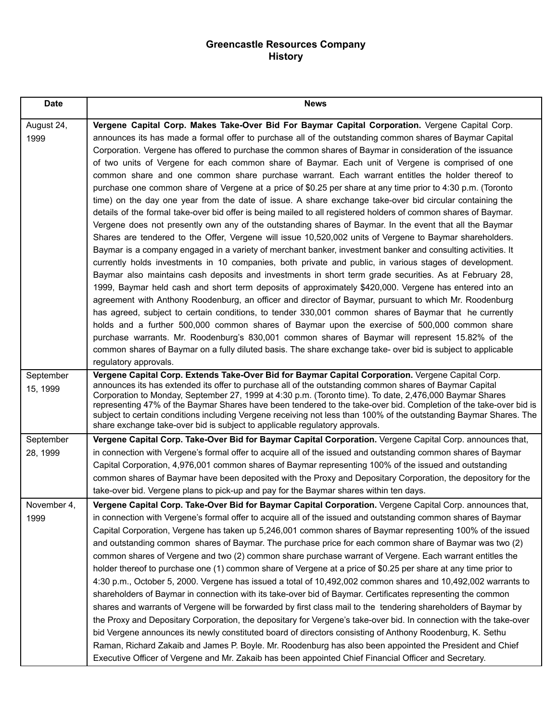## **Greencastle Resources Company History**

| <b>Date</b>           | <b>News</b>                                                                                                                                                                                                                                                                                                                                                                                                                                                                                                                                                                                                                                                                                                                                                                                                                                                                                                                                                                                                                                                                                                                                                                                                                                                                                                                                                                                                                                                                                                                                                                                                                                                                                                                                                                                                                                                                                                                                                                                                                                                                                                             |
|-----------------------|-------------------------------------------------------------------------------------------------------------------------------------------------------------------------------------------------------------------------------------------------------------------------------------------------------------------------------------------------------------------------------------------------------------------------------------------------------------------------------------------------------------------------------------------------------------------------------------------------------------------------------------------------------------------------------------------------------------------------------------------------------------------------------------------------------------------------------------------------------------------------------------------------------------------------------------------------------------------------------------------------------------------------------------------------------------------------------------------------------------------------------------------------------------------------------------------------------------------------------------------------------------------------------------------------------------------------------------------------------------------------------------------------------------------------------------------------------------------------------------------------------------------------------------------------------------------------------------------------------------------------------------------------------------------------------------------------------------------------------------------------------------------------------------------------------------------------------------------------------------------------------------------------------------------------------------------------------------------------------------------------------------------------------------------------------------------------------------------------------------------------|
| August 24,<br>1999    | Vergene Capital Corp. Makes Take-Over Bid For Baymar Capital Corporation. Vergene Capital Corp.<br>announces its has made a formal offer to purchase all of the outstanding common shares of Baymar Capital<br>Corporation. Vergene has offered to purchase the common shares of Baymar in consideration of the issuance<br>of two units of Vergene for each common share of Baymar. Each unit of Vergene is comprised of one<br>common share and one common share purchase warrant. Each warrant entitles the holder thereof to<br>purchase one common share of Vergene at a price of \$0.25 per share at any time prior to 4:30 p.m. (Toronto<br>time) on the day one year from the date of issue. A share exchange take-over bid circular containing the<br>details of the formal take-over bid offer is being mailed to all registered holders of common shares of Baymar.<br>Vergene does not presently own any of the outstanding shares of Baymar. In the event that all the Baymar<br>Shares are tendered to the Offer, Vergene will issue 10,520,002 units of Vergene to Baymar shareholders.<br>Baymar is a company engaged in a variety of merchant banker, investment banker and consulting activities. It<br>currently holds investments in 10 companies, both private and public, in various stages of development.<br>Baymar also maintains cash deposits and investments in short term grade securities. As at February 28,<br>1999, Baymar held cash and short term deposits of approximately \$420,000. Vergene has entered into an<br>agreement with Anthony Roodenburg, an officer and director of Baymar, pursuant to which Mr. Roodenburg<br>has agreed, subject to certain conditions, to tender 330,001 common shares of Baymar that he currently<br>holds and a further 500,000 common shares of Baymar upon the exercise of 500,000 common share<br>purchase warrants. Mr. Roodenburg's 830,001 common shares of Baymar will represent 15.82% of the<br>common shares of Baymar on a fully diluted basis. The share exchange take- over bid is subject to applicable<br>regulatory approvals. |
| September<br>15, 1999 | Vergene Capital Corp. Extends Take-Over Bid for Baymar Capital Corporation. Vergene Capital Corp.<br>announces its has extended its offer to purchase all of the outstanding common shares of Baymar Capital<br>Corporation to Monday, September 27, 1999 at 4:30 p.m. (Toronto time). To date, 2,476,000 Baymar Shares<br>representing 47% of the Baymar Shares have been tendered to the take-over bid. Completion of the take-over bid is<br>subject to certain conditions including Vergene receiving not less than 100% of the outstanding Baymar Shares. The<br>share exchange take-over bid is subject to applicable regulatory approvals.                                                                                                                                                                                                                                                                                                                                                                                                                                                                                                                                                                                                                                                                                                                                                                                                                                                                                                                                                                                                                                                                                                                                                                                                                                                                                                                                                                                                                                                                       |
| September<br>28, 1999 | Vergene Capital Corp. Take-Over Bid for Baymar Capital Corporation. Vergene Capital Corp. announces that,<br>in connection with Vergene's formal offer to acquire all of the issued and outstanding common shares of Baymar<br>Capital Corporation, 4,976,001 common shares of Baymar representing 100% of the issued and outstanding<br>common shares of Baymar have been deposited with the Proxy and Depositary Corporation, the depository for the<br>take-over bid. Vergene plans to pick-up and pay for the Baymar shares within ten days.                                                                                                                                                                                                                                                                                                                                                                                                                                                                                                                                                                                                                                                                                                                                                                                                                                                                                                                                                                                                                                                                                                                                                                                                                                                                                                                                                                                                                                                                                                                                                                        |
| November 4,<br>1999   | Vergene Capital Corp. Take-Over Bid for Baymar Capital Corporation. Vergene Capital Corp. announces that,<br>in connection with Vergene's formal offer to acquire all of the issued and outstanding common shares of Baymar<br>Capital Corporation, Vergene has taken up 5,246,001 common shares of Baymar representing 100% of the issued<br>and outstanding common shares of Baymar. The purchase price for each common share of Baymar was two (2)<br>common shares of Vergene and two (2) common share purchase warrant of Vergene. Each warrant entitles the<br>holder thereof to purchase one (1) common share of Vergene at a price of \$0.25 per share at any time prior to<br>4:30 p.m., October 5, 2000. Vergene has issued a total of 10,492,002 common shares and 10,492,002 warrants to<br>shareholders of Baymar in connection with its take-over bid of Baymar. Certificates representing the common<br>shares and warrants of Vergene will be forwarded by first class mail to the tendering shareholders of Baymar by<br>the Proxy and Depositary Corporation, the depositary for Vergene's take-over bid. In connection with the take-over<br>bid Vergene announces its newly constituted board of directors consisting of Anthony Roodenburg, K. Sethu<br>Raman, Richard Zakaib and James P. Boyle. Mr. Roodenburg has also been appointed the President and Chief<br>Executive Officer of Vergene and Mr. Zakaib has been appointed Chief Financial Officer and Secretary.                                                                                                                                                                                                                                                                                                                                                                                                                                                                                                                                                                                                                          |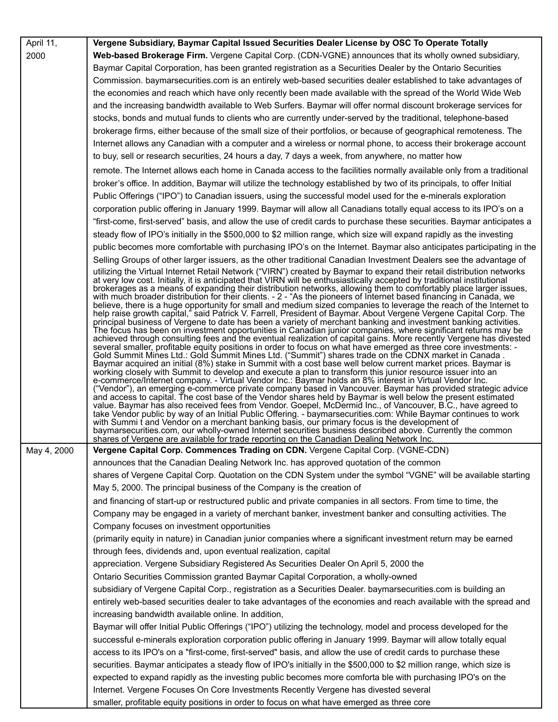| April 11,   | Vergene Subsidiary, Baymar Capital Issued Securities Dealer License by OSC To Operate Totally                                                                                                                                                                                                                                                                                                                                                                                                                                                                                                                                                                                                                                                                                                                                                                                                                                                                                                                                                                                                                                                              |
|-------------|------------------------------------------------------------------------------------------------------------------------------------------------------------------------------------------------------------------------------------------------------------------------------------------------------------------------------------------------------------------------------------------------------------------------------------------------------------------------------------------------------------------------------------------------------------------------------------------------------------------------------------------------------------------------------------------------------------------------------------------------------------------------------------------------------------------------------------------------------------------------------------------------------------------------------------------------------------------------------------------------------------------------------------------------------------------------------------------------------------------------------------------------------------|
| 2000        | Web-based Brokerage Firm. Vergene Capital Corp. (CDN-VGNE) announces that its wholly owned subsidiary,                                                                                                                                                                                                                                                                                                                                                                                                                                                                                                                                                                                                                                                                                                                                                                                                                                                                                                                                                                                                                                                     |
|             | Baymar Capital Corporation, has been granted registration as a Securities Dealer by the Ontario Securities                                                                                                                                                                                                                                                                                                                                                                                                                                                                                                                                                                                                                                                                                                                                                                                                                                                                                                                                                                                                                                                 |
|             | Commission. baymarsecurities.com is an entirely web-based securities dealer established to take advantages of                                                                                                                                                                                                                                                                                                                                                                                                                                                                                                                                                                                                                                                                                                                                                                                                                                                                                                                                                                                                                                              |
|             | the economies and reach which have only recently been made available with the spread of the World Wide Web                                                                                                                                                                                                                                                                                                                                                                                                                                                                                                                                                                                                                                                                                                                                                                                                                                                                                                                                                                                                                                                 |
|             | and the increasing bandwidth available to Web Surfers. Baymar will offer normal discount brokerage services for                                                                                                                                                                                                                                                                                                                                                                                                                                                                                                                                                                                                                                                                                                                                                                                                                                                                                                                                                                                                                                            |
|             | stocks, bonds and mutual funds to clients who are currently under-served by the traditional, telephone-based                                                                                                                                                                                                                                                                                                                                                                                                                                                                                                                                                                                                                                                                                                                                                                                                                                                                                                                                                                                                                                               |
|             | brokerage firms, either because of the small size of their portfolios, or because of geographical remoteness. The                                                                                                                                                                                                                                                                                                                                                                                                                                                                                                                                                                                                                                                                                                                                                                                                                                                                                                                                                                                                                                          |
|             | Internet allows any Canadian with a computer and a wireless or normal phone, to access their brokerage account                                                                                                                                                                                                                                                                                                                                                                                                                                                                                                                                                                                                                                                                                                                                                                                                                                                                                                                                                                                                                                             |
|             | to buy, sell or research securities, 24 hours a day, 7 days a week, from anywhere, no matter how                                                                                                                                                                                                                                                                                                                                                                                                                                                                                                                                                                                                                                                                                                                                                                                                                                                                                                                                                                                                                                                           |
|             | remote. The Internet allows each home in Canada access to the facilities normally available only from a traditional                                                                                                                                                                                                                                                                                                                                                                                                                                                                                                                                                                                                                                                                                                                                                                                                                                                                                                                                                                                                                                        |
|             | broker's office. In addition, Baymar will utilize the technology established by two of its principals, to offer Initial                                                                                                                                                                                                                                                                                                                                                                                                                                                                                                                                                                                                                                                                                                                                                                                                                                                                                                                                                                                                                                    |
|             | Public Offerings ("IPO") to Canadian issuers, using the successful model used for the e-minerals exploration                                                                                                                                                                                                                                                                                                                                                                                                                                                                                                                                                                                                                                                                                                                                                                                                                                                                                                                                                                                                                                               |
|             | corporation public offering in January 1999. Baymar will allow all Canadians totally equal access to its IPO's on a                                                                                                                                                                                                                                                                                                                                                                                                                                                                                                                                                                                                                                                                                                                                                                                                                                                                                                                                                                                                                                        |
|             | "first-come, first-served" basis, and allow the use of credit cards to purchase these securities. Baymar anticipates a                                                                                                                                                                                                                                                                                                                                                                                                                                                                                                                                                                                                                                                                                                                                                                                                                                                                                                                                                                                                                                     |
|             | steady flow of IPO's initially in the \$500,000 to \$2 million range, which size will expand rapidly as the investing                                                                                                                                                                                                                                                                                                                                                                                                                                                                                                                                                                                                                                                                                                                                                                                                                                                                                                                                                                                                                                      |
|             |                                                                                                                                                                                                                                                                                                                                                                                                                                                                                                                                                                                                                                                                                                                                                                                                                                                                                                                                                                                                                                                                                                                                                            |
|             | public becomes more comfortable with purchasing IPO's on the Internet. Baymar also anticipates participating in the                                                                                                                                                                                                                                                                                                                                                                                                                                                                                                                                                                                                                                                                                                                                                                                                                                                                                                                                                                                                                                        |
|             | Selling Groups of other larger issuers, as the other traditional Canadian Investment Dealers see the advantage of<br>utilizing the Virtual Internet Retail Network ("VIRN") created by Baymar to expand their retail distribution networks                                                                                                                                                                                                                                                                                                                                                                                                                                                                                                                                                                                                                                                                                                                                                                                                                                                                                                                 |
|             | at very low cost. Initially, it is anticipated that VIRN will be enthusiastically accepted by traditional institutional<br>brokerages as a means of expanding their distribution networks, allowing them to comfortably place larger issues,<br>with much broader distribution for their clients. - 2 - "As the pioneers of Internet based financing in Canada, we<br>believe, there is a huge opportunity for small and medium sized companies to leverage the reach of the Internet to<br>help raise growth capital," said Patrick V. Farrell, President of Baymar. About Vergene Vergene Capital Corp. The                                                                                                                                                                                                                                                                                                                                                                                                                                                                                                                                              |
|             | principal business of Vergene to date has been a variety of merchant banking and investment banking activities.<br>The focus has been on investment opportunities in Canadian junior companies, where significant returns may be<br>achieved through consulting fees and the eventual realization of capital gains. More recently Vergene has divested<br>several smaller, profitable equity positions in order to focus on what have emerged as three core investments: -<br>. Gold Summit Mines Ltd.: Gold Summit Mines Ltd. ("Summit") shares trade on the CDNX market in Canada<br>Baymar acquired an initial (8%) stake in Summit with a cost base well below current market prices. Baymar is<br>working closely with Summit to develop and execute a plan to transform this junior resource issuer into an<br>e-commerce/Internet company. - Virtual Vendor Inc.: Baymar holds an 8% interest in Virtual Vendor Inc.<br>("Vendor"), an emerging e-commerce private company based in Vancouver. Baymar has provided strategic advice<br>and access to capital. The cost base of the Vendor shares held by Baymar is well below the present estimated |
|             | value. Baymar has also received fees from Vendor. Goepel, McDermid Inc., of Vancouver, B.C., have agreed to<br>take Vendor public by way of an Initial Public Offering. - baymarsecurities.com: While Baymar continues to work<br>with Summi t and Vendor on a merchant banking basis, our primary focus is the development of<br>baymarsecurities.com, our wholly-owned Internet securities business described above. Currently the common<br>shares of Vergene are available for trade reporting on the Canadian Dealing Network Inc.                                                                                                                                                                                                                                                                                                                                                                                                                                                                                                                                                                                                                    |
| May 4, 2000 | Vergene Capital Corp. Commences Trading on CDN. Vergene Capital Corp. (VGNE-CDN)                                                                                                                                                                                                                                                                                                                                                                                                                                                                                                                                                                                                                                                                                                                                                                                                                                                                                                                                                                                                                                                                           |
|             | announces that the Canadian Dealing Network Inc. has approved quotation of the common                                                                                                                                                                                                                                                                                                                                                                                                                                                                                                                                                                                                                                                                                                                                                                                                                                                                                                                                                                                                                                                                      |
|             | shares of Vergene Capital Corp. Quotation on the CDN System under the symbol "VGNE" will be available starting                                                                                                                                                                                                                                                                                                                                                                                                                                                                                                                                                                                                                                                                                                                                                                                                                                                                                                                                                                                                                                             |
|             | May 5, 2000. The principal business of the Company is the creation of                                                                                                                                                                                                                                                                                                                                                                                                                                                                                                                                                                                                                                                                                                                                                                                                                                                                                                                                                                                                                                                                                      |
|             | and financing of start-up or restructured public and private companies in all sectors. From time to time, the                                                                                                                                                                                                                                                                                                                                                                                                                                                                                                                                                                                                                                                                                                                                                                                                                                                                                                                                                                                                                                              |
|             | Company may be engaged in a variety of merchant banker, investment banker and consulting activities. The                                                                                                                                                                                                                                                                                                                                                                                                                                                                                                                                                                                                                                                                                                                                                                                                                                                                                                                                                                                                                                                   |
|             | Company focuses on investment opportunities                                                                                                                                                                                                                                                                                                                                                                                                                                                                                                                                                                                                                                                                                                                                                                                                                                                                                                                                                                                                                                                                                                                |
|             | (primarily equity in nature) in Canadian junior companies where a significant investment return may be earned                                                                                                                                                                                                                                                                                                                                                                                                                                                                                                                                                                                                                                                                                                                                                                                                                                                                                                                                                                                                                                              |
|             | through fees, dividends and, upon eventual realization, capital                                                                                                                                                                                                                                                                                                                                                                                                                                                                                                                                                                                                                                                                                                                                                                                                                                                                                                                                                                                                                                                                                            |
|             | appreciation. Vergene Subsidiary Registered As Securities Dealer On April 5, 2000 the                                                                                                                                                                                                                                                                                                                                                                                                                                                                                                                                                                                                                                                                                                                                                                                                                                                                                                                                                                                                                                                                      |
|             | Ontario Securities Commission granted Baymar Capital Corporation, a wholly-owned                                                                                                                                                                                                                                                                                                                                                                                                                                                                                                                                                                                                                                                                                                                                                                                                                                                                                                                                                                                                                                                                           |
|             | subsidiary of Vergene Capital Corp., registration as a Securities Dealer. baymarsecurities.com is building an                                                                                                                                                                                                                                                                                                                                                                                                                                                                                                                                                                                                                                                                                                                                                                                                                                                                                                                                                                                                                                              |
|             | entirely web-based securities dealer to take advantages of the economies and reach available with the spread and                                                                                                                                                                                                                                                                                                                                                                                                                                                                                                                                                                                                                                                                                                                                                                                                                                                                                                                                                                                                                                           |
|             | increasing bandwidth available online. In addition,                                                                                                                                                                                                                                                                                                                                                                                                                                                                                                                                                                                                                                                                                                                                                                                                                                                                                                                                                                                                                                                                                                        |
|             | Baymar will offer Initial Public Offerings ("IPO") utilizing the technology, model and process developed for the                                                                                                                                                                                                                                                                                                                                                                                                                                                                                                                                                                                                                                                                                                                                                                                                                                                                                                                                                                                                                                           |
|             | successful e-minerals exploration corporation public offering in January 1999. Baymar will allow totally equal                                                                                                                                                                                                                                                                                                                                                                                                                                                                                                                                                                                                                                                                                                                                                                                                                                                                                                                                                                                                                                             |
|             | access to its IPO's on a "first-come, first-served" basis, and allow the use of credit cards to purchase these                                                                                                                                                                                                                                                                                                                                                                                                                                                                                                                                                                                                                                                                                                                                                                                                                                                                                                                                                                                                                                             |
|             | securities. Baymar anticipates a steady flow of IPO's initially in the \$500,000 to \$2 million range, which size is                                                                                                                                                                                                                                                                                                                                                                                                                                                                                                                                                                                                                                                                                                                                                                                                                                                                                                                                                                                                                                       |
|             | expected to expand rapidly as the investing public becomes more comforta ble with purchasing IPO's on the                                                                                                                                                                                                                                                                                                                                                                                                                                                                                                                                                                                                                                                                                                                                                                                                                                                                                                                                                                                                                                                  |
|             | Internet. Vergene Focuses On Core Investments Recently Vergene has divested several                                                                                                                                                                                                                                                                                                                                                                                                                                                                                                                                                                                                                                                                                                                                                                                                                                                                                                                                                                                                                                                                        |
|             | smaller, profitable equity positions in order to focus on what have emerged as three core                                                                                                                                                                                                                                                                                                                                                                                                                                                                                                                                                                                                                                                                                                                                                                                                                                                                                                                                                                                                                                                                  |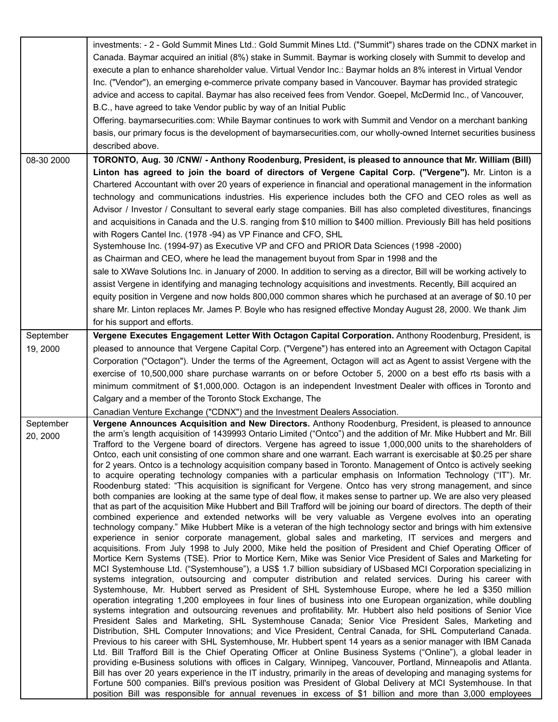|                       | investments: - 2 - Gold Summit Mines Ltd.: Gold Summit Mines Ltd. ("Summit") shares trade on the CDNX market in<br>Canada. Baymar acquired an initial (8%) stake in Summit. Baymar is working closely with Summit to develop and<br>execute a plan to enhance shareholder value. Virtual Vendor Inc.: Baymar holds an 8% interest in Virtual Vendor<br>Inc. ("Vendor"), an emerging e-commerce private company based in Vancouver. Baymar has provided strategic<br>advice and access to capital. Baymar has also received fees from Vendor. Goepel, McDermid Inc., of Vancouver,<br>B.C., have agreed to take Vendor public by way of an Initial Public<br>Offering. baymarsecurities.com: While Baymar continues to work with Summit and Vendor on a merchant banking<br>basis, our primary focus is the development of baymarsecurities.com, our wholly-owned Internet securities business<br>described above.                                                                                                                                                                                                                                                                                                                                                                                                                                                                                                                                                                                                                                                                                                                                                                                                                                                                                                                                                                                                                                                                                                                                                                                                                                                                                                                                                                                                                                                                                                                                                                                                                                                                                                                                                                                                                                                                                                                                                                                                                                                                                                                                                                                                                           |
|-----------------------|---------------------------------------------------------------------------------------------------------------------------------------------------------------------------------------------------------------------------------------------------------------------------------------------------------------------------------------------------------------------------------------------------------------------------------------------------------------------------------------------------------------------------------------------------------------------------------------------------------------------------------------------------------------------------------------------------------------------------------------------------------------------------------------------------------------------------------------------------------------------------------------------------------------------------------------------------------------------------------------------------------------------------------------------------------------------------------------------------------------------------------------------------------------------------------------------------------------------------------------------------------------------------------------------------------------------------------------------------------------------------------------------------------------------------------------------------------------------------------------------------------------------------------------------------------------------------------------------------------------------------------------------------------------------------------------------------------------------------------------------------------------------------------------------------------------------------------------------------------------------------------------------------------------------------------------------------------------------------------------------------------------------------------------------------------------------------------------------------------------------------------------------------------------------------------------------------------------------------------------------------------------------------------------------------------------------------------------------------------------------------------------------------------------------------------------------------------------------------------------------------------------------------------------------------------------------------------------------------------------------------------------------------------------------------------------------------------------------------------------------------------------------------------------------------------------------------------------------------------------------------------------------------------------------------------------------------------------------------------------------------------------------------------------------------------------------------------------------------------------------------------------------|
| 08-30 2000            | TORONTO, Aug. 30 /CNW/ - Anthony Roodenburg, President, is pleased to announce that Mr. William (Bill)                                                                                                                                                                                                                                                                                                                                                                                                                                                                                                                                                                                                                                                                                                                                                                                                                                                                                                                                                                                                                                                                                                                                                                                                                                                                                                                                                                                                                                                                                                                                                                                                                                                                                                                                                                                                                                                                                                                                                                                                                                                                                                                                                                                                                                                                                                                                                                                                                                                                                                                                                                                                                                                                                                                                                                                                                                                                                                                                                                                                                                      |
|                       | Linton has agreed to join the board of directors of Vergene Capital Corp. ("Vergene"). Mr. Linton is a<br>Chartered Accountant with over 20 years of experience in financial and operational management in the information<br>technology and communications industries. His experience includes both the CFO and CEO roles as well as<br>Advisor / Investor / Consultant to several early stage companies. Bill has also completed divestitures, financings<br>and acquisitions in Canada and the U.S. ranging from \$10 million to \$400 million. Previously Bill has held positions<br>with Rogers Cantel Inc. (1978 -94) as VP Finance and CFO, SHL                                                                                                                                                                                                                                                                                                                                                                                                                                                                                                                                                                                                                                                                                                                                                                                                                                                                                                                                                                                                                                                                                                                                                                                                                                                                                                                                                                                                                                                                                                                                                                                                                                                                                                                                                                                                                                                                                                                                                                                                                                                                                                                                                                                                                                                                                                                                                                                                                                                                                      |
|                       | Systemhouse Inc. (1994-97) as Executive VP and CFO and PRIOR Data Sciences (1998 -2000)                                                                                                                                                                                                                                                                                                                                                                                                                                                                                                                                                                                                                                                                                                                                                                                                                                                                                                                                                                                                                                                                                                                                                                                                                                                                                                                                                                                                                                                                                                                                                                                                                                                                                                                                                                                                                                                                                                                                                                                                                                                                                                                                                                                                                                                                                                                                                                                                                                                                                                                                                                                                                                                                                                                                                                                                                                                                                                                                                                                                                                                     |
|                       | as Chairman and CEO, where he lead the management buyout from Spar in 1998 and the                                                                                                                                                                                                                                                                                                                                                                                                                                                                                                                                                                                                                                                                                                                                                                                                                                                                                                                                                                                                                                                                                                                                                                                                                                                                                                                                                                                                                                                                                                                                                                                                                                                                                                                                                                                                                                                                                                                                                                                                                                                                                                                                                                                                                                                                                                                                                                                                                                                                                                                                                                                                                                                                                                                                                                                                                                                                                                                                                                                                                                                          |
|                       | sale to XWave Solutions Inc. in January of 2000. In addition to serving as a director, Bill will be working actively to                                                                                                                                                                                                                                                                                                                                                                                                                                                                                                                                                                                                                                                                                                                                                                                                                                                                                                                                                                                                                                                                                                                                                                                                                                                                                                                                                                                                                                                                                                                                                                                                                                                                                                                                                                                                                                                                                                                                                                                                                                                                                                                                                                                                                                                                                                                                                                                                                                                                                                                                                                                                                                                                                                                                                                                                                                                                                                                                                                                                                     |
|                       | assist Vergene in identifying and managing technology acquisitions and investments. Recently, Bill acquired an                                                                                                                                                                                                                                                                                                                                                                                                                                                                                                                                                                                                                                                                                                                                                                                                                                                                                                                                                                                                                                                                                                                                                                                                                                                                                                                                                                                                                                                                                                                                                                                                                                                                                                                                                                                                                                                                                                                                                                                                                                                                                                                                                                                                                                                                                                                                                                                                                                                                                                                                                                                                                                                                                                                                                                                                                                                                                                                                                                                                                              |
|                       | equity position in Vergene and now holds 800,000 common shares which he purchased at an average of \$0.10 per                                                                                                                                                                                                                                                                                                                                                                                                                                                                                                                                                                                                                                                                                                                                                                                                                                                                                                                                                                                                                                                                                                                                                                                                                                                                                                                                                                                                                                                                                                                                                                                                                                                                                                                                                                                                                                                                                                                                                                                                                                                                                                                                                                                                                                                                                                                                                                                                                                                                                                                                                                                                                                                                                                                                                                                                                                                                                                                                                                                                                               |
|                       | share Mr. Linton replaces Mr. James P. Boyle who has resigned effective Monday August 28, 2000. We thank Jim                                                                                                                                                                                                                                                                                                                                                                                                                                                                                                                                                                                                                                                                                                                                                                                                                                                                                                                                                                                                                                                                                                                                                                                                                                                                                                                                                                                                                                                                                                                                                                                                                                                                                                                                                                                                                                                                                                                                                                                                                                                                                                                                                                                                                                                                                                                                                                                                                                                                                                                                                                                                                                                                                                                                                                                                                                                                                                                                                                                                                                |
|                       | for his support and efforts.                                                                                                                                                                                                                                                                                                                                                                                                                                                                                                                                                                                                                                                                                                                                                                                                                                                                                                                                                                                                                                                                                                                                                                                                                                                                                                                                                                                                                                                                                                                                                                                                                                                                                                                                                                                                                                                                                                                                                                                                                                                                                                                                                                                                                                                                                                                                                                                                                                                                                                                                                                                                                                                                                                                                                                                                                                                                                                                                                                                                                                                                                                                |
| September             | Vergene Executes Engagement Letter With Octagon Capital Corporation. Anthony Roodenburg, President, is                                                                                                                                                                                                                                                                                                                                                                                                                                                                                                                                                                                                                                                                                                                                                                                                                                                                                                                                                                                                                                                                                                                                                                                                                                                                                                                                                                                                                                                                                                                                                                                                                                                                                                                                                                                                                                                                                                                                                                                                                                                                                                                                                                                                                                                                                                                                                                                                                                                                                                                                                                                                                                                                                                                                                                                                                                                                                                                                                                                                                                      |
| 19, 2000              | pleased to announce that Vergene Capital Corp. ("Vergene") has entered into an Agreement with Octagon Capital                                                                                                                                                                                                                                                                                                                                                                                                                                                                                                                                                                                                                                                                                                                                                                                                                                                                                                                                                                                                                                                                                                                                                                                                                                                                                                                                                                                                                                                                                                                                                                                                                                                                                                                                                                                                                                                                                                                                                                                                                                                                                                                                                                                                                                                                                                                                                                                                                                                                                                                                                                                                                                                                                                                                                                                                                                                                                                                                                                                                                               |
|                       | Corporation ("Octagon"). Under the terms of the Agreement, Octagon will act as Agent to assist Vergene with the                                                                                                                                                                                                                                                                                                                                                                                                                                                                                                                                                                                                                                                                                                                                                                                                                                                                                                                                                                                                                                                                                                                                                                                                                                                                                                                                                                                                                                                                                                                                                                                                                                                                                                                                                                                                                                                                                                                                                                                                                                                                                                                                                                                                                                                                                                                                                                                                                                                                                                                                                                                                                                                                                                                                                                                                                                                                                                                                                                                                                             |
|                       | exercise of 10,500,000 share purchase warrants on or before October 5, 2000 on a best effo rts basis with a                                                                                                                                                                                                                                                                                                                                                                                                                                                                                                                                                                                                                                                                                                                                                                                                                                                                                                                                                                                                                                                                                                                                                                                                                                                                                                                                                                                                                                                                                                                                                                                                                                                                                                                                                                                                                                                                                                                                                                                                                                                                                                                                                                                                                                                                                                                                                                                                                                                                                                                                                                                                                                                                                                                                                                                                                                                                                                                                                                                                                                 |
|                       | minimum commitment of \$1,000,000. Octagon is an independent Investment Dealer with offices in Toronto and                                                                                                                                                                                                                                                                                                                                                                                                                                                                                                                                                                                                                                                                                                                                                                                                                                                                                                                                                                                                                                                                                                                                                                                                                                                                                                                                                                                                                                                                                                                                                                                                                                                                                                                                                                                                                                                                                                                                                                                                                                                                                                                                                                                                                                                                                                                                                                                                                                                                                                                                                                                                                                                                                                                                                                                                                                                                                                                                                                                                                                  |
|                       | Calgary and a member of the Toronto Stock Exchange, The                                                                                                                                                                                                                                                                                                                                                                                                                                                                                                                                                                                                                                                                                                                                                                                                                                                                                                                                                                                                                                                                                                                                                                                                                                                                                                                                                                                                                                                                                                                                                                                                                                                                                                                                                                                                                                                                                                                                                                                                                                                                                                                                                                                                                                                                                                                                                                                                                                                                                                                                                                                                                                                                                                                                                                                                                                                                                                                                                                                                                                                                                     |
|                       | Canadian Venture Exchange ("CDNX") and the Investment Dealers Association.                                                                                                                                                                                                                                                                                                                                                                                                                                                                                                                                                                                                                                                                                                                                                                                                                                                                                                                                                                                                                                                                                                                                                                                                                                                                                                                                                                                                                                                                                                                                                                                                                                                                                                                                                                                                                                                                                                                                                                                                                                                                                                                                                                                                                                                                                                                                                                                                                                                                                                                                                                                                                                                                                                                                                                                                                                                                                                                                                                                                                                                                  |
| September<br>20, 2000 | Vergene Announces Acquisition and New Directors. Anthony Roodenburg, President, is pleased to announce<br>the arm's length acquisition of 1439993 Ontario Limited ("Ontco") and the addition of Mr. Mike Hubbert and Mr. Bill<br>Trafford to the Vergene board of directors. Vergene has agreed to issue 1,000,000 units to the shareholders of<br>Ontco, each unit consisting of one common share and one warrant. Each warrant is exercisable at \$0.25 per share<br>for 2 years. Ontco is a technology acquisition company based in Toronto. Management of Ontco is actively seeking<br>to acquire operating technology companies with a particular emphasis on Information Technology ("IT"). Mr.<br>Roodenburg stated: "This acquisition is significant for Vergene. Ontco has very strong management, and since<br>both companies are looking at the same type of deal flow, it makes sense to partner up. We are also very pleased<br>that as part of the acquisition Mike Hubbert and Bill Trafford will be joining our board of directors. The depth of their<br>combined experience and extended networks will be very valuable as Vergene evolves into an operating<br>technology company." Mike Hubbert Mike is a veteran of the high technology sector and brings with him extensive<br>experience in senior corporate management, global sales and marketing, IT services and mergers and<br>acquisitions. From July 1998 to July 2000, Mike held the position of President and Chief Operating Officer of<br>Mortice Kern Systems (TSE). Prior to Mortice Kern, Mike was Senior Vice President of Sales and Marketing for<br>MCI Systemhouse Ltd. ("Systemhouse"), a US\$ 1.7 billion subsidiary of USbased MCI Corporation specializing in<br>systems integration, outsourcing and computer distribution and related services. During his career with<br>Systemhouse, Mr. Hubbert served as President of SHL Systemhouse Europe, where he led a \$350 million<br>operation integrating 1,200 employees in four lines of business into one European organization, while doubling<br>systems integration and outsourcing revenues and profitability. Mr. Hubbert also held positions of Senior Vice<br>President Sales and Marketing, SHL Systemhouse Canada; Senior Vice President Sales, Marketing and<br>Distribution, SHL Computer Innovations; and Vice President, Central Canada, for SHL Computerland Canada.<br>Previous to his career with SHL Systemhouse, Mr. Hubbert spent 14 years as a senior manager with IBM Canada<br>Ltd. Bill Trafford Bill is the Chief Operating Officer at Online Business Systems ("Online"), a global leader in<br>providing e-Business solutions with offices in Calgary, Winnipeg, Vancouver, Portland, Minneapolis and Atlanta.<br>Bill has over 20 years experience in the IT industry, primarily in the areas of developing and managing systems for<br>Fortune 500 companies. Bill's previous position was President of Global Delivery at MCI Systemhouse. In that<br>position Bill was responsible for annual revenues in excess of \$1 billion and more than 3,000 employees |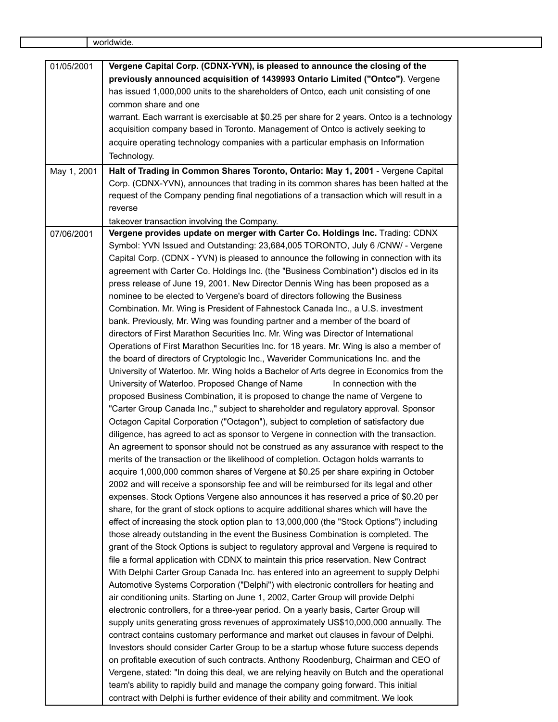| 01/05/2001  | Vergene Capital Corp. (CDNX-YVN), is pleased to announce the closing of the                                                                                 |
|-------------|-------------------------------------------------------------------------------------------------------------------------------------------------------------|
|             | previously announced acquisition of 1439993 Ontario Limited ("Ontco"). Vergene                                                                              |
|             | has issued 1,000,000 units to the shareholders of Ontco, each unit consisting of one                                                                        |
|             | common share and one                                                                                                                                        |
|             | warrant. Each warrant is exercisable at \$0.25 per share for 2 years. Ontco is a technology                                                                 |
|             | acquisition company based in Toronto. Management of Ontco is actively seeking to                                                                            |
|             | acquire operating technology companies with a particular emphasis on Information                                                                            |
|             | Technology.                                                                                                                                                 |
| May 1, 2001 | Halt of Trading in Common Shares Toronto, Ontario: May 1, 2001 - Vergene Capital                                                                            |
|             | Corp. (CDNX-YVN), announces that trading in its common shares has been halted at the                                                                        |
|             | request of the Company pending final negotiations of a transaction which will result in a                                                                   |
|             | reverse                                                                                                                                                     |
|             | takeover transaction involving the Company.                                                                                                                 |
| 07/06/2001  | Vergene provides update on merger with Carter Co. Holdings Inc. Trading: CDNX                                                                               |
|             | Symbol: YVN Issued and Outstanding: 23,684,005 TORONTO, July 6 /CNW/ - Vergene                                                                              |
|             | Capital Corp. (CDNX - YVN) is pleased to announce the following in connection with its                                                                      |
|             | agreement with Carter Co. Holdings Inc. (the "Business Combination") disclos ed in its                                                                      |
|             | press release of June 19, 2001. New Director Dennis Wing has been proposed as a                                                                             |
|             | nominee to be elected to Vergene's board of directors following the Business                                                                                |
|             | Combination. Mr. Wing is President of Fahnestock Canada Inc., a U.S. investment                                                                             |
|             | bank. Previously, Mr. Wing was founding partner and a member of the board of                                                                                |
|             | directors of First Marathon Securities Inc. Mr. Wing was Director of International                                                                          |
|             | Operations of First Marathon Securities Inc. for 18 years. Mr. Wing is also a member of                                                                     |
|             | the board of directors of Cryptologic Inc., Waverider Communications Inc. and the                                                                           |
|             | University of Waterloo. Mr. Wing holds a Bachelor of Arts degree in Economics from the                                                                      |
|             | University of Waterloo. Proposed Change of Name<br>In connection with the<br>proposed Business Combination, it is proposed to change the name of Vergene to |
|             | "Carter Group Canada Inc.," subject to shareholder and regulatory approval. Sponsor                                                                         |
|             | Octagon Capital Corporation ("Octagon"), subject to completion of satisfactory due                                                                          |
|             | diligence, has agreed to act as sponsor to Vergene in connection with the transaction.                                                                      |
|             | An agreement to sponsor should not be construed as any assurance with respect to the                                                                        |
|             | merits of the transaction or the likelihood of completion. Octagon holds warrants to                                                                        |
|             | acquire 1,000,000 common shares of Vergene at \$0.25 per share expiring in October                                                                          |
|             | 2002 and will receive a sponsorship fee and will be reimbursed for its legal and other                                                                      |
|             | expenses. Stock Options Vergene also announces it has reserved a price of \$0.20 per                                                                        |
|             | share, for the grant of stock options to acquire additional shares which will have the                                                                      |
|             | effect of increasing the stock option plan to 13,000,000 (the "Stock Options") including                                                                    |
|             | those already outstanding in the event the Business Combination is completed. The                                                                           |
|             | grant of the Stock Options is subject to regulatory approval and Vergene is required to                                                                     |
|             | file a formal application with CDNX to maintain this price reservation. New Contract                                                                        |
|             | With Delphi Carter Group Canada Inc. has entered into an agreement to supply Delphi                                                                         |
|             | Automotive Systems Corporation ("Delphi") with electronic controllers for heating and                                                                       |
|             | air conditioning units. Starting on June 1, 2002, Carter Group will provide Delphi                                                                          |
|             | electronic controllers, for a three-year period. On a yearly basis, Carter Group will                                                                       |
|             | supply units generating gross revenues of approximately US\$10,000,000 annually. The                                                                        |
|             | contract contains customary performance and market out clauses in favour of Delphi.                                                                         |
|             | Investors should consider Carter Group to be a startup whose future success depends                                                                         |
|             | on profitable execution of such contracts. Anthony Roodenburg, Chairman and CEO of                                                                          |
|             | Vergene, stated: "In doing this deal, we are relying heavily on Butch and the operational                                                                   |
|             | team's ability to rapidly build and manage the company going forward. This initial                                                                          |
|             | contract with Delphi is further evidence of their ability and commitment. We look                                                                           |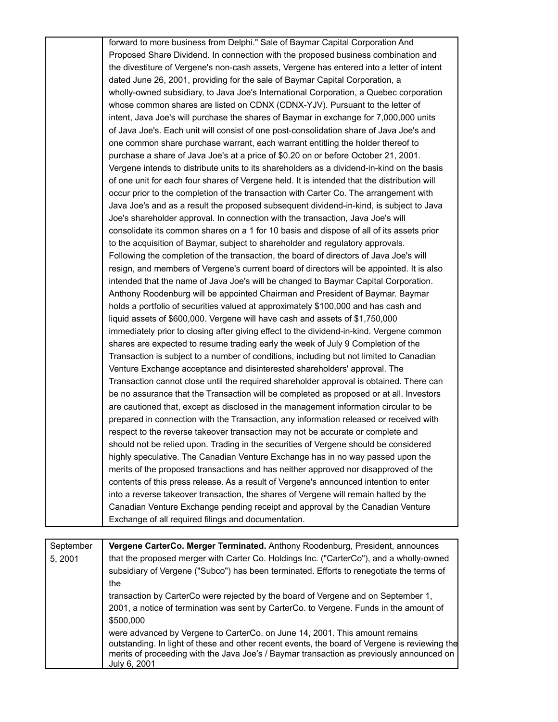| forward to more business from Delphi." Sale of Baymar Capital Corporation And               |
|---------------------------------------------------------------------------------------------|
| Proposed Share Dividend. In connection with the proposed business combination and           |
| the divestiture of Vergene's non-cash assets, Vergene has entered into a letter of intent   |
| dated June 26, 2001, providing for the sale of Baymar Capital Corporation, a                |
| wholly-owned subsidiary, to Java Joe's International Corporation, a Quebec corporation      |
| whose common shares are listed on CDNX (CDNX-YJV). Pursuant to the letter of                |
| intent, Java Joe's will purchase the shares of Baymar in exchange for 7,000,000 units       |
| of Java Joe's. Each unit will consist of one post-consolidation share of Java Joe's and     |
| one common share purchase warrant, each warrant entitling the holder thereof to             |
| purchase a share of Java Joe's at a price of \$0.20 on or before October 21, 2001.          |
| Vergene intends to distribute units to its shareholders as a dividend-in-kind on the basis  |
| of one unit for each four shares of Vergene held. It is intended that the distribution will |
| occur prior to the completion of the transaction with Carter Co. The arrangement with       |
| Java Joe's and as a result the proposed subsequent dividend-in-kind, is subject to Java     |
| Joe's shareholder approval. In connection with the transaction, Java Joe's will             |
| consolidate its common shares on a 1 for 10 basis and dispose of all of its assets prior    |
| to the acquisition of Baymar, subject to shareholder and regulatory approvals.              |
| Following the completion of the transaction, the board of directors of Java Joe's will      |
| resign, and members of Vergene's current board of directors will be appointed. It is also   |
| intended that the name of Java Joe's will be changed to Baymar Capital Corporation.         |
| Anthony Roodenburg will be appointed Chairman and President of Baymar. Baymar               |
| holds a portfolio of securities valued at approximately \$100,000 and has cash and          |
| liquid assets of \$600,000. Vergene will have cash and assets of \$1,750,000                |
| immediately prior to closing after giving effect to the dividend-in-kind. Vergene common    |
| shares are expected to resume trading early the week of July 9 Completion of the            |
| Transaction is subject to a number of conditions, including but not limited to Canadian     |
| Venture Exchange acceptance and disinterested shareholders' approval. The                   |
| Transaction cannot close until the required shareholder approval is obtained. There can     |
| be no assurance that the Transaction will be completed as proposed or at all. Investors     |
| are cautioned that, except as disclosed in the management information circular to be        |
| prepared in connection with the Transaction, any information released or received with      |
| respect to the reverse takeover transaction may not be accurate or complete and             |
| should not be relied upon. Trading in the securities of Vergene should be considered        |
| highly speculative. The Canadian Venture Exchange has in no way passed upon the             |
| merits of the proposed transactions and has neither approved nor disapproved of the         |
| contents of this press release. As a result of Vergene's announced intention to enter       |
| into a reverse takeover transaction, the shares of Vergene will remain halted by the        |
| Canadian Venture Exchange pending receipt and approval by the Canadian Venture              |
| Exchange of all required filings and documentation.                                         |
|                                                                                             |

| September | Vergene CarterCo. Merger Terminated. Anthony Roodenburg, President, announces                                                                                                                                                                                                            |
|-----------|------------------------------------------------------------------------------------------------------------------------------------------------------------------------------------------------------------------------------------------------------------------------------------------|
| 5, 2001   | that the proposed merger with Carter Co. Holdings Inc. ("CarterCo"), and a wholly-owned                                                                                                                                                                                                  |
|           | subsidiary of Vergene ("Subco") has been terminated. Efforts to renegotiate the terms of                                                                                                                                                                                                 |
|           | the                                                                                                                                                                                                                                                                                      |
|           | transaction by CarterCo were rejected by the board of Vergene and on September 1,                                                                                                                                                                                                        |
|           | 2001, a notice of termination was sent by CarterCo. to Vergene. Funds in the amount of                                                                                                                                                                                                   |
|           | \$500,000                                                                                                                                                                                                                                                                                |
|           | were advanced by Vergene to CarterCo. on June 14, 2001. This amount remains<br>outstanding. In light of these and other recent events, the board of Vergene is reviewing the<br>merits of proceeding with the Java Joe's / Baymar transaction as previously announced on<br>July 6, 2001 |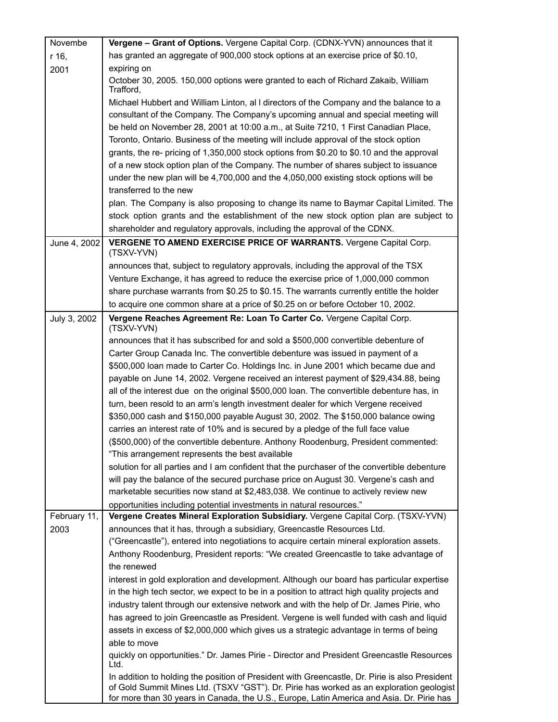| Novembe      | Vergene - Grant of Options. Vergene Capital Corp. (CDNX-YVN) announces that it                    |
|--------------|---------------------------------------------------------------------------------------------------|
| r 16,        | has granted an aggregate of 900,000 stock options at an exercise price of \$0.10,                 |
| 2001         | expiring on                                                                                       |
|              | October 30, 2005. 150,000 options were granted to each of Richard Zakaib, William<br>Trafford,    |
|              | Michael Hubbert and William Linton, all directors of the Company and the balance to a             |
|              | consultant of the Company. The Company's upcoming annual and special meeting will                 |
|              | be held on November 28, 2001 at 10:00 a.m., at Suite 7210, 1 First Canadian Place,                |
|              | Toronto, Ontario. Business of the meeting will include approval of the stock option               |
|              | grants, the re- pricing of 1,350,000 stock options from \$0.20 to \$0.10 and the approval         |
|              | of a new stock option plan of the Company. The number of shares subject to issuance               |
|              | under the new plan will be 4,700,000 and the 4,050,000 existing stock options will be             |
|              | transferred to the new                                                                            |
|              | plan. The Company is also proposing to change its name to Baymar Capital Limited. The             |
|              | stock option grants and the establishment of the new stock option plan are subject to             |
|              | shareholder and regulatory approvals, including the approval of the CDNX.                         |
| June 4, 2002 | VERGENE TO AMEND EXERCISE PRICE OF WARRANTS. Vergene Capital Corp.<br>(TSXV-YVN)                  |
|              | announces that, subject to regulatory approvals, including the approval of the TSX                |
|              | Venture Exchange, it has agreed to reduce the exercise price of 1,000,000 common                  |
|              | share purchase warrants from \$0.25 to \$0.15. The warrants currently entitle the holder          |
|              | to acquire one common share at a price of \$0.25 on or before October 10, 2002.                   |
| July 3, 2002 | Vergene Reaches Agreement Re: Loan To Carter Co. Vergene Capital Corp.<br>(TSXV-YVN)              |
|              | announces that it has subscribed for and sold a \$500,000 convertible debenture of                |
|              | Carter Group Canada Inc. The convertible debenture was issued in payment of a                     |
|              | \$500,000 loan made to Carter Co. Holdings Inc. in June 2001 which became due and                 |
|              | payable on June 14, 2002. Vergene received an interest payment of \$29,434.88, being              |
|              | all of the interest due on the original \$500,000 loan. The convertible debenture has, in         |
|              | turn, been resold to an arm's length investment dealer for which Vergene received                 |
|              | \$350,000 cash and \$150,000 payable August 30, 2002. The \$150,000 balance owing                 |
|              | carries an interest rate of 10% and is secured by a pledge of the full face value                 |
|              | (\$500,000) of the convertible debenture. Anthony Roodenburg, President commented:                |
|              | "This arrangement represents the best available                                                   |
|              | solution for all parties and I am confident that the purchaser of the convertible debenture       |
|              | will pay the balance of the secured purchase price on August 30. Vergene's cash and               |
|              | marketable securities now stand at \$2,483,038. We continue to actively review new                |
|              | opportunities including potential investments in natural resources."                              |
| February 11, | Vergene Creates Mineral Exploration Subsidiary. Vergene Capital Corp. (TSXV-YVN)                  |
| 2003         | announces that it has, through a subsidiary, Greencastle Resources Ltd.                           |
|              | ("Greencastle"), entered into negotiations to acquire certain mineral exploration assets.         |
|              | Anthony Roodenburg, President reports: "We created Greencastle to take advantage of               |
|              | the renewed                                                                                       |
|              | interest in gold exploration and development. Although our board has particular expertise         |
|              | in the high tech sector, we expect to be in a position to attract high quality projects and       |
|              | industry talent through our extensive network and with the help of Dr. James Pirie, who           |
|              | has agreed to join Greencastle as President. Vergene is well funded with cash and liquid          |
|              | assets in excess of \$2,000,000 which gives us a strategic advantage in terms of being            |
|              | able to move                                                                                      |
|              | quickly on opportunities." Dr. James Pirie - Director and President Greencastle Resources<br>Ltd. |
|              | In addition to holding the position of President with Greencastle, Dr. Pirie is also President    |
|              | of Gold Summit Mines Ltd. (TSXV "GST"). Dr. Pirie has worked as an exploration geologist          |
|              | for more than 30 years in Canada, the U.S., Europe, Latin America and Asia. Dr. Pirie has         |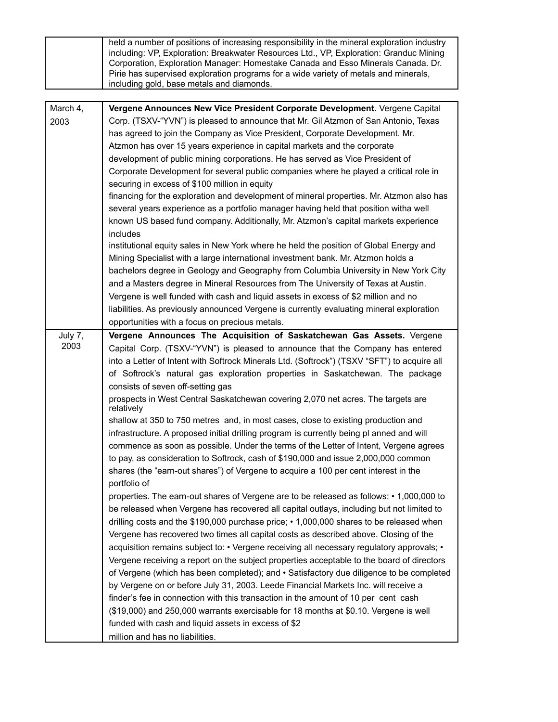|          | held a number of positions of increasing responsibility in the mineral exploration industry<br>including: VP, Exploration: Breakwater Resources Ltd., VP, Exploration: Granduc Mining<br>Corporation, Exploration Manager: Homestake Canada and Esso Minerals Canada. Dr.<br>Pirie has supervised exploration programs for a wide variety of metals and minerals,<br>including gold, base metals and diamonds. |
|----------|----------------------------------------------------------------------------------------------------------------------------------------------------------------------------------------------------------------------------------------------------------------------------------------------------------------------------------------------------------------------------------------------------------------|
|          |                                                                                                                                                                                                                                                                                                                                                                                                                |
| March 4, | Vergene Announces New Vice President Corporate Development. Vergene Capital                                                                                                                                                                                                                                                                                                                                    |
| 2003     | Corp. (TSXV-"YVN") is pleased to announce that Mr. Gil Atzmon of San Antonio, Texas                                                                                                                                                                                                                                                                                                                            |
|          | has agreed to join the Company as Vice President, Corporate Development. Mr.                                                                                                                                                                                                                                                                                                                                   |
|          | Atzmon has over 15 years experience in capital markets and the corporate                                                                                                                                                                                                                                                                                                                                       |
|          | development of public mining corporations. He has served as Vice President of                                                                                                                                                                                                                                                                                                                                  |
|          | Corporate Development for several public companies where he played a critical role in                                                                                                                                                                                                                                                                                                                          |
|          | securing in excess of \$100 million in equity                                                                                                                                                                                                                                                                                                                                                                  |
|          | financing for the exploration and development of mineral properties. Mr. Atzmon also has                                                                                                                                                                                                                                                                                                                       |
|          | several years experience as a portfolio manager having held that position witha well                                                                                                                                                                                                                                                                                                                           |
|          | known US based fund company. Additionally, Mr. Atzmon's capital markets experience                                                                                                                                                                                                                                                                                                                             |
|          | includes                                                                                                                                                                                                                                                                                                                                                                                                       |
|          | institutional equity sales in New York where he held the position of Global Energy and                                                                                                                                                                                                                                                                                                                         |
|          | Mining Specialist with a large international investment bank. Mr. Atzmon holds a                                                                                                                                                                                                                                                                                                                               |
|          | bachelors degree in Geology and Geography from Columbia University in New York City                                                                                                                                                                                                                                                                                                                            |
|          | and a Masters degree in Mineral Resources from The University of Texas at Austin.                                                                                                                                                                                                                                                                                                                              |
|          | Vergene is well funded with cash and liquid assets in excess of \$2 million and no                                                                                                                                                                                                                                                                                                                             |
|          | liabilities. As previously announced Vergene is currently evaluating mineral exploration                                                                                                                                                                                                                                                                                                                       |
|          | opportunities with a focus on precious metals.                                                                                                                                                                                                                                                                                                                                                                 |
| July 7,  | Vergene Announces The Acquisition of Saskatchewan Gas Assets. Vergene                                                                                                                                                                                                                                                                                                                                          |
| 2003     | Capital Corp. (TSXV-"YVN") is pleased to announce that the Company has entered                                                                                                                                                                                                                                                                                                                                 |
|          | into a Letter of Intent with Softrock Minerals Ltd. (Softrock") (TSXV "SFT") to acquire all                                                                                                                                                                                                                                                                                                                    |
|          | of Softrock's natural gas exploration properties in Saskatchewan. The package                                                                                                                                                                                                                                                                                                                                  |
|          | consists of seven off-setting gas                                                                                                                                                                                                                                                                                                                                                                              |
|          | prospects in West Central Saskatchewan covering 2,070 net acres. The targets are<br>relatively                                                                                                                                                                                                                                                                                                                 |
|          | shallow at 350 to 750 metres and, in most cases, close to existing production and                                                                                                                                                                                                                                                                                                                              |
|          | infrastructure. A proposed initial drilling program is currently being pl anned and will                                                                                                                                                                                                                                                                                                                       |
|          | commence as soon as possible. Under the terms of the Letter of Intent, Vergene agrees                                                                                                                                                                                                                                                                                                                          |
|          | to pay, as consideration to Softrock, cash of \$190,000 and issue 2,000,000 common                                                                                                                                                                                                                                                                                                                             |
|          | shares (the "earn-out shares") of Vergene to acquire a 100 per cent interest in the<br>portfolio of                                                                                                                                                                                                                                                                                                            |
|          | properties. The earn-out shares of Vergene are to be released as follows: • 1,000,000 to                                                                                                                                                                                                                                                                                                                       |
|          | be released when Vergene has recovered all capital outlays, including but not limited to                                                                                                                                                                                                                                                                                                                       |
|          | drilling costs and the \$190,000 purchase price; $\cdot$ 1,000,000 shares to be released when                                                                                                                                                                                                                                                                                                                  |
|          | Vergene has recovered two times all capital costs as described above. Closing of the                                                                                                                                                                                                                                                                                                                           |
|          | acquisition remains subject to: • Vergene receiving all necessary regulatory approvals; •                                                                                                                                                                                                                                                                                                                      |
|          | Vergene receiving a report on the subject properties acceptable to the board of directors                                                                                                                                                                                                                                                                                                                      |
|          | of Vergene (which has been completed); and • Satisfactory due diligence to be completed                                                                                                                                                                                                                                                                                                                        |
|          | by Vergene on or before July 31, 2003. Leede Financial Markets Inc. will receive a                                                                                                                                                                                                                                                                                                                             |
|          | finder's fee in connection with this transaction in the amount of 10 per cent cash                                                                                                                                                                                                                                                                                                                             |
|          | (\$19,000) and 250,000 warrants exercisable for 18 months at \$0.10. Vergene is well                                                                                                                                                                                                                                                                                                                           |
|          | funded with cash and liquid assets in excess of \$2                                                                                                                                                                                                                                                                                                                                                            |
|          | million and has no liabilities.                                                                                                                                                                                                                                                                                                                                                                                |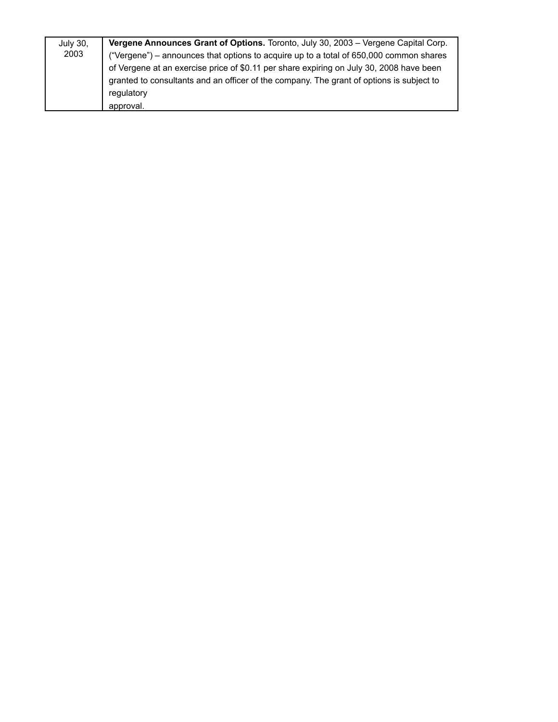| <b>July 30,</b> | Vergene Announces Grant of Options. Toronto, July 30, 2003 - Vergene Capital Corp.       |
|-----------------|------------------------------------------------------------------------------------------|
| 2003            | ("Vergene") - announces that options to acquire up to a total of 650,000 common shares   |
|                 | of Vergene at an exercise price of \$0.11 per share expiring on July 30, 2008 have been  |
|                 | granted to consultants and an officer of the company. The grant of options is subject to |
|                 | regulatory                                                                               |
|                 | approval.                                                                                |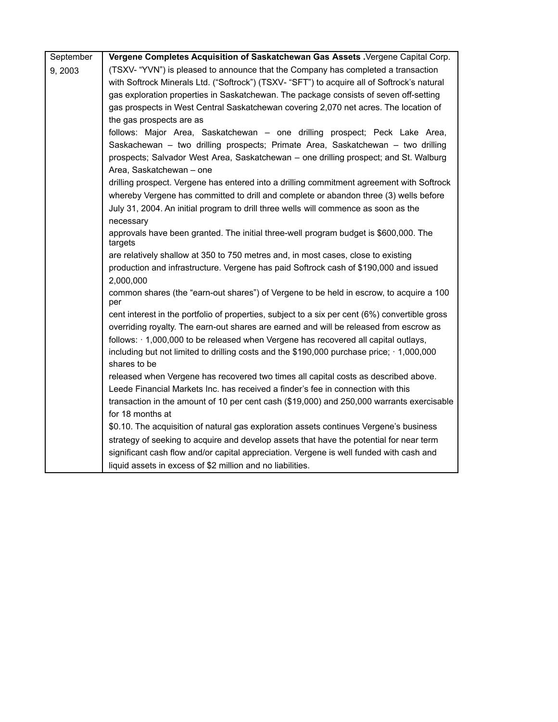| September | Vergene Completes Acquisition of Saskatchewan Gas Assets . Vergene Capital Corp.                              |
|-----------|---------------------------------------------------------------------------------------------------------------|
| 9,2003    | (TSXV- "YVN") is pleased to announce that the Company has completed a transaction                             |
|           | with Softrock Minerals Ltd. ("Softrock") (TSXV- "SFT") to acquire all of Softrock's natural                   |
|           | gas exploration properties in Saskatchewan. The package consists of seven off-setting                         |
|           | gas prospects in West Central Saskatchewan covering 2,070 net acres. The location of                          |
|           | the gas prospects are as                                                                                      |
|           | follows: Major Area, Saskatchewan - one drilling prospect; Peck Lake Area,                                    |
|           | Saskachewan - two drilling prospects; Primate Area, Saskatchewan - two drilling                               |
|           | prospects; Salvador West Area, Saskatchewan - one drilling prospect; and St. Walburg                          |
|           | Area, Saskatchewan - one                                                                                      |
|           | drilling prospect. Vergene has entered into a drilling commitment agreement with Softrock                     |
|           | whereby Vergene has committed to drill and complete or abandon three (3) wells before                         |
|           | July 31, 2004. An initial program to drill three wells will commence as soon as the                           |
|           | necessary                                                                                                     |
|           | approvals have been granted. The initial three-well program budget is \$600,000. The<br>targets               |
|           | are relatively shallow at 350 to 750 metres and, in most cases, close to existing                             |
|           | production and infrastructure. Vergene has paid Softrock cash of \$190,000 and issued                         |
|           | 2,000,000                                                                                                     |
|           | common shares (the "earn-out shares") of Vergene to be held in escrow, to acquire a 100<br>per                |
|           | cent interest in the portfolio of properties, subject to a six per cent (6%) convertible gross                |
|           | overriding royalty. The earn-out shares are earned and will be released from escrow as                        |
|           | follows: $\cdot$ 1,000,000 to be released when Vergene has recovered all capital outlays,                     |
|           | including but not limited to drilling costs and the \$190,000 purchase price; 1,000,000                       |
|           | shares to be                                                                                                  |
|           | released when Vergene has recovered two times all capital costs as described above.                           |
|           | Leede Financial Markets Inc. has received a finder's fee in connection with this                              |
|           | transaction in the amount of 10 per cent cash (\$19,000) and 250,000 warrants exercisable<br>for 18 months at |
|           | \$0.10. The acquisition of natural gas exploration assets continues Vergene's business                        |
|           | strategy of seeking to acquire and develop assets that have the potential for near term                       |
|           | significant cash flow and/or capital appreciation. Vergene is well funded with cash and                       |
|           | liquid assets in excess of \$2 million and no liabilities.                                                    |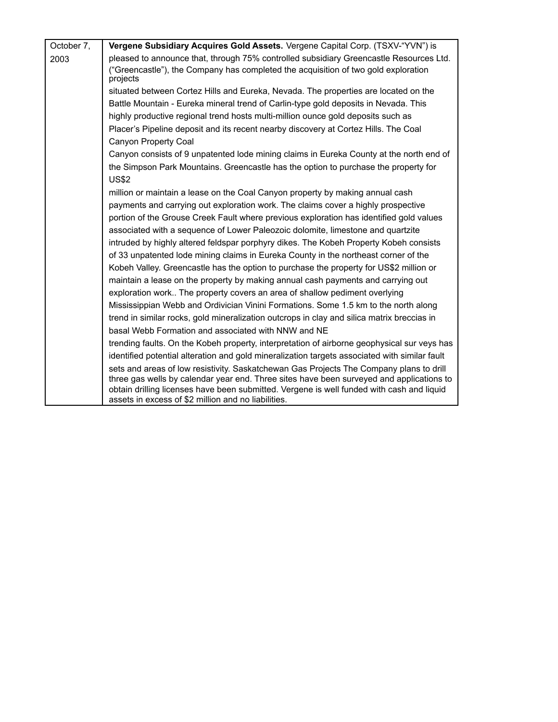| October 7, | Vergene Subsidiary Acquires Gold Assets. Vergene Capital Corp. (TSXV-"YVN") is                                                                                                                                                               |
|------------|----------------------------------------------------------------------------------------------------------------------------------------------------------------------------------------------------------------------------------------------|
| 2003       | pleased to announce that, through 75% controlled subsidiary Greencastle Resources Ltd.                                                                                                                                                       |
|            | ("Greencastle"), the Company has completed the acquisition of two gold exploration<br>projects                                                                                                                                               |
|            | situated between Cortez Hills and Eureka, Nevada. The properties are located on the                                                                                                                                                          |
|            | Battle Mountain - Eureka mineral trend of Carlin-type gold deposits in Nevada. This                                                                                                                                                          |
|            | highly productive regional trend hosts multi-million ounce gold deposits such as                                                                                                                                                             |
|            | Placer's Pipeline deposit and its recent nearby discovery at Cortez Hills. The Coal                                                                                                                                                          |
|            | Canyon Property Coal                                                                                                                                                                                                                         |
|            | Canyon consists of 9 unpatented lode mining claims in Eureka County at the north end of                                                                                                                                                      |
|            | the Simpson Park Mountains. Greencastle has the option to purchase the property for                                                                                                                                                          |
|            | <b>US\$2</b>                                                                                                                                                                                                                                 |
|            | million or maintain a lease on the Coal Canyon property by making annual cash                                                                                                                                                                |
|            | payments and carrying out exploration work. The claims cover a highly prospective                                                                                                                                                            |
|            | portion of the Grouse Creek Fault where previous exploration has identified gold values                                                                                                                                                      |
|            | associated with a sequence of Lower Paleozoic dolomite, limestone and quartzite                                                                                                                                                              |
|            | intruded by highly altered feldspar porphyry dikes. The Kobeh Property Kobeh consists                                                                                                                                                        |
|            | of 33 unpatented lode mining claims in Eureka County in the northeast corner of the                                                                                                                                                          |
|            | Kobeh Valley. Greencastle has the option to purchase the property for US\$2 million or                                                                                                                                                       |
|            | maintain a lease on the property by making annual cash payments and carrying out                                                                                                                                                             |
|            | exploration work The property covers an area of shallow pediment overlying                                                                                                                                                                   |
|            | Mississippian Webb and Ordivician Vinini Formations. Some 1.5 km to the north along                                                                                                                                                          |
|            | trend in similar rocks, gold mineralization outcrops in clay and silica matrix breccias in                                                                                                                                                   |
|            | basal Webb Formation and associated with NNW and NE                                                                                                                                                                                          |
|            | trending faults. On the Kobeh property, interpretation of airborne geophysical sur veys has                                                                                                                                                  |
|            | identified potential alteration and gold mineralization targets associated with similar fault                                                                                                                                                |
|            | sets and areas of low resistivity. Saskatchewan Gas Projects The Company plans to drill                                                                                                                                                      |
|            | three gas wells by calendar year end. Three sites have been surveyed and applications to<br>obtain drilling licenses have been submitted. Vergene is well funded with cash and liquid<br>assets in excess of \$2 million and no liabilities. |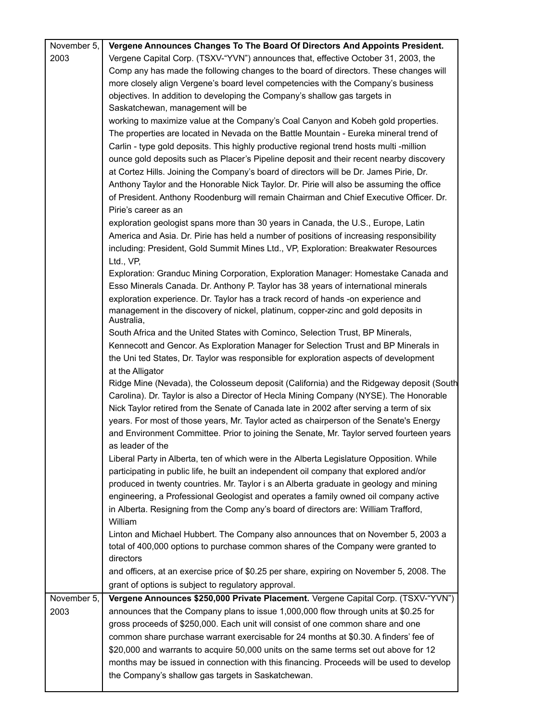| November 5, | Vergene Announces Changes To The Board Of Directors And Appoints President.                     |
|-------------|-------------------------------------------------------------------------------------------------|
| 2003        | Vergene Capital Corp. (TSXV-"YVN") announces that, effective October 31, 2003, the              |
|             | Comp any has made the following changes to the board of directors. These changes will           |
|             | more closely align Vergene's board level competencies with the Company's business               |
|             | objectives. In addition to developing the Company's shallow gas targets in                      |
|             | Saskatchewan, management will be                                                                |
|             | working to maximize value at the Company's Coal Canyon and Kobeh gold properties.               |
|             | The properties are located in Nevada on the Battle Mountain - Eureka mineral trend of           |
|             |                                                                                                 |
|             | Carlin - type gold deposits. This highly productive regional trend hosts multi -million         |
|             | ounce gold deposits such as Placer's Pipeline deposit and their recent nearby discovery         |
|             | at Cortez Hills. Joining the Company's board of directors will be Dr. James Pirie, Dr.          |
|             | Anthony Taylor and the Honorable Nick Taylor. Dr. Pirie will also be assuming the office        |
|             | of President. Anthony Roodenburg will remain Chairman and Chief Executive Officer. Dr.          |
|             | Pirie's career as an                                                                            |
|             | exploration geologist spans more than 30 years in Canada, the U.S., Europe, Latin               |
|             | America and Asia. Dr. Pirie has held a number of positions of increasing responsibility         |
|             | including: President, Gold Summit Mines Ltd., VP, Exploration: Breakwater Resources             |
|             | Ltd., VP,                                                                                       |
|             | Exploration: Granduc Mining Corporation, Exploration Manager: Homestake Canada and              |
|             | Esso Minerals Canada. Dr. Anthony P. Taylor has 38 years of international minerals              |
|             | exploration experience. Dr. Taylor has a track record of hands -on experience and               |
|             |                                                                                                 |
|             | management in the discovery of nickel, platinum, copper-zinc and gold deposits in<br>Australia, |
|             | South Africa and the United States with Cominco, Selection Trust, BP Minerals,                  |
|             | Kennecott and Gencor. As Exploration Manager for Selection Trust and BP Minerals in             |
|             | the Uni ted States, Dr. Taylor was responsible for exploration aspects of development           |
|             | at the Alligator                                                                                |
|             | Ridge Mine (Nevada), the Colosseum deposit (California) and the Ridgeway deposit (South         |
|             | Carolina). Dr. Taylor is also a Director of Hecla Mining Company (NYSE). The Honorable          |
|             | Nick Taylor retired from the Senate of Canada late in 2002 after serving a term of six          |
|             | years. For most of those years, Mr. Taylor acted as chairperson of the Senate's Energy          |
|             | and Environment Committee. Prior to joining the Senate, Mr. Taylor served fourteen years        |
|             | as leader of the                                                                                |
|             | Liberal Party in Alberta, ten of which were in the Alberta Legislature Opposition. While        |
|             | participating in public life, he built an independent oil company that explored and/or          |
|             |                                                                                                 |
|             | produced in twenty countries. Mr. Taylor i s an Alberta graduate in geology and mining          |
|             | engineering, a Professional Geologist and operates a family owned oil company active            |
|             | in Alberta. Resigning from the Comp any's board of directors are: William Trafford,             |
|             | William                                                                                         |
|             | Linton and Michael Hubbert. The Company also announces that on November 5, 2003 a               |
|             | total of 400,000 options to purchase common shares of the Company were granted to               |
|             | directors                                                                                       |
|             | and officers, at an exercise price of \$0.25 per share, expiring on November 5, 2008. The       |
|             | grant of options is subject to regulatory approval.                                             |
| November 5, | Vergene Announces \$250,000 Private Placement. Vergene Capital Corp. (TSXV-"YVN")               |
| 2003        | announces that the Company plans to issue 1,000,000 flow through units at \$0.25 for            |
|             | gross proceeds of \$250,000. Each unit will consist of one common share and one                 |
|             | common share purchase warrant exercisable for 24 months at \$0.30. A finders' fee of            |
|             | \$20,000 and warrants to acquire 50,000 units on the same terms set out above for 12            |
|             |                                                                                                 |
|             | months may be issued in connection with this financing. Proceeds will be used to develop        |
|             | the Company's shallow gas targets in Saskatchewan.                                              |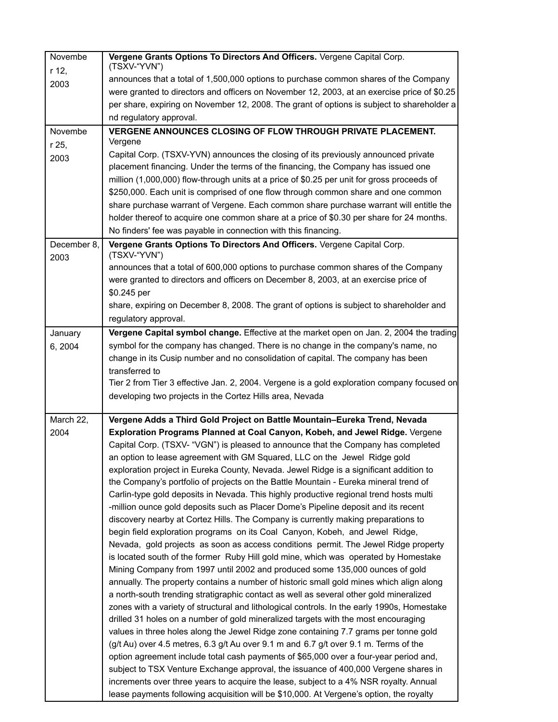| Novembe     | Vergene Grants Options To Directors And Officers. Vergene Capital Corp.<br>(TSXV-"YVN")                                                                                           |
|-------------|-----------------------------------------------------------------------------------------------------------------------------------------------------------------------------------|
| r 12,       | announces that a total of 1,500,000 options to purchase common shares of the Company                                                                                              |
| 2003        | were granted to directors and officers on November 12, 2003, at an exercise price of \$0.25                                                                                       |
|             | per share, expiring on November 12, 2008. The grant of options is subject to shareholder a                                                                                        |
|             | nd regulatory approval.                                                                                                                                                           |
| Novembe     | VERGENE ANNOUNCES CLOSING OF FLOW THROUGH PRIVATE PLACEMENT.                                                                                                                      |
| r 25,       | Vergene                                                                                                                                                                           |
|             | Capital Corp. (TSXV-YVN) announces the closing of its previously announced private                                                                                                |
| 2003        | placement financing. Under the terms of the financing, the Company has issued one                                                                                                 |
|             | million (1,000,000) flow-through units at a price of \$0.25 per unit for gross proceeds of                                                                                        |
|             | \$250,000. Each unit is comprised of one flow through common share and one common                                                                                                 |
|             | share purchase warrant of Vergene. Each common share purchase warrant will entitle the                                                                                            |
|             | holder thereof to acquire one common share at a price of \$0.30 per share for 24 months.                                                                                          |
|             | No finders' fee was payable in connection with this financing.                                                                                                                    |
| December 8, | Vergene Grants Options To Directors And Officers. Vergene Capital Corp.                                                                                                           |
| 2003        | (TSXV-"YVN")                                                                                                                                                                      |
|             | announces that a total of 600,000 options to purchase common shares of the Company                                                                                                |
|             | were granted to directors and officers on December 8, 2003, at an exercise price of                                                                                               |
|             | \$0.245 per                                                                                                                                                                       |
|             | share, expiring on December 8, 2008. The grant of options is subject to shareholder and                                                                                           |
|             | regulatory approval.                                                                                                                                                              |
| January     | Vergene Capital symbol change. Effective at the market open on Jan. 2, 2004 the trading                                                                                           |
| 6, 2004     | symbol for the company has changed. There is no change in the company's name, no                                                                                                  |
|             | change in its Cusip number and no consolidation of capital. The company has been                                                                                                  |
|             | transferred to                                                                                                                                                                    |
|             | Tier 2 from Tier 3 effective Jan. 2, 2004. Vergene is a gold exploration company focused on                                                                                       |
|             | developing two projects in the Cortez Hills area, Nevada                                                                                                                          |
|             |                                                                                                                                                                                   |
| March 22,   | Vergene Adds a Third Gold Project on Battle Mountain-Eureka Trend, Nevada                                                                                                         |
| 2004        | Exploration Programs Planned at Coal Canyon, Kobeh, and Jewel Ridge. Vergene                                                                                                      |
|             | Capital Corp. (TSXV- "VGN") is pleased to announce that the Company has completed                                                                                                 |
|             | an option to lease agreement with GM Squared, LLC on the Jewel Ridge gold                                                                                                         |
|             | exploration project in Eureka County, Nevada. Jewel Ridge is a significant addition to                                                                                            |
|             | the Company's portfolio of projects on the Battle Mountain - Eureka mineral trend of                                                                                              |
|             | Carlin-type gold deposits in Nevada. This highly productive regional trend hosts multi                                                                                            |
|             | -million ounce gold deposits such as Placer Dome's Pipeline deposit and its recent                                                                                                |
|             | discovery nearby at Cortez Hills. The Company is currently making preparations to                                                                                                 |
|             | begin field exploration programs on its Coal Canyon, Kobeh, and Jewel Ridge,                                                                                                      |
|             | Nevada, gold projects as soon as access conditions permit. The Jewel Ridge property                                                                                               |
|             | is located south of the former Ruby Hill gold mine, which was operated by Homestake                                                                                               |
|             | Mining Company from 1997 until 2002 and produced some 135,000 ounces of gold                                                                                                      |
|             | annually. The property contains a number of historic small gold mines which align along                                                                                           |
|             | a north-south trending stratigraphic contact as well as several other gold mineralized                                                                                            |
|             | zones with a variety of structural and lithological controls. In the early 1990s, Homestake<br>drilled 31 holes on a number of gold mineralized targets with the most encouraging |
|             | values in three holes along the Jewel Ridge zone containing 7.7 grams per tonne gold                                                                                              |
|             | (g/t Au) over 4.5 metres, 6.3 g/t Au over 9.1 m and 6.7 g/t over 9.1 m. Terms of the                                                                                              |
|             | option agreement include total cash payments of \$65,000 over a four-year period and,                                                                                             |
|             | subject to TSX Venture Exchange approval, the issuance of 400,000 Vergene shares in                                                                                               |
|             | increments over three years to acquire the lease, subject to a 4% NSR royalty. Annual                                                                                             |
|             | lease payments following acquisition will be \$10,000. At Vergene's option, the royalty                                                                                           |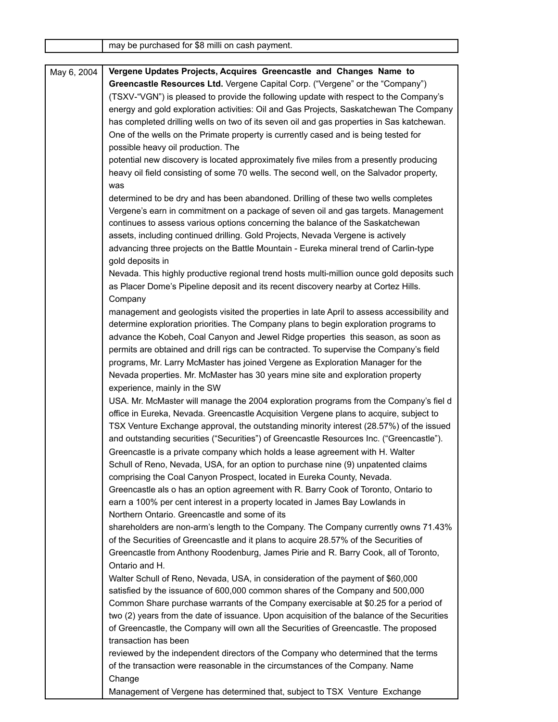|             | may be purchased for \$8 milli on cash payment.                                            |
|-------------|--------------------------------------------------------------------------------------------|
|             |                                                                                            |
| May 6, 2004 | Vergene Updates Projects, Acquires Greencastle and Changes Name to                         |
|             | Greencastle Resources Ltd. Vergene Capital Corp. ("Vergene" or the "Company")              |
|             | (TSXV-"VGN") is pleased to provide the following update with respect to the Company's      |
|             | energy and gold exploration activities: Oil and Gas Projects, Saskatchewan The Company     |
|             | has completed drilling wells on two of its seven oil and gas properties in Sas katchewan.  |
|             | One of the wells on the Primate property is currently cased and is being tested for        |
|             | possible heavy oil production. The                                                         |
|             | potential new discovery is located approximately five miles from a presently producing     |
|             | heavy oil field consisting of some 70 wells. The second well, on the Salvador property,    |
|             | was                                                                                        |
|             | determined to be dry and has been abandoned. Drilling of these two wells completes         |
|             | Vergene's earn in commitment on a package of seven oil and gas targets. Management         |
|             | continues to assess various options concerning the balance of the Saskatchewan             |
|             | assets, including continued drilling. Gold Projects, Nevada Vergene is actively            |
|             | advancing three projects on the Battle Mountain - Eureka mineral trend of Carlin-type      |
|             | gold deposits in                                                                           |
|             | Nevada. This highly productive regional trend hosts multi-million ounce gold deposits such |
|             | as Placer Dome's Pipeline deposit and its recent discovery nearby at Cortez Hills.         |
|             | Company                                                                                    |
|             | management and geologists visited the properties in late April to assess accessibility and |
|             |                                                                                            |
|             | determine exploration priorities. The Company plans to begin exploration programs to       |
|             | advance the Kobeh, Coal Canyon and Jewel Ridge properties this season, as soon as          |
|             | permits are obtained and drill rigs can be contracted. To supervise the Company's field    |
|             | programs, Mr. Larry McMaster has joined Vergene as Exploration Manager for the             |
|             | Nevada properties. Mr. McMaster has 30 years mine site and exploration property            |
|             | experience, mainly in the SW                                                               |
|             | USA. Mr. McMaster will manage the 2004 exploration programs from the Company's fiel d      |
|             | office in Eureka, Nevada. Greencastle Acquisition Vergene plans to acquire, subject to     |
|             | TSX Venture Exchange approval, the outstanding minority interest (28.57%) of the issued    |
|             | and outstanding securities ("Securities") of Greencastle Resources Inc. ("Greencastle").   |
|             | Greencastle is a private company which holds a lease agreement with H. Walter              |
|             | Schull of Reno, Nevada, USA, for an option to purchase nine (9) unpatented claims          |
|             | comprising the Coal Canyon Prospect, located in Eureka County, Nevada.                     |
|             | Greencastle als o has an option agreement with R. Barry Cook of Toronto, Ontario to        |
|             | earn a 100% per cent interest in a property located in James Bay Lowlands in               |
|             | Northern Ontario. Greencastle and some of its                                              |
|             | shareholders are non-arm's length to the Company. The Company currently owns 71.43%        |
|             | of the Securities of Greencastle and it plans to acquire 28.57% of the Securities of       |
|             | Greencastle from Anthony Roodenburg, James Pirie and R. Barry Cook, all of Toronto,        |
|             | Ontario and H.                                                                             |
|             | Walter Schull of Reno, Nevada, USA, in consideration of the payment of \$60,000            |
|             | satisfied by the issuance of 600,000 common shares of the Company and 500,000              |
|             | Common Share purchase warrants of the Company exercisable at \$0.25 for a period of        |
|             | two (2) years from the date of issuance. Upon acquisition of the balance of the Securities |
|             | of Greencastle, the Company will own all the Securities of Greencastle. The proposed       |
|             | transaction has been                                                                       |
|             | reviewed by the independent directors of the Company who determined that the terms         |
|             | of the transaction were reasonable in the circumstances of the Company. Name               |
|             | Change                                                                                     |
|             | Management of Vergene has determined that, subject to TSX Venture Exchange                 |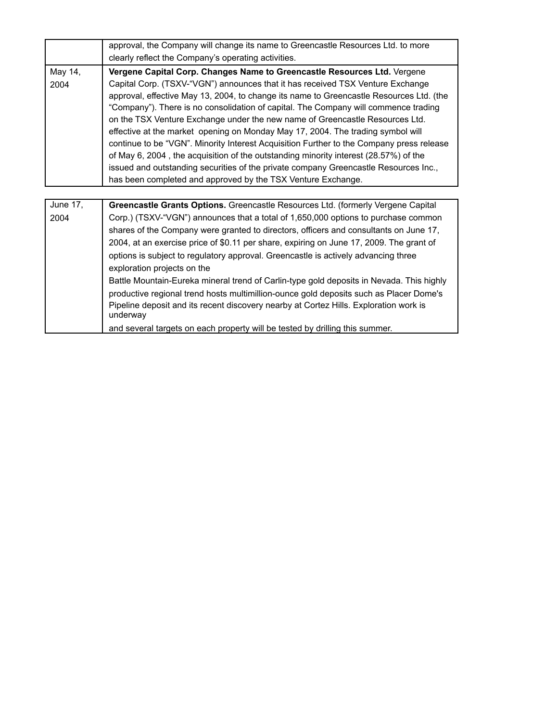|                 | approval, the Company will change its name to Greencastle Resources Ltd. to more                                                                                                                                                                                                                                                                                                                                                                                                                                                                                                                                                                                                                                                                                       |
|-----------------|------------------------------------------------------------------------------------------------------------------------------------------------------------------------------------------------------------------------------------------------------------------------------------------------------------------------------------------------------------------------------------------------------------------------------------------------------------------------------------------------------------------------------------------------------------------------------------------------------------------------------------------------------------------------------------------------------------------------------------------------------------------------|
|                 | clearly reflect the Company's operating activities.                                                                                                                                                                                                                                                                                                                                                                                                                                                                                                                                                                                                                                                                                                                    |
| May 14,<br>2004 | Vergene Capital Corp. Changes Name to Greencastle Resources Ltd. Vergene<br>Capital Corp. (TSXV-"VGN") announces that it has received TSX Venture Exchange<br>approval, effective May 13, 2004, to change its name to Greencastle Resources Ltd. (the<br>"Company"). There is no consolidation of capital. The Company will commence trading<br>on the TSX Venture Exchange under the new name of Greencastle Resources Ltd.<br>effective at the market opening on Monday May 17, 2004. The trading symbol will<br>continue to be "VGN". Minority Interest Acquisition Further to the Company press release                                                                                                                                                            |
|                 | of May 6, 2004, the acquisition of the outstanding minority interest (28.57%) of the<br>issued and outstanding securities of the private company Greencastle Resources Inc.,<br>has been completed and approved by the TSX Venture Exchange.                                                                                                                                                                                                                                                                                                                                                                                                                                                                                                                           |
| June 17,        | Greencastle Grants Options. Greencastle Resources Ltd. (formerly Vergene Capital                                                                                                                                                                                                                                                                                                                                                                                                                                                                                                                                                                                                                                                                                       |
| 2004            | Corp.) (TSXV-"VGN") announces that a total of 1,650,000 options to purchase common<br>shares of the Company were granted to directors, officers and consultants on June 17,<br>2004, at an exercise price of \$0.11 per share, expiring on June 17, 2009. The grant of<br>options is subject to regulatory approval. Greencastle is actively advancing three<br>exploration projects on the<br>Battle Mountain-Eureka mineral trend of Carlin-type gold deposits in Nevada. This highly<br>productive regional trend hosts multimillion-ounce gold deposits such as Placer Dome's<br>Pipeline deposit and its recent discovery nearby at Cortez Hills. Exploration work is<br>underway<br>and several targets on each property will be tested by drilling this summer. |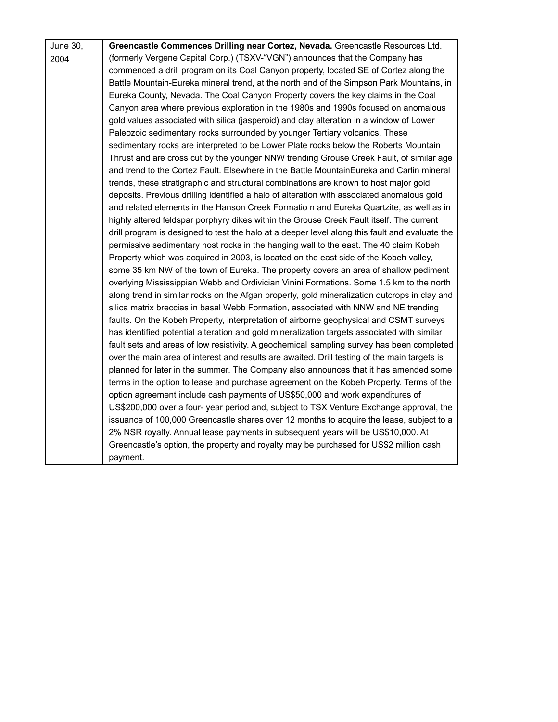| <b>June 30,</b> | Greencastle Commences Drilling near Cortez, Nevada. Greencastle Resources Ltd.                 |
|-----------------|------------------------------------------------------------------------------------------------|
| 2004            | (formerly Vergene Capital Corp.) (TSXV-"VGN") announces that the Company has                   |
|                 | commenced a drill program on its Coal Canyon property, located SE of Cortez along the          |
|                 | Battle Mountain-Eureka mineral trend, at the north end of the Simpson Park Mountains, in       |
|                 | Eureka County, Nevada. The Coal Canyon Property covers the key claims in the Coal              |
|                 | Canyon area where previous exploration in the 1980s and 1990s focused on anomalous             |
|                 | gold values associated with silica (jasperoid) and clay alteration in a window of Lower        |
|                 | Paleozoic sedimentary rocks surrounded by younger Tertiary volcanics. These                    |
|                 | sedimentary rocks are interpreted to be Lower Plate rocks below the Roberts Mountain           |
|                 | Thrust and are cross cut by the younger NNW trending Grouse Creek Fault, of similar age        |
|                 | and trend to the Cortez Fault. Elsewhere in the Battle MountainEureka and Carlin mineral       |
|                 | trends, these stratigraphic and structural combinations are known to host major gold           |
|                 | deposits. Previous drilling identified a halo of alteration with associated anomalous gold     |
|                 | and related elements in the Hanson Creek Formatio n and Eureka Quartzite, as well as in        |
|                 | highly altered feldspar porphyry dikes within the Grouse Creek Fault itself. The current       |
|                 | drill program is designed to test the halo at a deeper level along this fault and evaluate the |
|                 | permissive sedimentary host rocks in the hanging wall to the east. The 40 claim Kobeh          |
|                 | Property which was acquired in 2003, is located on the east side of the Kobeh valley,          |
|                 | some 35 km NW of the town of Eureka. The property covers an area of shallow pediment           |
|                 | overlying Mississippian Webb and Ordivician Vinini Formations. Some 1.5 km to the north        |
|                 | along trend in similar rocks on the Afgan property, gold mineralization outcrops in clay and   |
|                 | silica matrix breccias in basal Webb Formation, associated with NNW and NE trending            |
|                 | faults. On the Kobeh Property, interpretation of airborne geophysical and CSMT surveys         |
|                 | has identified potential alteration and gold mineralization targets associated with similar    |
|                 | fault sets and areas of low resistivity. A geochemical sampling survey has been completed      |
|                 | over the main area of interest and results are awaited. Drill testing of the main targets is   |
|                 | planned for later in the summer. The Company also announces that it has amended some           |
|                 | terms in the option to lease and purchase agreement on the Kobeh Property. Terms of the        |
|                 | option agreement include cash payments of US\$50,000 and work expenditures of                  |
|                 | US\$200,000 over a four- year period and, subject to TSX Venture Exchange approval, the        |
|                 | issuance of 100,000 Greencastle shares over 12 months to acquire the lease, subject to a       |
|                 | 2% NSR royalty. Annual lease payments in subsequent years will be US\$10,000. At               |
|                 | Greencastle's option, the property and royalty may be purchased for US\$2 million cash         |
|                 | payment.                                                                                       |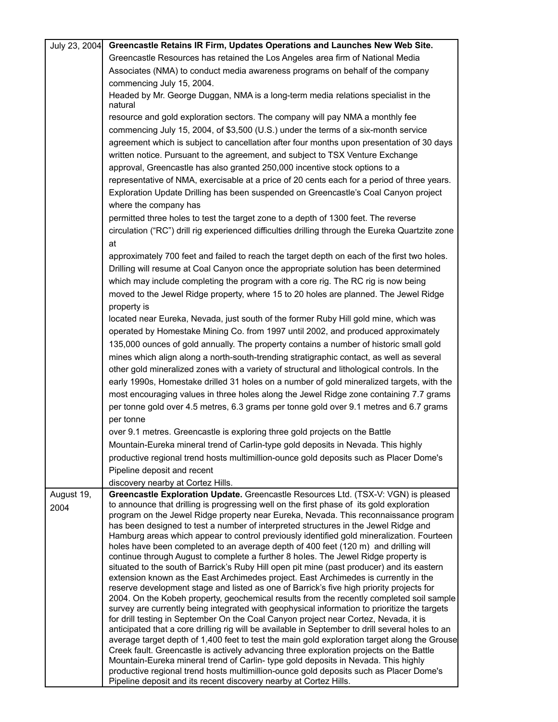| July 23, 2004 | Greencastle Retains IR Firm, Updates Operations and Launches New Web Site.                                                                                                               |
|---------------|------------------------------------------------------------------------------------------------------------------------------------------------------------------------------------------|
|               | Greencastle Resources has retained the Los Angeles area firm of National Media                                                                                                           |
|               | Associates (NMA) to conduct media awareness programs on behalf of the company                                                                                                            |
|               | commencing July 15, 2004.                                                                                                                                                                |
|               | Headed by Mr. George Duggan, NMA is a long-term media relations specialist in the<br>natural                                                                                             |
|               | resource and gold exploration sectors. The company will pay NMA a monthly fee                                                                                                            |
|               | commencing July 15, 2004, of \$3,500 (U.S.) under the terms of a six-month service                                                                                                       |
|               | agreement which is subject to cancellation after four months upon presentation of 30 days                                                                                                |
|               | written notice. Pursuant to the agreement, and subject to TSX Venture Exchange                                                                                                           |
|               | approval, Greencastle has also granted 250,000 incentive stock options to a                                                                                                              |
|               | representative of NMA, exercisable at a price of 20 cents each for a period of three years.                                                                                              |
|               | Exploration Update Drilling has been suspended on Greencastle's Coal Canyon project                                                                                                      |
|               | where the company has                                                                                                                                                                    |
|               | permitted three holes to test the target zone to a depth of 1300 feet. The reverse                                                                                                       |
|               | circulation ("RC") drill rig experienced difficulties drilling through the Eureka Quartzite zone                                                                                         |
|               | at                                                                                                                                                                                       |
|               | approximately 700 feet and failed to reach the target depth on each of the first two holes.                                                                                              |
|               | Drilling will resume at Coal Canyon once the appropriate solution has been determined                                                                                                    |
|               | which may include completing the program with a core rig. The RC rig is now being                                                                                                        |
|               | moved to the Jewel Ridge property, where 15 to 20 holes are planned. The Jewel Ridge                                                                                                     |
|               | property is                                                                                                                                                                              |
|               | located near Eureka, Nevada, just south of the former Ruby Hill gold mine, which was                                                                                                     |
|               | operated by Homestake Mining Co. from 1997 until 2002, and produced approximately                                                                                                        |
|               | 135,000 ounces of gold annually. The property contains a number of historic small gold                                                                                                   |
|               | mines which align along a north-south-trending stratigraphic contact, as well as several                                                                                                 |
|               | other gold mineralized zones with a variety of structural and lithological controls. In the                                                                                              |
|               | early 1990s, Homestake drilled 31 holes on a number of gold mineralized targets, with the                                                                                                |
|               | most encouraging values in three holes along the Jewel Ridge zone containing 7.7 grams                                                                                                   |
|               | per tonne gold over 4.5 metres, 6.3 grams per tonne gold over 9.1 metres and 6.7 grams                                                                                                   |
|               | per tonne                                                                                                                                                                                |
|               | over 9.1 metres. Greencastle is exploring three gold projects on the Battle                                                                                                              |
|               | Mountain-Eureka mineral trend of Carlin-type gold deposits in Nevada. This highly                                                                                                        |
|               | productive regional trend hosts multimillion-ounce gold deposits such as Placer Dome's                                                                                                   |
|               | Pipeline deposit and recent                                                                                                                                                              |
|               | discovery nearby at Cortez Hills.                                                                                                                                                        |
| August 19,    | Greencastle Exploration Update. Greencastle Resources Ltd. (TSX-V: VGN) is pleased                                                                                                       |
| 2004          | to announce that drilling is progressing well on the first phase of its gold exploration                                                                                                 |
|               | program on the Jewel Ridge property near Eureka, Nevada. This reconnaissance program                                                                                                     |
|               | has been designed to test a number of interpreted structures in the Jewel Ridge and                                                                                                      |
|               | Hamburg areas which appear to control previously identified gold mineralization. Fourteen<br>holes have been completed to an average depth of 400 feet (120 m) and drilling will         |
|               | continue through August to complete a further 8 holes. The Jewel Ridge property is                                                                                                       |
|               | situated to the south of Barrick's Ruby Hill open pit mine (past producer) and its eastern                                                                                               |
|               | extension known as the East Archimedes project. East Archimedes is currently in the                                                                                                      |
|               | reserve development stage and listed as one of Barrick's five high priority projects for                                                                                                 |
|               | 2004. On the Kobeh property, geochemical results from the recently completed soil sample<br>survey are currently being integrated with geophysical information to prioritize the targets |
|               | for drill testing in September On the Coal Canyon project near Cortez, Nevada, it is                                                                                                     |
|               | anticipated that a core drilling rig will be available in September to drill several holes to an                                                                                         |
|               | average target depth of 1,400 feet to test the main gold exploration target along the Grouse                                                                                             |
|               | Creek fault. Greencastle is actively advancing three exploration projects on the Battle                                                                                                  |
|               | Mountain-Eureka mineral trend of Carlin- type gold deposits in Nevada. This highly<br>productive regional trend hosts multimillion-ounce gold deposits such as Placer Dome's             |
|               | Pipeline deposit and its recent discovery nearby at Cortez Hills.                                                                                                                        |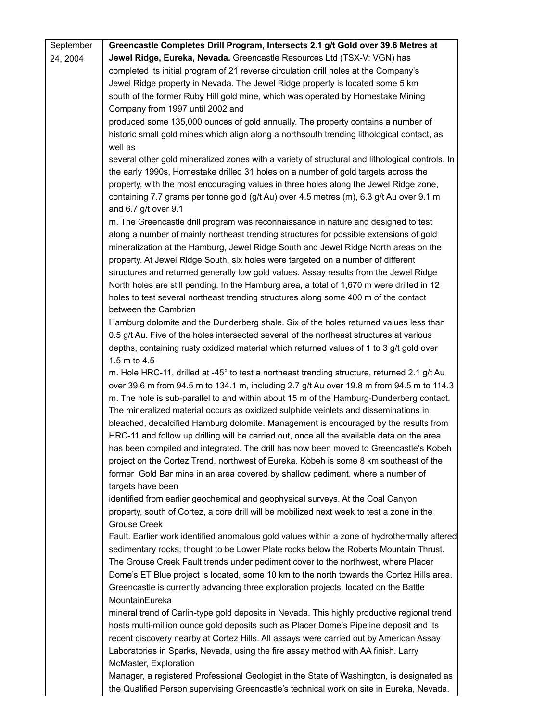| September | Greencastle Completes Drill Program, Intersects 2.1 g/t Gold over 39.6 Metres at                                                                                               |
|-----------|--------------------------------------------------------------------------------------------------------------------------------------------------------------------------------|
| 24, 2004  | Jewel Ridge, Eureka, Nevada. Greencastle Resources Ltd (TSX-V: VGN) has                                                                                                        |
|           | completed its initial program of 21 reverse circulation drill holes at the Company's                                                                                           |
|           | Jewel Ridge property in Nevada. The Jewel Ridge property is located some 5 km                                                                                                  |
|           | south of the former Ruby Hill gold mine, which was operated by Homestake Mining                                                                                                |
|           | Company from 1997 until 2002 and                                                                                                                                               |
|           | produced some 135,000 ounces of gold annually. The property contains a number of                                                                                               |
|           | historic small gold mines which align along a northsouth trending lithological contact, as                                                                                     |
|           | well as                                                                                                                                                                        |
|           | several other gold mineralized zones with a variety of structural and lithological controls. In                                                                                |
|           | the early 1990s, Homestake drilled 31 holes on a number of gold targets across the                                                                                             |
|           | property, with the most encouraging values in three holes along the Jewel Ridge zone,                                                                                          |
|           | containing 7.7 grams per tonne gold (g/t Au) over 4.5 metres (m), 6.3 g/t Au over 9.1 m                                                                                        |
|           | and 6.7 g/t over 9.1                                                                                                                                                           |
|           | m. The Greencastle drill program was reconnaissance in nature and designed to test                                                                                             |
|           | along a number of mainly northeast trending structures for possible extensions of gold                                                                                         |
|           | mineralization at the Hamburg, Jewel Ridge South and Jewel Ridge North areas on the                                                                                            |
|           | property. At Jewel Ridge South, six holes were targeted on a number of different                                                                                               |
|           | structures and returned generally low gold values. Assay results from the Jewel Ridge                                                                                          |
|           | North holes are still pending. In the Hamburg area, a total of 1,670 m were drilled in 12                                                                                      |
|           | holes to test several northeast trending structures along some 400 m of the contact                                                                                            |
|           | between the Cambrian                                                                                                                                                           |
|           | Hamburg dolomite and the Dunderberg shale. Six of the holes returned values less than                                                                                          |
|           | 0.5 g/t Au. Five of the holes intersected several of the northeast structures at various                                                                                       |
|           | depths, containing rusty oxidized material which returned values of 1 to 3 g/t gold over                                                                                       |
|           | 1.5 m to 4.5                                                                                                                                                                   |
|           | m. Hole HRC-11, drilled at -45° to test a northeast trending structure, returned 2.1 g/t Au                                                                                    |
|           | over 39.6 m from 94.5 m to 134.1 m, including 2.7 g/t Au over 19.8 m from 94.5 m to 114.3                                                                                      |
|           | m. The hole is sub-parallel to and within about 15 m of the Hamburg-Dunderberg contact.<br>The mineralized material occurs as oxidized sulphide veinlets and disseminations in |
|           | bleached, decalcified Hamburg dolomite. Management is encouraged by the results from                                                                                           |
|           | HRC-11 and follow up drilling will be carried out, once all the available data on the area                                                                                     |
|           | has been compiled and integrated. The drill has now been moved to Greencastle's Kobeh                                                                                          |
|           | project on the Cortez Trend, northwest of Eureka. Kobeh is some 8 km southeast of the                                                                                          |
|           | former Gold Bar mine in an area covered by shallow pediment, where a number of                                                                                                 |
|           | targets have been                                                                                                                                                              |
|           | identified from earlier geochemical and geophysical surveys. At the Coal Canyon                                                                                                |
|           | property, south of Cortez, a core drill will be mobilized next week to test a zone in the                                                                                      |
|           | <b>Grouse Creek</b>                                                                                                                                                            |
|           | Fault. Earlier work identified anomalous gold values within a zone of hydrothermally altered                                                                                   |
|           | sedimentary rocks, thought to be Lower Plate rocks below the Roberts Mountain Thrust.                                                                                          |
|           | The Grouse Creek Fault trends under pediment cover to the northwest, where Placer                                                                                              |
|           | Dome's ET Blue project is located, some 10 km to the north towards the Cortez Hills area.                                                                                      |
|           | Greencastle is currently advancing three exploration projects, located on the Battle                                                                                           |
|           | MountainEureka                                                                                                                                                                 |
|           | mineral trend of Carlin-type gold deposits in Nevada. This highly productive regional trend                                                                                    |
|           | hosts multi-million ounce gold deposits such as Placer Dome's Pipeline deposit and its                                                                                         |
|           | recent discovery nearby at Cortez Hills. All assays were carried out by American Assay                                                                                         |
|           | Laboratories in Sparks, Nevada, using the fire assay method with AA finish. Larry                                                                                              |
|           | McMaster, Exploration                                                                                                                                                          |
|           |                                                                                                                                                                                |

Manager, a registered Professional Geologist in the State of Washington, is designated as | the Qualified Person supervising Greencastle's technical work on site in Eureka, Nevada.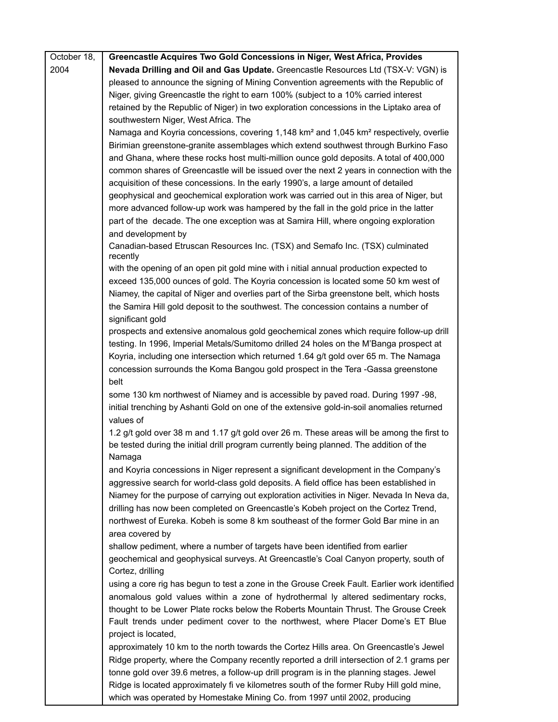| October 18, | Greencastle Acquires Two Gold Concessions in Niger, West Africa, Provides                                                                                                                       |
|-------------|-------------------------------------------------------------------------------------------------------------------------------------------------------------------------------------------------|
| 2004        | Nevada Drilling and Oil and Gas Update. Greencastle Resources Ltd (TSX-V: VGN) is                                                                                                               |
|             | pleased to announce the signing of Mining Convention agreements with the Republic of                                                                                                            |
|             | Niger, giving Greencastle the right to earn 100% (subject to a 10% carried interest                                                                                                             |
|             | retained by the Republic of Niger) in two exploration concessions in the Liptako area of                                                                                                        |
|             | southwestern Niger, West Africa. The                                                                                                                                                            |
|             | Namaga and Koyria concessions, covering 1,148 km <sup>2</sup> and 1,045 km <sup>2</sup> respectively, overlie                                                                                   |
|             | Birimian greenstone-granite assemblages which extend southwest through Burkino Faso                                                                                                             |
|             | and Ghana, where these rocks host multi-million ounce gold deposits. A total of 400,000                                                                                                         |
|             | common shares of Greencastle will be issued over the next 2 years in connection with the                                                                                                        |
|             | acquisition of these concessions. In the early 1990's, a large amount of detailed                                                                                                               |
|             | geophysical and geochemical exploration work was carried out in this area of Niger, but                                                                                                         |
|             | more advanced follow-up work was hampered by the fall in the gold price in the latter                                                                                                           |
|             | part of the decade. The one exception was at Samira Hill, where ongoing exploration                                                                                                             |
|             | and development by                                                                                                                                                                              |
|             | Canadian-based Etruscan Resources Inc. (TSX) and Semafo Inc. (TSX) culminated<br>recently                                                                                                       |
|             | with the opening of an open pit gold mine with i nitial annual production expected to                                                                                                           |
|             | exceed 135,000 ounces of gold. The Koyria concession is located some 50 km west of                                                                                                              |
|             | Niamey, the capital of Niger and overlies part of the Sirba greenstone belt, which hosts                                                                                                        |
|             | the Samira Hill gold deposit to the southwest. The concession contains a number of                                                                                                              |
|             | significant gold                                                                                                                                                                                |
|             | prospects and extensive anomalous gold geochemical zones which require follow-up drill                                                                                                          |
|             | testing. In 1996, Imperial Metals/Sumitomo drilled 24 holes on the M'Banga prospect at                                                                                                          |
|             | Koyria, including one intersection which returned 1.64 g/t gold over 65 m. The Namaga                                                                                                           |
|             | concession surrounds the Koma Bangou gold prospect in the Tera -Gassa greenstone                                                                                                                |
|             | belt                                                                                                                                                                                            |
|             | some 130 km northwest of Niamey and is accessible by paved road. During 1997 -98,                                                                                                               |
|             | initial trenching by Ashanti Gold on one of the extensive gold-in-soil anomalies returned                                                                                                       |
|             | values of                                                                                                                                                                                       |
|             | 1.2 g/t gold over 38 m and 1.17 g/t gold over 26 m. These areas will be among the first to<br>be tested during the initial drill program currently being planned. The addition of the<br>Namaga |
|             | and Koyria concessions in Niger represent a significant development in the Company's                                                                                                            |
|             | aggressive search for world-class gold deposits. A field office has been established in                                                                                                         |
|             | Niamey for the purpose of carrying out exploration activities in Niger. Nevada In Neva da,                                                                                                      |
|             | drilling has now been completed on Greencastle's Kobeh project on the Cortez Trend,                                                                                                             |
|             | northwest of Eureka. Kobeh is some 8 km southeast of the former Gold Bar mine in an                                                                                                             |
|             | area covered by                                                                                                                                                                                 |
|             | shallow pediment, where a number of targets have been identified from earlier                                                                                                                   |
|             | geochemical and geophysical surveys. At Greencastle's Coal Canyon property, south of                                                                                                            |
|             | Cortez, drilling                                                                                                                                                                                |
|             | using a core rig has begun to test a zone in the Grouse Creek Fault. Earlier work identified                                                                                                    |
|             | anomalous gold values within a zone of hydrothermal ly altered sedimentary rocks,                                                                                                               |
|             | thought to be Lower Plate rocks below the Roberts Mountain Thrust. The Grouse Creek                                                                                                             |
|             | Fault trends under pediment cover to the northwest, where Placer Dome's ET Blue                                                                                                                 |
|             | project is located,                                                                                                                                                                             |
|             | approximately 10 km to the north towards the Cortez Hills area. On Greencastle's Jewel                                                                                                          |
|             | Ridge property, where the Company recently reported a drill intersection of 2.1 grams per                                                                                                       |
|             | tonne gold over 39.6 metres, a follow-up drill program is in the planning stages. Jewel                                                                                                         |
|             | Ridge is located approximately fi ve kilometres south of the former Ruby Hill gold mine,                                                                                                        |

which was operated by Homestake Mining Co. from 1997 until 2002, producing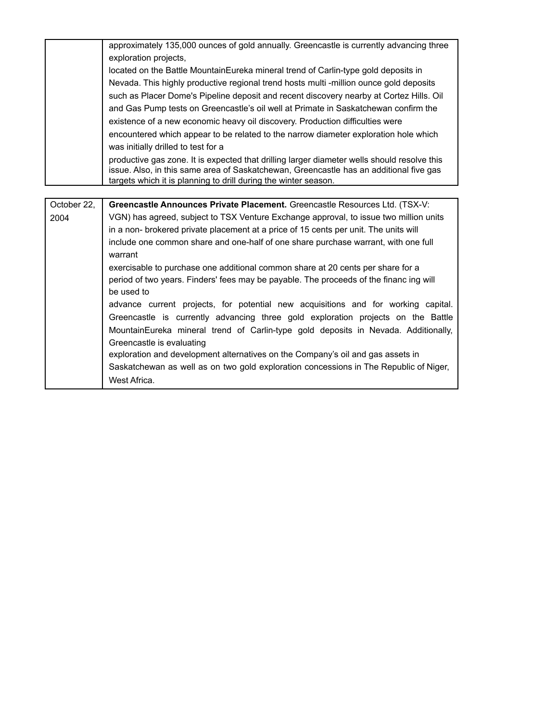|             | approximately 135,000 ounces of gold annually. Greencastle is currently advancing three                                                                                               |
|-------------|---------------------------------------------------------------------------------------------------------------------------------------------------------------------------------------|
|             | exploration projects,                                                                                                                                                                 |
|             | located on the Battle MountainEureka mineral trend of Carlin-type gold deposits in                                                                                                    |
|             | Nevada. This highly productive regional trend hosts multi -million ounce gold deposits                                                                                                |
|             | such as Placer Dome's Pipeline deposit and recent discovery nearby at Cortez Hills. Oil                                                                                               |
|             | and Gas Pump tests on Greencastle's oil well at Primate in Saskatchewan confirm the                                                                                                   |
|             | existence of a new economic heavy oil discovery. Production difficulties were                                                                                                         |
|             | encountered which appear to be related to the narrow diameter exploration hole which                                                                                                  |
|             | was initially drilled to test for a                                                                                                                                                   |
|             | productive gas zone. It is expected that drilling larger diameter wells should resolve this<br>issue. Also, in this same area of Saskatchewan, Greencastle has an additional five gas |
|             | targets which it is planning to drill during the winter season.                                                                                                                       |
|             |                                                                                                                                                                                       |
| October 22, | Greencastle Announces Private Placement. Greencastle Resources Ltd. (TSX-V:                                                                                                           |
| 2004        | VGN) has agreed, subject to TSX Venture Exchange approval, to issue two million units                                                                                                 |
|             | in a non- brokered private placement at a price of 15 cents per unit. The units will                                                                                                  |
|             | include one common share and one-half of one share purchase warrant, with one full<br>warrant                                                                                         |
|             | exercisable to purchase one additional common share at 20 cents per share for a                                                                                                       |
|             | period of two years. Finders' fees may be payable. The proceeds of the financ ing will                                                                                                |
|             | be used to                                                                                                                                                                            |
|             | advance current projects, for potential new acquisitions and for working capital.                                                                                                     |
|             | Greencastle is currently advancing three gold exploration projects on the Battle                                                                                                      |

Greencastle is evaluating

West Africa.

MountainEureka mineral trend of Carlin-type gold deposits in Nevada. Additionally,

Saskatchewan as well as on two gold exploration concessions in The Republic of Niger,

exploration and development alternatives on the Company's oil and gas assets in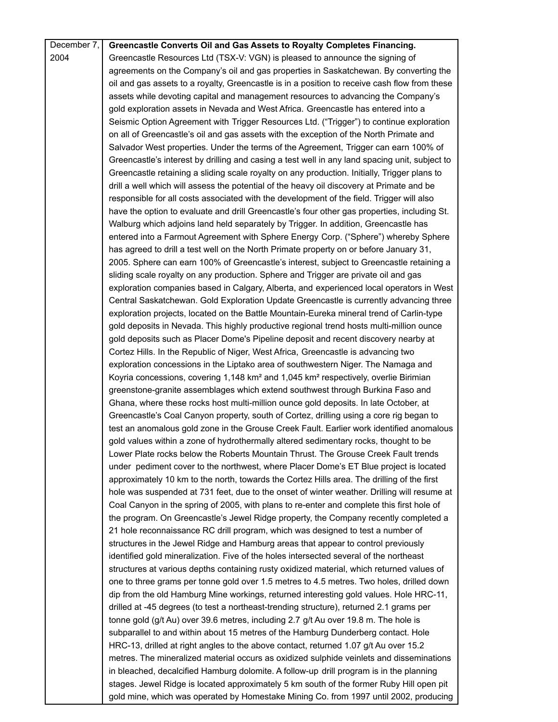| December 7, | Greencastle Converts Oil and Gas Assets to Royalty Completes Financing.                                     |
|-------------|-------------------------------------------------------------------------------------------------------------|
| 2004        | Greencastle Resources Ltd (TSX-V: VGN) is pleased to announce the signing of                                |
|             | agreements on the Company's oil and gas properties in Saskatchewan. By converting the                       |
|             | oil and gas assets to a royalty, Greencastle is in a position to receive cash flow from these               |
|             | assets while devoting capital and management resources to advancing the Company's                           |
|             | gold exploration assets in Nevada and West Africa. Greencastle has entered into a                           |
|             | Seismic Option Agreement with Trigger Resources Ltd. ("Trigger") to continue exploration                    |
|             | on all of Greencastle's oil and gas assets with the exception of the North Primate and                      |
|             | Salvador West properties. Under the terms of the Agreement, Trigger can earn 100% of                        |
|             | Greencastle's interest by drilling and casing a test well in any land spacing unit, subject to              |
|             | Greencastle retaining a sliding scale royalty on any production. Initially, Trigger plans to                |
|             | drill a well which will assess the potential of the heavy oil discovery at Primate and be                   |
|             | responsible for all costs associated with the development of the field. Trigger will also                   |
|             | have the option to evaluate and drill Greencastle's four other gas properties, including St.                |
|             | Walburg which adjoins land held separately by Trigger. In addition, Greencastle has                         |
|             | entered into a Farmout Agreement with Sphere Energy Corp. ("Sphere") whereby Sphere                         |
|             | has agreed to drill a test well on the North Primate property on or before January 31,                      |
|             | 2005. Sphere can earn 100% of Greencastle's interest, subject to Greencastle retaining a                    |
|             | sliding scale royalty on any production. Sphere and Trigger are private oil and gas                         |
|             | exploration companies based in Calgary, Alberta, and experienced local operators in West                    |
|             | Central Saskatchewan. Gold Exploration Update Greencastle is currently advancing three                      |
|             | exploration projects, located on the Battle Mountain-Eureka mineral trend of Carlin-type                    |
|             | gold deposits in Nevada. This highly productive regional trend hosts multi-million ounce                    |
|             | gold deposits such as Placer Dome's Pipeline deposit and recent discovery nearby at                         |
|             | Cortez Hills. In the Republic of Niger, West Africa, Greencastle is advancing two                           |
|             | exploration concessions in the Liptako area of southwestern Niger. The Namaga and                           |
|             | Koyria concessions, covering 1,148 km <sup>2</sup> and 1,045 km <sup>2</sup> respectively, overlie Birimian |
|             | greenstone-granite assemblages which extend southwest through Burkina Faso and                              |
|             | Ghana, where these rocks host multi-million ounce gold deposits. In late October, at                        |
|             | Greencastle's Coal Canyon property, south of Cortez, drilling using a core rig began to                     |
|             | test an anomalous gold zone in the Grouse Creek Fault. Earlier work identified anomalous                    |
|             | gold values within a zone of hydrothermally altered sedimentary rocks, thought to be                        |
|             | Lower Plate rocks below the Roberts Mountain Thrust. The Grouse Creek Fault trends                          |
|             | under pediment cover to the northwest, where Placer Dome's ET Blue project is located                       |
|             | approximately 10 km to the north, towards the Cortez Hills area. The drilling of the first                  |
|             | hole was suspended at 731 feet, due to the onset of winter weather. Drilling will resume at                 |
|             | Coal Canyon in the spring of 2005, with plans to re-enter and complete this first hole of                   |
|             | the program. On Greencastle's Jewel Ridge property, the Company recently completed a                        |
|             | 21 hole reconnaissance RC drill program, which was designed to test a number of                             |
|             | structures in the Jewel Ridge and Hamburg areas that appear to control previously                           |
|             | identified gold mineralization. Five of the holes intersected several of the northeast                      |
|             | structures at various depths containing rusty oxidized material, which returned values of                   |
|             | one to three grams per tonne gold over 1.5 metres to 4.5 metres. Two holes, drilled down                    |
|             | dip from the old Hamburg Mine workings, returned interesting gold values. Hole HRC-11,                      |
|             | drilled at -45 degrees (to test a northeast-trending structure), returned 2.1 grams per                     |
|             | tonne gold (g/t Au) over 39.6 metres, including 2.7 g/t Au over 19.8 m. The hole is                         |
|             | subparallel to and within about 15 metres of the Hamburg Dunderberg contact. Hole                           |
|             | HRC-13, drilled at right angles to the above contact, returned 1.07 g/t Au over 15.2                        |
|             | metres. The mineralized material occurs as oxidized sulphide veinlets and disseminations                    |
|             | in bleached, decalcified Hamburg dolomite. A follow-up drill program is in the planning                     |
|             | stages. Jewel Ridge is located approximately 5 km south of the former Ruby Hill open pit                    |
|             | gold mine, which was operated by Homestake Mining Co. from 1997 until 2002, producing                       |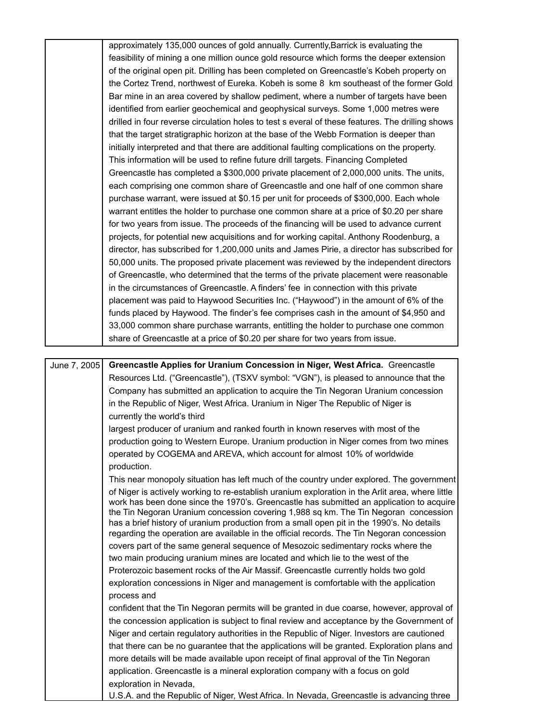|              | approximately 135,000 ounces of gold annually. Currently, Barrick is evaluating the                                                                                 |
|--------------|---------------------------------------------------------------------------------------------------------------------------------------------------------------------|
|              | feasibility of mining a one million ounce gold resource which forms the deeper extension                                                                            |
|              | of the original open pit. Drilling has been completed on Greencastle's Kobeh property on                                                                            |
|              | the Cortez Trend, northwest of Eureka. Kobeh is some 8 km southeast of the former Gold                                                                              |
|              | Bar mine in an area covered by shallow pediment, where a number of targets have been                                                                                |
|              | identified from earlier geochemical and geophysical surveys. Some 1,000 metres were                                                                                 |
|              | drilled in four reverse circulation holes to test s everal of these features. The drilling shows                                                                    |
|              | that the target stratigraphic horizon at the base of the Webb Formation is deeper than                                                                              |
|              | initially interpreted and that there are additional faulting complications on the property.                                                                         |
|              | This information will be used to refine future drill targets. Financing Completed                                                                                   |
|              | Greencastle has completed a \$300,000 private placement of 2,000,000 units. The units,                                                                              |
|              | each comprising one common share of Greencastle and one half of one common share                                                                                    |
|              | purchase warrant, were issued at \$0.15 per unit for proceeds of \$300,000. Each whole                                                                              |
|              | warrant entitles the holder to purchase one common share at a price of \$0.20 per share                                                                             |
|              | for two years from issue. The proceeds of the financing will be used to advance current                                                                             |
|              | projects, for potential new acquisitions and for working capital. Anthony Roodenburg, a                                                                             |
|              | director, has subscribed for 1,200,000 units and James Pirie, a director has subscribed for                                                                         |
|              | 50,000 units. The proposed private placement was reviewed by the independent directors                                                                              |
|              | of Greencastle, who determined that the terms of the private placement were reasonable                                                                              |
|              | in the circumstances of Greencastle. A finders' fee in connection with this private                                                                                 |
|              | placement was paid to Haywood Securities Inc. ("Haywood") in the amount of 6% of the                                                                                |
|              | funds placed by Haywood. The finder's fee comprises cash in the amount of \$4,950 and                                                                               |
|              | 33,000 common share purchase warrants, entitling the holder to purchase one common                                                                                  |
|              | share of Greencastle at a price of \$0.20 per share for two years from issue.                                                                                       |
|              |                                                                                                                                                                     |
| June 7, 2005 | Greencastle Applies for Uranium Concession in Niger, West Africa. Greencastle                                                                                       |
|              | Resources Ltd. ("Greencastle"), (TSXV symbol: "VGN"), is pleased to announce that the                                                                               |
|              | Company has submitted an application to acquire the Tin Negoran Uranium concession                                                                                  |
|              | in the Republic of Niger, West Africa. Uranium in Niger The Republic of Niger is                                                                                    |
|              | currently the world's third                                                                                                                                         |
|              | largest producer of uranium and ranked fourth in known reserves with most of the                                                                                    |
|              | production going to Western Europe. Uranium production in Niger comes from two mines                                                                                |
|              | operated by COGEMA and AREVA, which account for almost 10% of worldwide                                                                                             |
|              | production.                                                                                                                                                         |
|              | This near monopoly situation has left much of the country under explored. The government                                                                            |
|              | of Niger is actively working to re-establish uranium exploration in the Arlit area, where little                                                                    |
|              | work has been done since the 1970's. Greencastle has submitted an application to acquire                                                                            |
|              | the Tin Negoran Uranium concession covering 1,988 sq km. The Tin Negoran concession                                                                                 |
|              | has a brief history of uranium production from a small open pit in the 1990's. No details                                                                           |
|              | regarding the operation are available in the official records. The Tin Negoran concession                                                                           |
|              | covers part of the same general sequence of Mesozoic sedimentary rocks where the                                                                                    |
|              | two main producing uranium mines are located and which lie to the west of the<br>Proterozoic basement rocks of the Air Massif. Greencastle currently holds two gold |
|              | exploration concessions in Niger and management is comfortable with the application                                                                                 |
|              | process and                                                                                                                                                         |
|              | confident that the Tin Negoran permits will be granted in due coarse, however, approval of                                                                          |
|              | the concession application is subject to final review and acceptance by the Government of                                                                           |
|              |                                                                                                                                                                     |
|              |                                                                                                                                                                     |
|              | Niger and certain regulatory authorities in the Republic of Niger. Investors are cautioned                                                                          |
|              | that there can be no guarantee that the applications will be granted. Exploration plans and                                                                         |
|              | more details will be made available upon receipt of final approval of the Tin Negoran                                                                               |
|              | application. Greencastle is a mineral exploration company with a focus on gold<br>exploration in Nevada,                                                            |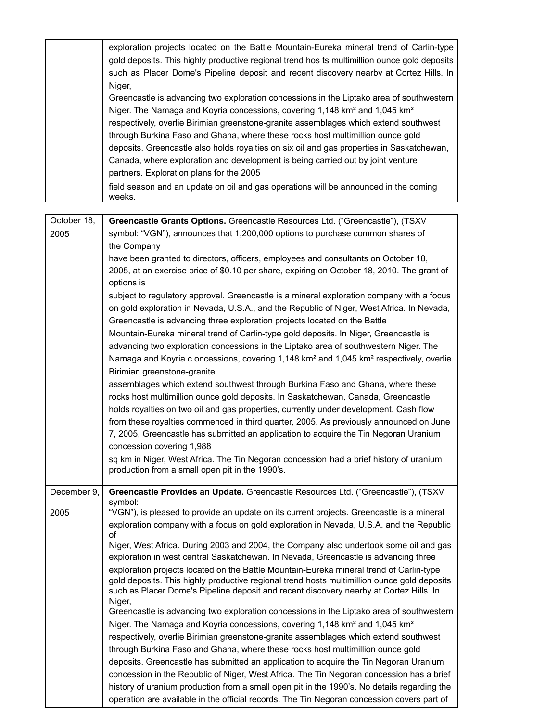|                     | exploration projects located on the Battle Mountain-Eureka mineral trend of Carlin-type<br>gold deposits. This highly productive regional trend hos ts multimillion ounce gold deposits<br>such as Placer Dome's Pipeline deposit and recent discovery nearby at Cortez Hills. In<br>Niger,<br>Greencastle is advancing two exploration concessions in the Liptako area of southwestern<br>Niger. The Namaga and Koyria concessions, covering 1,148 km <sup>2</sup> and 1,045 km <sup>2</sup><br>respectively, overlie Birimian greenstone-granite assemblages which extend southwest<br>through Burkina Faso and Ghana, where these rocks host multimillion ounce gold<br>deposits. Greencastle also holds royalties on six oil and gas properties in Saskatchewan,<br>Canada, where exploration and development is being carried out by joint venture<br>partners. Exploration plans for the 2005<br>field season and an update on oil and gas operations will be announced in the coming<br>weeks.                                                                                                                                                                                                                                                                                                                                                                                                                                                                                                                                  |
|---------------------|----------------------------------------------------------------------------------------------------------------------------------------------------------------------------------------------------------------------------------------------------------------------------------------------------------------------------------------------------------------------------------------------------------------------------------------------------------------------------------------------------------------------------------------------------------------------------------------------------------------------------------------------------------------------------------------------------------------------------------------------------------------------------------------------------------------------------------------------------------------------------------------------------------------------------------------------------------------------------------------------------------------------------------------------------------------------------------------------------------------------------------------------------------------------------------------------------------------------------------------------------------------------------------------------------------------------------------------------------------------------------------------------------------------------------------------------------------------------------------------------------------------------------------------|
|                     |                                                                                                                                                                                                                                                                                                                                                                                                                                                                                                                                                                                                                                                                                                                                                                                                                                                                                                                                                                                                                                                                                                                                                                                                                                                                                                                                                                                                                                                                                                                                        |
| October 18,<br>2005 | Greencastle Grants Options. Greencastle Resources Ltd. ("Greencastle"), (TSXV<br>symbol: "VGN"), announces that 1,200,000 options to purchase common shares of<br>the Company<br>have been granted to directors, officers, employees and consultants on October 18,<br>2005, at an exercise price of \$0.10 per share, expiring on October 18, 2010. The grant of<br>options is                                                                                                                                                                                                                                                                                                                                                                                                                                                                                                                                                                                                                                                                                                                                                                                                                                                                                                                                                                                                                                                                                                                                                        |
|                     | subject to regulatory approval. Greencastle is a mineral exploration company with a focus<br>on gold exploration in Nevada, U.S.A., and the Republic of Niger, West Africa. In Nevada,<br>Greencastle is advancing three exploration projects located on the Battle<br>Mountain-Eureka mineral trend of Carlin-type gold deposits. In Niger, Greencastle is<br>advancing two exploration concessions in the Liptako area of southwestern Niger. The<br>Namaga and Koyria c oncessions, covering 1,148 km <sup>2</sup> and 1,045 km <sup>2</sup> respectively, overlie<br>Birimian greenstone-granite<br>assemblages which extend southwest through Burkina Faso and Ghana, where these<br>rocks host multimillion ounce gold deposits. In Saskatchewan, Canada, Greencastle<br>holds royalties on two oil and gas properties, currently under development. Cash flow<br>from these royalties commenced in third quarter, 2005. As previously announced on June<br>7, 2005, Greencastle has submitted an application to acquire the Tin Negoran Uranium<br>concession covering 1,988<br>sq km in Niger, West Africa. The Tin Negoran concession had a brief history of uranium<br>production from a small open pit in the 1990's.                                                                                                                                                                                                                                                                                                       |
| December 9,<br>2005 | Greencastle Provides an Update. Greencastle Resources Ltd. ("Greencastle"), (TSXV<br>symbol:<br>"VGN"), is pleased to provide an update on its current projects. Greencastle is a mineral<br>exploration company with a focus on gold exploration in Nevada, U.S.A. and the Republic<br>of<br>Niger, West Africa. During 2003 and 2004, the Company also undertook some oil and gas<br>exploration in west central Saskatchewan. In Nevada, Greencastle is advancing three<br>exploration projects located on the Battle Mountain-Eureka mineral trend of Carlin-type<br>gold deposits. This highly productive regional trend hosts multimillion ounce gold deposits<br>such as Placer Dome's Pipeline deposit and recent discovery nearby at Cortez Hills. In<br>Niger,<br>Greencastle is advancing two exploration concessions in the Liptako area of southwestern<br>Niger. The Namaga and Koyria concessions, covering 1,148 km <sup>2</sup> and 1,045 km <sup>2</sup><br>respectively, overlie Birimian greenstone-granite assemblages which extend southwest<br>through Burkina Faso and Ghana, where these rocks host multimillion ounce gold<br>deposits. Greencastle has submitted an application to acquire the Tin Negoran Uranium<br>concession in the Republic of Niger, West Africa. The Tin Negoran concession has a brief<br>history of uranium production from a small open pit in the 1990's. No details regarding the<br>operation are available in the official records. The Tin Negoran concession covers part of |

ı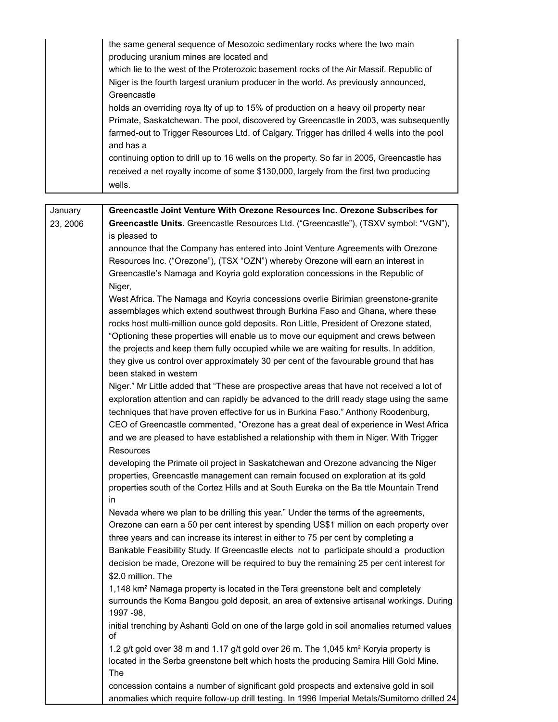|          | the same general sequence of Mesozoic sedimentary rocks where the two main<br>producing uranium mines are located and |
|----------|-----------------------------------------------------------------------------------------------------------------------|
|          | which lie to the west of the Proterozoic basement rocks of the Air Massif. Republic of                                |
|          | Niger is the fourth largest uranium producer in the world. As previously announced,                                   |
|          | Greencastle                                                                                                           |
|          | holds an overriding roya lty of up to 15% of production on a heavy oil property near                                  |
|          | Primate, Saskatchewan. The pool, discovered by Greencastle in 2003, was subsequently                                  |
|          | farmed-out to Trigger Resources Ltd. of Calgary. Trigger has drilled 4 wells into the pool                            |
|          | and has a                                                                                                             |
|          | continuing option to drill up to 16 wells on the property. So far in 2005, Greencastle has                            |
|          | received a net royalty income of some \$130,000, largely from the first two producing                                 |
|          | wells.                                                                                                                |
|          |                                                                                                                       |
| January  | Greencastle Joint Venture With Orezone Resources Inc. Orezone Subscribes for                                          |
| 23, 2006 | Greencastle Units. Greencastle Resources Ltd. ("Greencastle"), (TSXV symbol: "VGN"),                                  |
|          | is pleased to                                                                                                         |
|          | announce that the Company has entered into Joint Venture Agreements with Orezone                                      |
|          | Resources Inc. ("Orezone"), (TSX "OZN") whereby Orezone will earn an interest in                                      |
|          | Greencastle's Namaga and Koyria gold exploration concessions in the Republic of                                       |
|          | Niger,                                                                                                                |
|          | West Africa. The Namaga and Koyria concessions overlie Birimian greenstone-granite                                    |
|          | assemblages which extend southwest through Burkina Faso and Ghana, where these                                        |
|          | rocks host multi-million ounce gold deposits. Ron Little, President of Orezone stated,                                |
|          | "Optioning these properties will enable us to move our equipment and crews between                                    |
|          | the projects and keep them fully occupied while we are waiting for results. In addition,                              |
|          | they give us control over approximately 30 per cent of the favourable ground that has                                 |
|          | been staked in western                                                                                                |
|          | Niger." Mr Little added that "These are prospective areas that have not received a lot of                             |
|          | exploration attention and can rapidly be advanced to the drill ready stage using the same                             |
|          | techniques that have proven effective for us in Burkina Faso." Anthony Roodenburg,                                    |
|          | CEO of Greencastle commented, "Orezone has a great deal of experience in West Africa                                  |
|          | and we are pleased to have established a relationship with them in Niger. With Trigger                                |
|          | Resources                                                                                                             |
|          | developing the Primate oil project in Saskatchewan and Orezone advancing the Niger                                    |
|          | properties, Greencastle management can remain focused on exploration at its gold                                      |
|          | properties south of the Cortez Hills and at South Eureka on the Ba ttle Mountain Trend                                |
|          | in                                                                                                                    |
|          | Nevada where we plan to be drilling this year." Under the terms of the agreements,                                    |
|          | Orezone can earn a 50 per cent interest by spending US\$1 million on each property over                               |
|          | three years and can increase its interest in either to 75 per cent by completing a                                    |
|          | Bankable Feasibility Study. If Greencastle elects not to participate should a production                              |
|          | decision be made, Orezone will be required to buy the remaining 25 per cent interest for                              |
|          | \$2.0 million. The                                                                                                    |
|          | 1,148 km <sup>2</sup> Namaga property is located in the Tera greenstone belt and completely                           |
|          | surrounds the Koma Bangou gold deposit, an area of extensive artisanal workings. During<br>1997 - 98,                 |
|          | initial trenching by Ashanti Gold on one of the large gold in soil anomalies returned values<br>οf                    |
|          | 1.2 g/t gold over 38 m and 1.17 g/t gold over 26 m. The 1,045 km <sup>2</sup> Koryia property is                      |
|          | located in the Serba greenstone belt which hosts the producing Samira Hill Gold Mine.                                 |
|          | The                                                                                                                   |
|          | concession contains a number of significant gold prospects and extensive gold in soil                                 |
|          | anomalies which require follow-up drill testing. In 1996 Imperial Metals/Sumitomo drilled 24                          |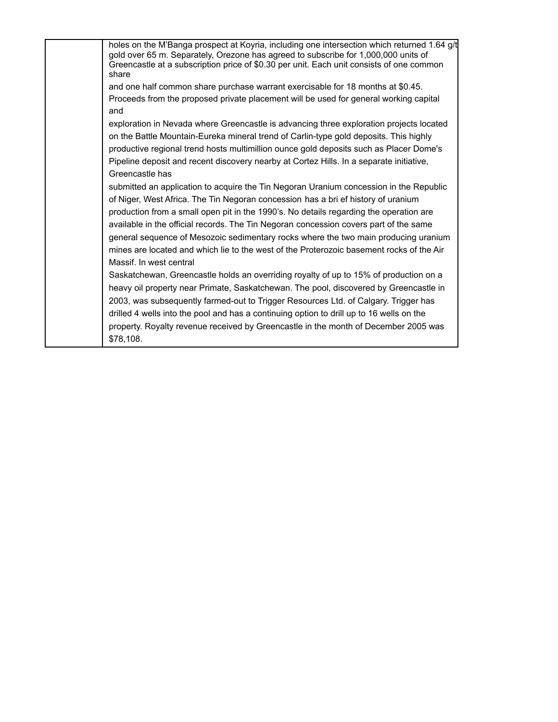holes on the M'Banga prospect at Koyria, including one intersection which returned 1.64 g/t gold over 65 m. Separately, Orezone has agreed to subscribe for 1,000,000 units of Greencastle at a subscription price of \$0.30 per unit. Each unit consists of one common share and one half common share purchase warrant exercisable for 18 months at \$0.45. Proceeds from the proposed private placement will be used for general working capital and exploration in Nevada where Greencastle is advancing three exploration projects located on the Battle Mountain-Eureka mineral trend of Carlin-type gold deposits. This highly productive regional trend hosts multimillion ounce gold deposits such as Placer Dome's Pipeline deposit and recent discovery nearby at Cortez Hills. In a separate initiative, Greencastle has submitted an application to acquire the Tin Negoran Uranium concession in the Republic of Niger, West Africa. The Tin Negoran concession has a bri ef history of uranium production from a small open pit in the 1990's. No details regarding the operation are available in the official records. The Tin Negoran concession covers part of the same general sequence of Mesozoic sedimentary rocks where the two main producing uranium mines are located and which lie to the west of the Proterozoic basement rocks of the Air Massif. In west central Saskatchewan, Greencastle holds an overriding royalty of up to 15% of production on a heavy oil property near Primate, Saskatchewan. The pool, discovered by Greencastle in 2003, was subsequently farmed-out to Trigger Resources Ltd. of Calgary. Trigger has drilled 4 wells into the pool and has a continuing option to drill up to 16 wells on the property. Royalty revenue received by Greencastle in the month of December 2005 was \$78,108.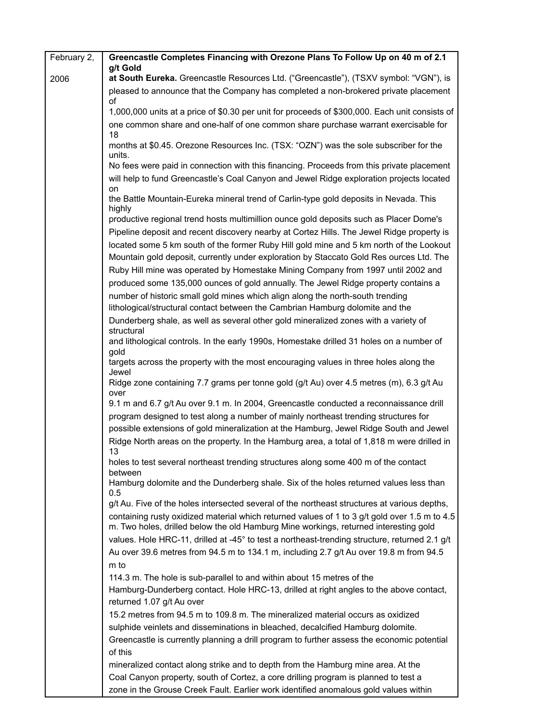| February 2, | Greencastle Completes Financing with Orezone Plans To Follow Up on 40 m of 2.1                                                                                                        |
|-------------|---------------------------------------------------------------------------------------------------------------------------------------------------------------------------------------|
| 2006        | g/t Gold<br>at South Eureka. Greencastle Resources Ltd. ("Greencastle"), (TSXV symbol: "VGN"), is                                                                                     |
|             | pleased to announce that the Company has completed a non-brokered private placement<br>οf                                                                                             |
|             | 1,000,000 units at a price of \$0.30 per unit for proceeds of \$300,000. Each unit consists of                                                                                        |
|             | one common share and one-half of one common share purchase warrant exercisable for<br>18                                                                                              |
|             | months at \$0.45. Orezone Resources Inc. (TSX: "OZN") was the sole subscriber for the<br>units.                                                                                       |
|             | No fees were paid in connection with this financing. Proceeds from this private placement<br>will help to fund Greencastle's Coal Canyon and Jewel Ridge exploration projects located |
|             | on<br>the Battle Mountain-Eureka mineral trend of Carlin-type gold deposits in Nevada. This                                                                                           |
|             | highly                                                                                                                                                                                |
|             | productive regional trend hosts multimillion ounce gold deposits such as Placer Dome's                                                                                                |
|             | Pipeline deposit and recent discovery nearby at Cortez Hills. The Jewel Ridge property is                                                                                             |
|             | located some 5 km south of the former Ruby Hill gold mine and 5 km north of the Lookout<br>Mountain gold deposit, currently under exploration by Staccato Gold Res ources Ltd. The    |
|             | Ruby Hill mine was operated by Homestake Mining Company from 1997 until 2002 and                                                                                                      |
|             | produced some 135,000 ounces of gold annually. The Jewel Ridge property contains a                                                                                                    |
|             | number of historic small gold mines which align along the north-south trending                                                                                                        |
|             | lithological/structural contact between the Cambrian Hamburg dolomite and the                                                                                                         |
|             | Dunderberg shale, as well as several other gold mineralized zones with a variety of<br>structural                                                                                     |
|             | and lithological controls. In the early 1990s, Homestake drilled 31 holes on a number of<br>gold                                                                                      |
|             | targets across the property with the most encouraging values in three holes along the<br>Jewel                                                                                        |
|             | Ridge zone containing 7.7 grams per tonne gold (g/t Au) over 4.5 metres (m), 6.3 g/t Au<br>over                                                                                       |
|             | 9.1 m and 6.7 g/t Au over 9.1 m. In 2004, Greencastle conducted a reconnaissance drill                                                                                                |
|             | program designed to test along a number of mainly northeast trending structures for<br>possible extensions of gold mineralization at the Hamburg, Jewel Ridge South and Jewel         |
|             | Ridge North areas on the property. In the Hamburg area, a total of 1,818 m were drilled in<br>13                                                                                      |
|             | holes to test several northeast trending structures along some 400 m of the contact<br>between                                                                                        |
|             | Hamburg dolomite and the Dunderberg shale. Six of the holes returned values less than<br>0.5                                                                                          |
|             | g/t Au. Five of the holes intersected several of the northeast structures at various depths,                                                                                          |
|             | containing rusty oxidized material which returned values of 1 to 3 g/t gold over 1.5 m to 4.5<br>m. Two holes, drilled below the old Hamburg Mine workings, returned interesting gold |
|             | values. Hole HRC-11, drilled at -45° to test a northeast-trending structure, returned 2.1 g/t                                                                                         |
|             | Au over 39.6 metres from 94.5 m to 134.1 m, including 2.7 g/t Au over 19.8 m from 94.5                                                                                                |
|             | m to                                                                                                                                                                                  |
|             | 114.3 m. The hole is sub-parallel to and within about 15 metres of the                                                                                                                |
|             | Hamburg-Dunderberg contact. Hole HRC-13, drilled at right angles to the above contact,<br>returned 1.07 g/t Au over                                                                   |
|             | 15.2 metres from 94.5 m to 109.8 m. The mineralized material occurs as oxidized                                                                                                       |
|             | sulphide veinlets and disseminations in bleached, decalcified Hamburg dolomite.                                                                                                       |
|             | Greencastle is currently planning a drill program to further assess the economic potential<br>of this                                                                                 |
|             |                                                                                                                                                                                       |
|             | mineralized contact along strike and to depth from the Hamburg mine area. At the<br>Coal Canyon property, south of Cortez, a core drilling program is planned to test a               |
|             | zone in the Grouse Creek Fault. Earlier work identified anomalous gold values within                                                                                                  |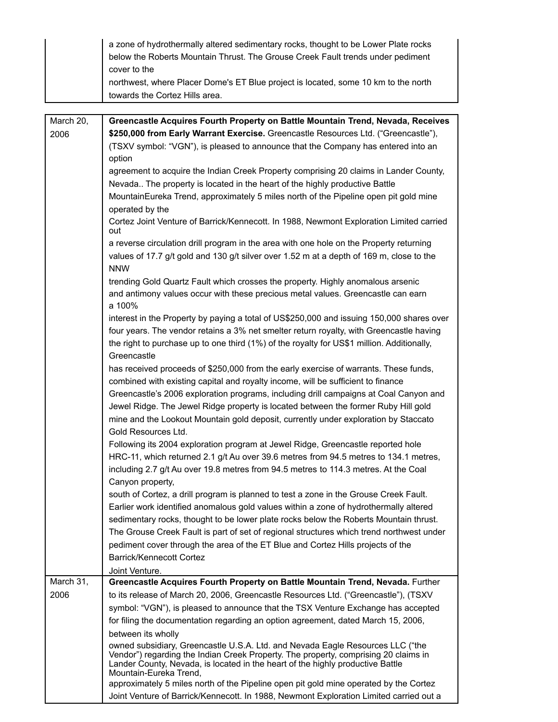|                   | a zone of hydrothermally altered sedimentary rocks, thought to be Lower Plate rocks<br>below the Roberts Mountain Thrust. The Grouse Creek Fault trends under pediment<br>cover to the                                                                                                            |
|-------------------|---------------------------------------------------------------------------------------------------------------------------------------------------------------------------------------------------------------------------------------------------------------------------------------------------|
|                   | northwest, where Placer Dome's ET Blue project is located, some 10 km to the north<br>towards the Cortez Hills area.                                                                                                                                                                              |
|                   |                                                                                                                                                                                                                                                                                                   |
| March 20,<br>2006 | Greencastle Acquires Fourth Property on Battle Mountain Trend, Nevada, Receives<br>\$250,000 from Early Warrant Exercise. Greencastle Resources Ltd. ("Greencastle"),<br>(TSXV symbol: "VGN"), is pleased to announce that the Company has entered into an<br>option                              |
|                   | agreement to acquire the Indian Creek Property comprising 20 claims in Lander County,                                                                                                                                                                                                             |
|                   | Nevada The property is located in the heart of the highly productive Battle<br>MountainEureka Trend, approximately 5 miles north of the Pipeline open pit gold mine<br>operated by the                                                                                                            |
|                   | Cortez Joint Venture of Barrick/Kennecott. In 1988, Newmont Exploration Limited carried<br>out                                                                                                                                                                                                    |
|                   | a reverse circulation drill program in the area with one hole on the Property returning<br>values of 17.7 g/t gold and 130 g/t silver over 1.52 m at a depth of 169 m, close to the<br><b>NNW</b>                                                                                                 |
|                   | trending Gold Quartz Fault which crosses the property. Highly anomalous arsenic<br>and antimony values occur with these precious metal values. Greencastle can earn<br>a 100%                                                                                                                     |
|                   | interest in the Property by paying a total of US\$250,000 and issuing 150,000 shares over<br>four years. The vendor retains a 3% net smelter return royalty, with Greencastle having<br>the right to purchase up to one third (1%) of the royalty for US\$1 million. Additionally,<br>Greencastle |
|                   | has received proceeds of \$250,000 from the early exercise of warrants. These funds,<br>combined with existing capital and royalty income, will be sufficient to finance                                                                                                                          |
|                   | Greencastle's 2006 exploration programs, including drill campaigns at Coal Canyon and<br>Jewel Ridge. The Jewel Ridge property is located between the former Ruby Hill gold<br>mine and the Lookout Mountain gold deposit, currently under exploration by Staccato<br>Gold Resources Ltd.         |
|                   | Following its 2004 exploration program at Jewel Ridge, Greencastle reported hole<br>HRC-11, which returned 2.1 g/t Au over 39.6 metres from 94.5 metres to 134.1 metres,<br>including 2.7 g/t Au over 19.8 metres from 94.5 metres to 114.3 metres. At the Coal                                   |
|                   | Canyon property,<br>south of Cortez, a drill program is planned to test a zone in the Grouse Creek Fault.                                                                                                                                                                                         |
|                   | Earlier work identified anomalous gold values within a zone of hydrothermally altered<br>sedimentary rocks, thought to be lower plate rocks below the Roberts Mountain thrust.                                                                                                                    |
|                   | The Grouse Creek Fault is part of set of regional structures which trend northwest under<br>pediment cover through the area of the ET Blue and Cortez Hills projects of the<br>Barrick/Kennecott Cortez                                                                                           |
|                   | Joint Venture.                                                                                                                                                                                                                                                                                    |
| March 31,         | Greencastle Acquires Fourth Property on Battle Mountain Trend, Nevada. Further                                                                                                                                                                                                                    |
| 2006              | to its release of March 20, 2006, Greencastle Resources Ltd. ("Greencastle"), (TSXV                                                                                                                                                                                                               |
|                   | symbol: "VGN"), is pleased to announce that the TSX Venture Exchange has accepted                                                                                                                                                                                                                 |
|                   | for filing the documentation regarding an option agreement, dated March 15, 2006,                                                                                                                                                                                                                 |
|                   | between its wholly                                                                                                                                                                                                                                                                                |
|                   | owned subsidiary, Greencastle U.S.A. Ltd. and Nevada Eagle Resources LLC ("the<br>Vendor") regarding the Indian Creek Property. The property, comprising 20 claims in<br>Lander County, Nevada, is located in the heart of the highly productive Battle<br>Mountain-Eureka Trend,                 |
|                   | approximately 5 miles north of the Pipeline open pit gold mine operated by the Cortez                                                                                                                                                                                                             |
|                   | Joint Venture of Barrick/Kennecott. In 1988, Newmont Exploration Limited carried out a                                                                                                                                                                                                            |

J.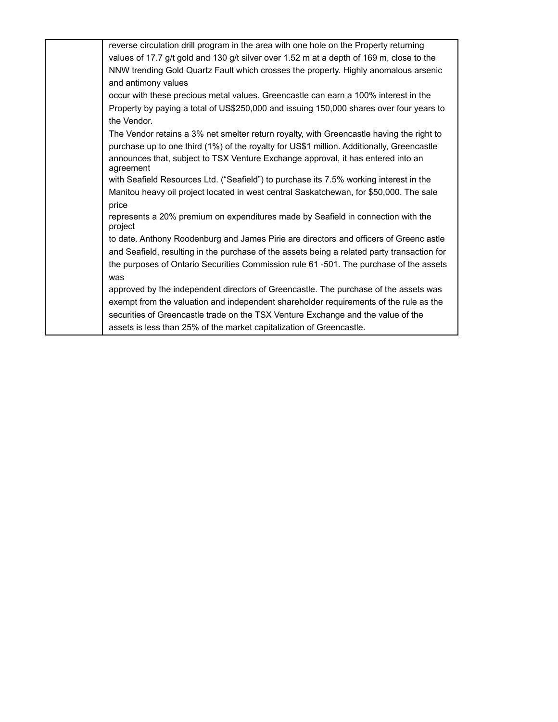| reverse circulation drill program in the area with one hole on the Property returning         |
|-----------------------------------------------------------------------------------------------|
| values of 17.7 g/t gold and 130 g/t silver over 1.52 m at a depth of 169 m, close to the      |
| NNW trending Gold Quartz Fault which crosses the property. Highly anomalous arsenic           |
| and antimony values                                                                           |
| occur with these precious metal values. Greencastle can earn a 100% interest in the           |
| Property by paying a total of US\$250,000 and issuing 150,000 shares over four years to       |
| the Vendor.                                                                                   |
| The Vendor retains a 3% net smelter return royalty, with Greencastle having the right to      |
| purchase up to one third (1%) of the royalty for US\$1 million. Additionally, Greencastle     |
| announces that, subject to TSX Venture Exchange approval, it has entered into an<br>agreement |
| with Seafield Resources Ltd. ("Seafield") to purchase its 7.5% working interest in the        |
| Manitou heavy oil project located in west central Saskatchewan, for \$50,000. The sale        |
| price                                                                                         |
| represents a 20% premium on expenditures made by Seafield in connection with the<br>project   |
| to date. Anthony Roodenburg and James Pirie are directors and officers of Greenc astle        |
| and Seafield, resulting in the purchase of the assets being a related party transaction for   |
| the purposes of Ontario Securities Commission rule 61 -501. The purchase of the assets        |
| was                                                                                           |
| approved by the independent directors of Greencastle. The purchase of the assets was          |
| exempt from the valuation and independent shareholder requirements of the rule as the         |
| securities of Greencastle trade on the TSX Venture Exchange and the value of the              |
| assets is less than 25% of the market capitalization of Greencastle.                          |
|                                                                                               |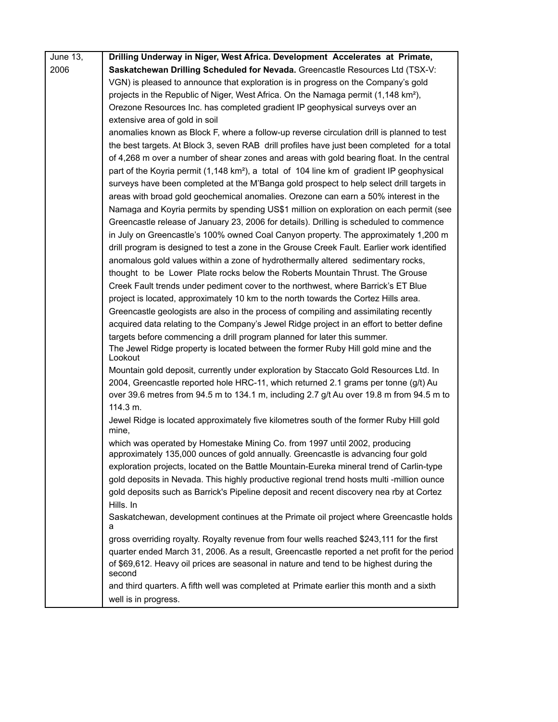| June 13, | Drilling Underway in Niger, West Africa. Development Accelerates at Primate,                                                                                    |
|----------|-----------------------------------------------------------------------------------------------------------------------------------------------------------------|
| 2006     | Saskatchewan Drilling Scheduled for Nevada. Greencastle Resources Ltd (TSX-V:                                                                                   |
|          | VGN) is pleased to announce that exploration is in progress on the Company's gold                                                                               |
|          | projects in the Republic of Niger, West Africa. On the Namaga permit (1,148 km <sup>2</sup> ),                                                                  |
|          | Orezone Resources Inc. has completed gradient IP geophysical surveys over an                                                                                    |
|          | extensive area of gold in soil                                                                                                                                  |
|          | anomalies known as Block F, where a follow-up reverse circulation drill is planned to test                                                                      |
|          | the best targets. At Block 3, seven RAB drill profiles have just been completed for a total                                                                     |
|          | of 4,268 m over a number of shear zones and areas with gold bearing float. In the central                                                                       |
|          | part of the Koyria permit (1,148 km <sup>2</sup> ), a total of 104 line km of gradient IP geophysical                                                           |
|          | surveys have been completed at the M'Banga gold prospect to help select drill targets in                                                                        |
|          | areas with broad gold geochemical anomalies. Orezone can earn a 50% interest in the                                                                             |
|          | Namaga and Koyria permits by spending US\$1 million on exploration on each permit (see                                                                          |
|          | Greencastle release of January 23, 2006 for details). Drilling is scheduled to commence                                                                         |
|          | in July on Greencastle's 100% owned Coal Canyon property. The approximately 1,200 m                                                                             |
|          | drill program is designed to test a zone in the Grouse Creek Fault. Earlier work identified                                                                     |
|          | anomalous gold values within a zone of hydrothermally altered sedimentary rocks,                                                                                |
|          | thought to be Lower Plate rocks below the Roberts Mountain Thrust. The Grouse                                                                                   |
|          | Creek Fault trends under pediment cover to the northwest, where Barrick's ET Blue                                                                               |
|          | project is located, approximately 10 km to the north towards the Cortez Hills area.                                                                             |
|          | Greencastle geologists are also in the process of compiling and assimilating recently                                                                           |
|          | acquired data relating to the Company's Jewel Ridge project in an effort to better define                                                                       |
|          | targets before commencing a drill program planned for later this summer.                                                                                        |
|          | The Jewel Ridge property is located between the former Ruby Hill gold mine and the<br>Lookout                                                                   |
|          | Mountain gold deposit, currently under exploration by Staccato Gold Resources Ltd. In                                                                           |
|          | 2004, Greencastle reported hole HRC-11, which returned 2.1 grams per tonne (g/t) Au                                                                             |
|          | over 39.6 metres from 94.5 m to 134.1 m, including 2.7 g/t Au over 19.8 m from 94.5 m to                                                                        |
|          | 114.3 m.                                                                                                                                                        |
|          | Jewel Ridge is located approximately five kilometres south of the former Ruby Hill gold<br>mine,                                                                |
|          | which was operated by Homestake Mining Co. from 1997 until 2002, producing<br>approximately 135,000 ounces of gold annually. Greencastle is advancing four gold |
|          | exploration projects, located on the Battle Mountain-Eureka mineral trend of Carlin-type                                                                        |
|          | gold deposits in Nevada. This highly productive regional trend hosts multi -million ounce                                                                       |
|          | gold deposits such as Barrick's Pipeline deposit and recent discovery nea rby at Cortez                                                                         |
|          | Hills. In                                                                                                                                                       |
|          | Saskatchewan, development continues at the Primate oil project where Greencastle holds<br>а                                                                     |
|          | gross overriding royalty. Royalty revenue from four wells reached \$243,111 for the first                                                                       |
|          | quarter ended March 31, 2006. As a result, Greencastle reported a net profit for the period                                                                     |
|          | of \$69,612. Heavy oil prices are seasonal in nature and tend to be highest during the<br>second                                                                |
|          | and third quarters. A fifth well was completed at Primate earlier this month and a sixth                                                                        |
|          | well is in progress.                                                                                                                                            |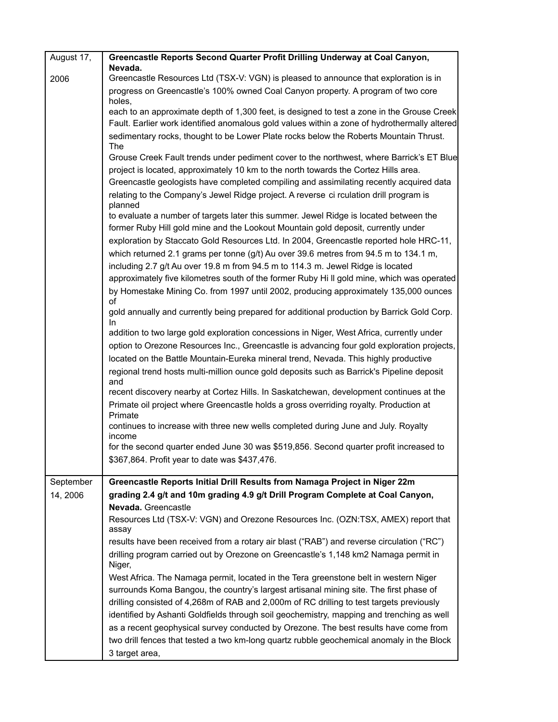| August 17, | Greencastle Reports Second Quarter Profit Drilling Underway at Coal Canyon,                          |
|------------|------------------------------------------------------------------------------------------------------|
| 2006       | Nevada.<br>Greencastle Resources Ltd (TSX-V: VGN) is pleased to announce that exploration is in      |
|            | progress on Greencastle's 100% owned Coal Canyon property. A program of two core                     |
|            | holes.<br>each to an approximate depth of 1,300 feet, is designed to test a zone in the Grouse Creek |
|            | Fault. Earlier work identified anomalous gold values within a zone of hydrothermally altered         |
|            | sedimentary rocks, thought to be Lower Plate rocks below the Roberts Mountain Thrust.                |
|            | <b>The</b>                                                                                           |
|            | Grouse Creek Fault trends under pediment cover to the northwest, where Barrick's ET Blue             |
|            | project is located, approximately 10 km to the north towards the Cortez Hills area.                  |
|            | Greencastle geologists have completed compiling and assimilating recently acquired data              |
|            | relating to the Company's Jewel Ridge project. A reverse ci rculation drill program is<br>planned    |
|            | to evaluate a number of targets later this summer. Jewel Ridge is located between the                |
|            | former Ruby Hill gold mine and the Lookout Mountain gold deposit, currently under                    |
|            | exploration by Staccato Gold Resources Ltd. In 2004, Greencastle reported hole HRC-11,               |
|            | which returned 2.1 grams per tonne (g/t) Au over 39.6 metres from 94.5 m to 134.1 m,                 |
|            | including 2.7 g/t Au over 19.8 m from 94.5 m to 114.3 m. Jewel Ridge is located                      |
|            | approximately five kilometres south of the former Ruby Hi II gold mine, which was operated           |
|            | by Homestake Mining Co. from 1997 until 2002, producing approximately 135,000 ounces<br>of           |
|            | gold annually and currently being prepared for additional production by Barrick Gold Corp.<br>In.    |
|            | addition to two large gold exploration concessions in Niger, West Africa, currently under            |
|            | option to Orezone Resources Inc., Greencastle is advancing four gold exploration projects,           |
|            | located on the Battle Mountain-Eureka mineral trend, Nevada. This highly productive                  |
|            | regional trend hosts multi-million ounce gold deposits such as Barrick's Pipeline deposit<br>and     |
|            | recent discovery nearby at Cortez Hills. In Saskatchewan, development continues at the               |
|            | Primate oil project where Greencastle holds a gross overriding royalty. Production at<br>Primate     |
|            | continues to increase with three new wells completed during June and July. Royalty<br>income         |
|            | for the second quarter ended June 30 was \$519,856. Second quarter profit increased to               |
|            | \$367,864. Profit year to date was \$437,476.                                                        |
| September  | Greencastle Reports Initial Drill Results from Namaga Project in Niger 22m                           |
| 14, 2006   | grading 2.4 g/t and 10m grading 4.9 g/t Drill Program Complete at Coal Canyon,                       |
|            | Nevada. Greencastle                                                                                  |
|            | Resources Ltd (TSX-V: VGN) and Orezone Resources Inc. (OZN:TSX, AMEX) report that<br>assay           |
|            | results have been received from a rotary air blast ("RAB") and reverse circulation ("RC")            |
|            | drilling program carried out by Orezone on Greencastle's 1,148 km2 Namaga permit in<br>Niger,        |
|            | West Africa. The Namaga permit, located in the Tera greenstone belt in western Niger                 |
|            | surrounds Koma Bangou, the country's largest artisanal mining site. The first phase of               |
|            | drilling consisted of 4,268m of RAB and 2,000m of RC drilling to test targets previously             |
|            | identified by Ashanti Goldfields through soil geochemistry, mapping and trenching as well            |
|            | as a recent geophysical survey conducted by Orezone. The best results have come from                 |
|            | two drill fences that tested a two km-long quartz rubble geochemical anomaly in the Block            |
|            | 3 target area,                                                                                       |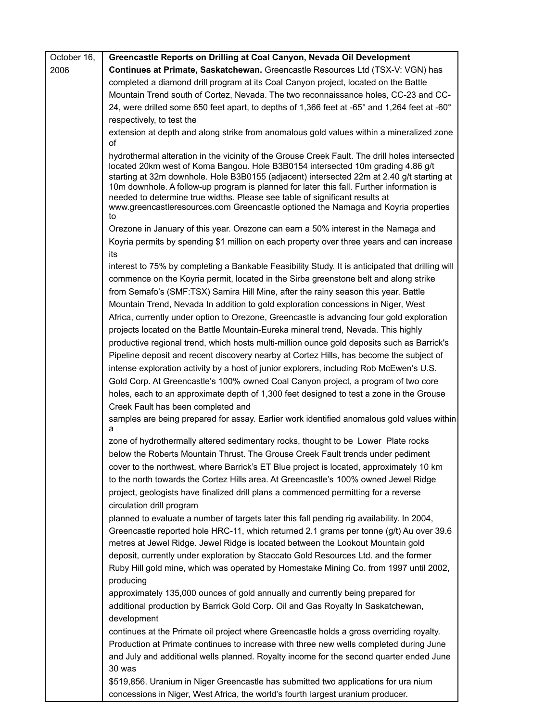| October 16, | Greencastle Reports on Drilling at Coal Canyon, Nevada Oil Development                                                                                                                                                                                                                                                                                                                                                                                                                                                                                                                                                                                                                                                                                                                                                                                                                                                                                                                                                                                                                                                                                                                                                                                                                                                                                                                                                                                                                                                       |
|-------------|------------------------------------------------------------------------------------------------------------------------------------------------------------------------------------------------------------------------------------------------------------------------------------------------------------------------------------------------------------------------------------------------------------------------------------------------------------------------------------------------------------------------------------------------------------------------------------------------------------------------------------------------------------------------------------------------------------------------------------------------------------------------------------------------------------------------------------------------------------------------------------------------------------------------------------------------------------------------------------------------------------------------------------------------------------------------------------------------------------------------------------------------------------------------------------------------------------------------------------------------------------------------------------------------------------------------------------------------------------------------------------------------------------------------------------------------------------------------------------------------------------------------------|
| 2006        | Continues at Primate, Saskatchewan. Greencastle Resources Ltd (TSX-V: VGN) has                                                                                                                                                                                                                                                                                                                                                                                                                                                                                                                                                                                                                                                                                                                                                                                                                                                                                                                                                                                                                                                                                                                                                                                                                                                                                                                                                                                                                                               |
|             | completed a diamond drill program at its Coal Canyon project, located on the Battle                                                                                                                                                                                                                                                                                                                                                                                                                                                                                                                                                                                                                                                                                                                                                                                                                                                                                                                                                                                                                                                                                                                                                                                                                                                                                                                                                                                                                                          |
|             | Mountain Trend south of Cortez, Nevada. The two reconnaissance holes, CC-23 and CC-                                                                                                                                                                                                                                                                                                                                                                                                                                                                                                                                                                                                                                                                                                                                                                                                                                                                                                                                                                                                                                                                                                                                                                                                                                                                                                                                                                                                                                          |
|             | 24, were drilled some 650 feet apart, to depths of 1,366 feet at -65° and 1,264 feet at -60°                                                                                                                                                                                                                                                                                                                                                                                                                                                                                                                                                                                                                                                                                                                                                                                                                                                                                                                                                                                                                                                                                                                                                                                                                                                                                                                                                                                                                                 |
|             | respectively, to test the                                                                                                                                                                                                                                                                                                                                                                                                                                                                                                                                                                                                                                                                                                                                                                                                                                                                                                                                                                                                                                                                                                                                                                                                                                                                                                                                                                                                                                                                                                    |
|             | extension at depth and along strike from anomalous gold values within a mineralized zone<br>οf                                                                                                                                                                                                                                                                                                                                                                                                                                                                                                                                                                                                                                                                                                                                                                                                                                                                                                                                                                                                                                                                                                                                                                                                                                                                                                                                                                                                                               |
|             | hydrothermal alteration in the vicinity of the Grouse Creek Fault. The drill holes intersected<br>located 20km west of Koma Bangou. Hole B3B0154 intersected 10m grading 4.86 g/t<br>starting at 32m downhole. Hole B3B0155 (adjacent) intersected 22m at 2.40 g/t starting at<br>10m downhole. A follow-up program is planned for later this fall. Further information is<br>needed to determine true widths. Please see table of significant results at<br>www.greencastleresources.com Greencastle optioned the Namaga and Koyria properties<br>to                                                                                                                                                                                                                                                                                                                                                                                                                                                                                                                                                                                                                                                                                                                                                                                                                                                                                                                                                                        |
|             | Orezone in January of this year. Orezone can earn a 50% interest in the Namaga and                                                                                                                                                                                                                                                                                                                                                                                                                                                                                                                                                                                                                                                                                                                                                                                                                                                                                                                                                                                                                                                                                                                                                                                                                                                                                                                                                                                                                                           |
|             | Koyria permits by spending \$1 million on each property over three years and can increase                                                                                                                                                                                                                                                                                                                                                                                                                                                                                                                                                                                                                                                                                                                                                                                                                                                                                                                                                                                                                                                                                                                                                                                                                                                                                                                                                                                                                                    |
|             | its                                                                                                                                                                                                                                                                                                                                                                                                                                                                                                                                                                                                                                                                                                                                                                                                                                                                                                                                                                                                                                                                                                                                                                                                                                                                                                                                                                                                                                                                                                                          |
|             | interest to 75% by completing a Bankable Feasibility Study. It is anticipated that drilling will<br>commence on the Koyria permit, located in the Sirba greenstone belt and along strike<br>from Semafo's (SMF:TSX) Samira Hill Mine, after the rainy season this year. Battle<br>Mountain Trend, Nevada In addition to gold exploration concessions in Niger, West<br>Africa, currently under option to Orezone, Greencastle is advancing four gold exploration<br>projects located on the Battle Mountain-Eureka mineral trend, Nevada. This highly<br>productive regional trend, which hosts multi-million ounce gold deposits such as Barrick's<br>Pipeline deposit and recent discovery nearby at Cortez Hills, has become the subject of<br>intense exploration activity by a host of junior explorers, including Rob McEwen's U.S.<br>Gold Corp. At Greencastle's 100% owned Coal Canyon project, a program of two core<br>holes, each to an approximate depth of 1,300 feet designed to test a zone in the Grouse<br>Creek Fault has been completed and<br>samples are being prepared for assay. Earlier work identified anomalous gold values within<br>a<br>zone of hydrothermally altered sedimentary rocks, thought to be Lower Plate rocks<br>below the Roberts Mountain Thrust. The Grouse Creek Fault trends under pediment<br>cover to the northwest, where Barrick's ET Blue project is located, approximately 10 km<br>to the north towards the Cortez Hills area. At Greencastle's 100% owned Jewel Ridge |
|             | project, geologists have finalized drill plans a commenced permitting for a reverse                                                                                                                                                                                                                                                                                                                                                                                                                                                                                                                                                                                                                                                                                                                                                                                                                                                                                                                                                                                                                                                                                                                                                                                                                                                                                                                                                                                                                                          |
|             | circulation drill program                                                                                                                                                                                                                                                                                                                                                                                                                                                                                                                                                                                                                                                                                                                                                                                                                                                                                                                                                                                                                                                                                                                                                                                                                                                                                                                                                                                                                                                                                                    |
|             | planned to evaluate a number of targets later this fall pending rig availability. In 2004,                                                                                                                                                                                                                                                                                                                                                                                                                                                                                                                                                                                                                                                                                                                                                                                                                                                                                                                                                                                                                                                                                                                                                                                                                                                                                                                                                                                                                                   |
|             | Greencastle reported hole HRC-11, which returned 2.1 grams per tonne (g/t) Au over 39.6                                                                                                                                                                                                                                                                                                                                                                                                                                                                                                                                                                                                                                                                                                                                                                                                                                                                                                                                                                                                                                                                                                                                                                                                                                                                                                                                                                                                                                      |
|             | metres at Jewel Ridge. Jewel Ridge is located between the Lookout Mountain gold                                                                                                                                                                                                                                                                                                                                                                                                                                                                                                                                                                                                                                                                                                                                                                                                                                                                                                                                                                                                                                                                                                                                                                                                                                                                                                                                                                                                                                              |
|             | deposit, currently under exploration by Staccato Gold Resources Ltd. and the former<br>Ruby Hill gold mine, which was operated by Homestake Mining Co. from 1997 until 2002,                                                                                                                                                                                                                                                                                                                                                                                                                                                                                                                                                                                                                                                                                                                                                                                                                                                                                                                                                                                                                                                                                                                                                                                                                                                                                                                                                 |
|             | producing<br>approximately 135,000 ounces of gold annually and currently being prepared for                                                                                                                                                                                                                                                                                                                                                                                                                                                                                                                                                                                                                                                                                                                                                                                                                                                                                                                                                                                                                                                                                                                                                                                                                                                                                                                                                                                                                                  |
|             | additional production by Barrick Gold Corp. Oil and Gas Royalty In Saskatchewan,<br>development                                                                                                                                                                                                                                                                                                                                                                                                                                                                                                                                                                                                                                                                                                                                                                                                                                                                                                                                                                                                                                                                                                                                                                                                                                                                                                                                                                                                                              |
|             | continues at the Primate oil project where Greencastle holds a gross overriding royalty.<br>Production at Primate continues to increase with three new wells completed during June<br>and July and additional wells planned. Royalty income for the second quarter ended June<br>30 was                                                                                                                                                                                                                                                                                                                                                                                                                                                                                                                                                                                                                                                                                                                                                                                                                                                                                                                                                                                                                                                                                                                                                                                                                                      |
|             | \$510,856, Uranium in Niger Creencastle has submitted two applications for ura nium                                                                                                                                                                                                                                                                                                                                                                                                                                                                                                                                                                                                                                                                                                                                                                                                                                                                                                                                                                                                                                                                                                                                                                                                                                                                                                                                                                                                                                          |

\$519,856. Uranium in Niger Greencastle has submitted two applications for ura nium concessions in Niger, West Africa, the world's fourth largest uranium producer.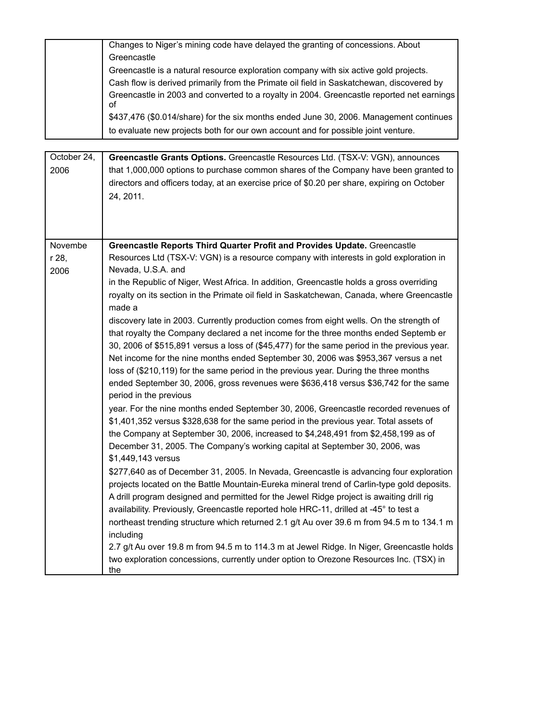Changes to Niger's mining code have delayed the granting of concessions. About **Greencastle** 

Greencastle is a natural resource exploration company with six active gold projects. Cash flow is derived primarily from the Primate oil field in Saskatchewan, discovered by Greencastle in 2003 and converted to a royalty in 2004. Greencastle reported net earnings of \$437,476 (\$0.014/share) for the six months ended June 30, 2006. Management continues

to evaluate new projects both for our own account and for possible joint venture.

| October 24, | Greencastle Grants Options. Greencastle Resources Ltd. (TSX-V: VGN), announces              |
|-------------|---------------------------------------------------------------------------------------------|
| 2006        | that 1,000,000 options to purchase common shares of the Company have been granted to        |
|             | directors and officers today, at an exercise price of \$0.20 per share, expiring on October |
|             | 24, 2011.                                                                                   |
|             |                                                                                             |
|             |                                                                                             |
|             |                                                                                             |
| Novembe     | Greencastle Reports Third Quarter Profit and Provides Update. Greencastle                   |
| r 28,       | Resources Ltd (TSX-V: VGN) is a resource company with interests in gold exploration in      |
| 2006        | Nevada, U.S.A. and                                                                          |
|             | in the Republic of Niger, West Africa. In addition, Greencastle holds a gross overriding    |
|             | royalty on its section in the Primate oil field in Saskatchewan, Canada, where Greencastle  |
|             | made a                                                                                      |
|             | discovery late in 2003. Currently production comes from eight wells. On the strength of     |
|             | that royalty the Company declared a net income for the three months ended Septemb er        |
|             | 30, 2006 of \$515,891 versus a loss of (\$45,477) for the same period in the previous year. |
|             | Net income for the nine months ended September 30, 2006 was \$953,367 versus a net          |
|             | loss of (\$210,119) for the same period in the previous year. During the three months       |
|             | ended September 30, 2006, gross revenues were \$636,418 versus \$36,742 for the same        |
|             | period in the previous                                                                      |
|             | year. For the nine months ended September 30, 2006, Greencastle recorded revenues of        |
|             | \$1,401,352 versus \$328,638 for the same period in the previous year. Total assets of      |
|             | the Company at September 30, 2006, increased to \$4,248,491 from \$2,458,199 as of          |
|             | December 31, 2005. The Company's working capital at September 30, 2006, was                 |
|             | \$1,449,143 versus                                                                          |
|             | \$277,640 as of December 31, 2005. In Nevada, Greencastle is advancing four exploration     |
|             | projects located on the Battle Mountain-Eureka mineral trend of Carlin-type gold deposits.  |
|             | A drill program designed and permitted for the Jewel Ridge project is awaiting drill rig    |
|             | availability. Previously, Greencastle reported hole HRC-11, drilled at -45° to test a       |
|             | northeast trending structure which returned 2.1 g/t Au over 39.6 m from 94.5 m to 134.1 m   |
|             | including                                                                                   |
|             | 2.7 g/t Au over 19.8 m from 94.5 m to 114.3 m at Jewel Ridge. In Niger, Greencastle holds   |
|             | two exploration concessions, currently under option to Orezone Resources Inc. (TSX) in      |
|             | the                                                                                         |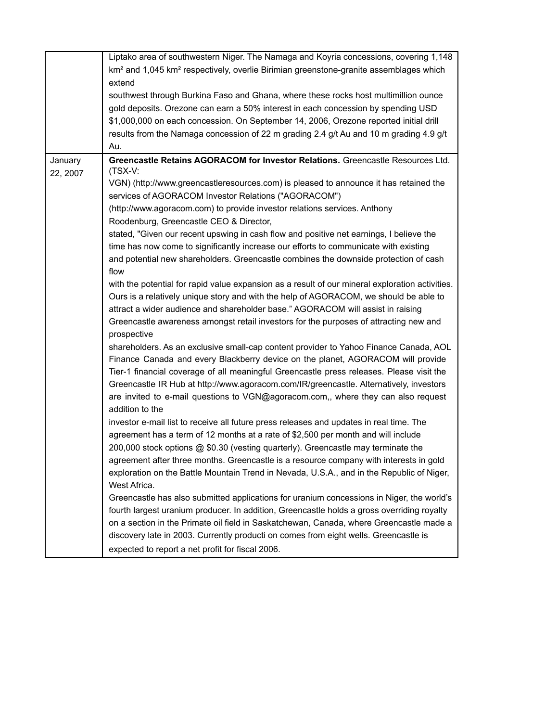|          | Liptako area of southwestern Niger. The Namaga and Koyria concessions, covering 1,148                         |
|----------|---------------------------------------------------------------------------------------------------------------|
|          | km <sup>2</sup> and 1,045 km <sup>2</sup> respectively, overlie Birimian greenstone-granite assemblages which |
|          | extend                                                                                                        |
|          | southwest through Burkina Faso and Ghana, where these rocks host multimillion ounce                           |
|          | gold deposits. Orezone can earn a 50% interest in each concession by spending USD                             |
|          | \$1,000,000 on each concession. On September 14, 2006, Orezone reported initial drill                         |
|          | results from the Namaga concession of 22 m grading 2.4 g/t Au and 10 m grading 4.9 g/t                        |
|          | Au.                                                                                                           |
| January  | Greencastle Retains AGORACOM for Investor Relations. Greencastle Resources Ltd.<br>$(TSX-V:$                  |
| 22, 2007 | VGN) (http://www.greencastleresources.com) is pleased to announce it has retained the                         |
|          | services of AGORACOM Investor Relations ("AGORACOM")                                                          |
|          | (http://www.agoracom.com) to provide investor relations services. Anthony                                     |
|          | Roodenburg, Greencastle CEO & Director,                                                                       |
|          | stated, "Given our recent upswing in cash flow and positive net earnings, I believe the                       |
|          | time has now come to significantly increase our efforts to communicate with existing                          |
|          | and potential new shareholders. Greencastle combines the downside protection of cash                          |
|          | flow                                                                                                          |
|          | with the potential for rapid value expansion as a result of our mineral exploration activities.               |
|          | Ours is a relatively unique story and with the help of AGORACOM, we should be able to                         |
|          | attract a wider audience and shareholder base." AGORACOM will assist in raising                               |
|          | Greencastle awareness amongst retail investors for the purposes of attracting new and                         |
|          | prospective                                                                                                   |
|          | shareholders. As an exclusive small-cap content provider to Yahoo Finance Canada, AOL                         |
|          | Finance Canada and every Blackberry device on the planet, AGORACOM will provide                               |
|          | Tier-1 financial coverage of all meaningful Greencastle press releases. Please visit the                      |
|          |                                                                                                               |
|          | Greencastle IR Hub at http://www.agoracom.com/IR/greencastle. Alternatively, investors                        |
|          | are invited to e-mail questions to VGN@agoracom.com,, where they can also request                             |
|          | addition to the                                                                                               |
|          | investor e-mail list to receive all future press releases and updates in real time. The                       |
|          | agreement has a term of 12 months at a rate of \$2,500 per month and will include                             |
|          | 200,000 stock options @ \$0.30 (vesting quarterly). Greencastle may terminate the                             |
|          | agreement after three months. Greencastle is a resource company with interests in gold                        |
|          | exploration on the Battle Mountain Trend in Nevada, U.S.A., and in the Republic of Niger,                     |
|          | West Africa.                                                                                                  |
|          | Greencastle has also submitted applications for uranium concessions in Niger, the world's                     |
|          | fourth largest uranium producer. In addition, Greencastle holds a gross overriding royalty                    |
|          | on a section in the Primate oil field in Saskatchewan, Canada, where Greencastle made a                       |
|          | discovery late in 2003. Currently producti on comes from eight wells. Greencastle is                          |
|          | expected to report a net profit for fiscal 2006.                                                              |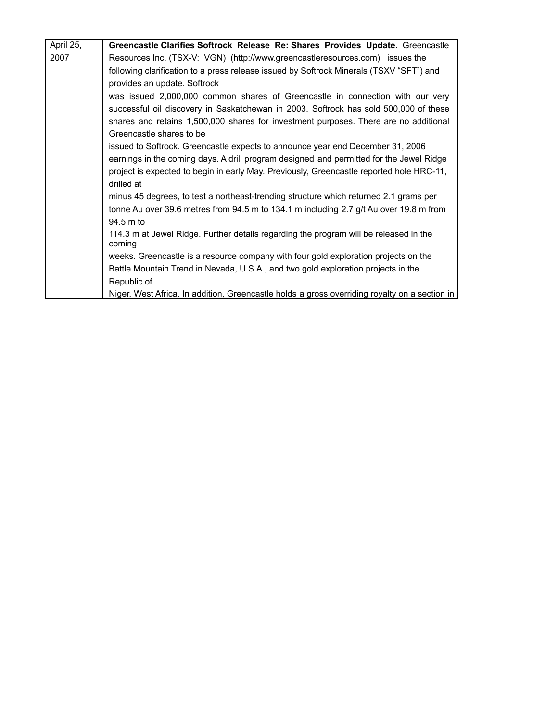| April 25, | Greencastle Clarifies Softrock Release Re: Shares Provides Update. Greencastle                |
|-----------|-----------------------------------------------------------------------------------------------|
| 2007      | Resources Inc. (TSX-V: VGN) (http://www.greencastleresources.com) issues the                  |
|           | following clarification to a press release issued by Softrock Minerals (TSXV "SFT") and       |
|           | provides an update. Softrock                                                                  |
|           | was issued 2,000,000 common shares of Greencastle in connection with our very                 |
|           | successful oil discovery in Saskatchewan in 2003. Softrock has sold 500,000 of these          |
|           | shares and retains 1,500,000 shares for investment purposes. There are no additional          |
|           | Greencastle shares to be                                                                      |
|           | issued to Softrock. Greencastle expects to announce year end December 31, 2006                |
|           | earnings in the coming days. A drill program designed and permitted for the Jewel Ridge       |
|           | project is expected to begin in early May. Previously, Greencastle reported hole HRC-11,      |
|           | drilled at                                                                                    |
|           | minus 45 degrees, to test a northeast-trending structure which returned 2.1 grams per         |
|           | tonne Au over 39.6 metres from 94.5 m to 134.1 m including 2.7 g/t Au over 19.8 m from        |
|           | 94.5 m to                                                                                     |
|           | 114.3 m at Jewel Ridge. Further details regarding the program will be released in the         |
|           | coming                                                                                        |
|           | weeks. Greencastle is a resource company with four gold exploration projects on the           |
|           | Battle Mountain Trend in Nevada, U.S.A., and two gold exploration projects in the             |
|           | Republic of                                                                                   |
|           | Niger, West Africa. In addition, Greencastle holds a gross overriding royalty on a section in |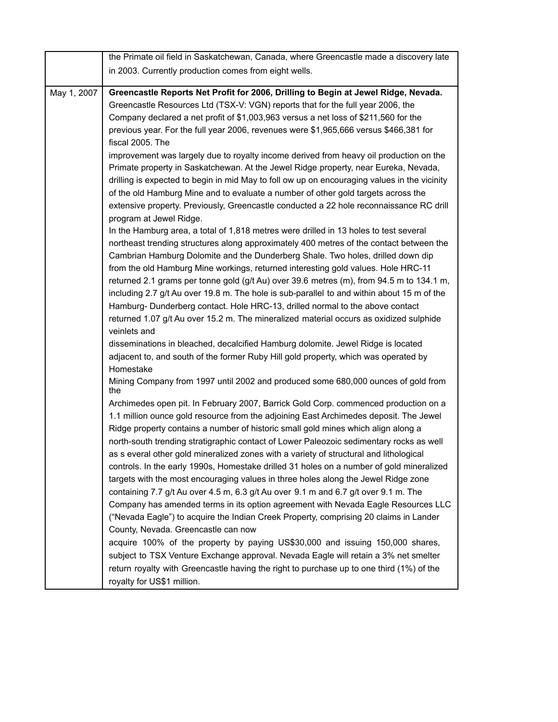|             | the Primate oil field in Saskatchewan, Canada, where Greencastle made a discovery late       |
|-------------|----------------------------------------------------------------------------------------------|
|             | in 2003. Currently production comes from eight wells.                                        |
|             |                                                                                              |
| May 1, 2007 | Greencastle Reports Net Profit for 2006, Drilling to Begin at Jewel Ridge, Nevada.           |
|             | Greencastle Resources Ltd (TSX-V: VGN) reports that for the full year 2006, the              |
|             | Company declared a net profit of \$1,003,963 versus a net loss of \$211,560 for the          |
|             | previous year. For the full year 2006, revenues were \$1,965,666 versus \$466,381 for        |
|             | fiscal 2005. The                                                                             |
|             | improvement was largely due to royalty income derived from heavy oil production on the       |
|             | Primate property in Saskatchewan. At the Jewel Ridge property, near Eureka, Nevada,          |
|             | drilling is expected to begin in mid May to foll ow up on encouraging values in the vicinity |
|             | of the old Hamburg Mine and to evaluate a number of other gold targets across the            |
|             | extensive property. Previously, Greencastle conducted a 22 hole reconnaissance RC drill      |
|             | program at Jewel Ridge.                                                                      |
|             | In the Hamburg area, a total of 1,818 metres were drilled in 13 holes to test several        |
|             | northeast trending structures along approximately 400 metres of the contact between the      |
|             | Cambrian Hamburg Dolomite and the Dunderberg Shale. Two holes, drilled down dip              |
|             | from the old Hamburg Mine workings, returned interesting gold values. Hole HRC-11            |
|             | returned 2.1 grams per tonne gold (g/t Au) over 39.6 metres (m), from 94.5 m to 134.1 m,     |
|             | including 2.7 g/t Au over 19.8 m. The hole is sub-parallel to and within about 15 m of the   |
|             | Hamburg- Dunderberg contact. Hole HRC-13, drilled normal to the above contact                |
|             | returned 1.07 g/t Au over 15.2 m. The mineralized material occurs as oxidized sulphide       |
|             | veinlets and                                                                                 |
|             | disseminations in bleached, decalcified Hamburg dolomite. Jewel Ridge is located             |
|             | adjacent to, and south of the former Ruby Hill gold property, which was operated by          |
|             | Homestake                                                                                    |
|             | Mining Company from 1997 until 2002 and produced some 680,000 ounces of gold from<br>the     |
|             | Archimedes open pit. In February 2007, Barrick Gold Corp. commenced production on a          |
|             | 1.1 million ounce gold resource from the adjoining East Archimedes deposit. The Jewel        |
|             | Ridge property contains a number of historic small gold mines which align along a            |
|             | north-south trending stratigraphic contact of Lower Paleozoic sedimentary rocks as well      |
|             | as s everal other gold mineralized zones with a variety of structural and lithological       |
|             | controls. In the early 1990s, Homestake drilled 31 holes on a number of gold mineralized     |
|             | targets with the most encouraging values in three holes along the Jewel Ridge zone           |
|             | containing 7.7 g/t Au over 4.5 m, 6.3 g/t Au over 9.1 m and 6.7 g/t over 9.1 m. The          |
|             | Company has amended terms in its option agreement with Nevada Eagle Resources LLC            |
|             | ("Nevada Eagle") to acquire the Indian Creek Property, comprising 20 claims in Lander        |
|             | County, Nevada. Greencastle can now                                                          |
|             | acquire 100% of the property by paying US\$30,000 and issuing 150,000 shares,                |
|             | subject to TSX Venture Exchange approval. Nevada Eagle will retain a 3% net smelter          |
|             | return royalty with Greencastle having the right to purchase up to one third (1%) of the     |
|             | royalty for US\$1 million.                                                                   |

l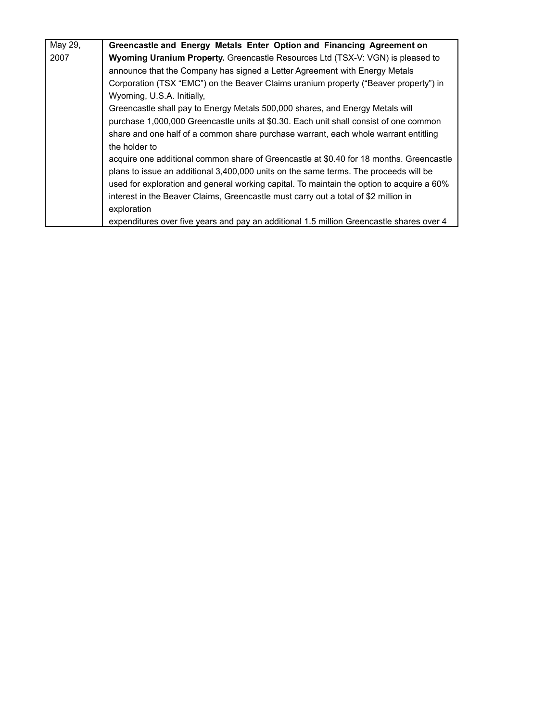| May 29, | Greencastle and Energy Metals Enter Option and Financing Agreement on                     |
|---------|-------------------------------------------------------------------------------------------|
| 2007    | Wyoming Uranium Property. Greencastle Resources Ltd (TSX-V: VGN) is pleased to            |
|         | announce that the Company has signed a Letter Agreement with Energy Metals                |
|         | Corporation (TSX "EMC") on the Beaver Claims uranium property ("Beaver property") in      |
|         | Wyoming, U.S.A. Initially,                                                                |
|         | Greencastle shall pay to Energy Metals 500,000 shares, and Energy Metals will             |
|         | purchase 1,000,000 Greencastle units at \$0.30. Each unit shall consist of one common     |
|         | share and one half of a common share purchase warrant, each whole warrant entitling       |
|         | the holder to                                                                             |
|         | acquire one additional common share of Greencastle at \$0.40 for 18 months. Greencastle   |
|         | plans to issue an additional 3,400,000 units on the same terms. The proceeds will be      |
|         | used for exploration and general working capital. To maintain the option to acquire a 60% |
|         | interest in the Beaver Claims, Greencastle must carry out a total of \$2 million in       |
|         | exploration                                                                               |
|         | expenditures over five years and pay an additional 1.5 million Greencastle shares over 4  |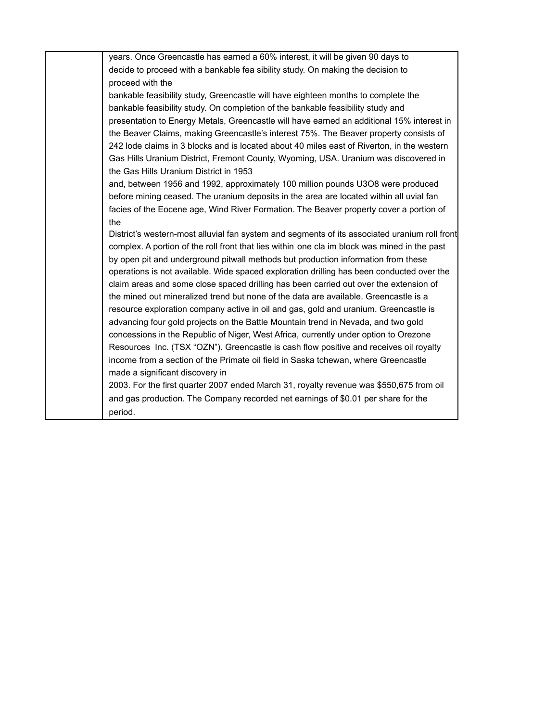| years. Once Greencastle has earned a 60% interest, it will be given 90 days to                |
|-----------------------------------------------------------------------------------------------|
| decide to proceed with a bankable fea sibility study. On making the decision to               |
| proceed with the                                                                              |
| bankable feasibility study, Greencastle will have eighteen months to complete the             |
| bankable feasibility study. On completion of the bankable feasibility study and               |
| presentation to Energy Metals, Greencastle will have earned an additional 15% interest in     |
| the Beaver Claims, making Greencastle's interest 75%. The Beaver property consists of         |
| 242 lode claims in 3 blocks and is located about 40 miles east of Riverton, in the western    |
| Gas Hills Uranium District, Fremont County, Wyoming, USA. Uranium was discovered in           |
| the Gas Hills Uranium District in 1953                                                        |
| and, between 1956 and 1992, approximately 100 million pounds U3O8 were produced               |
| before mining ceased. The uranium deposits in the area are located within all uvial fan       |
| facies of the Eocene age, Wind River Formation. The Beaver property cover a portion of        |
| the                                                                                           |
| District's western-most alluvial fan system and segments of its associated uranium roll front |
| complex. A portion of the roll front that lies within one cla im block was mined in the past  |
| by open pit and underground pitwall methods but production information from these             |
| operations is not available. Wide spaced exploration drilling has been conducted over the     |
| claim areas and some close spaced drilling has been carried out over the extension of         |
| the mined out mineralized trend but none of the data are available. Greencastle is a          |
| resource exploration company active in oil and gas, gold and uranium. Greencastle is          |
| advancing four gold projects on the Battle Mountain trend in Nevada, and two gold             |
| concessions in the Republic of Niger, West Africa, currently under option to Orezone          |
| Resources Inc. (TSX "OZN"). Greencastle is cash flow positive and receives oil royalty        |
| income from a section of the Primate oil field in Saska tchewan, where Greencastle            |
| made a significant discovery in                                                               |
| 2003. For the first quarter 2007 ended March 31, royalty revenue was \$550,675 from oil       |
| and gas production. The Company recorded net earnings of \$0.01 per share for the             |
| period.                                                                                       |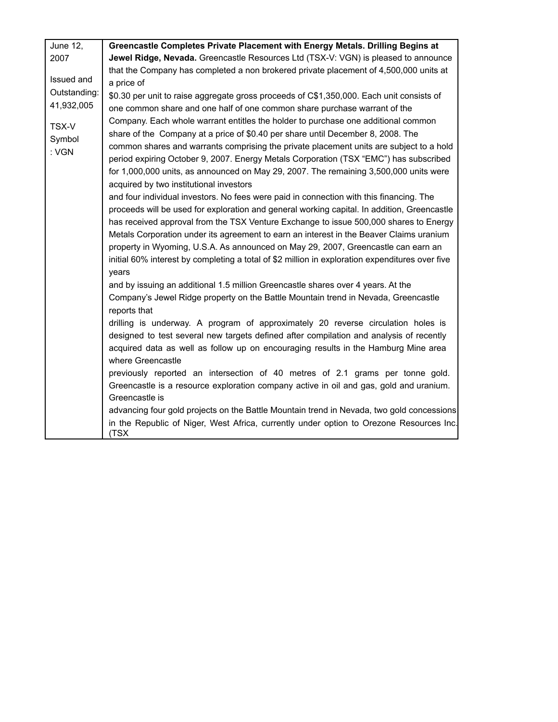| June 12,                                 | Greencastle Completes Private Placement with Energy Metals. Drilling Begins at                                                                                                                                                                                                                                                                                                                                                                                                                                                                                                                                                                                                                                                                                                                                                                                                                                                                                                                                                                                                                                                                                                                                                                                                                                                                                                                                                                                                                                                                                                                                                                                                                                                                                                                                                                                                                                                                                                                                                    |
|------------------------------------------|-----------------------------------------------------------------------------------------------------------------------------------------------------------------------------------------------------------------------------------------------------------------------------------------------------------------------------------------------------------------------------------------------------------------------------------------------------------------------------------------------------------------------------------------------------------------------------------------------------------------------------------------------------------------------------------------------------------------------------------------------------------------------------------------------------------------------------------------------------------------------------------------------------------------------------------------------------------------------------------------------------------------------------------------------------------------------------------------------------------------------------------------------------------------------------------------------------------------------------------------------------------------------------------------------------------------------------------------------------------------------------------------------------------------------------------------------------------------------------------------------------------------------------------------------------------------------------------------------------------------------------------------------------------------------------------------------------------------------------------------------------------------------------------------------------------------------------------------------------------------------------------------------------------------------------------------------------------------------------------------------------------------------------------|
| 2007                                     | Jewel Ridge, Nevada. Greencastle Resources Ltd (TSX-V: VGN) is pleased to announce                                                                                                                                                                                                                                                                                                                                                                                                                                                                                                                                                                                                                                                                                                                                                                                                                                                                                                                                                                                                                                                                                                                                                                                                                                                                                                                                                                                                                                                                                                                                                                                                                                                                                                                                                                                                                                                                                                                                                |
| Issued and<br>Outstanding:<br>41,932,005 | that the Company has completed a non brokered private placement of 4,500,000 units at<br>a price of<br>\$0.30 per unit to raise aggregate gross proceeds of C\$1,350,000. Each unit consists of                                                                                                                                                                                                                                                                                                                                                                                                                                                                                                                                                                                                                                                                                                                                                                                                                                                                                                                                                                                                                                                                                                                                                                                                                                                                                                                                                                                                                                                                                                                                                                                                                                                                                                                                                                                                                                   |
| TSX-V<br>Symbol<br>: VGN                 | one common share and one half of one common share purchase warrant of the<br>Company. Each whole warrant entitles the holder to purchase one additional common<br>share of the Company at a price of \$0.40 per share until December 8, 2008. The<br>common shares and warrants comprising the private placement units are subject to a hold<br>period expiring October 9, 2007. Energy Metals Corporation (TSX "EMC") has subscribed<br>for 1,000,000 units, as announced on May 29, 2007. The remaining 3,500,000 units were<br>acquired by two institutional investors<br>and four individual investors. No fees were paid in connection with this financing. The<br>proceeds will be used for exploration and general working capital. In addition, Greencastle<br>has received approval from the TSX Venture Exchange to issue 500,000 shares to Energy<br>Metals Corporation under its agreement to earn an interest in the Beaver Claims uranium<br>property in Wyoming, U.S.A. As announced on May 29, 2007, Greencastle can earn an<br>initial 60% interest by completing a total of \$2 million in exploration expenditures over five<br>years<br>and by issuing an additional 1.5 million Greencastle shares over 4 years. At the<br>Company's Jewel Ridge property on the Battle Mountain trend in Nevada, Greencastle<br>reports that<br>drilling is underway. A program of approximately 20 reverse circulation holes is<br>designed to test several new targets defined after compilation and analysis of recently<br>acquired data as well as follow up on encouraging results in the Hamburg Mine area<br>where Greencastle<br>previously reported an intersection of 40 metres of 2.1 grams per tonne gold.<br>Greencastle is a resource exploration company active in oil and gas, gold and uranium.<br>Greencastle is<br>advancing four gold projects on the Battle Mountain trend in Nevada, two gold concessions<br>in the Republic of Niger, West Africa, currently under option to Orezone Resources Inc. |
|                                          | (TSX                                                                                                                                                                                                                                                                                                                                                                                                                                                                                                                                                                                                                                                                                                                                                                                                                                                                                                                                                                                                                                                                                                                                                                                                                                                                                                                                                                                                                                                                                                                                                                                                                                                                                                                                                                                                                                                                                                                                                                                                                              |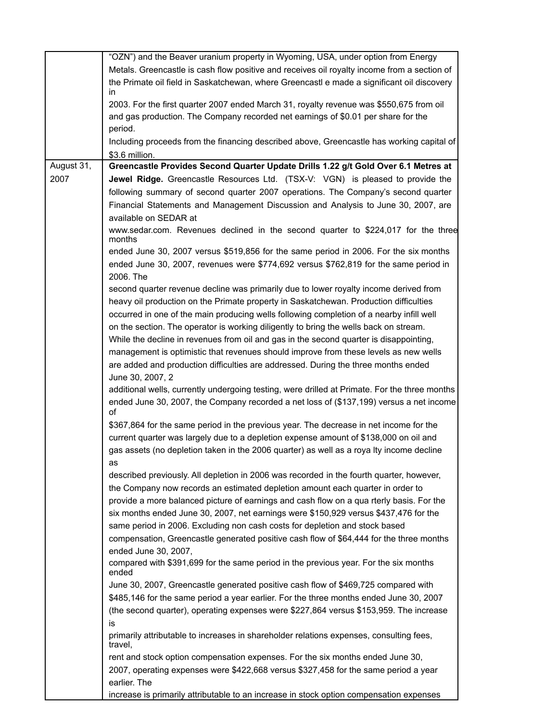|            | "OZN") and the Beaver uranium property in Wyoming, USA, under option from Energy                     |
|------------|------------------------------------------------------------------------------------------------------|
|            | Metals. Greencastle is cash flow positive and receives oil royalty income from a section of          |
|            | the Primate oil field in Saskatchewan, where Greencastl e made a significant oil discovery           |
|            | in                                                                                                   |
|            | 2003. For the first quarter 2007 ended March 31, royalty revenue was \$550,675 from oil              |
|            | and gas production. The Company recorded net earnings of \$0.01 per share for the                    |
|            | period.                                                                                              |
|            | Including proceeds from the financing described above, Greencastle has working capital of            |
| August 31, | \$3.6 million.<br>Greencastle Provides Second Quarter Update Drills 1.22 g/t Gold Over 6.1 Metres at |
| 2007       | Jewel Ridge. Greencastle Resources Ltd. (TSX-V: VGN) is pleased to provide the                       |
|            |                                                                                                      |
|            | following summary of second quarter 2007 operations. The Company's second quarter                    |
|            | Financial Statements and Management Discussion and Analysis to June 30, 2007, are                    |
|            | available on SEDAR at                                                                                |
|            | www.sedar.com. Revenues declined in the second quarter to \$224,017 for the three<br>months          |
|            | ended June 30, 2007 versus \$519,856 for the same period in 2006. For the six months                 |
|            | ended June 30, 2007, revenues were \$774,692 versus \$762,819 for the same period in                 |
|            | 2006. The                                                                                            |
|            | second quarter revenue decline was primarily due to lower royalty income derived from                |
|            | heavy oil production on the Primate property in Saskatchewan. Production difficulties                |
|            | occurred in one of the main producing wells following completion of a nearby infill well             |
|            | on the section. The operator is working diligently to bring the wells back on stream.                |
|            | While the decline in revenues from oil and gas in the second quarter is disappointing,               |
|            | management is optimistic that revenues should improve from these levels as new wells                 |
|            | are added and production difficulties are addressed. During the three months ended                   |
|            | June 30, 2007, 2                                                                                     |
|            | additional wells, currently undergoing testing, were drilled at Primate. For the three months        |
|            | ended June 30, 2007, the Company recorded a net loss of (\$137,199) versus a net income<br>οf        |
|            | \$367,864 for the same period in the previous year. The decrease in net income for the               |
|            | current quarter was largely due to a depletion expense amount of \$138,000 on oil and                |
|            | gas assets (no depletion taken in the 2006 quarter) as well as a roya Ity income decline             |
|            | as                                                                                                   |
|            | described previously. All depletion in 2006 was recorded in the fourth quarter, however,             |
|            | the Company now records an estimated depletion amount each quarter in order to                       |
|            | provide a more balanced picture of earnings and cash flow on a qua rterly basis. For the             |
|            | six months ended June 30, 2007, net earnings were \$150,929 versus \$437,476 for the                 |
|            | same period in 2006. Excluding non cash costs for depletion and stock based                          |
|            | compensation, Greencastle generated positive cash flow of \$64,444 for the three months              |
|            | ended June 30, 2007,                                                                                 |
|            | compared with \$391,699 for the same period in the previous year. For the six months<br>ended        |
|            | June 30, 2007, Greencastle generated positive cash flow of \$469,725 compared with                   |
|            | \$485,146 for the same period a year earlier. For the three months ended June 30, 2007               |
|            | (the second quarter), operating expenses were \$227,864 versus \$153,959. The increase               |
|            | is                                                                                                   |
|            | primarily attributable to increases in shareholder relations expenses, consulting fees,<br>travel,   |
|            | rent and stock option compensation expenses. For the six months ended June 30,                       |
|            | 2007, operating expenses were \$422,668 versus \$327,458 for the same period a year                  |
|            | earlier. The                                                                                         |
|            | increase is primarily attributable to an increase in stock option compensation expenses              |

| increase is primarily attributable to an increase in stock option compensation expenses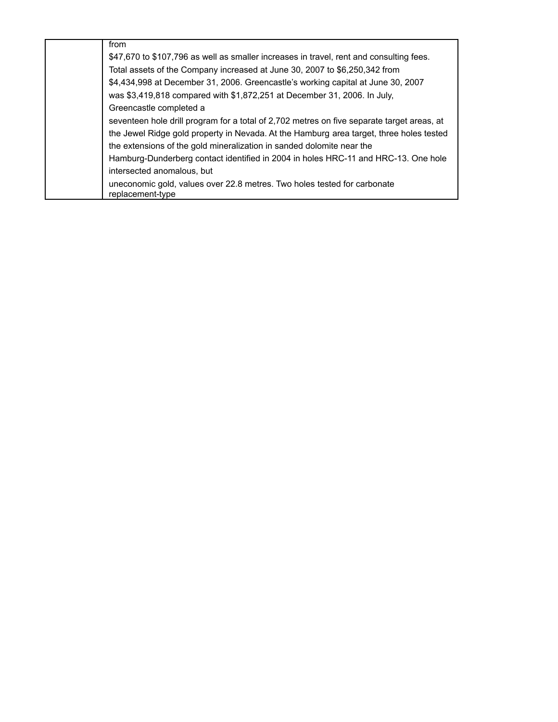| from                                                                                         |
|----------------------------------------------------------------------------------------------|
| \$47,670 to \$107,796 as well as smaller increases in travel, rent and consulting fees.      |
| Total assets of the Company increased at June 30, 2007 to \$6,250,342 from                   |
| \$4,434,998 at December 31, 2006. Greencastle's working capital at June 30, 2007             |
| was \$3,419,818 compared with \$1,872,251 at December 31, 2006. In July,                     |
| Greencastle completed a                                                                      |
| seventeen hole drill program for a total of 2,702 metres on five separate target areas, at   |
| the Jewel Ridge gold property in Nevada. At the Hamburg area target, three holes tested      |
| the extensions of the gold mineralization in sanded dolomite near the                        |
| Hamburg-Dunderberg contact identified in 2004 in holes HRC-11 and HRC-13. One hole           |
| intersected anomalous, but                                                                   |
| uneconomic gold, values over 22.8 metres. Two holes tested for carbonate<br>replacement-type |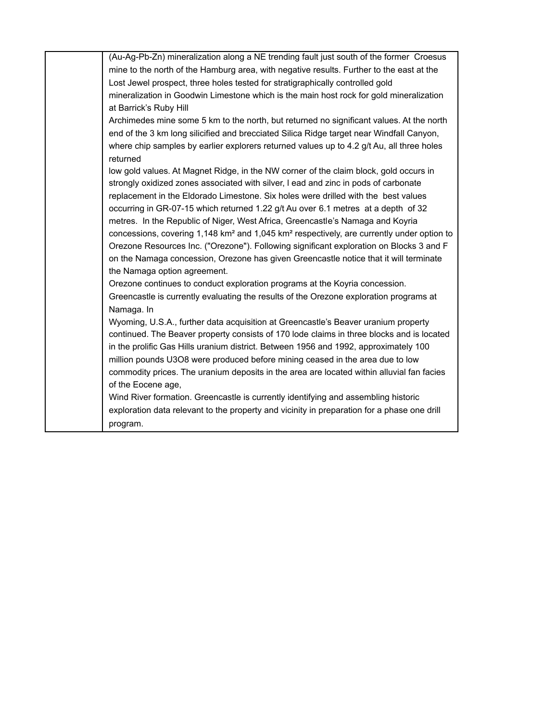| (Au-Ag-Pb-Zn) mineralization along a NE trending fault just south of the former Croesus                           |
|-------------------------------------------------------------------------------------------------------------------|
| mine to the north of the Hamburg area, with negative results. Further to the east at the                          |
| Lost Jewel prospect, three holes tested for stratigraphically controlled gold                                     |
| mineralization in Goodwin Limestone which is the main host rock for gold mineralization                           |
| at Barrick's Ruby Hill                                                                                            |
| Archimedes mine some 5 km to the north, but returned no significant values. At the north                          |
| end of the 3 km long silicified and brecciated Silica Ridge target near Windfall Canyon,                          |
| where chip samples by earlier explorers returned values up to 4.2 g/t Au, all three holes                         |
| returned                                                                                                          |
| low gold values. At Magnet Ridge, in the NW corner of the claim block, gold occurs in                             |
| strongly oxidized zones associated with silver, I ead and zinc in pods of carbonate                               |
| replacement in the Eldorado Limestone. Six holes were drilled with the best values                                |
| occurring in GR-07-15 which returned 1.22 g/t Au over 6.1 metres at a depth of 32                                 |
| metres. In the Republic of Niger, West Africa, Greencastle's Namaga and Koyria                                    |
| concessions, covering 1,148 km <sup>2</sup> and 1,045 km <sup>2</sup> respectively, are currently under option to |
| Orezone Resources Inc. ("Orezone"). Following significant exploration on Blocks 3 and F                           |
| on the Namaga concession, Orezone has given Greencastle notice that it will terminate                             |
| the Namaga option agreement.                                                                                      |
| Orezone continues to conduct exploration programs at the Koyria concession.                                       |
| Greencastle is currently evaluating the results of the Orezone exploration programs at                            |
| Namaga. In                                                                                                        |
| Wyoming, U.S.A., further data acquisition at Greencastle's Beaver uranium property                                |
| continued. The Beaver property consists of 170 lode claims in three blocks and is located                         |
| in the prolific Gas Hills uranium district. Between 1956 and 1992, approximately 100                              |
| million pounds U3O8 were produced before mining ceased in the area due to low                                     |
| commodity prices. The uranium deposits in the area are located within alluvial fan facies                         |
| of the Eocene age,                                                                                                |
| Wind River formation. Greencastle is currently identifying and assembling historic                                |
| exploration data relevant to the property and vicinity in preparation for a phase one drill                       |
| program.                                                                                                          |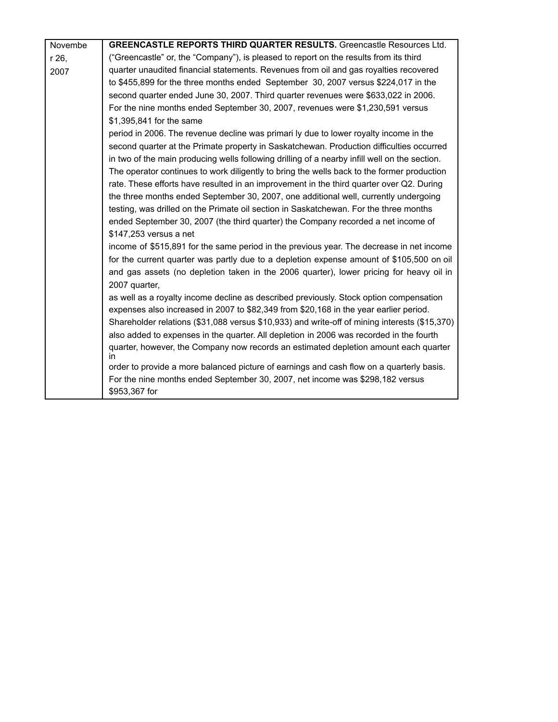| Novembe | <b>GREENCASTLE REPORTS THIRD QUARTER RESULTS.</b> Greencastle Resources Ltd.                  |
|---------|-----------------------------------------------------------------------------------------------|
| r 26,   | ("Greencastle" or, the "Company"), is pleased to report on the results from its third         |
| 2007    | quarter unaudited financial statements. Revenues from oil and gas royalties recovered         |
|         | to \$455,899 for the three months ended September 30, 2007 versus \$224,017 in the            |
|         | second quarter ended June 30, 2007. Third quarter revenues were \$633,022 in 2006.            |
|         | For the nine months ended September 30, 2007, revenues were \$1,230,591 versus                |
|         | \$1,395,841 for the same                                                                      |
|         | period in 2006. The revenue decline was primari ly due to lower royalty income in the         |
|         | second quarter at the Primate property in Saskatchewan. Production difficulties occurred      |
|         | in two of the main producing wells following drilling of a nearby infill well on the section. |
|         | The operator continues to work diligently to bring the wells back to the former production    |
|         | rate. These efforts have resulted in an improvement in the third quarter over Q2. During      |
|         | the three months ended September 30, 2007, one additional well, currently undergoing          |
|         | testing, was drilled on the Primate oil section in Saskatchewan. For the three months         |
|         | ended September 30, 2007 (the third quarter) the Company recorded a net income of             |
|         | \$147,253 versus a net                                                                        |
|         | income of \$515,891 for the same period in the previous year. The decrease in net income      |
|         | for the current quarter was partly due to a depletion expense amount of \$105,500 on oil      |
|         | and gas assets (no depletion taken in the 2006 quarter), lower pricing for heavy oil in       |
|         | 2007 quarter,                                                                                 |
|         | as well as a royalty income decline as described previously. Stock option compensation        |
|         | expenses also increased in 2007 to \$82,349 from \$20,168 in the year earlier period.         |
|         | Shareholder relations (\$31,088 versus \$10,933) and write-off of mining interests (\$15,370) |
|         | also added to expenses in the quarter. All depletion in 2006 was recorded in the fourth       |
|         | quarter, however, the Company now records an estimated depletion amount each quarter<br>in    |
|         | order to provide a more balanced picture of earnings and cash flow on a quarterly basis.      |
|         | For the nine months ended September 30, 2007, net income was \$298,182 versus                 |
|         | \$953,367 for                                                                                 |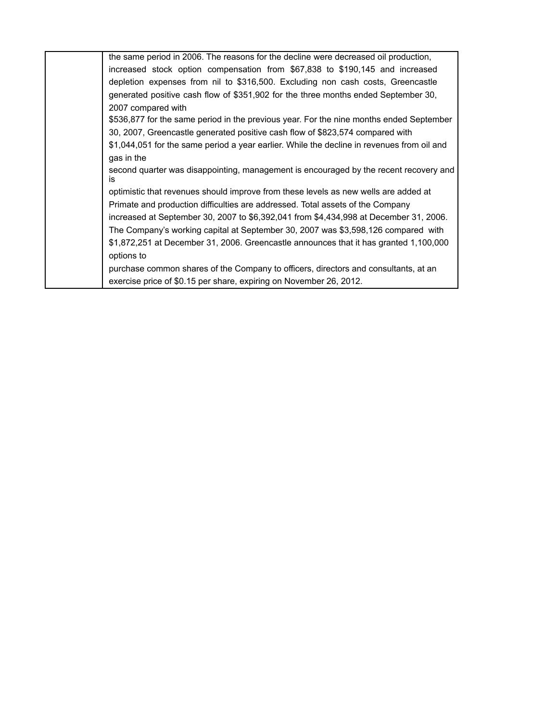| the same period in 2006. The reasons for the decline were decreased oil production,          |
|----------------------------------------------------------------------------------------------|
| increased stock option compensation from \$67,838 to \$190,145 and increased                 |
| depletion expenses from nil to \$316,500. Excluding non cash costs, Greencastle              |
| generated positive cash flow of \$351,902 for the three months ended September 30,           |
| 2007 compared with                                                                           |
| \$536,877 for the same period in the previous year. For the nine months ended September      |
| 30, 2007, Greencastle generated positive cash flow of \$823,574 compared with                |
| \$1,044,051 for the same period a year earlier. While the decline in revenues from oil and   |
| gas in the                                                                                   |
| second quarter was disappointing, management is encouraged by the recent recovery and<br>is. |
| optimistic that revenues should improve from these levels as new wells are added at          |
| Primate and production difficulties are addressed. Total assets of the Company               |
| increased at September 30, 2007 to \$6,392,041 from \$4,434,998 at December 31, 2006.        |
| The Company's working capital at September 30, 2007 was \$3,598,126 compared with            |
| \$1,872,251 at December 31, 2006. Greencastle announces that it has granted 1,100,000        |
| options to                                                                                   |
| purchase common shares of the Company to officers, directors and consultants, at an          |
| exercise price of \$0.15 per share, expiring on November 26, 2012.                           |
|                                                                                              |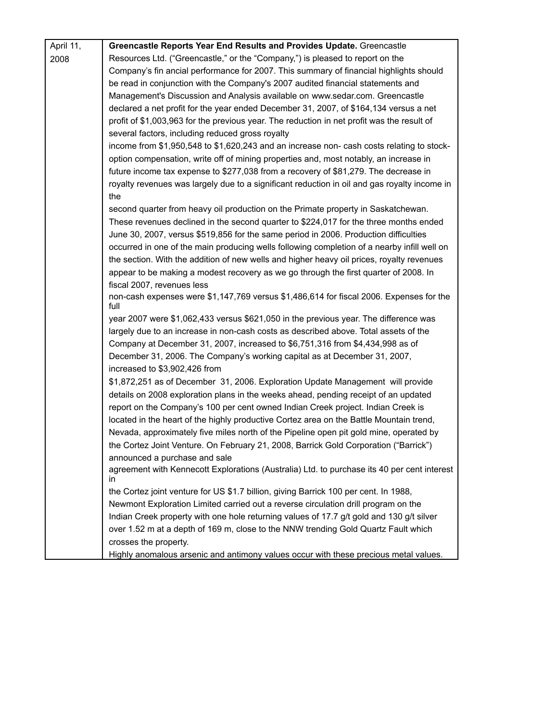| April 11, | Greencastle Reports Year End Results and Provides Update. Greencastle                                      |
|-----------|------------------------------------------------------------------------------------------------------------|
| 2008      | Resources Ltd. ("Greencastle," or the "Company,") is pleased to report on the                              |
|           | Company's fin ancial performance for 2007. This summary of financial highlights should                     |
|           | be read in conjunction with the Company's 2007 audited financial statements and                            |
|           | Management's Discussion and Analysis available on www.sedar.com. Greencastle                               |
|           | declared a net profit for the year ended December 31, 2007, of \$164,134 versus a net                      |
|           | profit of \$1,003,963 for the previous year. The reduction in net profit was the result of                 |
|           | several factors, including reduced gross royalty                                                           |
|           | income from \$1,950,548 to \$1,620,243 and an increase non- cash costs relating to stock-                  |
|           | option compensation, write off of mining properties and, most notably, an increase in                      |
|           | future income tax expense to \$277,038 from a recovery of \$81,279. The decrease in                        |
|           | royalty revenues was largely due to a significant reduction in oil and gas royalty income in<br>the        |
|           | second quarter from heavy oil production on the Primate property in Saskatchewan.                          |
|           | These revenues declined in the second quarter to \$224,017 for the three months ended                      |
|           | June 30, 2007, versus \$519,856 for the same period in 2006. Production difficulties                       |
|           | occurred in one of the main producing wells following completion of a nearby infill well on                |
|           | the section. With the addition of new wells and higher heavy oil prices, royalty revenues                  |
|           | appear to be making a modest recovery as we go through the first quarter of 2008. In                       |
|           | fiscal 2007, revenues less                                                                                 |
|           | non-cash expenses were \$1,147,769 versus \$1,486,614 for fiscal 2006. Expenses for the<br>full            |
|           | year 2007 were \$1,062,433 versus \$621,050 in the previous year. The difference was                       |
|           | largely due to an increase in non-cash costs as described above. Total assets of the                       |
|           | Company at December 31, 2007, increased to \$6,751,316 from \$4,434,998 as of                              |
|           | December 31, 2006. The Company's working capital as at December 31, 2007,<br>increased to \$3,902,426 from |
|           | \$1,872,251 as of December 31, 2006. Exploration Update Management will provide                            |
|           | details on 2008 exploration plans in the weeks ahead, pending receipt of an updated                        |
|           | report on the Company's 100 per cent owned Indian Creek project. Indian Creek is                           |
|           | located in the heart of the highly productive Cortez area on the Battle Mountain trend,                    |
|           | Nevada, approximately five miles north of the Pipeline open pit gold mine, operated by                     |
|           | the Cortez Joint Venture. On February 21, 2008, Barrick Gold Corporation ("Barrick")                       |
|           | announced a purchase and sale                                                                              |
|           | agreement with Kennecott Explorations (Australia) Ltd. to purchase its 40 per cent interest<br>in.         |
|           | the Cortez joint venture for US \$1.7 billion, giving Barrick 100 per cent. In 1988,                       |
|           | Newmont Exploration Limited carried out a reverse circulation drill program on the                         |
|           | Indian Creek property with one hole returning values of 17.7 g/t gold and 130 g/t silver                   |
|           | over 1.52 m at a depth of 169 m, close to the NNW trending Gold Quartz Fault which                         |
|           | crosses the property.                                                                                      |
|           | Highly anomalous arsenic and antimony values occur with these precious metal values.                       |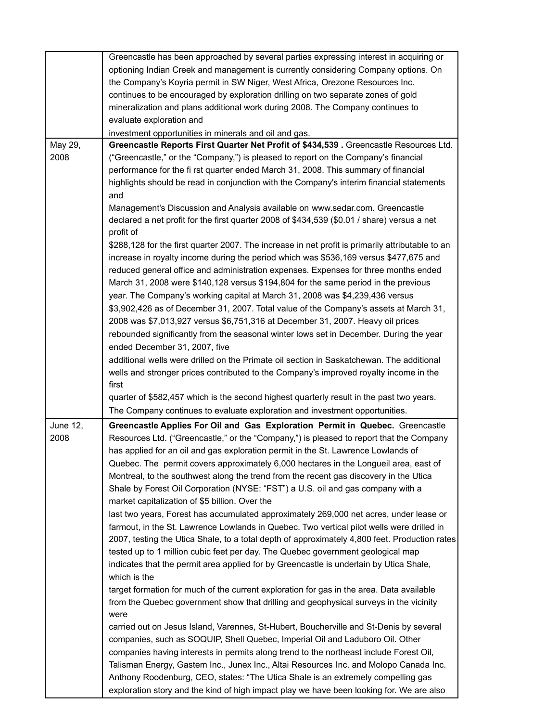|          | Greencastle has been approached by several parties expressing interest in acquiring or           |
|----------|--------------------------------------------------------------------------------------------------|
|          | optioning Indian Creek and management is currently considering Company options. On               |
|          | the Company's Koyria permit in SW Niger, West Africa, Orezone Resources Inc.                     |
|          | continues to be encouraged by exploration drilling on two separate zones of gold                 |
|          | mineralization and plans additional work during 2008. The Company continues to                   |
|          | evaluate exploration and                                                                         |
|          |                                                                                                  |
|          | investment opportunities in minerals and oil and gas.                                            |
| May 29,  | Greencastle Reports First Quarter Net Profit of \$434,539. Greencastle Resources Ltd.            |
| 2008     | ("Greencastle," or the "Company,") is pleased to report on the Company's financial               |
|          | performance for the fi rst quarter ended March 31, 2008. This summary of financial               |
|          | highlights should be read in conjunction with the Company's interim financial statements         |
|          | and                                                                                              |
|          | Management's Discussion and Analysis available on www.sedar.com. Greencastle                     |
|          | declared a net profit for the first quarter 2008 of \$434,539 (\$0.01 / share) versus a net      |
|          | profit of                                                                                        |
|          | \$288,128 for the first quarter 2007. The increase in net profit is primarily attributable to an |
|          | increase in royalty income during the period which was \$536,169 versus \$477,675 and            |
|          | reduced general office and administration expenses. Expenses for three months ended              |
|          | March 31, 2008 were \$140,128 versus \$194,804 for the same period in the previous               |
|          |                                                                                                  |
|          | year. The Company's working capital at March 31, 2008 was \$4,239,436 versus                     |
|          | \$3,902,426 as of December 31, 2007. Total value of the Company's assets at March 31,            |
|          | 2008 was \$7,013,927 versus \$6,751,316 at December 31, 2007. Heavy oil prices                   |
|          | rebounded significantly from the seasonal winter lows set in December. During the year           |
|          | ended December 31, 2007, five                                                                    |
|          | additional wells were drilled on the Primate oil section in Saskatchewan. The additional         |
|          | wells and stronger prices contributed to the Company's improved royalty income in the            |
|          | first                                                                                            |
|          | quarter of \$582,457 which is the second highest quarterly result in the past two years.         |
|          |                                                                                                  |
|          | The Company continues to evaluate exploration and investment opportunities.                      |
| June 12, | Greencastle Applies For Oil and Gas Exploration Permit in Quebec. Greencastle                    |
| 2008     | Resources Ltd. ("Greencastle," or the "Company,") is pleased to report that the Company          |
|          | has applied for an oil and gas exploration permit in the St. Lawrence Lowlands of                |
|          | Quebec. The permit covers approximately 6,000 hectares in the Longueil area, east of             |
|          | Montreal, to the southwest along the trend from the recent gas discovery in the Utica            |
|          | Shale by Forest Oil Corporation (NYSE: "FST") a U.S. oil and gas company with a                  |
|          | market capitalization of \$5 billion. Over the                                                   |
|          | last two years, Forest has accumulated approximately 269,000 net acres, under lease or           |
|          |                                                                                                  |
|          | farmout, in the St. Lawrence Lowlands in Quebec. Two vertical pilot wells were drilled in        |
|          | 2007, testing the Utica Shale, to a total depth of approximately 4,800 feet. Production rates    |
|          | tested up to 1 million cubic feet per day. The Quebec government geological map                  |
|          | indicates that the permit area applied for by Greencastle is underlain by Utica Shale,           |
|          | which is the                                                                                     |
|          | target formation for much of the current exploration for gas in the area. Data available         |
|          | from the Quebec government show that drilling and geophysical surveys in the vicinity            |
|          | were                                                                                             |
|          | carried out on Jesus Island, Varennes, St-Hubert, Boucherville and St-Denis by several           |
|          | companies, such as SOQUIP, Shell Quebec, Imperial Oil and Laduboro Oil. Other                    |
|          |                                                                                                  |
|          | companies having interests in permits along trend to the northeast include Forest Oil,           |
|          | Talisman Energy, Gastem Inc., Junex Inc., Altai Resources Inc. and Molopo Canada Inc.            |
|          | Anthony Roodenburg, CEO, states: "The Utica Shale is an extremely compelling gas                 |
|          | exploration story and the kind of high impact play we have been looking for. We are also         |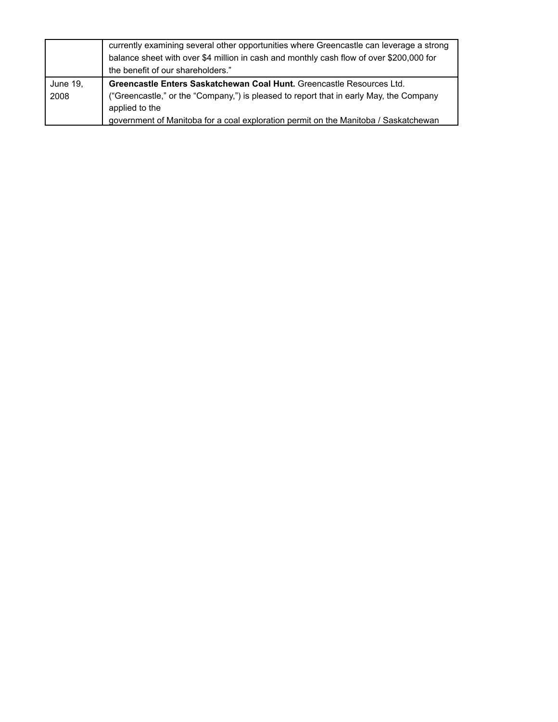|                  | currently examining several other opportunities where Greencastle can leverage a strong<br>balance sheet with over \$4 million in cash and monthly cash flow of over \$200,000 for<br>the benefit of our shareholders." |
|------------------|-------------------------------------------------------------------------------------------------------------------------------------------------------------------------------------------------------------------------|
| June 19,<br>2008 | Greencastle Enters Saskatchewan Coal Hunt. Greencastle Resources Ltd.<br>("Greencastle," or the "Company,") is pleased to report that in early May, the Company<br>applied to the                                       |
|                  | government of Manitoba for a coal exploration permit on the Manitoba / Saskatchewan                                                                                                                                     |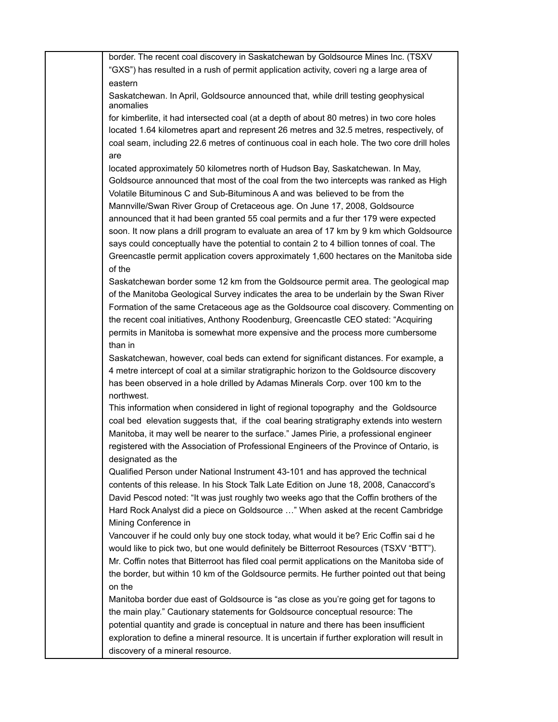border. The recent coal discovery in Saskatchewan by Goldsource Mines Inc. (TSXV "GXS") has resulted in a rush of permit application activity, coveri ng a large area of eastern

Saskatchewan. In April, Goldsource announced that, while drill testing geophysical anomalies

for kimberlite, it had intersected coal (at a depth of about 80 metres) in two core holes located 1.64 kilometres apart and represent 26 metres and 32.5 metres, respectively, of coal seam, including 22.6 metres of continuous coal in each hole. The two core drill holes are

located approximately 50 kilometres north of Hudson Bay, Saskatchewan. In May, Goldsource announced that most of the coal from the two intercepts was ranked as High Volatile Bituminous C and Sub-Bituminous A and was believed to be from the Mannville/Swan River Group of Cretaceous age. On June 17, 2008, Goldsource announced that it had been granted 55 coal permits and a fur ther 179 were expected soon. It now plans a drill program to evaluate an area of 17 km by 9 km which Goldsource says could conceptually have the potential to contain 2 to 4 billion tonnes of coal. The Greencastle permit application covers approximately 1,600 hectares on the Manitoba side of the

Saskatchewan border some 12 km from the Goldsource permit area. The geological map of the Manitoba Geological Survey indicates the area to be underlain by the Swan River Formation of the same Cretaceous age as the Goldsource coal discovery. Commenting on the recent coal initiatives, Anthony Roodenburg, Greencastle CEO stated: "Acquiring permits in Manitoba is somewhat more expensive and the process more cumbersome than in

Saskatchewan, however, coal beds can extend for significant distances. For example, a 4 metre intercept of coal at a similar stratigraphic horizon to the Goldsource discovery has been observed in a hole drilled by Adamas Minerals Corp. over 100 km to the northwest.

This information when considered in light of regional topography and the Goldsource coal bed elevation suggests that, if the coal bearing stratigraphy extends into western Manitoba, it may well be nearer to the surface." James Pirie, a professional engineer registered with the Association of Professional Engineers of the Province of Ontario, is designated as the

Qualified Person under National Instrument 43-101 and has approved the technical contents of this release. In his Stock Talk Late Edition on June 18, 2008, Canaccord's David Pescod noted: "It was just roughly two weeks ago that the Coffin brothers of the Hard Rock Analyst did a piece on Goldsource …" When asked at the recent Cambridge Mining Conference in

Vancouver if he could only buy one stock today, what would it be? Eric Coffin sai d he would like to pick two, but one would definitely be Bitterroot Resources (TSXV "BTT"). Mr. Coffin notes that Bitterroot has filed coal permit applications on the Manitoba side of the border, but within 10 km of the Goldsource permits. He further pointed out that being on the

Manitoba border due east of Goldsource is "as close as you're going get for tagons to the main play." Cautionary statements for Goldsource conceptual resource: The potential quantity and grade is conceptual in nature and there has been insufficient exploration to define a mineral resource. It is uncertain if further exploration will result in discovery of a mineral resource.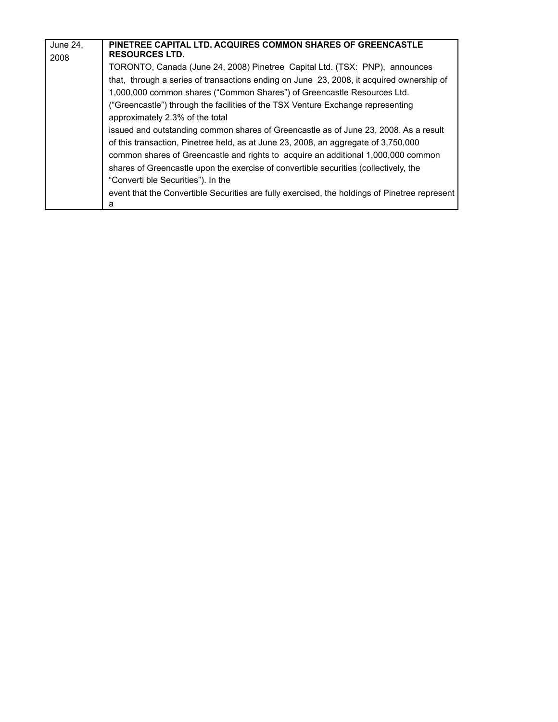| June 24,<br>2008 | PINETREE CAPITAL LTD. ACQUIRES COMMON SHARES OF GREENCASTLE<br><b>RESOURCES LTD.</b>                                                                                                                                                                            |
|------------------|-----------------------------------------------------------------------------------------------------------------------------------------------------------------------------------------------------------------------------------------------------------------|
|                  | TORONTO, Canada (June 24, 2008) Pinetree Capital Ltd. (TSX: PNP), announces<br>that, through a series of transactions ending on June 23, 2008, it acquired ownership of                                                                                         |
|                  | 1,000,000 common shares ("Common Shares") of Greencastle Resources Ltd.<br>("Greencastle") through the facilities of the TSX Venture Exchange representing<br>approximately 2.3% of the total                                                                   |
|                  | issued and outstanding common shares of Greencastle as of June 23, 2008. As a result<br>of this transaction, Pinetree held, as at June 23, 2008, an aggregate of 3,750,000<br>common shares of Greencastle and rights to acquire an additional 1,000,000 common |
|                  | shares of Greencastle upon the exercise of convertible securities (collectively, the<br>"Converti ble Securities"). In the                                                                                                                                      |
|                  | event that the Convertible Securities are fully exercised, the holdings of Pinetree represent<br>a                                                                                                                                                              |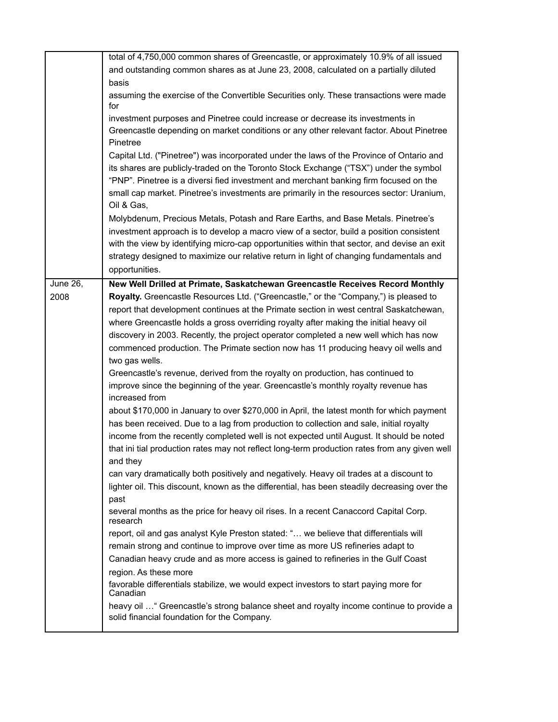|                 | total of 4,750,000 common shares of Greencastle, or approximately 10.9% of all issued                                                   |
|-----------------|-----------------------------------------------------------------------------------------------------------------------------------------|
|                 | and outstanding common shares as at June 23, 2008, calculated on a partially diluted                                                    |
|                 | basis                                                                                                                                   |
|                 | assuming the exercise of the Convertible Securities only. These transactions were made<br>for                                           |
|                 | investment purposes and Pinetree could increase or decrease its investments in                                                          |
|                 | Greencastle depending on market conditions or any other relevant factor. About Pinetree<br>Pinetree                                     |
|                 | Capital Ltd. ("Pinetree") was incorporated under the laws of the Province of Ontario and                                                |
|                 | its shares are publicly-traded on the Toronto Stock Exchange ("TSX") under the symbol                                                   |
|                 | "PNP". Pinetree is a diversi fied investment and merchant banking firm focused on the                                                   |
|                 | small cap market. Pinetree's investments are primarily in the resources sector: Uranium,                                                |
|                 | Oil & Gas,                                                                                                                              |
|                 | Molybdenum, Precious Metals, Potash and Rare Earths, and Base Metals. Pinetree's                                                        |
|                 | investment approach is to develop a macro view of a sector, build a position consistent                                                 |
|                 | with the view by identifying micro-cap opportunities within that sector, and devise an exit                                             |
|                 | strategy designed to maximize our relative return in light of changing fundamentals and                                                 |
|                 | opportunities.                                                                                                                          |
| <b>June 26,</b> | New Well Drilled at Primate, Saskatchewan Greencastle Receives Record Monthly                                                           |
| 2008            | Royalty. Greencastle Resources Ltd. ("Greencastle," or the "Company,") is pleased to                                                    |
|                 | report that development continues at the Primate section in west central Saskatchewan,                                                  |
|                 | where Greencastle holds a gross overriding royalty after making the initial heavy oil                                                   |
|                 | discovery in 2003. Recently, the project operator completed a new well which has now                                                    |
|                 | commenced production. The Primate section now has 11 producing heavy oil wells and<br>two gas wells.                                    |
|                 | Greencastle's revenue, derived from the royalty on production, has continued to                                                         |
|                 | improve since the beginning of the year. Greencastle's monthly royalty revenue has<br>increased from                                    |
|                 | about \$170,000 in January to over \$270,000 in April, the latest month for which payment                                               |
|                 | has been received. Due to a lag from production to collection and sale, initial royalty                                                 |
|                 | income from the recently completed well is not expected until August. It should be noted                                                |
|                 | that ini tial production rates may not reflect long-term production rates from any given well                                           |
|                 | and they                                                                                                                                |
|                 | can vary dramatically both positively and negatively. Heavy oil trades at a discount to                                                 |
|                 | lighter oil. This discount, known as the differential, has been steadily decreasing over the                                            |
|                 | past                                                                                                                                    |
|                 | several months as the price for heavy oil rises. In a recent Canaccord Capital Corp.<br>research                                        |
|                 | report, oil and gas analyst Kyle Preston stated: " we believe that differentials will                                                   |
|                 | remain strong and continue to improve over time as more US refineries adapt to                                                          |
|                 | Canadian heavy crude and as more access is gained to refineries in the Gulf Coast                                                       |
|                 | region. As these more                                                                                                                   |
|                 | favorable differentials stabilize, we would expect investors to start paying more for<br>Canadian                                       |
|                 | heavy oil  " Greencastle's strong balance sheet and royalty income continue to provide a<br>solid financial foundation for the Company. |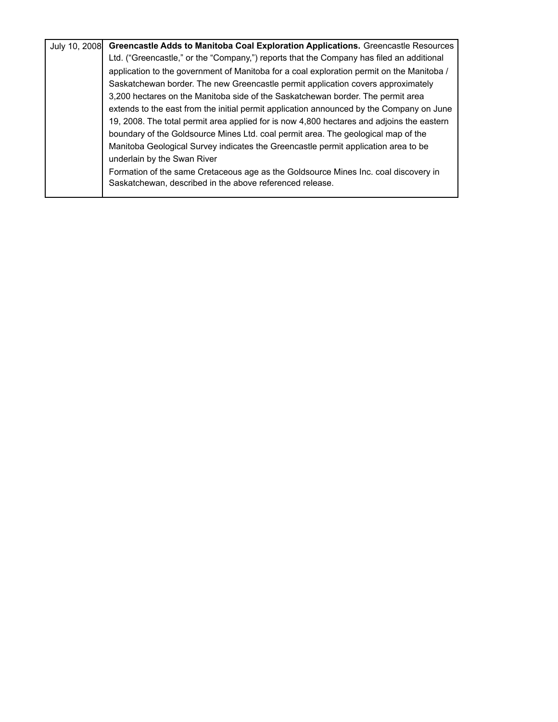|  | July 10, 2008 Greencastle Adds to Manitoba Coal Exploration Applications. Greencastle Resources |
|--|-------------------------------------------------------------------------------------------------|
|  | Ltd. ("Greencastle," or the "Company,") reports that the Company has filed an additional        |
|  | application to the government of Manitoba for a coal exploration permit on the Manitoba /       |
|  | Saskatchewan border. The new Greencastle permit application covers approximately                |
|  | 3,200 hectares on the Manitoba side of the Saskatchewan border. The permit area                 |
|  | extends to the east from the initial permit application announced by the Company on June        |
|  | 19, 2008. The total permit area applied for is now 4,800 hectares and adjoins the eastern       |
|  | boundary of the Goldsource Mines Ltd. coal permit area. The geological map of the               |
|  | Manitoba Geological Survey indicates the Greencastle permit application area to be              |
|  | underlain by the Swan River                                                                     |
|  | Formation of the same Cretaceous age as the Goldsource Mines Inc. coal discovery in             |
|  | Saskatchewan, described in the above referenced release.                                        |
|  |                                                                                                 |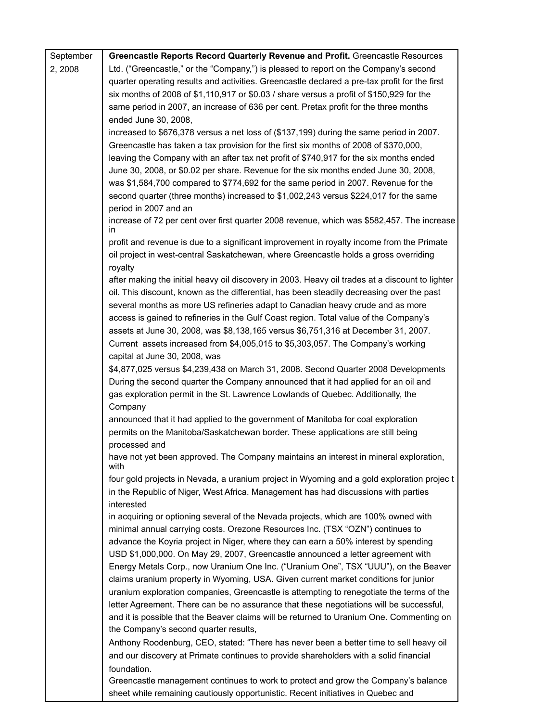| September | Greencastle Reports Record Quarterly Revenue and Profit. Greencastle Resources                                                                                         |
|-----------|------------------------------------------------------------------------------------------------------------------------------------------------------------------------|
| 2, 2008   | Ltd. ("Greencastle," or the "Company,") is pleased to report on the Company's second                                                                                   |
|           | quarter operating results and activities. Greencastle declared a pre-tax profit for the first                                                                          |
|           | six months of 2008 of \$1,110,917 or \$0.03 / share versus a profit of \$150,929 for the                                                                               |
|           | same period in 2007, an increase of 636 per cent. Pretax profit for the three months                                                                                   |
|           | ended June 30, 2008,                                                                                                                                                   |
|           | increased to \$676,378 versus a net loss of (\$137,199) during the same period in 2007.                                                                                |
|           | Greencastle has taken a tax provision for the first six months of 2008 of \$370,000,                                                                                   |
|           | leaving the Company with an after tax net profit of \$740,917 for the six months ended                                                                                 |
|           | June 30, 2008, or \$0.02 per share. Revenue for the six months ended June 30, 2008,                                                                                    |
|           | was \$1,584,700 compared to \$774,692 for the same period in 2007. Revenue for the                                                                                     |
|           | second quarter (three months) increased to \$1,002,243 versus \$224,017 for the same                                                                                   |
|           | period in 2007 and an                                                                                                                                                  |
|           | increase of 72 per cent over first quarter 2008 revenue, which was \$582,457. The increase<br>in                                                                       |
|           | profit and revenue is due to a significant improvement in royalty income from the Primate                                                                              |
|           | oil project in west-central Saskatchewan, where Greencastle holds a gross overriding<br>royalty                                                                        |
|           | after making the initial heavy oil discovery in 2003. Heavy oil trades at a discount to lighter                                                                        |
|           | oil. This discount, known as the differential, has been steadily decreasing over the past                                                                              |
|           | several months as more US refineries adapt to Canadian heavy crude and as more                                                                                         |
|           | access is gained to refineries in the Gulf Coast region. Total value of the Company's                                                                                  |
|           | assets at June 30, 2008, was \$8,138,165 versus \$6,751,316 at December 31, 2007.                                                                                      |
|           | Current assets increased from \$4,005,015 to \$5,303,057. The Company's working                                                                                        |
|           | capital at June 30, 2008, was                                                                                                                                          |
|           | \$4,877,025 versus \$4,239,438 on March 31, 2008. Second Quarter 2008 Developments                                                                                     |
|           | During the second quarter the Company announced that it had applied for an oil and                                                                                     |
|           | gas exploration permit in the St. Lawrence Lowlands of Quebec. Additionally, the                                                                                       |
|           | Company                                                                                                                                                                |
|           | announced that it had applied to the government of Manitoba for coal exploration                                                                                       |
|           | permits on the Manitoba/Saskatchewan border. These applications are still being                                                                                        |
|           | processed and                                                                                                                                                          |
|           | have not yet been approved. The Company maintains an interest in mineral exploration,<br>with                                                                          |
|           | four gold projects in Nevada, a uranium project in Wyoming and a gold exploration projec t                                                                             |
|           | in the Republic of Niger, West Africa. Management has had discussions with parties                                                                                     |
|           | interested                                                                                                                                                             |
|           | in acquiring or optioning several of the Nevada projects, which are 100% owned with                                                                                    |
|           | minimal annual carrying costs. Orezone Resources Inc. (TSX "OZN") continues to                                                                                         |
|           | advance the Koyria project in Niger, where they can earn a 50% interest by spending                                                                                    |
|           | USD \$1,000,000. On May 29, 2007, Greencastle announced a letter agreement with                                                                                        |
|           | Energy Metals Corp., now Uranium One Inc. ("Uranium One", TSX "UUU"), on the Beaver                                                                                    |
|           | claims uranium property in Wyoming, USA. Given current market conditions for junior                                                                                    |
|           | uranium exploration companies, Greencastle is attempting to renegotiate the terms of the                                                                               |
|           | letter Agreement. There can be no assurance that these negotiations will be successful,                                                                                |
|           | and it is possible that the Beaver claims will be returned to Uranium One. Commenting on                                                                               |
|           | the Company's second quarter results,                                                                                                                                  |
|           | Anthony Roodenburg, CEO, stated: "There has never been a better time to sell heavy oil                                                                                 |
|           | and our discovery at Primate continues to provide shareholders with a solid financial                                                                                  |
|           | foundation.                                                                                                                                                            |
|           | Greencastle management continues to work to protect and grow the Company's balance<br>sheet while remaining cautiously opportunistic. Recent initiatives in Quebec and |
|           |                                                                                                                                                                        |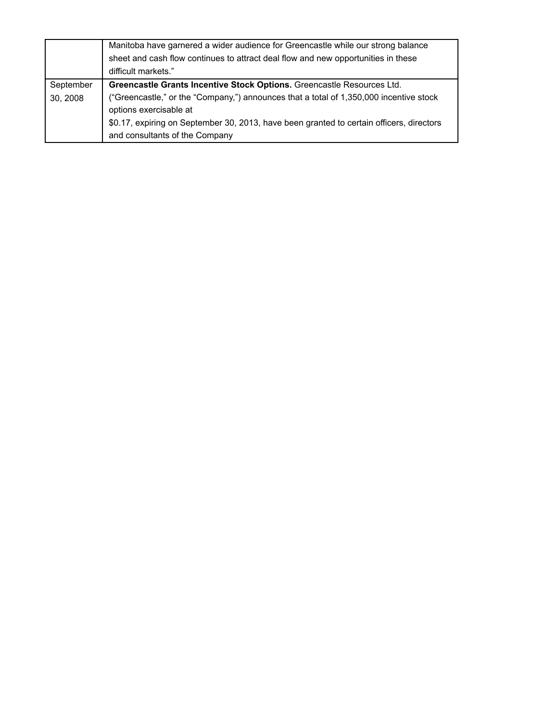|           | Manitoba have garnered a wider audience for Greencastle while our strong balance<br>sheet and cash flow continues to attract deal flow and new opportunities in these<br>difficult markets." |
|-----------|----------------------------------------------------------------------------------------------------------------------------------------------------------------------------------------------|
| September | Greencastle Grants Incentive Stock Options. Greencastle Resources Ltd.                                                                                                                       |
| 30, 2008  | ("Greencastle," or the "Company,") announces that a total of 1,350,000 incentive stock<br>options exercisable at                                                                             |
|           | \$0.17, expiring on September 30, 2013, have been granted to certain officers, directors<br>and consultants of the Company                                                                   |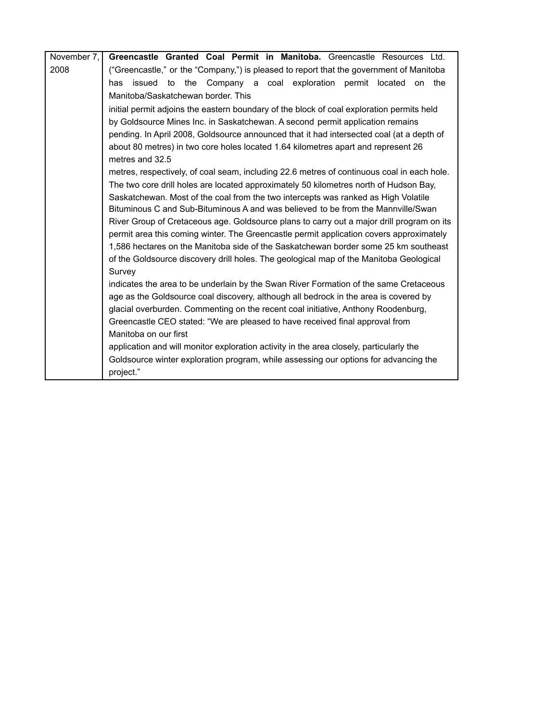| November 7, | Greencastle Granted Coal Permit in Manitoba. Greencastle Resources Ltd.                    |
|-------------|--------------------------------------------------------------------------------------------|
| 2008        | ("Greencastle," or the "Company,") is pleased to report that the government of Manitoba    |
|             | issued to the Company a coal exploration permit located<br>the<br>has<br>on                |
|             | Manitoba/Saskatchewan border. This                                                         |
|             | initial permit adjoins the eastern boundary of the block of coal exploration permits held  |
|             | by Goldsource Mines Inc. in Saskatchewan. A second permit application remains              |
|             | pending. In April 2008, Goldsource announced that it had intersected coal (at a depth of   |
|             | about 80 metres) in two core holes located 1.64 kilometres apart and represent 26          |
|             | metres and 32.5                                                                            |
|             | metres, respectively, of coal seam, including 22.6 metres of continuous coal in each hole. |
|             | The two core drill holes are located approximately 50 kilometres north of Hudson Bay,      |
|             | Saskatchewan. Most of the coal from the two intercepts was ranked as High Volatile         |
|             | Bituminous C and Sub-Bituminous A and was believed to be from the Mannyille/Swan           |
|             | River Group of Cretaceous age. Goldsource plans to carry out a major drill program on its  |
|             | permit area this coming winter. The Greencastle permit application covers approximately    |
|             | 1,586 hectares on the Manitoba side of the Saskatchewan border some 25 km southeast        |
|             | of the Goldsource discovery drill holes. The geological map of the Manitoba Geological     |
|             | Survey                                                                                     |
|             | indicates the area to be underlain by the Swan River Formation of the same Cretaceous      |
|             | age as the Goldsource coal discovery, although all bedrock in the area is covered by       |
|             | glacial overburden. Commenting on the recent coal initiative, Anthony Roodenburg,          |
|             | Greencastle CEO stated: "We are pleased to have received final approval from               |
|             | Manitoba on our first                                                                      |
|             | application and will monitor exploration activity in the area closely, particularly the    |
|             | Goldsource winter exploration program, while assessing our options for advancing the       |
|             | project."                                                                                  |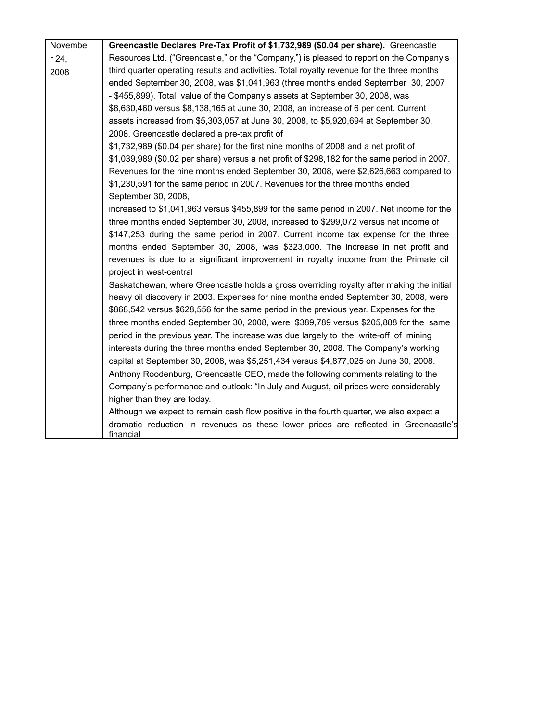| Novembe | Greencastle Declares Pre-Tax Profit of \$1,732,989 (\$0.04 per share). Greencastle           |
|---------|----------------------------------------------------------------------------------------------|
| r 24,   | Resources Ltd. ("Greencastle," or the "Company,") is pleased to report on the Company's      |
| 2008    | third quarter operating results and activities. Total royalty revenue for the three months   |
|         | ended September 30, 2008, was \$1,041,963 (three months ended September 30, 2007             |
|         | - \$455,899). Total value of the Company's assets at September 30, 2008, was                 |
|         | \$8,630,460 versus \$8,138,165 at June 30, 2008, an increase of 6 per cent. Current          |
|         | assets increased from \$5,303,057 at June 30, 2008, to \$5,920,694 at September 30,          |
|         | 2008. Greencastle declared a pre-tax profit of                                               |
|         | \$1,732,989 (\$0.04 per share) for the first nine months of 2008 and a net profit of         |
|         | \$1,039,989 (\$0.02 per share) versus a net profit of \$298,182 for the same period in 2007. |
|         | Revenues for the nine months ended September 30, 2008, were \$2,626,663 compared to          |
|         | \$1,230,591 for the same period in 2007. Revenues for the three months ended                 |
|         | September 30, 2008,                                                                          |
|         | increased to \$1,041,963 versus \$455,899 for the same period in 2007. Net income for the    |
|         | three months ended September 30, 2008, increased to \$299,072 versus net income of           |
|         | \$147,253 during the same period in 2007. Current income tax expense for the three           |
|         | months ended September 30, 2008, was \$323,000. The increase in net profit and               |
|         | revenues is due to a significant improvement in royalty income from the Primate oil          |
|         | project in west-central                                                                      |
|         | Saskatchewan, where Greencastle holds a gross overriding royalty after making the initial    |
|         | heavy oil discovery in 2003. Expenses for nine months ended September 30, 2008, were         |
|         | \$868,542 versus \$628,556 for the same period in the previous year. Expenses for the        |
|         | three months ended September 30, 2008, were \$389,789 versus \$205,888 for the same          |
|         | period in the previous year. The increase was due largely to the write-off of mining         |
|         | interests during the three months ended September 30, 2008. The Company's working            |
|         | capital at September 30, 2008, was \$5,251,434 versus \$4,877,025 on June 30, 2008.          |
|         | Anthony Roodenburg, Greencastle CEO, made the following comments relating to the             |
|         | Company's performance and outlook: "In July and August, oil prices were considerably         |
|         | higher than they are today.                                                                  |
|         | Although we expect to remain cash flow positive in the fourth quarter, we also expect a      |
|         | dramatic reduction in revenues as these lower prices are reflected in Greencastle's          |
|         | financial                                                                                    |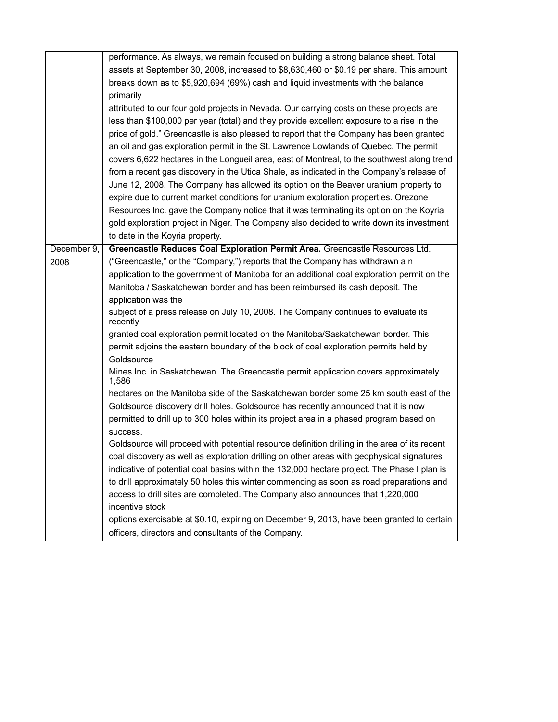|             | performance. As always, we remain focused on building a strong balance sheet. Total           |
|-------------|-----------------------------------------------------------------------------------------------|
|             | assets at September 30, 2008, increased to \$8,630,460 or \$0.19 per share. This amount       |
|             | breaks down as to \$5,920,694 (69%) cash and liquid investments with the balance              |
|             | primarily                                                                                     |
|             | attributed to our four gold projects in Nevada. Our carrying costs on these projects are      |
|             | less than \$100,000 per year (total) and they provide excellent exposure to a rise in the     |
|             | price of gold." Greencastle is also pleased to report that the Company has been granted       |
|             | an oil and gas exploration permit in the St. Lawrence Lowlands of Quebec. The permit          |
|             | covers 6,622 hectares in the Longueil area, east of Montreal, to the southwest along trend    |
|             | from a recent gas discovery in the Utica Shale, as indicated in the Company's release of      |
|             | June 12, 2008. The Company has allowed its option on the Beaver uranium property to           |
|             | expire due to current market conditions for uranium exploration properties. Orezone           |
|             | Resources Inc. gave the Company notice that it was terminating its option on the Koyria       |
|             | gold exploration project in Niger. The Company also decided to write down its investment      |
|             | to date in the Koyria property.                                                               |
| December 9, | Greencastle Reduces Coal Exploration Permit Area. Greencastle Resources Ltd.                  |
| 2008        | ("Greencastle," or the "Company,") reports that the Company has withdrawn a n                 |
|             | application to the government of Manitoba for an additional coal exploration permit on the    |
|             | Manitoba / Saskatchewan border and has been reimbursed its cash deposit. The                  |
|             | application was the                                                                           |
|             | subject of a press release on July 10, 2008. The Company continues to evaluate its            |
|             | recently                                                                                      |
|             | granted coal exploration permit located on the Manitoba/Saskatchewan border. This             |
|             | permit adjoins the eastern boundary of the block of coal exploration permits held by          |
|             | Goldsource                                                                                    |
|             | Mines Inc. in Saskatchewan. The Greencastle permit application covers approximately<br>1,586  |
|             | hectares on the Manitoba side of the Saskatchewan border some 25 km south east of the         |
|             | Goldsource discovery drill holes. Goldsource has recently announced that it is now            |
|             | permitted to drill up to 300 holes within its project area in a phased program based on       |
|             | success.                                                                                      |
|             | Goldsource will proceed with potential resource definition drilling in the area of its recent |
|             | coal discovery as well as exploration drilling on other areas with geophysical signatures     |
|             | indicative of potential coal basins within the 132,000 hectare project. The Phase I plan is   |
|             | to drill approximately 50 holes this winter commencing as soon as road preparations and       |
|             | access to drill sites are completed. The Company also announces that 1,220,000                |
|             | incentive stock                                                                               |
|             | options exercisable at \$0.10, expiring on December 9, 2013, have been granted to certain     |
|             | officers, directors and consultants of the Company.                                           |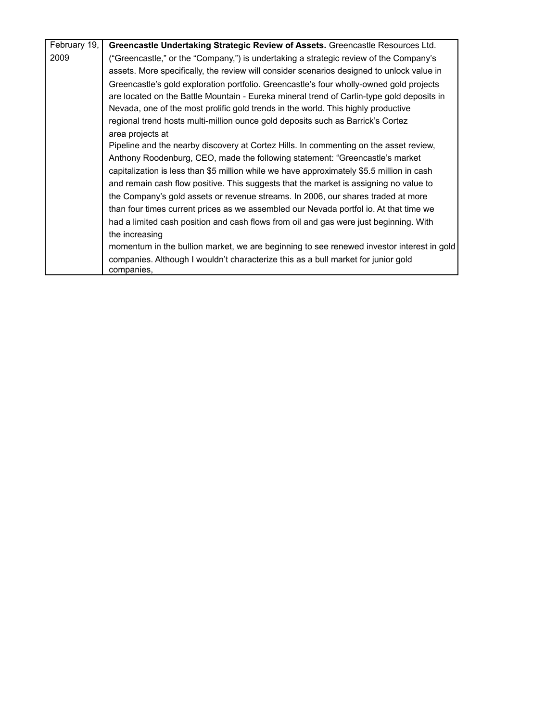| February 19, | Greencastle Undertaking Strategic Review of Assets. Greencastle Resources Ltd.                  |
|--------------|-------------------------------------------------------------------------------------------------|
| 2009         | ("Greencastle," or the "Company,") is undertaking a strategic review of the Company's           |
|              | assets. More specifically, the review will consider scenarios designed to unlock value in       |
|              | Greencastle's gold exploration portfolio. Greencastle's four wholly-owned gold projects         |
|              | are located on the Battle Mountain - Eureka mineral trend of Carlin-type gold deposits in       |
|              | Nevada, one of the most prolific gold trends in the world. This highly productive               |
|              | regional trend hosts multi-million ounce gold deposits such as Barrick's Cortez                 |
|              | area projects at                                                                                |
|              | Pipeline and the nearby discovery at Cortez Hills. In commenting on the asset review,           |
|              | Anthony Roodenburg, CEO, made the following statement: "Greencastle's market                    |
|              | capitalization is less than \$5 million while we have approximately \$5.5 million in cash       |
|              | and remain cash flow positive. This suggests that the market is assigning no value to           |
|              | the Company's gold assets or revenue streams. In 2006, our shares traded at more                |
|              | than four times current prices as we assembled our Nevada portfol io. At that time we           |
|              | had a limited cash position and cash flows from oil and gas were just beginning. With           |
|              | the increasing                                                                                  |
|              | momentum in the bullion market, we are beginning to see renewed investor interest in gold       |
|              | companies. Although I wouldn't characterize this as a bull market for junior gold<br>companies, |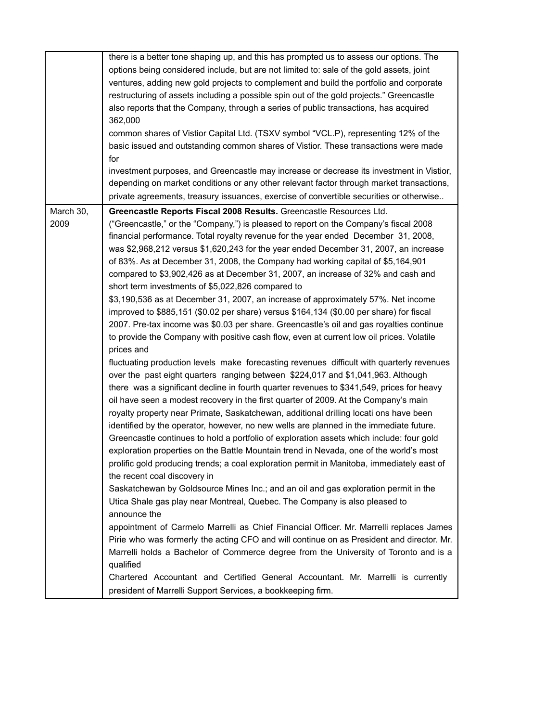|                   | there is a better tone shaping up, and this has prompted us to assess our options. The<br>options being considered include, but are not limited to: sale of the gold assets, joint<br>ventures, adding new gold projects to complement and build the portfolio and corporate<br>restructuring of assets including a possible spin out of the gold projects." Greencastle<br>also reports that the Company, through a series of public transactions, has acquired<br>362,000<br>common shares of Vistior Capital Ltd. (TSXV symbol "VCL.P), representing 12% of the<br>basic issued and outstanding common shares of Vistior. These transactions were made<br>for<br>investment purposes, and Greencastle may increase or decrease its investment in Vistior,                                                                                                                                                                                                                                                                                                                                                                                                                                                                                                                                                                                                                                                                                                                                                                                                                                                                                                                                                                                                                                                                                                                                                                                                                                                                                                                                                                                                                                                                                                                                                                                                                                                                                                                |
|-------------------|-----------------------------------------------------------------------------------------------------------------------------------------------------------------------------------------------------------------------------------------------------------------------------------------------------------------------------------------------------------------------------------------------------------------------------------------------------------------------------------------------------------------------------------------------------------------------------------------------------------------------------------------------------------------------------------------------------------------------------------------------------------------------------------------------------------------------------------------------------------------------------------------------------------------------------------------------------------------------------------------------------------------------------------------------------------------------------------------------------------------------------------------------------------------------------------------------------------------------------------------------------------------------------------------------------------------------------------------------------------------------------------------------------------------------------------------------------------------------------------------------------------------------------------------------------------------------------------------------------------------------------------------------------------------------------------------------------------------------------------------------------------------------------------------------------------------------------------------------------------------------------------------------------------------------------------------------------------------------------------------------------------------------------------------------------------------------------------------------------------------------------------------------------------------------------------------------------------------------------------------------------------------------------------------------------------------------------------------------------------------------------------------------------------------------------------------------------------------------------|
|                   | depending on market conditions or any other relevant factor through market transactions,<br>private agreements, treasury issuances, exercise of convertible securities or otherwise                                                                                                                                                                                                                                                                                                                                                                                                                                                                                                                                                                                                                                                                                                                                                                                                                                                                                                                                                                                                                                                                                                                                                                                                                                                                                                                                                                                                                                                                                                                                                                                                                                                                                                                                                                                                                                                                                                                                                                                                                                                                                                                                                                                                                                                                                         |
| March 30,<br>2009 | Greencastle Reports Fiscal 2008 Results. Greencastle Resources Ltd.<br>("Greencastle," or the "Company,") is pleased to report on the Company's fiscal 2008<br>financial performance. Total royalty revenue for the year ended December 31, 2008,<br>was \$2,968,212 versus \$1,620,243 for the year ended December 31, 2007, an increase<br>of 83%. As at December 31, 2008, the Company had working capital of \$5,164,901<br>compared to \$3,902,426 as at December 31, 2007, an increase of 32% and cash and<br>short term investments of \$5,022,826 compared to<br>\$3,190,536 as at December 31, 2007, an increase of approximately 57%. Net income<br>improved to \$885,151 (\$0.02 per share) versus \$164,134 (\$0.00 per share) for fiscal<br>2007. Pre-tax income was \$0.03 per share. Greencastle's oil and gas royalties continue<br>to provide the Company with positive cash flow, even at current low oil prices. Volatile<br>prices and<br>fluctuating production levels make forecasting revenues difficult with quarterly revenues<br>over the past eight quarters ranging between \$224,017 and \$1,041,963. Although<br>there was a significant decline in fourth quarter revenues to \$341,549, prices for heavy<br>oil have seen a modest recovery in the first quarter of 2009. At the Company's main<br>royalty property near Primate, Saskatchewan, additional drilling locati ons have been<br>identified by the operator, however, no new wells are planned in the immediate future.<br>Greencastle continues to hold a portfolio of exploration assets which include: four gold<br>exploration properties on the Battle Mountain trend in Nevada, one of the world's most<br>prolific gold producing trends; a coal exploration permit in Manitoba, immediately east of<br>the recent coal discovery in<br>Saskatchewan by Goldsource Mines Inc.; and an oil and gas exploration permit in the<br>Utica Shale gas play near Montreal, Quebec. The Company is also pleased to<br>announce the<br>appointment of Carmelo Marrelli as Chief Financial Officer. Mr. Marrelli replaces James<br>Pirie who was formerly the acting CFO and will continue on as President and director. Mr.<br>Marrelli holds a Bachelor of Commerce degree from the University of Toronto and is a<br>qualified<br>Chartered Accountant and Certified General Accountant. Mr. Marrelli is currently<br>president of Marrelli Support Services, a bookkeeping firm. |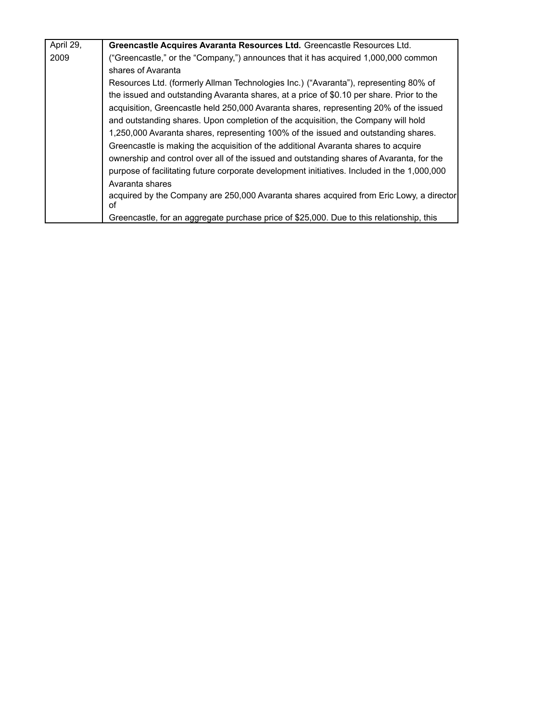| April 29, | Greencastle Acquires Avaranta Resources Ltd. Greencastle Resources Ltd.                       |
|-----------|-----------------------------------------------------------------------------------------------|
| 2009      | ("Greencastle," or the "Company,") announces that it has acquired 1,000,000 common            |
|           | shares of Avaranta                                                                            |
|           | Resources Ltd. (formerly Allman Technologies Inc.) ("Avaranta"), representing 80% of          |
|           | the issued and outstanding Avaranta shares, at a price of \$0.10 per share. Prior to the      |
|           | acquisition, Greencastle held 250,000 Avaranta shares, representing 20% of the issued         |
|           | and outstanding shares. Upon completion of the acquisition, the Company will hold             |
|           | 1,250,000 Avaranta shares, representing 100% of the issued and outstanding shares.            |
|           | Greencastle is making the acquisition of the additional Avaranta shares to acquire            |
|           | ownership and control over all of the issued and outstanding shares of Avaranta, for the      |
|           | purpose of facilitating future corporate development initiatives. Included in the 1,000,000   |
|           | Avaranta shares                                                                               |
|           | acquired by the Company are 250,000 Avaranta shares acquired from Eric Lowy, a director<br>οf |
|           | Greencastle, for an aggregate purchase price of \$25,000. Due to this relationship, this      |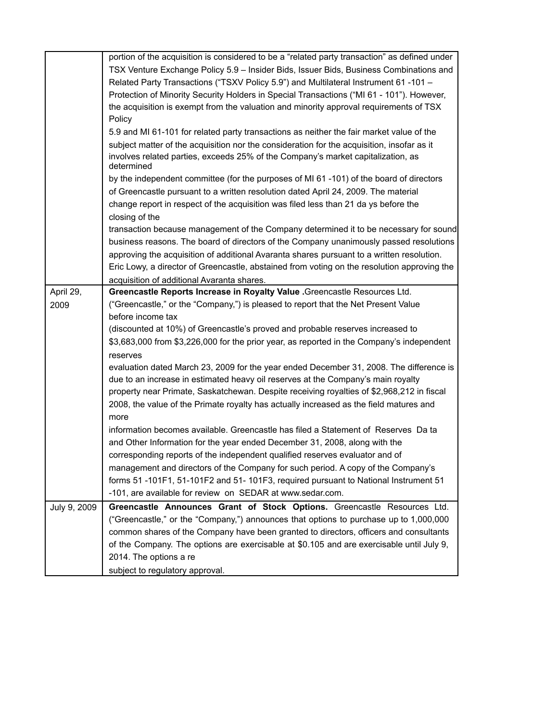|              | portion of the acquisition is considered to be a "related party transaction" as defined under         |
|--------------|-------------------------------------------------------------------------------------------------------|
|              | TSX Venture Exchange Policy 5.9 - Insider Bids, Issuer Bids, Business Combinations and                |
|              | Related Party Transactions ("TSXV Policy 5.9") and Multilateral Instrument 61 -101 -                  |
|              | Protection of Minority Security Holders in Special Transactions ("MI 61 - 101"). However,             |
|              | the acquisition is exempt from the valuation and minority approval requirements of TSX                |
|              | Policy                                                                                                |
|              | 5.9 and MI 61-101 for related party transactions as neither the fair market value of the              |
|              | subject matter of the acquisition nor the consideration for the acquisition, insofar as it            |
|              | involves related parties, exceeds 25% of the Company's market capitalization, as<br>determined        |
|              | by the independent committee (for the purposes of MI 61-101) of the board of directors                |
|              | of Greencastle pursuant to a written resolution dated April 24, 2009. The material                    |
|              | change report in respect of the acquisition was filed less than 21 da ys before the<br>closing of the |
|              | transaction because management of the Company determined it to be necessary for sound                 |
|              | business reasons. The board of directors of the Company unanimously passed resolutions                |
|              | approving the acquisition of additional Avaranta shares pursuant to a written resolution.             |
|              | Eric Lowy, a director of Greencastle, abstained from voting on the resolution approving the           |
|              | acquisition of additional Avaranta shares.                                                            |
| April 29,    | Greencastle Reports Increase in Royalty Value . Greencastle Resources Ltd.                            |
| 2009         | ("Greencastle," or the "Company,") is pleased to report that the Net Present Value                    |
|              | before income tax                                                                                     |
|              | (discounted at 10%) of Greencastle's proved and probable reserves increased to                        |
|              | \$3,683,000 from \$3,226,000 for the prior year, as reported in the Company's independent             |
|              | reserves                                                                                              |
|              | evaluation dated March 23, 2009 for the year ended December 31, 2008. The difference is               |
|              | due to an increase in estimated heavy oil reserves at the Company's main royalty                      |
|              | property near Primate, Saskatchewan. Despite receiving royalties of \$2,968,212 in fiscal             |
|              | 2008, the value of the Primate royalty has actually increased as the field matures and                |
|              | more                                                                                                  |
|              | information becomes available. Greencastle has filed a Statement of Reserves Da ta                    |
|              | and Other Information for the year ended December 31, 2008, along with the                            |
|              | corresponding reports of the independent qualified reserves evaluator and of                          |
|              | management and directors of the Company for such period. A copy of the Company's                      |
|              | forms 51 -101F1, 51-101F2 and 51- 101F3, required pursuant to National Instrument 51                  |
|              | -101, are available for review on SEDAR at www.sedar.com.                                             |
| July 9, 2009 | Greencastle Announces Grant of Stock Options. Greencastle Resources Ltd.                              |
|              | ("Greencastle," or the "Company,") announces that options to purchase up to 1,000,000                 |
|              | common shares of the Company have been granted to directors, officers and consultants                 |
|              | of the Company. The options are exercisable at \$0.105 and are exercisable until July 9,              |
|              | 2014. The options a re                                                                                |
|              | subject to regulatory approval.                                                                       |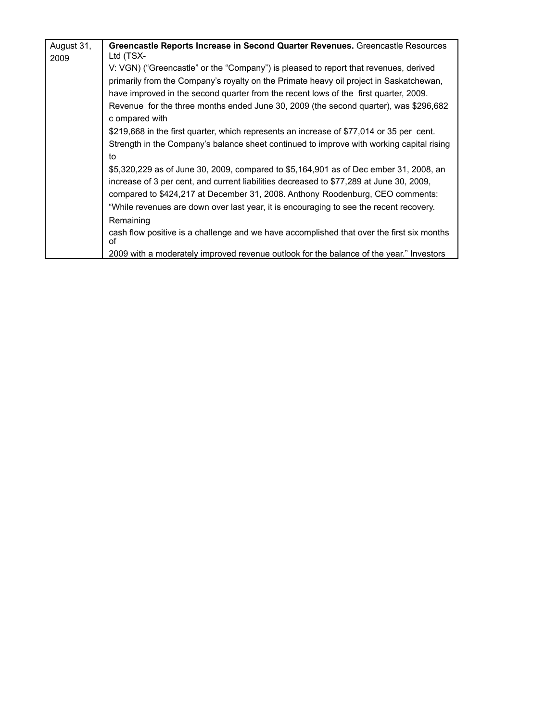| August 31, | Greencastle Reports Increase in Second Quarter Revenues. Greencastle Resources                         |
|------------|--------------------------------------------------------------------------------------------------------|
| 2009       | Ltd (TSX-                                                                                              |
|            | V: VGN) ("Greencastle" or the "Company") is pleased to report that revenues, derived                   |
|            | primarily from the Company's royalty on the Primate heavy oil project in Saskatchewan,                 |
|            | have improved in the second quarter from the recent lows of the first quarter, 2009.                   |
|            | Revenue for the three months ended June 30, 2009 (the second quarter), was \$296,682<br>c ompared with |
|            | \$219,668 in the first quarter, which represents an increase of \$77,014 or 35 per cent.               |
|            | Strength in the Company's balance sheet continued to improve with working capital rising               |
|            | to                                                                                                     |
|            | \$5,320,229 as of June 30, 2009, compared to \$5,164,901 as of Dec ember 31, 2008, an                  |
|            | increase of 3 per cent, and current liabilities decreased to \$77,289 at June 30, 2009,                |
|            | compared to \$424,217 at December 31, 2008. Anthony Roodenburg, CEO comments:                          |
|            | "While revenues are down over last year, it is encouraging to see the recent recovery.                 |
|            | Remaining                                                                                              |
|            | cash flow positive is a challenge and we have accomplished that over the first six months<br>οf        |
|            | 2009 with a moderately improved revenue outlook for the balance of the year." Investors                |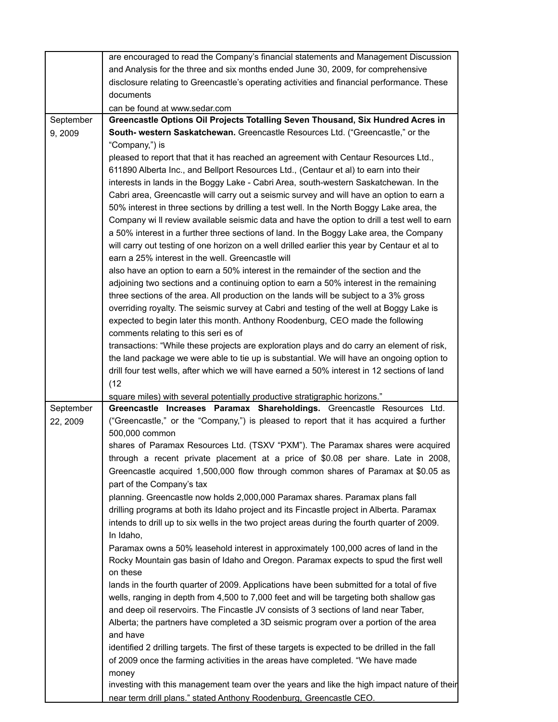|           | are encouraged to read the Company's financial statements and Management Discussion                   |
|-----------|-------------------------------------------------------------------------------------------------------|
|           | and Analysis for the three and six months ended June 30, 2009, for comprehensive                      |
|           | disclosure relating to Greencastle's operating activities and financial performance. These            |
|           | documents                                                                                             |
|           | can be found at www.sedar.com                                                                         |
| September | Greencastle Options Oil Projects Totalling Seven Thousand, Six Hundred Acres in                       |
| 9,2009    | South- western Saskatchewan. Greencastle Resources Ltd. ("Greencastle," or the                        |
|           | "Company,") is                                                                                        |
|           | pleased to report that that it has reached an agreement with Centaur Resources Ltd.,                  |
|           | 611890 Alberta Inc., and Bellport Resources Ltd., (Centaur et al) to earn into their                  |
|           | interests in lands in the Boggy Lake - Cabri Area, south-western Saskatchewan. In the                 |
|           | Cabri area, Greencastle will carry out a seismic survey and will have an option to earn a             |
|           | 50% interest in three sections by drilling a test well. In the North Boggy Lake area, the             |
|           | Company wi II review available seismic data and have the option to drill a test well to earn          |
|           | a 50% interest in a further three sections of land. In the Boggy Lake area, the Company               |
|           | will carry out testing of one horizon on a well drilled earlier this year by Centaur et al to         |
|           | earn a 25% interest in the well. Greencastle will                                                     |
|           | also have an option to earn a 50% interest in the remainder of the section and the                    |
|           | adjoining two sections and a continuing option to earn a 50% interest in the remaining                |
|           | three sections of the area. All production on the lands will be subject to a 3% gross                 |
|           | overriding royalty. The seismic survey at Cabri and testing of the well at Boggy Lake is              |
|           | expected to begin later this month. Anthony Roodenburg, CEO made the following                        |
|           | comments relating to this seri es of                                                                  |
|           | transactions: "While these projects are exploration plays and do carry an element of risk,            |
|           | the land package we were able to tie up is substantial. We will have an ongoing option to             |
|           | drill four test wells, after which we will have earned a 50% interest in 12 sections of land          |
|           | (12)                                                                                                  |
|           | square miles) with several potentially productive stratigraphic horizons."                            |
| September | Greencastle Increases Paramax Shareholdings. Greencastle Resources Ltd.                               |
| 22, 2009  | ("Greencastle," or the "Company,") is pleased to report that it has acquired a further                |
|           | 500,000 common                                                                                        |
|           | shares of Paramax Resources Ltd. (TSXV "PXM"). The Paramax shares were acquired                       |
|           | through a recent private placement at a price of \$0.08 per share. Late in 2008,                      |
|           | Greencastle acquired 1,500,000 flow through common shares of Paramax at \$0.05 as                     |
|           | part of the Company's tax                                                                             |
|           | planning. Greencastle now holds 2,000,000 Paramax shares. Paramax plans fall                          |
|           | drilling programs at both its Idaho project and its Fincastle project in Alberta. Paramax             |
|           | intends to drill up to six wells in the two project areas during the fourth quarter of 2009.          |
|           | In Idaho,                                                                                             |
|           | Paramax owns a 50% leasehold interest in approximately 100,000 acres of land in the                   |
|           | Rocky Mountain gas basin of Idaho and Oregon. Paramax expects to spud the first well                  |
|           | on these<br>lands in the fourth quarter of 2009. Applications have been submitted for a total of five |
|           | wells, ranging in depth from 4,500 to 7,000 feet and will be targeting both shallow gas               |
|           | and deep oil reservoirs. The Fincastle JV consists of 3 sections of land near Taber,                  |
|           | Alberta; the partners have completed a 3D seismic program over a portion of the area                  |
|           | and have                                                                                              |
|           | identified 2 drilling targets. The first of these targets is expected to be drilled in the fall       |
|           | of 2009 once the farming activities in the areas have completed. "We have made                        |
|           | money                                                                                                 |
|           | investing with this management team over the years and like the high impact nature of their           |
|           | near term drill plans." stated Anthony Roodenburg, Greencastle CEO.                                   |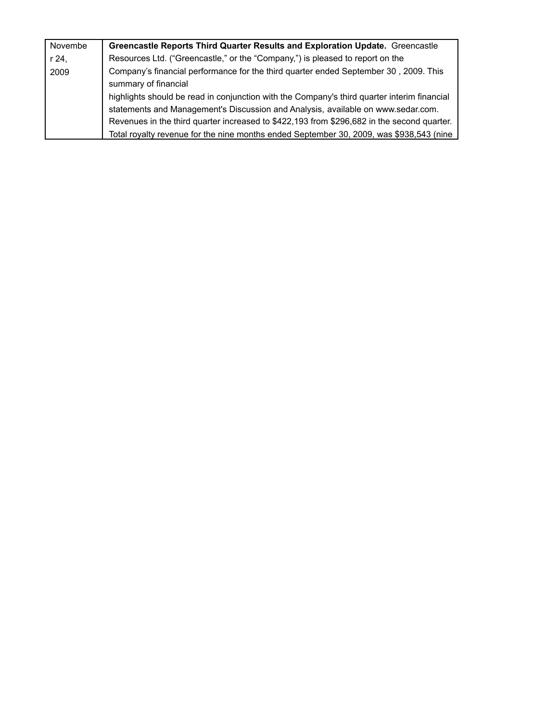| Novembe | Greencastle Reports Third Quarter Results and Exploration Update. Greencastle               |
|---------|---------------------------------------------------------------------------------------------|
| r 24,   | Resources Ltd. ("Greencastle," or the "Company,") is pleased to report on the               |
| 2009    | Company's financial performance for the third quarter ended September 30, 2009. This        |
|         | summary of financial                                                                        |
|         | highlights should be read in conjunction with the Company's third quarter interim financial |
|         | statements and Management's Discussion and Analysis, available on www.sedar.com.            |
|         | Revenues in the third quarter increased to \$422,193 from \$296,682 in the second quarter.  |
|         | Total royalty revenue for the nine months ended September 30, 2009, was \$938,543 (nine     |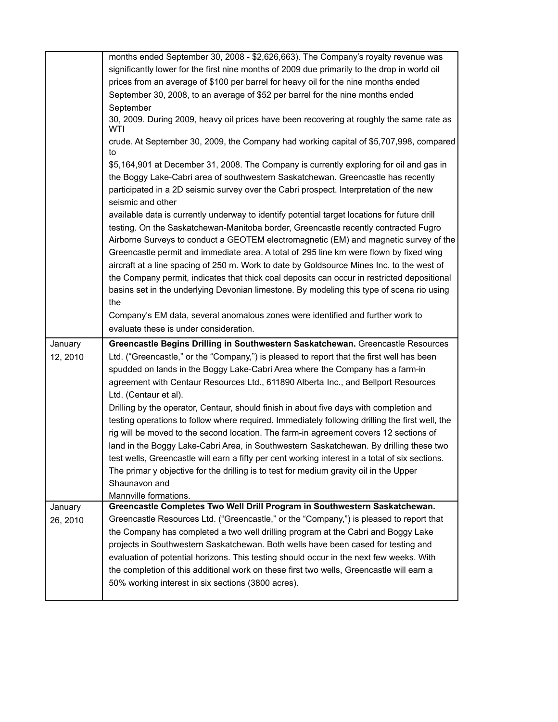|          | months ended September 30, 2008 - \$2,626,663). The Company's royalty revenue was                                                              |
|----------|------------------------------------------------------------------------------------------------------------------------------------------------|
|          | significantly lower for the first nine months of 2009 due primarily to the drop in world oil                                                   |
|          | prices from an average of \$100 per barrel for heavy oil for the nine months ended                                                             |
|          | September 30, 2008, to an average of \$52 per barrel for the nine months ended                                                                 |
|          | September                                                                                                                                      |
|          | 30, 2009. During 2009, heavy oil prices have been recovering at roughly the same rate as<br>WTI                                                |
|          | crude. At September 30, 2009, the Company had working capital of \$5,707,998, compared<br>to                                                   |
|          | \$5,164,901 at December 31, 2008. The Company is currently exploring for oil and gas in                                                        |
|          | the Boggy Lake-Cabri area of southwestern Saskatchewan. Greencastle has recently                                                               |
|          | participated in a 2D seismic survey over the Cabri prospect. Interpretation of the new<br>seismic and other                                    |
|          | available data is currently underway to identify potential target locations for future drill                                                   |
|          | testing. On the Saskatchewan-Manitoba border, Greencastle recently contracted Fugro                                                            |
|          | Airborne Surveys to conduct a GEOTEM electromagnetic (EM) and magnetic survey of the                                                           |
|          | Greencastle permit and immediate area. A total of 295 line km were flown by fixed wing                                                         |
|          | aircraft at a line spacing of 250 m. Work to date by Goldsource Mines Inc. to the west of                                                      |
|          | the Company permit, indicates that thick coal deposits can occur in restricted depositional                                                    |
|          | basins set in the underlying Devonian limestone. By modeling this type of scena rio using                                                      |
|          | the                                                                                                                                            |
|          | Company's EM data, several anomalous zones were identified and further work to                                                                 |
|          | evaluate these is under consideration.                                                                                                         |
| January  | Greencastle Begins Drilling in Southwestern Saskatchewan. Greencastle Resources                                                                |
| 12, 2010 | Ltd. ("Greencastle," or the "Company,") is pleased to report that the first well has been                                                      |
|          | spudded on lands in the Boggy Lake-Cabri Area where the Company has a farm-in                                                                  |
|          | agreement with Centaur Resources Ltd., 611890 Alberta Inc., and Bellport Resources                                                             |
|          | Ltd. (Centaur et al).                                                                                                                          |
|          | Drilling by the operator, Centaur, should finish in about five days with completion and                                                        |
|          | testing operations to follow where required. Immediately following drilling the first well, the                                                |
|          |                                                                                                                                                |
|          | rig will be moved to the second location. The farm-in agreement covers 12 sections of                                                          |
|          | land in the Boggy Lake-Cabri Area, in Southwestern Saskatchewan. By drilling these two                                                         |
|          | test wells, Greencastle will earn a fifty per cent working interest in a total of six sections.                                                |
|          | The primar y objective for the drilling is to test for medium gravity oil in the Upper                                                         |
|          | Shaunavon and                                                                                                                                  |
|          | Mannville formations.                                                                                                                          |
| January  | Greencastle Completes Two Well Drill Program in Southwestern Saskatchewan.                                                                     |
| 26, 2010 | Greencastle Resources Ltd. ("Greencastle," or the "Company,") is pleased to report that                                                        |
|          | the Company has completed a two well drilling program at the Cabri and Boggy Lake                                                              |
|          | projects in Southwestern Saskatchewan. Both wells have been cased for testing and                                                              |
|          | evaluation of potential horizons. This testing should occur in the next few weeks. With                                                        |
|          | the completion of this additional work on these first two wells, Greencastle will earn a<br>50% working interest in six sections (3800 acres). |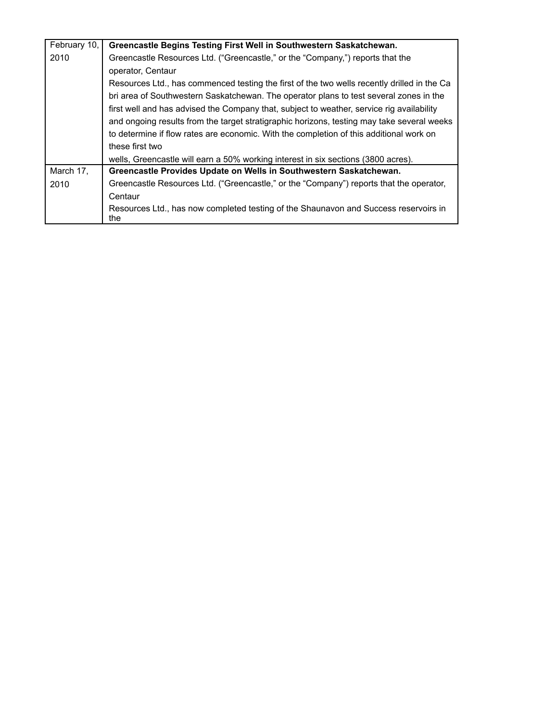| February 10, | Greencastle Begins Testing First Well in Southwestern Saskatchewan.                         |
|--------------|---------------------------------------------------------------------------------------------|
| 2010         | Greencastle Resources Ltd. ("Greencastle," or the "Company,") reports that the              |
|              | operator, Centaur                                                                           |
|              | Resources Ltd., has commenced testing the first of the two wells recently drilled in the Ca |
|              | bri area of Southwestern Saskatchewan. The operator plans to test several zones in the      |
|              | first well and has advised the Company that, subject to weather, service rig availability   |
|              | and ongoing results from the target stratigraphic horizons, testing may take several weeks  |
|              | to determine if flow rates are economic. With the completion of this additional work on     |
|              | these first two                                                                             |
|              | wells, Greencastle will earn a 50% working interest in six sections (3800 acres).           |
| March 17,    | Greencastle Provides Update on Wells in Southwestern Saskatchewan.                          |
| 2010         | Greencastle Resources Ltd. ("Greencastle," or the "Company") reports that the operator,     |
|              | Centaur                                                                                     |
|              | Resources Ltd., has now completed testing of the Shaunavon and Success reservoirs in<br>the |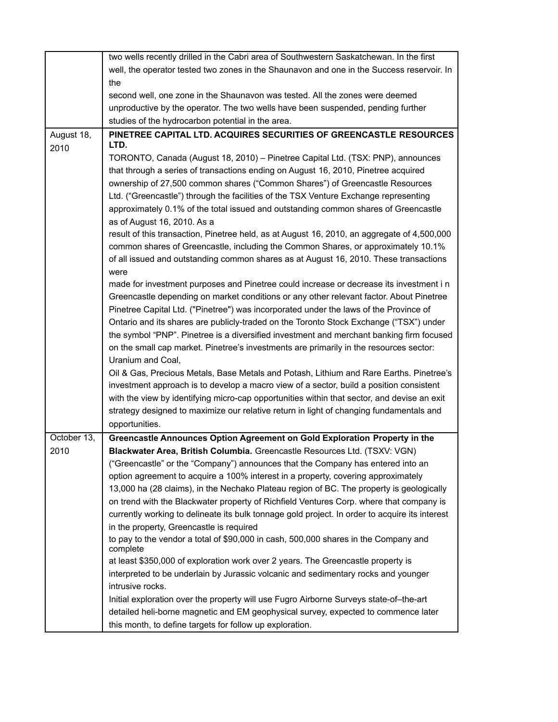|             | two wells recently drilled in the Cabri area of Southwestern Saskatchewan. In the first         |
|-------------|-------------------------------------------------------------------------------------------------|
|             | well, the operator tested two zones in the Shaunavon and one in the Success reservoir. In       |
|             | the                                                                                             |
|             | second well, one zone in the Shaunavon was tested. All the zones were deemed                    |
|             | unproductive by the operator. The two wells have been suspended, pending further                |
|             | studies of the hydrocarbon potential in the area.                                               |
| August 18,  | PINETREE CAPITAL LTD. ACQUIRES SECURITIES OF GREENCASTLE RESOURCES                              |
| 2010        | LTD.                                                                                            |
|             | TORONTO, Canada (August 18, 2010) - Pinetree Capital Ltd. (TSX: PNP), announces                 |
|             | that through a series of transactions ending on August 16, 2010, Pinetree acquired              |
|             | ownership of 27,500 common shares ("Common Shares") of Greencastle Resources                    |
|             | Ltd. ("Greencastle") through the facilities of the TSX Venture Exchange representing            |
|             | approximately 0.1% of the total issued and outstanding common shares of Greencastle             |
|             | as of August 16, 2010. As a                                                                     |
|             | result of this transaction, Pinetree held, as at August 16, 2010, an aggregate of 4,500,000     |
|             | common shares of Greencastle, including the Common Shares, or approximately 10.1%               |
|             | of all issued and outstanding common shares as at August 16, 2010. These transactions           |
|             | were                                                                                            |
|             | made for investment purposes and Pinetree could increase or decrease its investment in          |
|             | Greencastle depending on market conditions or any other relevant factor. About Pinetree         |
|             | Pinetree Capital Ltd. ("Pinetree") was incorporated under the laws of the Province of           |
|             | Ontario and its shares are publicly-traded on the Toronto Stock Exchange ("TSX") under          |
|             | the symbol "PNP". Pinetree is a diversified investment and merchant banking firm focused        |
|             | on the small cap market. Pinetree's investments are primarily in the resources sector:          |
|             | Uranium and Coal,                                                                               |
|             | Oil & Gas, Precious Metals, Base Metals and Potash, Lithium and Rare Earths. Pinetree's         |
|             | investment approach is to develop a macro view of a sector, build a position consistent         |
|             | with the view by identifying micro-cap opportunities within that sector, and devise an exit     |
|             | strategy designed to maximize our relative return in light of changing fundamentals and         |
|             | opportunities.                                                                                  |
| October 13, | Greencastle Announces Option Agreement on Gold Exploration Property in the                      |
| 2010        | Blackwater Area, British Columbia. Greencastle Resources Ltd. (TSXV: VGN)                       |
|             | ("Greencastle" or the "Company") announces that the Company has entered into an                 |
|             | option agreement to acquire a 100% interest in a property, covering approximately               |
|             | 13,000 ha (28 claims), in the Nechako Plateau region of BC. The property is geologically        |
|             | on trend with the Blackwater property of Richfield Ventures Corp. where that company is         |
|             | currently working to delineate its bulk tonnage gold project. In order to acquire its interest  |
|             | in the property, Greencastle is required                                                        |
|             | to pay to the vendor a total of \$90,000 in cash, 500,000 shares in the Company and<br>complete |
|             | at least \$350,000 of exploration work over 2 years. The Greencastle property is                |
|             | interpreted to be underlain by Jurassic volcanic and sedimentary rocks and younger              |
|             | intrusive rocks.                                                                                |
|             | Initial exploration over the property will use Fugro Airborne Surveys state-of-the-art          |
|             | detailed heli-borne magnetic and EM geophysical survey, expected to commence later              |
|             | this month, to define targets for follow up exploration.                                        |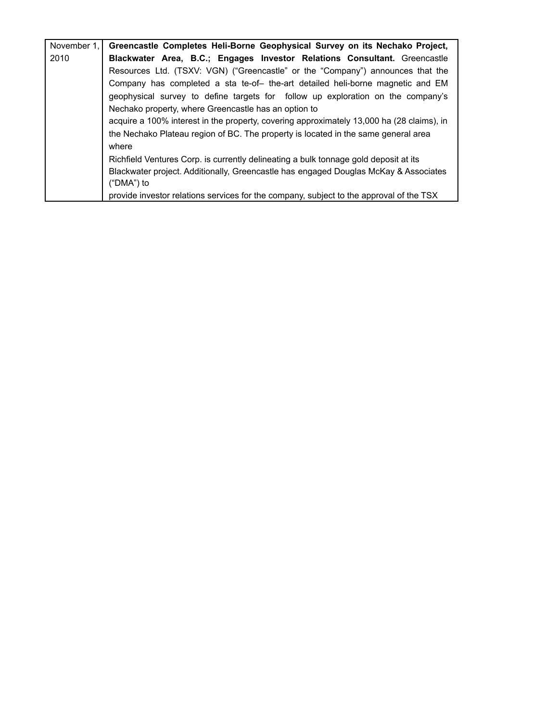| November 1. | Greencastle Completes Heli-Borne Geophysical Survey on its Nechako Project,               |
|-------------|-------------------------------------------------------------------------------------------|
| 2010        | Blackwater Area, B.C.; Engages Investor Relations Consultant. Greencastle                 |
|             | Resources Ltd. (TSXV: VGN) ("Greencastle" or the "Company") announces that the            |
|             | Company has completed a sta te-of- the-art detailed heli-borne magnetic and EM            |
|             | geophysical survey to define targets for follow up exploration on the company's           |
|             | Nechako property, where Greencastle has an option to                                      |
|             | acquire a 100% interest in the property, covering approximately 13,000 ha (28 claims), in |
|             | the Nechako Plateau region of BC. The property is located in the same general area        |
|             | where                                                                                     |
|             | Richfield Ventures Corp. is currently delineating a bulk tonnage gold deposit at its      |
|             | Blackwater project. Additionally, Greencastle has engaged Douglas McKay & Associates      |
|             | ("DMA") to                                                                                |
|             | provide investor relations services for the company, subject to the approval of the TSX   |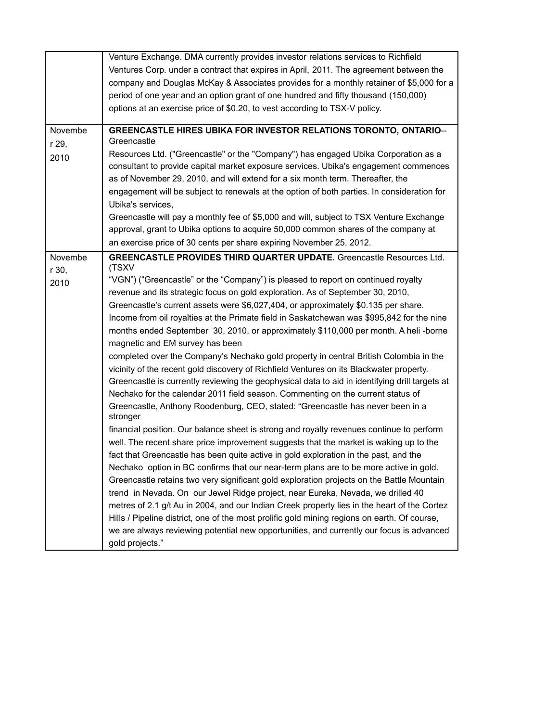|         | Venture Exchange. DMA currently provides investor relations services to Richfield              |
|---------|------------------------------------------------------------------------------------------------|
|         | Ventures Corp. under a contract that expires in April, 2011. The agreement between the         |
|         | company and Douglas McKay & Associates provides for a monthly retainer of \$5,000 for a        |
|         | period of one year and an option grant of one hundred and fifty thousand (150,000)             |
|         | options at an exercise price of \$0.20, to vest according to TSX-V policy.                     |
|         |                                                                                                |
| Novembe | <b>GREENCASTLE HIRES UBIKA FOR INVESTOR RELATIONS TORONTO, ONTARIO--</b>                       |
| r 29,   | Greencastle                                                                                    |
| 2010    | Resources Ltd. ("Greencastle" or the "Company") has engaged Ubika Corporation as a             |
|         | consultant to provide capital market exposure services. Ubika's engagement commences           |
|         | as of November 29, 2010, and will extend for a six month term. Thereafter, the                 |
|         | engagement will be subject to renewals at the option of both parties. In consideration for     |
|         | Ubika's services,                                                                              |
|         | Greencastle will pay a monthly fee of \$5,000 and will, subject to TSX Venture Exchange        |
|         | approval, grant to Ubika options to acquire 50,000 common shares of the company at             |
|         | an exercise price of 30 cents per share expiring November 25, 2012.                            |
| Novembe | <b>GREENCASTLE PROVIDES THIRD QUARTER UPDATE.</b> Greencastle Resources Ltd.                   |
| r 30,   | (TSXV                                                                                          |
| 2010    | "VGN") ("Greencastle" or the "Company") is pleased to report on continued royalty              |
|         | revenue and its strategic focus on gold exploration. As of September 30, 2010,                 |
|         | Greencastle's current assets were \$6,027,404, or approximately \$0.135 per share.             |
|         | Income from oil royalties at the Primate field in Saskatchewan was \$995,842 for the nine      |
|         | months ended September 30, 2010, or approximately \$110,000 per month. A heli-borne            |
|         | magnetic and EM survey has been                                                                |
|         | completed over the Company's Nechako gold property in central British Colombia in the          |
|         | vicinity of the recent gold discovery of Richfield Ventures on its Blackwater property.        |
|         | Greencastle is currently reviewing the geophysical data to aid in identifying drill targets at |
|         | Nechako for the calendar 2011 field season. Commenting on the current status of                |
|         | Greencastle, Anthony Roodenburg, CEO, stated: "Greencastle has never been in a<br>stronger     |
|         | financial position. Our balance sheet is strong and royalty revenues continue to perform       |
|         | well. The recent share price improvement suggests that the market is waking up to the          |
|         | fact that Greencastle has been quite active in gold exploration in the past, and the           |
|         | Nechako option in BC confirms that our near-term plans are to be more active in gold.          |
|         | Greencastle retains two very significant gold exploration projects on the Battle Mountain      |
|         | trend in Nevada. On our Jewel Ridge project, near Eureka, Nevada, we drilled 40                |
|         | metres of 2.1 g/t Au in 2004, and our Indian Creek property lies in the heart of the Cortez    |
|         | Hills / Pipeline district, one of the most prolific gold mining regions on earth. Of course,   |
|         | we are always reviewing potential new opportunities, and currently our focus is advanced       |
|         | gold projects."                                                                                |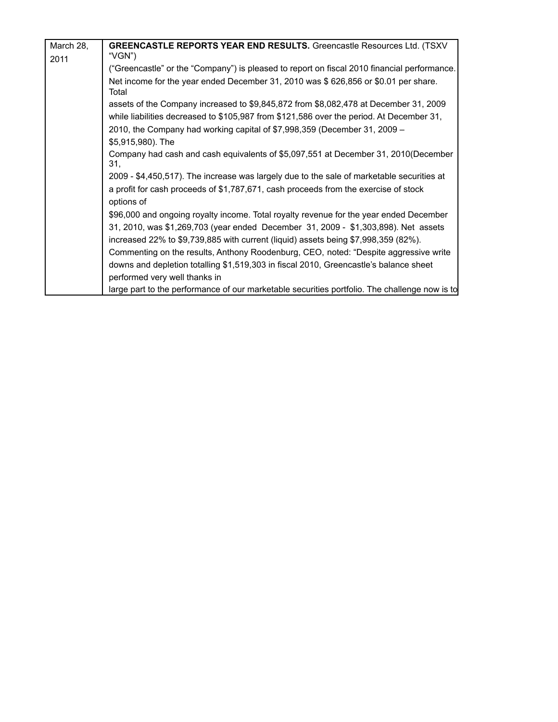| March 28,<br><b>GREENCASTLE REPORTS YEAR END RESULTS.</b> Greencastle Resources Ltd. (TSXV<br>"VGN")<br>2011<br>Net income for the year ended December 31, 2010 was \$626,856 or \$0.01 per share.<br>Total<br>assets of the Company increased to \$9,845,872 from \$8,082,478 at December 31, 2009<br>while liabilities decreased to \$105,987 from \$121,586 over the period. At December 31,<br>2010, the Company had working capital of \$7,998,359 (December 31, 2009 –<br>\$5,915,980). The<br>Company had cash and cash equivalents of \$5,097,551 at December 31, 2010(December<br>31.<br>2009 - \$4,450,517). The increase was largely due to the sale of marketable securities at<br>a profit for cash proceeds of \$1,787,671, cash proceeds from the exercise of stock<br>options of<br>\$96,000 and ongoing royalty income. Total royalty revenue for the year ended December<br>31, 2010, was \$1,269,703 (year ended December 31, 2009 - \$1,303,898). Net assets<br>increased 22% to \$9,739,885 with current (liquid) assets being \$7,998,359 (82%).<br>Commenting on the results, Anthony Roodenburg, CEO, noted: "Despite aggressive write<br>downs and depletion totalling \$1,519,303 in fiscal 2010, Greencastle's balance sheet<br>performed very well thanks in |  |                                                                                               |
|------------------------------------------------------------------------------------------------------------------------------------------------------------------------------------------------------------------------------------------------------------------------------------------------------------------------------------------------------------------------------------------------------------------------------------------------------------------------------------------------------------------------------------------------------------------------------------------------------------------------------------------------------------------------------------------------------------------------------------------------------------------------------------------------------------------------------------------------------------------------------------------------------------------------------------------------------------------------------------------------------------------------------------------------------------------------------------------------------------------------------------------------------------------------------------------------------------------------------------------------------------------------------------------|--|-----------------------------------------------------------------------------------------------|
|                                                                                                                                                                                                                                                                                                                                                                                                                                                                                                                                                                                                                                                                                                                                                                                                                                                                                                                                                                                                                                                                                                                                                                                                                                                                                          |  |                                                                                               |
|                                                                                                                                                                                                                                                                                                                                                                                                                                                                                                                                                                                                                                                                                                                                                                                                                                                                                                                                                                                                                                                                                                                                                                                                                                                                                          |  | ("Greencastle" or the "Company") is pleased to report on fiscal 2010 financial performance.   |
|                                                                                                                                                                                                                                                                                                                                                                                                                                                                                                                                                                                                                                                                                                                                                                                                                                                                                                                                                                                                                                                                                                                                                                                                                                                                                          |  |                                                                                               |
|                                                                                                                                                                                                                                                                                                                                                                                                                                                                                                                                                                                                                                                                                                                                                                                                                                                                                                                                                                                                                                                                                                                                                                                                                                                                                          |  |                                                                                               |
|                                                                                                                                                                                                                                                                                                                                                                                                                                                                                                                                                                                                                                                                                                                                                                                                                                                                                                                                                                                                                                                                                                                                                                                                                                                                                          |  |                                                                                               |
|                                                                                                                                                                                                                                                                                                                                                                                                                                                                                                                                                                                                                                                                                                                                                                                                                                                                                                                                                                                                                                                                                                                                                                                                                                                                                          |  |                                                                                               |
|                                                                                                                                                                                                                                                                                                                                                                                                                                                                                                                                                                                                                                                                                                                                                                                                                                                                                                                                                                                                                                                                                                                                                                                                                                                                                          |  |                                                                                               |
|                                                                                                                                                                                                                                                                                                                                                                                                                                                                                                                                                                                                                                                                                                                                                                                                                                                                                                                                                                                                                                                                                                                                                                                                                                                                                          |  |                                                                                               |
|                                                                                                                                                                                                                                                                                                                                                                                                                                                                                                                                                                                                                                                                                                                                                                                                                                                                                                                                                                                                                                                                                                                                                                                                                                                                                          |  |                                                                                               |
|                                                                                                                                                                                                                                                                                                                                                                                                                                                                                                                                                                                                                                                                                                                                                                                                                                                                                                                                                                                                                                                                                                                                                                                                                                                                                          |  |                                                                                               |
|                                                                                                                                                                                                                                                                                                                                                                                                                                                                                                                                                                                                                                                                                                                                                                                                                                                                                                                                                                                                                                                                                                                                                                                                                                                                                          |  |                                                                                               |
|                                                                                                                                                                                                                                                                                                                                                                                                                                                                                                                                                                                                                                                                                                                                                                                                                                                                                                                                                                                                                                                                                                                                                                                                                                                                                          |  |                                                                                               |
|                                                                                                                                                                                                                                                                                                                                                                                                                                                                                                                                                                                                                                                                                                                                                                                                                                                                                                                                                                                                                                                                                                                                                                                                                                                                                          |  |                                                                                               |
|                                                                                                                                                                                                                                                                                                                                                                                                                                                                                                                                                                                                                                                                                                                                                                                                                                                                                                                                                                                                                                                                                                                                                                                                                                                                                          |  |                                                                                               |
|                                                                                                                                                                                                                                                                                                                                                                                                                                                                                                                                                                                                                                                                                                                                                                                                                                                                                                                                                                                                                                                                                                                                                                                                                                                                                          |  |                                                                                               |
|                                                                                                                                                                                                                                                                                                                                                                                                                                                                                                                                                                                                                                                                                                                                                                                                                                                                                                                                                                                                                                                                                                                                                                                                                                                                                          |  |                                                                                               |
|                                                                                                                                                                                                                                                                                                                                                                                                                                                                                                                                                                                                                                                                                                                                                                                                                                                                                                                                                                                                                                                                                                                                                                                                                                                                                          |  | large part to the performance of our marketable securities portfolio. The challenge now is to |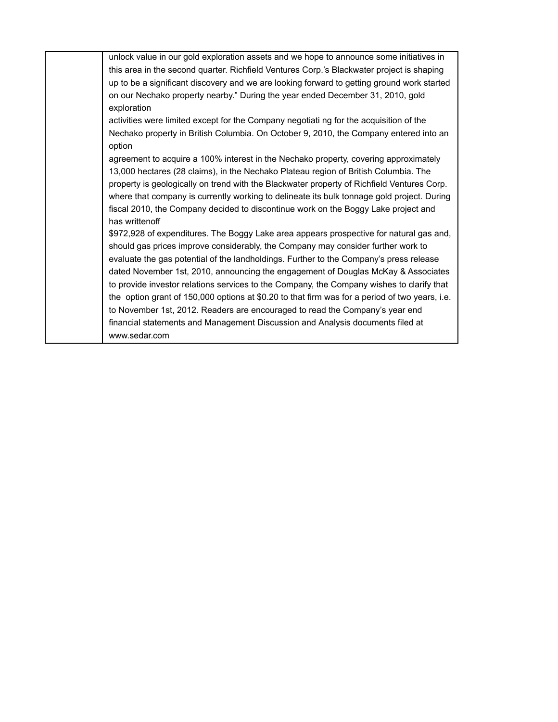| unlock value in our gold exploration assets and we hope to announce some initiatives in        |
|------------------------------------------------------------------------------------------------|
| this area in the second quarter. Richfield Ventures Corp.'s Blackwater project is shaping      |
| up to be a significant discovery and we are looking forward to getting ground work started     |
| on our Nechako property nearby." During the year ended December 31, 2010, gold                 |
| exploration                                                                                    |
| activities were limited except for the Company negotiati ng for the acquisition of the         |
| Nechako property in British Columbia. On October 9, 2010, the Company entered into an          |
| option                                                                                         |
| agreement to acquire a 100% interest in the Nechako property, covering approximately           |
| 13,000 hectares (28 claims), in the Nechako Plateau region of British Columbia. The            |
| property is geologically on trend with the Blackwater property of Richfield Ventures Corp.     |
| where that company is currently working to delineate its bulk tonnage gold project. During     |
| fiscal 2010, the Company decided to discontinue work on the Boggy Lake project and             |
| has writtenoff                                                                                 |
| \$972,928 of expenditures. The Boggy Lake area appears prospective for natural gas and,        |
| should gas prices improve considerably, the Company may consider further work to               |
| evaluate the gas potential of the landholdings. Further to the Company's press release         |
| dated November 1st, 2010, announcing the engagement of Douglas McKay & Associates              |
|                                                                                                |
| to provide investor relations services to the Company, the Company wishes to clarify that      |
| the option grant of 150,000 options at \$0.20 to that firm was for a period of two years, i.e. |
| to November 1st, 2012. Readers are encouraged to read the Company's year end                   |
| financial statements and Management Discussion and Analysis documents filed at                 |
| www.sedar.com                                                                                  |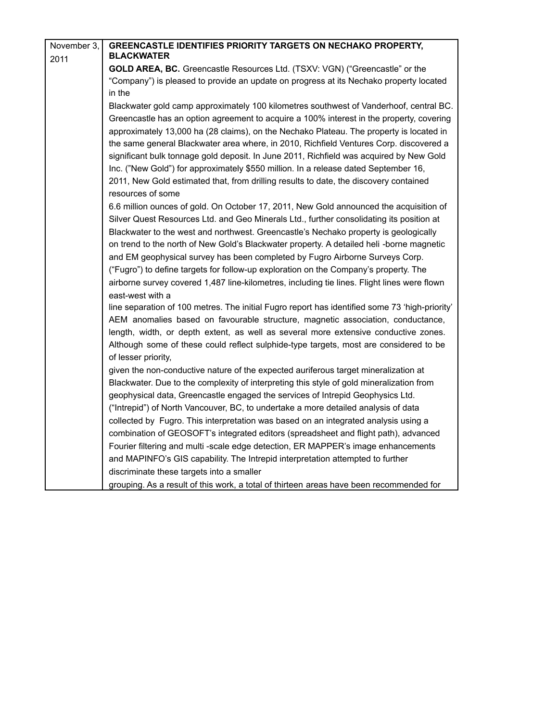| November 3, | <b>GREENCASTLE IDENTIFIES PRIORITY TARGETS ON NECHAKO PROPERTY,</b>                                          |
|-------------|--------------------------------------------------------------------------------------------------------------|
| 2011        | <b>BLACKWATER</b>                                                                                            |
|             | GOLD AREA, BC. Greencastle Resources Ltd. (TSXV: VGN) ("Greencastle" or the                                  |
|             | "Company") is pleased to provide an update on progress at its Nechako property located                       |
|             | in the                                                                                                       |
|             | Blackwater gold camp approximately 100 kilometres southwest of Vanderhoof, central BC.                       |
|             | Greencastle has an option agreement to acquire a 100% interest in the property, covering                     |
|             | approximately 13,000 ha (28 claims), on the Nechako Plateau. The property is located in                      |
|             | the same general Blackwater area where, in 2010, Richfield Ventures Corp. discovered a                       |
|             | significant bulk tonnage gold deposit. In June 2011, Richfield was acquired by New Gold                      |
|             | Inc. ("New Gold") for approximately \$550 million. In a release dated September 16,                          |
|             | 2011, New Gold estimated that, from drilling results to date, the discovery contained<br>resources of some   |
|             | 6.6 million ounces of gold. On October 17, 2011, New Gold announced the acquisition of                       |
|             | Silver Quest Resources Ltd. and Geo Minerals Ltd., further consolidating its position at                     |
|             | Blackwater to the west and northwest. Greencastle's Nechako property is geologically                         |
|             | on trend to the north of New Gold's Blackwater property. A detailed heli -borne magnetic                     |
|             | and EM geophysical survey has been completed by Fugro Airborne Surveys Corp.                                 |
|             | ("Fugro") to define targets for follow-up exploration on the Company's property. The                         |
|             | airborne survey covered 1,487 line-kilometres, including tie lines. Flight lines were flown                  |
|             | east-west with a                                                                                             |
|             | line separation of 100 metres. The initial Fugro report has identified some 73 'high-priority'               |
|             | AEM anomalies based on favourable structure, magnetic association, conductance,                              |
|             | length, width, or depth extent, as well as several more extensive conductive zones.                          |
|             | Although some of these could reflect sulphide-type targets, most are considered to be<br>of lesser priority, |
|             | given the non-conductive nature of the expected auriferous target mineralization at                          |
|             | Blackwater. Due to the complexity of interpreting this style of gold mineralization from                     |
|             | geophysical data, Greencastle engaged the services of Intrepid Geophysics Ltd.                               |
|             | ("Intrepid") of North Vancouver, BC, to undertake a more detailed analysis of data                           |
|             | collected by Fugro. This interpretation was based on an integrated analysis using a                          |
|             | combination of GEOSOFT's integrated editors (spreadsheet and flight path), advanced                          |
|             | Fourier filtering and multi-scale edge detection, ER MAPPER's image enhancements                             |
|             | and MAPINFO's GIS capability. The Intrepid interpretation attempted to further                               |
|             | discriminate these targets into a smaller                                                                    |
|             | $-1$                                                                                                         |

grouping. As a result of this work, a total of thirteen areas have been recommended for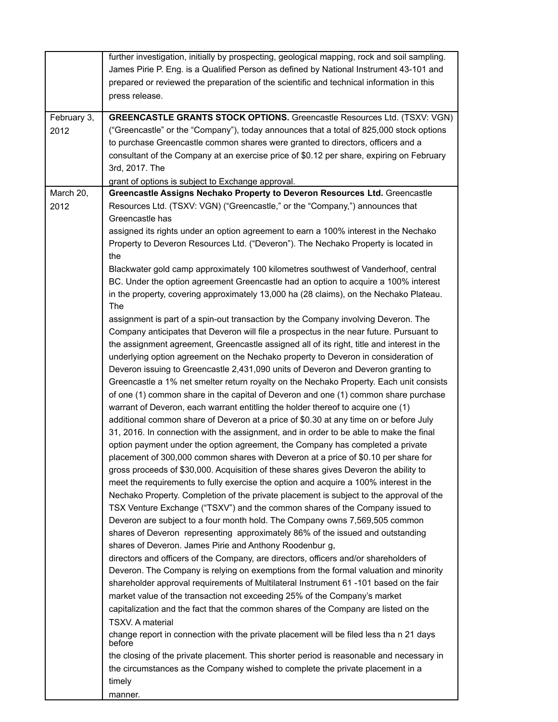|             | further investigation, initially by prospecting, geological mapping, rock and soil sampling.     |
|-------------|--------------------------------------------------------------------------------------------------|
|             | James Pirie P. Eng. is a Qualified Person as defined by National Instrument 43-101 and           |
|             | prepared or reviewed the preparation of the scientific and technical information in this         |
|             | press release.                                                                                   |
|             |                                                                                                  |
| February 3, | <b>GREENCASTLE GRANTS STOCK OPTIONS.</b> Greencastle Resources Ltd. (TSXV: VGN)                  |
| 2012        | ("Greencastle" or the "Company"), today announces that a total of 825,000 stock options          |
|             | to purchase Greencastle common shares were granted to directors, officers and a                  |
|             | consultant of the Company at an exercise price of \$0.12 per share, expiring on February         |
|             | 3rd, 2017. The                                                                                   |
|             | grant of options is subject to Exchange approval.                                                |
| March 20,   | Greencastle Assigns Nechako Property to Deveron Resources Ltd. Greencastle                       |
| 2012        | Resources Ltd. (TSXV: VGN) ("Greencastle," or the "Company,") announces that                     |
|             | Greencastle has                                                                                  |
|             | assigned its rights under an option agreement to earn a 100% interest in the Nechako             |
|             | Property to Deveron Resources Ltd. ("Deveron"). The Nechako Property is located in               |
|             | the                                                                                              |
|             | Blackwater gold camp approximately 100 kilometres southwest of Vanderhoof, central               |
|             | BC. Under the option agreement Greencastle had an option to acquire a 100% interest              |
|             | in the property, covering approximately 13,000 ha (28 claims), on the Nechako Plateau.           |
|             | The                                                                                              |
|             | assignment is part of a spin-out transaction by the Company involving Deveron. The               |
|             | Company anticipates that Deveron will file a prospectus in the near future. Pursuant to          |
|             | the assignment agreement, Greencastle assigned all of its right, title and interest in the       |
|             | underlying option agreement on the Nechako property to Deveron in consideration of               |
|             | Deveron issuing to Greencastle 2,431,090 units of Deveron and Deveron granting to                |
|             | Greencastle a 1% net smelter return royalty on the Nechako Property. Each unit consists          |
|             | of one (1) common share in the capital of Deveron and one (1) common share purchase              |
|             | warrant of Deveron, each warrant entitling the holder thereof to acquire one (1)                 |
|             | additional common share of Deveron at a price of \$0.30 at any time on or before July            |
|             | 31, 2016. In connection with the assignment, and in order to be able to make the final           |
|             | option payment under the option agreement, the Company has completed a private                   |
|             | placement of 300,000 common shares with Deveron at a price of \$0.10 per share for               |
|             | gross proceeds of \$30,000. Acquisition of these shares gives Deveron the ability to             |
|             | meet the requirements to fully exercise the option and acquire a 100% interest in the            |
|             | Nechako Property. Completion of the private placement is subject to the approval of the          |
|             | TSX Venture Exchange ("TSXV") and the common shares of the Company issued to                     |
|             | Deveron are subject to a four month hold. The Company owns 7,569,505 common                      |
|             | shares of Deveron representing approximately 86% of the issued and outstanding                   |
|             | shares of Deveron. James Pirie and Anthony Roodenbur g,                                          |
|             | directors and officers of the Company, are directors, officers and/or shareholders of            |
|             | Deveron. The Company is relying on exemptions from the formal valuation and minority             |
|             | shareholder approval requirements of Multilateral Instrument 61 -101 based on the fair           |
|             | market value of the transaction not exceeding 25% of the Company's market                        |
|             | capitalization and the fact that the common shares of the Company are listed on the              |
|             | TSXV. A material                                                                                 |
|             | change report in connection with the private placement will be filed less than 21 days<br>before |
|             | the closing of the private placement. This shorter period is reasonable and necessary in         |
|             | the circumstances as the Company wished to complete the private placement in a                   |
|             | timely                                                                                           |
|             | manner.                                                                                          |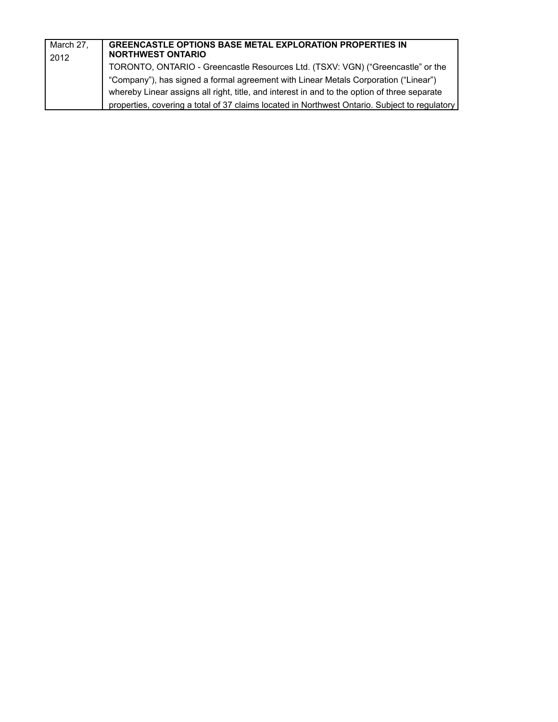| March 27,<br>2012 | <b>GREENCASTLE OPTIONS BASE METAL EXPLORATION PROPERTIES IN</b><br><b>NORTHWEST ONTARIO</b>   |
|-------------------|-----------------------------------------------------------------------------------------------|
|                   | TORONTO, ONTARIO - Greencastle Resources Ltd. (TSXV: VGN) ("Greencastle" or the               |
|                   | "Company"), has signed a formal agreement with Linear Metals Corporation ("Linear")           |
|                   | whereby Linear assigns all right, title, and interest in and to the option of three separate  |
|                   | properties, covering a total of 37 claims located in Northwest Ontario. Subject to regulatory |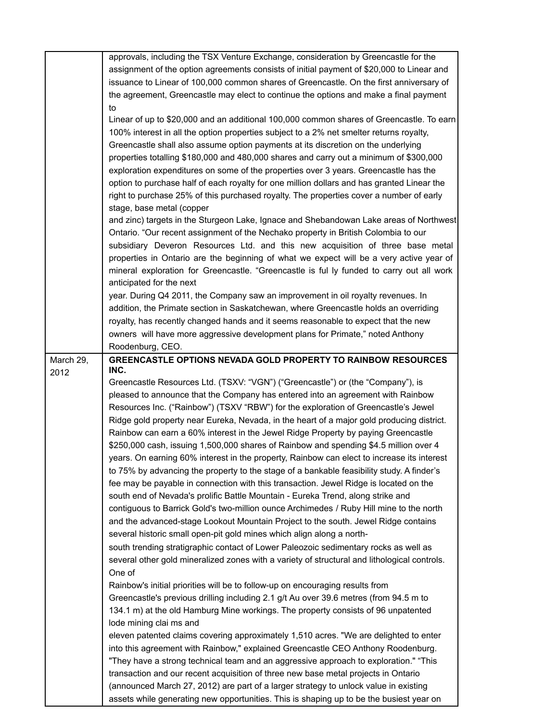|           | approvals, including the TSX Venture Exchange, consideration by Greencastle for the          |
|-----------|----------------------------------------------------------------------------------------------|
|           | assignment of the option agreements consists of initial payment of \$20,000 to Linear and    |
|           | issuance to Linear of 100,000 common shares of Greencastle. On the first anniversary of      |
|           | the agreement, Greencastle may elect to continue the options and make a final payment        |
|           | to                                                                                           |
|           | Linear of up to \$20,000 and an additional 100,000 common shares of Greencastle. To earn     |
|           |                                                                                              |
|           | 100% interest in all the option properties subject to a 2% net smelter returns royalty,      |
|           | Greencastle shall also assume option payments at its discretion on the underlying            |
|           | properties totalling \$180,000 and 480,000 shares and carry out a minimum of \$300,000       |
|           | exploration expenditures on some of the properties over 3 years. Greencastle has the         |
|           | option to purchase half of each royalty for one million dollars and has granted Linear the   |
|           | right to purchase 25% of this purchased royalty. The properties cover a number of early      |
|           | stage, base metal (copper                                                                    |
|           | and zinc) targets in the Sturgeon Lake, Ignace and Shebandowan Lake areas of Northwest       |
|           | Ontario. "Our recent assignment of the Nechako property in British Colombia to our           |
|           | subsidiary Deveron Resources Ltd. and this new acquisition of three base metal               |
|           | properties in Ontario are the beginning of what we expect will be a very active year of      |
|           | mineral exploration for Greencastle. "Greencastle is ful ly funded to carry out all work     |
|           | anticipated for the next                                                                     |
|           | year. During Q4 2011, the Company saw an improvement in oil royalty revenues. In             |
|           | addition, the Primate section in Saskatchewan, where Greencastle holds an overriding         |
|           |                                                                                              |
|           | royalty, has recently changed hands and it seems reasonable to expect that the new           |
|           | owners will have more aggressive development plans for Primate," noted Anthony               |
|           | Roodenburg, CEO.                                                                             |
| March 29, | <b>GREENCASTLE OPTIONS NEVADA GOLD PROPERTY TO RAINBOW RESOURCES</b>                         |
| 2012      | INC.                                                                                         |
|           | Greencastle Resources Ltd. (TSXV: "VGN") ("Greencastle") or (the "Company"), is              |
|           | pleased to announce that the Company has entered into an agreement with Rainbow              |
|           | Resources Inc. ("Rainbow") (TSXV "RBW") for the exploration of Greencastle's Jewel           |
|           | Ridge gold property near Eureka, Nevada, in the heart of a major gold producing district.    |
|           | Rainbow can earn a 60% interest in the Jewel Ridge Property by paying Greencastle            |
|           | \$250,000 cash, issuing 1,500,000 shares of Rainbow and spending \$4.5 million over 4        |
|           | years. On earning 60% interest in the property, Rainbow can elect to increase its interest   |
|           | to 75% by advancing the property to the stage of a bankable feasibility study. A finder's    |
|           | fee may be payable in connection with this transaction. Jewel Ridge is located on the        |
|           | south end of Nevada's prolific Battle Mountain - Eureka Trend, along strike and              |
|           | contiguous to Barrick Gold's two-million ounce Archimedes / Ruby Hill mine to the north      |
|           |                                                                                              |
|           | and the advanced-stage Lookout Mountain Project to the south. Jewel Ridge contains           |
|           | several historic small open-pit gold mines which align along a north-                        |
|           | south trending stratigraphic contact of Lower Paleozoic sedimentary rocks as well as         |
|           | several other gold mineralized zones with a variety of structural and lithological controls. |
|           | One of                                                                                       |
|           | Rainbow's initial priorities will be to follow-up on encouraging results from                |
|           | Greencastle's previous drilling including 2.1 g/t Au over 39.6 metres (from 94.5 m to        |
|           | 134.1 m) at the old Hamburg Mine workings. The property consists of 96 unpatented            |
|           | lode mining clai ms and                                                                      |
|           | eleven patented claims covering approximately 1,510 acres. "We are delighted to enter        |
|           | into this agreement with Rainbow," explained Greencastle CEO Anthony Roodenburg.             |
|           | "They have a strong technical team and an aggressive approach to exploration." "This         |
|           | transaction and our recent acquisition of three new base metal projects in Ontario           |
|           |                                                                                              |
|           | (announced March 27, 2012) are part of a larger strategy to unlock value in existing         |
|           | assets while generating new opportunities. This is shaping up to be the busiest year on      |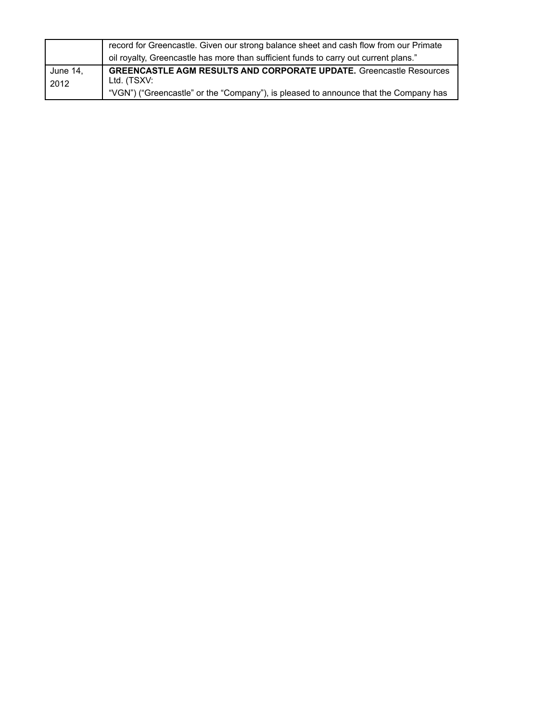|          | record for Greencastle. Given our strong balance sheet and cash flow from our Primate |
|----------|---------------------------------------------------------------------------------------|
|          | oil royalty, Greencastle has more than sufficient funds to carry out current plans."  |
| June 14, | <b>GREENCASTLE AGM RESULTS AND CORPORATE UPDATE.</b> Greencastle Resources            |
| 2012     | Ltd. (TSXV:                                                                           |
|          | "VGN") ("Greencastle" or the "Company"), is pleased to announce that the Company has  |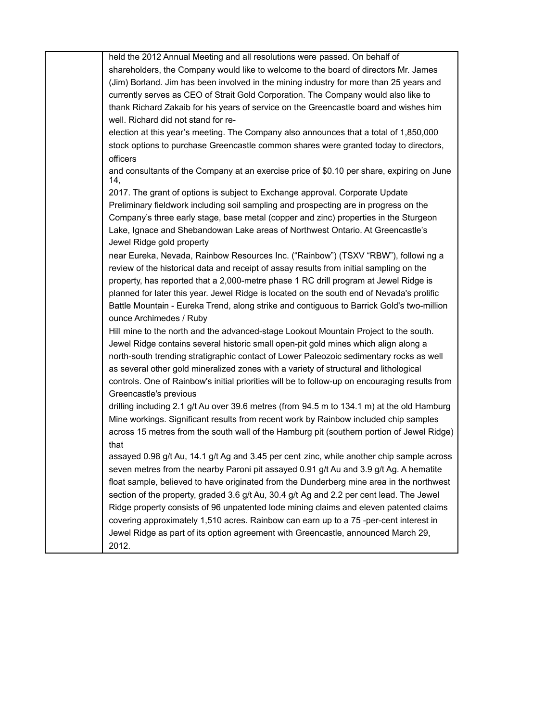| held the 2012 Annual Meeting and all resolutions were passed. On behalf of                     |
|------------------------------------------------------------------------------------------------|
| shareholders, the Company would like to welcome to the board of directors Mr. James            |
| (Jim) Borland. Jim has been involved in the mining industry for more than 25 years and         |
| currently serves as CEO of Strait Gold Corporation. The Company would also like to             |
| thank Richard Zakaib for his years of service on the Greencastle board and wishes him          |
| well. Richard did not stand for re-                                                            |
| election at this year's meeting. The Company also announces that a total of 1,850,000          |
| stock options to purchase Greencastle common shares were granted today to directors,           |
| officers                                                                                       |
| and consultants of the Company at an exercise price of \$0.10 per share, expiring on June      |
| 14,                                                                                            |
| 2017. The grant of options is subject to Exchange approval. Corporate Update                   |
| Preliminary fieldwork including soil sampling and prospecting are in progress on the           |
| Company's three early stage, base metal (copper and zinc) properties in the Sturgeon           |
| Lake, Ignace and Shebandowan Lake areas of Northwest Ontario. At Greencastle's                 |
| Jewel Ridge gold property                                                                      |
| near Eureka, Nevada, Rainbow Resources Inc. ("Rainbow") (TSXV "RBW"), followi ng a             |
| review of the historical data and receipt of assay results from initial sampling on the        |
| property, has reported that a 2,000-metre phase 1 RC drill program at Jewel Ridge is           |
| planned for later this year. Jewel Ridge is located on the south end of Nevada's prolific      |
| Battle Mountain - Eureka Trend, along strike and contiguous to Barrick Gold's two-million      |
| ounce Archimedes / Ruby                                                                        |
|                                                                                                |
| Hill mine to the north and the advanced-stage Lookout Mountain Project to the south.           |
| Jewel Ridge contains several historic small open-pit gold mines which align along a            |
| north-south trending stratigraphic contact of Lower Paleozoic sedimentary rocks as well        |
| as several other gold mineralized zones with a variety of structural and lithological          |
| controls. One of Rainbow's initial priorities will be to follow-up on encouraging results from |
| Greencastle's previous                                                                         |
| drilling including 2.1 g/t Au over 39.6 metres (from 94.5 m to 134.1 m) at the old Hamburg     |
| Mine workings. Significant results from recent work by Rainbow included chip samples           |
| across 15 metres from the south wall of the Hamburg pit (southern portion of Jewel Ridge)      |
| that                                                                                           |
| assayed 0.98 g/t Au, 14.1 g/t Ag and 3.45 per cent zinc, while another chip sample across      |
| seven metres from the nearby Paroni pit assayed 0.91 g/t Au and 3.9 g/t Ag. A hematite         |
| float sample, believed to have originated from the Dunderberg mine area in the northwest       |
| section of the property, graded 3.6 g/t Au, 30.4 g/t Ag and 2.2 per cent lead. The Jewel       |
| Ridge property consists of 96 unpatented lode mining claims and eleven patented claims         |
| covering approximately 1,510 acres. Rainbow can earn up to a 75 -per-cent interest in          |
| Jewel Ridge as part of its option agreement with Greencastle, announced March 29,              |
| 2012.                                                                                          |
|                                                                                                |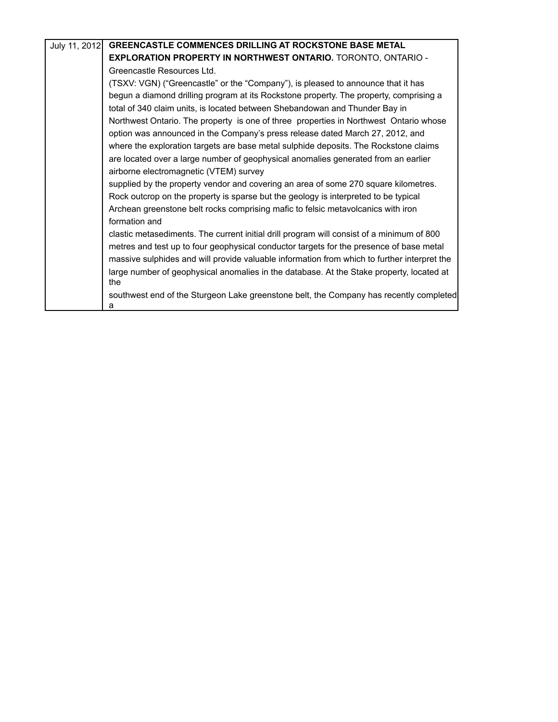| July 11, 2012 | GREENCASTLE COMMENCES DRILLING AT ROCKSTONE BASE METAL                                          |
|---------------|-------------------------------------------------------------------------------------------------|
|               | <b>EXPLORATION PROPERTY IN NORTHWEST ONTARIO.</b> TORONTO, ONTARIO -                            |
|               | Greencastle Resources Ltd.                                                                      |
|               | (TSXV: VGN) ("Greencastle" or the "Company"), is pleased to announce that it has                |
|               | begun a diamond drilling program at its Rockstone property. The property, comprising a          |
|               | total of 340 claim units, is located between Shebandowan and Thunder Bay in                     |
|               | Northwest Ontario. The property is one of three properties in Northwest Ontario whose           |
|               | option was announced in the Company's press release dated March 27, 2012, and                   |
|               | where the exploration targets are base metal sulphide deposits. The Rockstone claims            |
|               | are located over a large number of geophysical anomalies generated from an earlier              |
|               | airborne electromagnetic (VTEM) survey                                                          |
|               | supplied by the property vendor and covering an area of some 270 square kilometres.             |
|               | Rock outcrop on the property is sparse but the geology is interpreted to be typical             |
|               | Archean greenstone belt rocks comprising mafic to felsic metavolcanics with iron                |
|               | formation and                                                                                   |
|               | clastic metasediments. The current initial drill program will consist of a minimum of 800       |
|               | metres and test up to four geophysical conductor targets for the presence of base metal         |
|               | massive sulphides and will provide valuable information from which to further interpret the     |
|               | large number of geophysical anomalies in the database. At the Stake property, located at<br>the |
|               | southwest end of the Sturgeon Lake greenstone belt, the Company has recently completed<br>а     |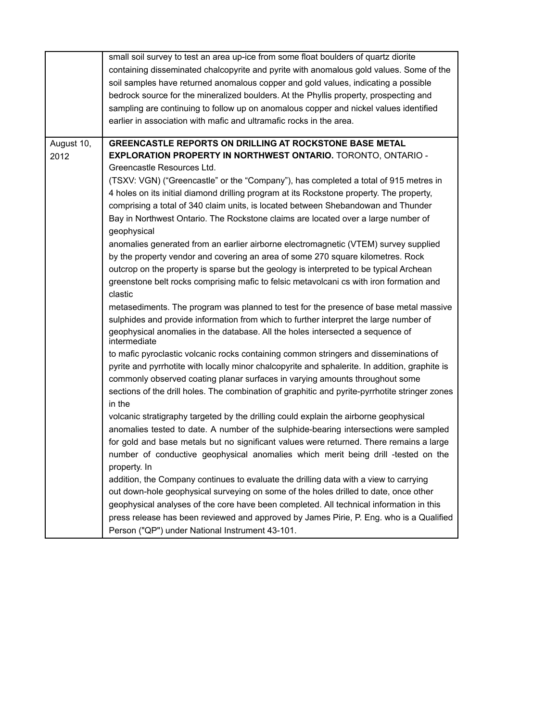|            | small soil survey to test an area up-ice from some float boulders of quartz diorite            |
|------------|------------------------------------------------------------------------------------------------|
|            | containing disseminated chalcopyrite and pyrite with anomalous gold values. Some of the        |
|            | soil samples have returned anomalous copper and gold values, indicating a possible             |
|            | bedrock source for the mineralized boulders. At the Phyllis property, prospecting and          |
|            | sampling are continuing to follow up on anomalous copper and nickel values identified          |
|            | earlier in association with mafic and ultramafic rocks in the area.                            |
|            |                                                                                                |
| August 10, | GREENCASTLE REPORTS ON DRILLING AT ROCKSTONE BASE METAL                                        |
| 2012       | <b>EXPLORATION PROPERTY IN NORTHWEST ONTARIO.</b> TORONTO, ONTARIO -                           |
|            | Greencastle Resources Ltd.                                                                     |
|            | (TSXV: VGN) ("Greencastle" or the "Company"), has completed a total of 915 metres in           |
|            | 4 holes on its initial diamond drilling program at its Rockstone property. The property,       |
|            | comprising a total of 340 claim units, is located between Shebandowan and Thunder              |
|            | Bay in Northwest Ontario. The Rockstone claims are located over a large number of              |
|            | geophysical                                                                                    |
|            | anomalies generated from an earlier airborne electromagnetic (VTEM) survey supplied            |
|            | by the property vendor and covering an area of some 270 square kilometres. Rock                |
|            | outcrop on the property is sparse but the geology is interpreted to be typical Archean         |
|            | greenstone belt rocks comprising mafic to felsic metavolcani cs with iron formation and        |
|            | clastic                                                                                        |
|            | metasediments. The program was planned to test for the presence of base metal massive          |
|            | sulphides and provide information from which to further interpret the large number of          |
|            | geophysical anomalies in the database. All the holes intersected a sequence of                 |
|            | intermediate                                                                                   |
|            | to mafic pyroclastic volcanic rocks containing common stringers and disseminations of          |
|            | pyrite and pyrrhotite with locally minor chalcopyrite and sphalerite. In addition, graphite is |
|            | commonly observed coating planar surfaces in varying amounts throughout some                   |
|            | sections of the drill holes. The combination of graphitic and pyrite-pyrrhotite stringer zones |
|            | in the                                                                                         |
|            | volcanic stratigraphy targeted by the drilling could explain the airborne geophysical          |
|            | anomalies tested to date. A number of the sulphide-bearing intersections were sampled          |
|            | for gold and base metals but no significant values were returned. There remains a large        |
|            | number of conductive geophysical anomalies which merit being drill -tested on the              |
|            | property. In                                                                                   |
|            | addition, the Company continues to evaluate the drilling data with a view to carrying          |
|            | out down-hole geophysical surveying on some of the holes drilled to date, once other           |
|            | geophysical analyses of the core have been completed. All technical information in this        |
|            |                                                                                                |
|            | press release has been reviewed and approved by James Pirie, P. Eng. who is a Qualified        |
|            | Person ("QP") under National Instrument 43-101.                                                |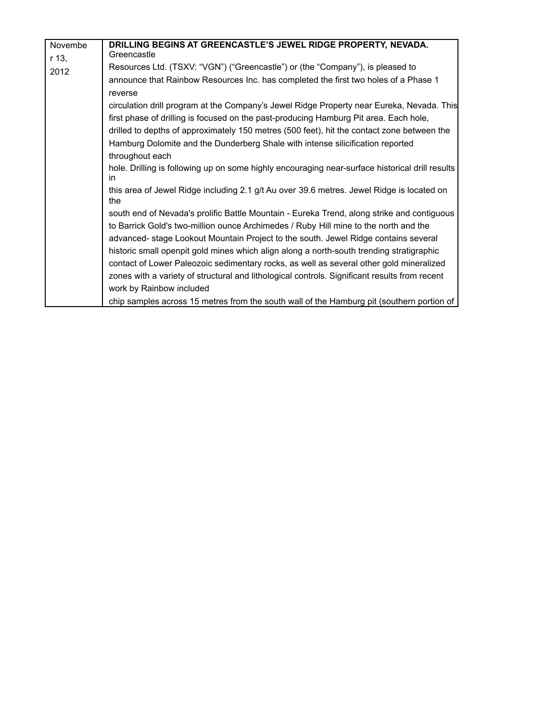| Novembe | DRILLING BEGINS AT GREENCASTLE'S JEWEL RIDGE PROPERTY, NEVADA.                                         |
|---------|--------------------------------------------------------------------------------------------------------|
| r 13,   | Greencastle                                                                                            |
| 2012    | Resources Ltd. (TSXV: "VGN") ("Greencastle") or (the "Company"), is pleased to                         |
|         | announce that Rainbow Resources Inc. has completed the first two holes of a Phase 1                    |
|         | reverse                                                                                                |
|         | circulation drill program at the Company's Jewel Ridge Property near Eureka, Nevada. This              |
|         | first phase of drilling is focused on the past-producing Hamburg Pit area. Each hole,                  |
|         | drilled to depths of approximately 150 metres (500 feet), hit the contact zone between the             |
|         | Hamburg Dolomite and the Dunderberg Shale with intense silicification reported                         |
|         | throughout each                                                                                        |
|         | hole. Drilling is following up on some highly encouraging near-surface historical drill results<br>in. |
|         | this area of Jewel Ridge including 2.1 g/t Au over 39.6 metres. Jewel Ridge is located on<br>the       |
|         | south end of Nevada's prolific Battle Mountain - Eureka Trend, along strike and contiguous             |
|         | to Barrick Gold's two-million ounce Archimedes / Ruby Hill mine to the north and the                   |
|         | advanced- stage Lookout Mountain Project to the south. Jewel Ridge contains several                    |
|         | historic small openpit gold mines which align along a north-south trending stratigraphic               |
|         | contact of Lower Paleozoic sedimentary rocks, as well as several other gold mineralized                |
|         | zones with a variety of structural and lithological controls. Significant results from recent          |
|         | work by Rainbow included                                                                               |
|         | chip samples across 15 metres from the south wall of the Hamburg pit (southern portion of              |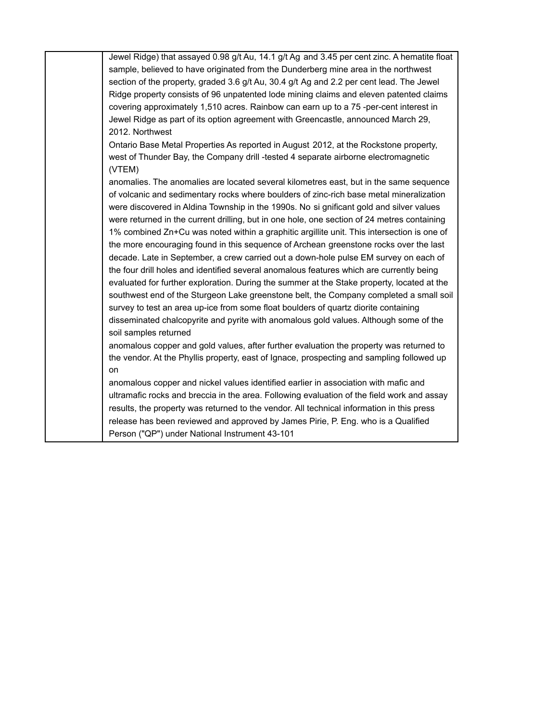Jewel Ridge) that assayed 0.98 g/t Au, 14.1 g/t Ag and 3.45 per cent zinc. A hematite float sample, believed to have originated from the Dunderberg mine area in the northwest section of the property, graded 3.6 g/t Au, 30.4 g/t Ag and 2.2 per cent lead. The Jewel Ridge property consists of 96 unpatented lode mining claims and eleven patented claims covering approximately 1,510 acres. Rainbow can earn up to a 75 -per-cent interest in Jewel Ridge as part of its option agreement with Greencastle, announced March 29, 2012. Northwest Ontario Base Metal Properties As reported in August 2012, at the Rockstone property, west of Thunder Bay, the Company drill -tested 4 separate airborne electromagnetic (VTEM) anomalies. The anomalies are located several kilometres east, but in the same sequence of volcanic and sedimentary rocks where boulders of zinc-rich base metal mineralization were discovered in Aldina Township in the 1990s. No si gnificant gold and silver values were returned in the current drilling, but in one hole, one section of 24 metres containing 1% combined Zn+Cu was noted within a graphitic argillite unit. This intersection is one of the more encouraging found in this sequence of Archean greenstone rocks over the last decade. Late in September, a crew carried out a down-hole pulse EM survey on each of the four drill holes and identified several anomalous features which are currently being evaluated for further exploration. During the summer at the Stake property, located at the southwest end of the Sturgeon Lake greenstone belt, the Company completed a small soil survey to test an area up-ice from some float boulders of quartz diorite containing disseminated chalcopyrite and pyrite with anomalous gold values. Although some of the soil samples returned anomalous copper and gold values, after further evaluation the property was returned to the vendor. At the Phyllis property, east of Ignace, prospecting and sampling followed up on anomalous copper and nickel values identified earlier in association with mafic and ultramafic rocks and breccia in the area. Following evaluation of the field work and assay results, the property was returned to the vendor. All technical information in this press

release has been reviewed and approved by James Pirie, P. Eng. who is a Qualified

Person ("QP") under National Instrument 43-101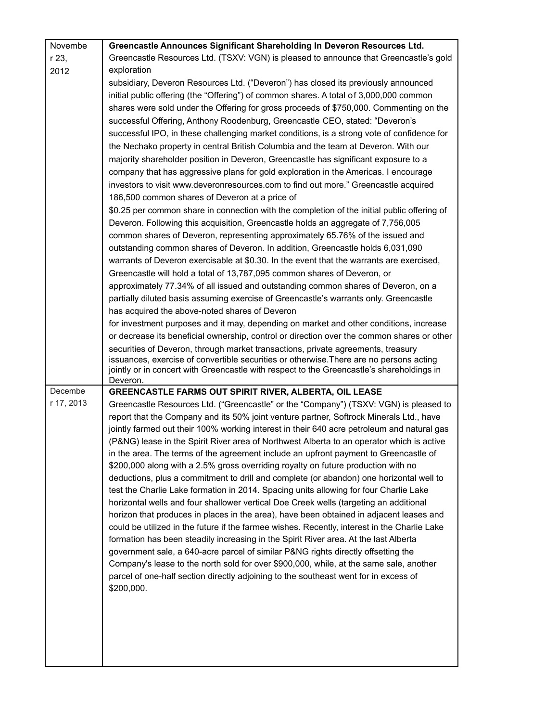| Novembe    | Greencastle Announces Significant Shareholding In Deveron Resources Ltd.                              |
|------------|-------------------------------------------------------------------------------------------------------|
| r 23,      | Greencastle Resources Ltd. (TSXV: VGN) is pleased to announce that Greencastle's gold                 |
| 2012       | exploration                                                                                           |
|            | subsidiary, Deveron Resources Ltd. ("Deveron") has closed its previously announced                    |
|            | initial public offering (the "Offering") of common shares. A total of 3,000,000 common                |
|            | shares were sold under the Offering for gross proceeds of \$750,000. Commenting on the                |
|            | successful Offering, Anthony Roodenburg, Greencastle CEO, stated: "Deveron's                          |
|            | successful IPO, in these challenging market conditions, is a strong vote of confidence for            |
|            | the Nechako property in central British Columbia and the team at Deveron. With our                    |
|            | majority shareholder position in Deveron, Greencastle has significant exposure to a                   |
|            | company that has aggressive plans for gold exploration in the Americas. I encourage                   |
|            | investors to visit www.deveronresources.com to find out more." Greencastle acquired                   |
|            | 186,500 common shares of Deveron at a price of                                                        |
|            | \$0.25 per common share in connection with the completion of the initial public offering of           |
|            | Deveron. Following this acquisition, Greencastle holds an aggregate of 7,756,005                      |
|            | common shares of Deveron, representing approximately 65.76% of the issued and                         |
|            | outstanding common shares of Deveron. In addition, Greencastle holds 6,031,090                        |
|            | warrants of Deveron exercisable at \$0.30. In the event that the warrants are exercised,              |
|            | Greencastle will hold a total of 13,787,095 common shares of Deveron, or                              |
|            | approximately 77.34% of all issued and outstanding common shares of Deveron, on a                     |
|            | partially diluted basis assuming exercise of Greencastle's warrants only. Greencastle                 |
|            | has acquired the above-noted shares of Deveron                                                        |
|            | for investment purposes and it may, depending on market and other conditions, increase                |
|            | or decrease its beneficial ownership, control or direction over the common shares or other            |
|            | securities of Deveron, through market transactions, private agreements, treasury                      |
|            | issuances, exercise of convertible securities or otherwise. There are no persons acting               |
|            | jointly or in concert with Greencastle with respect to the Greencastle's shareholdings in<br>Deveron. |
| Decembe    | <b>GREENCASTLE FARMS OUT SPIRIT RIVER, ALBERTA, OIL LEASE</b>                                         |
| r 17, 2013 | Greencastle Resources Ltd. ("Greencastle" or the "Company") (TSXV: VGN) is pleased to                 |
|            | report that the Company and its 50% joint venture partner, Softrock Minerals Ltd., have               |
|            | jointly farmed out their 100% working interest in their 640 acre petroleum and natural gas            |
|            | (P&NG) lease in the Spirit River area of Northwest Alberta to an operator which is active             |
|            | in the area. The terms of the agreement include an upfront payment to Greencastle of                  |
|            | \$200,000 along with a 2.5% gross overriding royalty on future production with no                     |
|            | deductions, plus a commitment to drill and complete (or abandon) one horizontal well to               |
|            | test the Charlie Lake formation in 2014. Spacing units allowing for four Charlie Lake                 |
|            | horizontal wells and four shallower vertical Doe Creek wells (targeting an additional                 |
|            | horizon that produces in places in the area), have been obtained in adjacent leases and               |
|            | could be utilized in the future if the farmee wishes. Recently, interest in the Charlie Lake          |
|            | formation has been steadily increasing in the Spirit River area. At the last Alberta                  |
|            | government sale, a 640-acre parcel of similar P&NG rights directly offsetting the                     |
|            | Company's lease to the north sold for over \$900,000, while, at the same sale, another                |
|            | parcel of one-half section directly adjoining to the southeast went for in excess of                  |
|            | \$200,000.                                                                                            |
|            |                                                                                                       |
|            |                                                                                                       |
|            |                                                                                                       |
|            |                                                                                                       |
|            |                                                                                                       |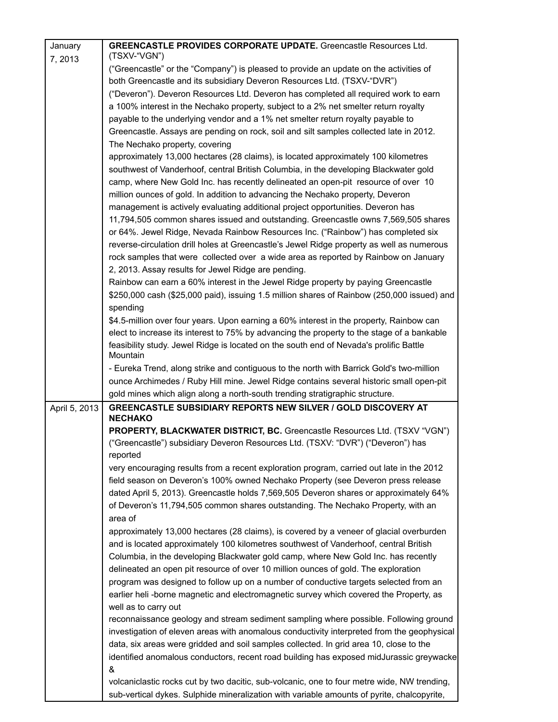| January       | <b>GREENCASTLE PROVIDES CORPORATE UPDATE.</b> Greencastle Resources Ltd.                           |
|---------------|----------------------------------------------------------------------------------------------------|
| 7,2013        | (TSXV-"VGN")                                                                                       |
|               | ("Greencastle" or the "Company") is pleased to provide an update on the activities of              |
|               | both Greencastle and its subsidiary Deveron Resources Ltd. (TSXV-"DVR")                            |
|               | ("Deveron"). Deveron Resources Ltd. Deveron has completed all required work to earn                |
|               | a 100% interest in the Nechako property, subject to a 2% net smelter return royalty                |
|               | payable to the underlying vendor and a 1% net smelter return royalty payable to                    |
|               | Greencastle. Assays are pending on rock, soil and silt samples collected late in 2012.             |
|               | The Nechako property, covering                                                                     |
|               | approximately 13,000 hectares (28 claims), is located approximately 100 kilometres                 |
|               | southwest of Vanderhoof, central British Columbia, in the developing Blackwater gold               |
|               | camp, where New Gold Inc. has recently delineated an open-pit resource of over 10                  |
|               | million ounces of gold. In addition to advancing the Nechako property, Deveron                     |
|               | management is actively evaluating additional project opportunities. Deveron has                    |
|               | 11,794,505 common shares issued and outstanding. Greencastle owns 7,569,505 shares                 |
|               | or 64%. Jewel Ridge, Nevada Rainbow Resources Inc. ("Rainbow") has completed six                   |
|               | reverse-circulation drill holes at Greencastle's Jewel Ridge property as well as numerous          |
|               | rock samples that were collected over a wide area as reported by Rainbow on January                |
|               | 2, 2013. Assay results for Jewel Ridge are pending.                                                |
|               | Rainbow can earn a 60% interest in the Jewel Ridge property by paying Greencastle                  |
|               | \$250,000 cash (\$25,000 paid), issuing 1.5 million shares of Rainbow (250,000 issued) and         |
|               | spending                                                                                           |
|               | \$4.5-million over four years. Upon earning a 60% interest in the property, Rainbow can            |
|               | elect to increase its interest to 75% by advancing the property to the stage of a bankable         |
|               | feasibility study. Jewel Ridge is located on the south end of Nevada's prolific Battle<br>Mountain |
|               | - Eureka Trend, along strike and contiguous to the north with Barrick Gold's two-million           |
|               | ounce Archimedes / Ruby Hill mine. Jewel Ridge contains several historic small open-pit            |
|               | gold mines which align along a north-south trending stratigraphic structure.                       |
| April 5, 2013 | <b>GREENCASTLE SUBSIDIARY REPORTS NEW SILVER / GOLD DISCOVERY AT</b><br><b>NECHAKO</b>             |
|               | PROPERTY, BLACKWATER DISTRICT, BC. Greencastle Resources Ltd. (TSXV "VGN")                         |
|               | ("Greencastle") subsidiary Deveron Resources Ltd. (TSXV: "DVR") ("Deveron") has<br>reported        |
|               | very encouraging results from a recent exploration program, carried out late in the 2012           |
|               | field season on Deveron's 100% owned Nechako Property (see Deveron press release                   |
|               | dated April 5, 2013). Greencastle holds 7,569,505 Deveron shares or approximately 64%              |
|               | of Deveron's 11,794,505 common shares outstanding. The Nechako Property, with an                   |
|               | area of                                                                                            |
|               | approximately 13,000 hectares (28 claims), is covered by a veneer of glacial overburden            |
|               | and is located approximately 100 kilometres southwest of Vanderhoof, central British               |
|               | Columbia, in the developing Blackwater gold camp, where New Gold Inc. has recently                 |
|               | delineated an open pit resource of over 10 million ounces of gold. The exploration                 |
|               | program was designed to follow up on a number of conductive targets selected from an               |
|               | earlier heli -borne magnetic and electromagnetic survey which covered the Property, as             |
|               | well as to carry out                                                                               |
|               | reconnaissance geology and stream sediment sampling where possible. Following ground               |
|               | investigation of eleven areas with anomalous conductivity interpreted from the geophysical         |
|               | data, six areas were gridded and soil samples collected. In grid area 10, close to the             |
|               | identified anomalous conductors, recent road building has exposed midJurassic greywacke            |
|               | &                                                                                                  |
|               | volcaniclastic rocks cut by two dacitic, sub-volcanic, one to four metre wide, NW trending,        |
|               | sub-vertical dykes. Sulphide mineralization with variable amounts of pyrite, chalcopyrite,         |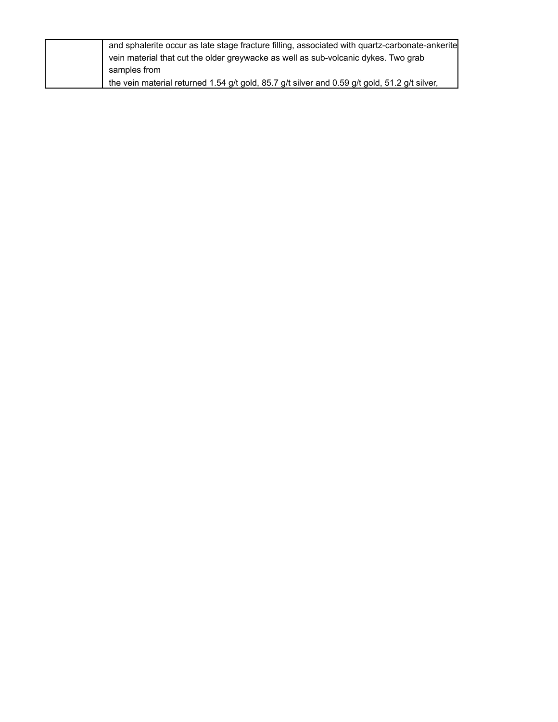| and sphalerite occur as late stage fracture filling, associated with quartz-carbonate-ankerite |
|------------------------------------------------------------------------------------------------|
| vein material that cut the older greywacke as well as sub-volcanic dykes. Two grab             |
| samples from                                                                                   |
| the vein material returned 1.54 g/t gold, 85.7 g/t silver and 0.59 g/t gold, 51.2 g/t silver,  |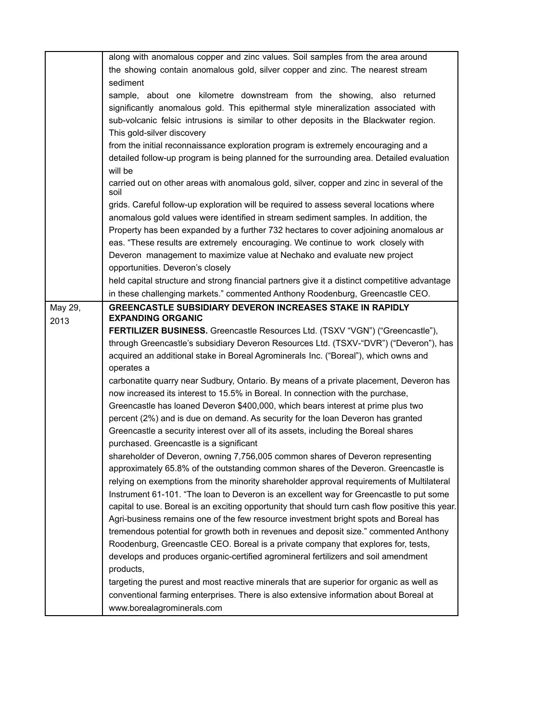|         | along with anomalous copper and zinc values. Soil samples from the area around                    |
|---------|---------------------------------------------------------------------------------------------------|
|         | the showing contain anomalous gold, silver copper and zinc. The nearest stream                    |
|         | sediment                                                                                          |
|         | sample, about one kilometre downstream from the showing, also returned                            |
|         | significantly anomalous gold. This epithermal style mineralization associated with                |
|         | sub-volcanic felsic intrusions is similar to other deposits in the Blackwater region.             |
|         | This gold-silver discovery                                                                        |
|         | from the initial reconnaissance exploration program is extremely encouraging and a                |
|         |                                                                                                   |
|         | detailed follow-up program is being planned for the surrounding area. Detailed evaluation         |
|         | will be                                                                                           |
|         | carried out on other areas with anomalous gold, silver, copper and zinc in several of the<br>soil |
|         | grids. Careful follow-up exploration will be required to assess several locations where           |
|         | anomalous gold values were identified in stream sediment samples. In addition, the                |
|         | Property has been expanded by a further 732 hectares to cover adjoining anomalous ar              |
|         | eas. "These results are extremely encouraging. We continue to work closely with                   |
|         | Deveron management to maximize value at Nechako and evaluate new project                          |
|         | opportunities. Deveron's closely                                                                  |
|         |                                                                                                   |
|         | held capital structure and strong financial partners give it a distinct competitive advantage     |
|         | in these challenging markets." commented Anthony Roodenburg, Greencastle CEO.                     |
| May 29, | <b>GREENCASTLE SUBSIDIARY DEVERON INCREASES STAKE IN RAPIDLY</b>                                  |
| 2013    | <b>EXPANDING ORGANIC</b>                                                                          |
|         | FERTILIZER BUSINESS. Greencastle Resources Ltd. (TSXV "VGN") ("Greencastle"),                     |
|         | through Greencastle's subsidiary Deveron Resources Ltd. (TSXV-"DVR") ("Deveron"), has             |
|         | acquired an additional stake in Boreal Agrominerals Inc. ("Boreal"), which owns and               |
|         | operates a                                                                                        |
|         | carbonatite quarry near Sudbury, Ontario. By means of a private placement, Deveron has            |
|         | now increased its interest to 15.5% in Boreal. In connection with the purchase,                   |
|         | Greencastle has loaned Deveron \$400,000, which bears interest at prime plus two                  |
|         | percent (2%) and is due on demand. As security for the loan Deveron has granted                   |
|         | Greencastle a security interest over all of its assets, including the Boreal shares               |
|         | purchased. Greencastle is a significant                                                           |
|         |                                                                                                   |
|         | shareholder of Deveron, owning 7,756,005 common shares of Deveron representing                    |
|         | approximately 65.8% of the outstanding common shares of the Deveron. Greencastle is               |
|         | relying on exemptions from the minority shareholder approval requirements of Multilateral         |
|         | Instrument 61-101. "The loan to Deveron is an excellent way for Greencastle to put some           |
|         | capital to use. Boreal is an exciting opportunity that should turn cash flow positive this year.  |
|         | Agri-business remains one of the few resource investment bright spots and Boreal has              |
|         | tremendous potential for growth both in revenues and deposit size." commented Anthony             |
|         | Roodenburg, Greencastle CEO. Boreal is a private company that explores for, tests,                |
|         | develops and produces organic-certified agromineral fertilizers and soil amendment                |
|         | products,                                                                                         |
|         | targeting the purest and most reactive minerals that are superior for organic as well as          |
|         |                                                                                                   |
|         | conventional farming enterprises. There is also extensive information about Boreal at             |
|         | www.borealagrominerals.com                                                                        |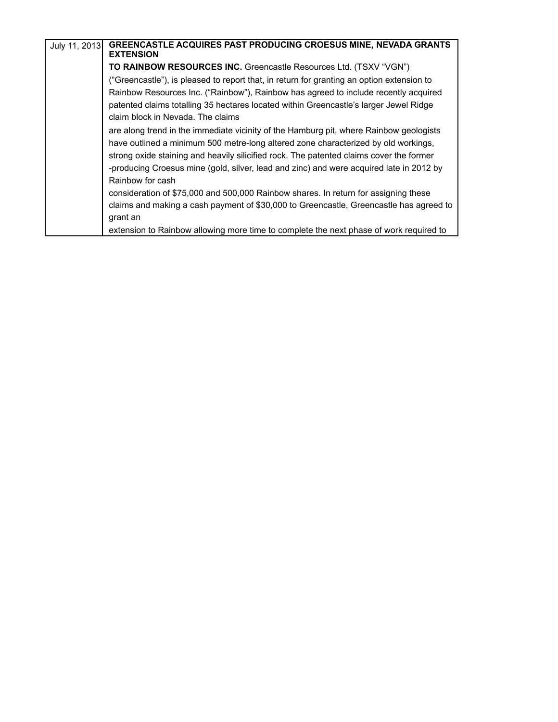| July 11, 2013 | <b>GREENCASTLE ACQUIRES PAST PRODUCING CROESUS MINE, NEVADA GRANTS</b><br><b>EXTENSION</b> |
|---------------|--------------------------------------------------------------------------------------------|
|               | TO RAINBOW RESOURCES INC. Greencastle Resources Ltd. (TSXV "VGN")                          |
|               | ("Greencastle"), is pleased to report that, in return for granting an option extension to  |
|               | Rainbow Resources Inc. ("Rainbow"), Rainbow has agreed to include recently acquired        |
|               | patented claims totalling 35 hectares located within Greencastle's larger Jewel Ridge      |
|               | claim block in Nevada. The claims                                                          |
|               | are along trend in the immediate vicinity of the Hamburg pit, where Rainbow geologists     |
|               | have outlined a minimum 500 metre-long altered zone characterized by old workings,         |
|               | strong oxide staining and heavily silicified rock. The patented claims cover the former    |
|               | -producing Croesus mine (gold, silver, lead and zinc) and were acquired late in 2012 by    |
|               | Rainbow for cash                                                                           |
|               | consideration of \$75,000 and 500,000 Rainbow shares. In return for assigning these        |
|               | claims and making a cash payment of \$30,000 to Greencastle, Greencastle has agreed to     |
|               | grant an                                                                                   |
|               | extension to Rainbow allowing more time to complete the next phase of work required to     |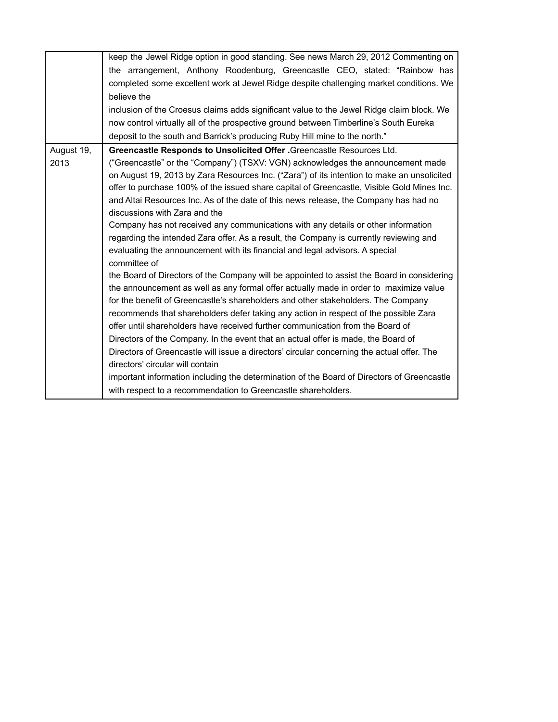|            | keep the Jewel Ridge option in good standing. See news March 29, 2012 Commenting on        |
|------------|--------------------------------------------------------------------------------------------|
|            | the arrangement, Anthony Roodenburg, Greencastle CEO, stated: "Rainbow has                 |
|            | completed some excellent work at Jewel Ridge despite challenging market conditions. We     |
|            | believe the                                                                                |
|            | inclusion of the Croesus claims adds significant value to the Jewel Ridge claim block. We  |
|            | now control virtually all of the prospective ground between Timberline's South Eureka      |
|            | deposit to the south and Barrick's producing Ruby Hill mine to the north."                 |
| August 19, | Greencastle Responds to Unsolicited Offer . Greencastle Resources Ltd.                     |
| 2013       | ("Greencastle" or the "Company") (TSXV: VGN) acknowledges the announcement made            |
|            | on August 19, 2013 by Zara Resources Inc. ("Zara") of its intention to make an unsolicited |
|            | offer to purchase 100% of the issued share capital of Greencastle, Visible Gold Mines Inc. |
|            | and Altai Resources Inc. As of the date of this news release, the Company has had no       |
|            | discussions with Zara and the                                                              |
|            | Company has not received any communications with any details or other information          |
|            | regarding the intended Zara offer. As a result, the Company is currently reviewing and     |
|            | evaluating the announcement with its financial and legal advisors. A special               |
|            | committee of                                                                               |
|            | the Board of Directors of the Company will be appointed to assist the Board in considering |
|            | the announcement as well as any formal offer actually made in order to maximize value      |
|            | for the benefit of Greencastle's shareholders and other stakeholders. The Company          |
|            | recommends that shareholders defer taking any action in respect of the possible Zara       |
|            | offer until shareholders have received further communication from the Board of             |
|            | Directors of the Company. In the event that an actual offer is made, the Board of          |
|            | Directors of Greencastle will issue a directors' circular concerning the actual offer. The |
|            | directors' circular will contain                                                           |
|            | important information including the determination of the Board of Directors of Greencastle |
|            | with respect to a recommendation to Greencastle shareholders.                              |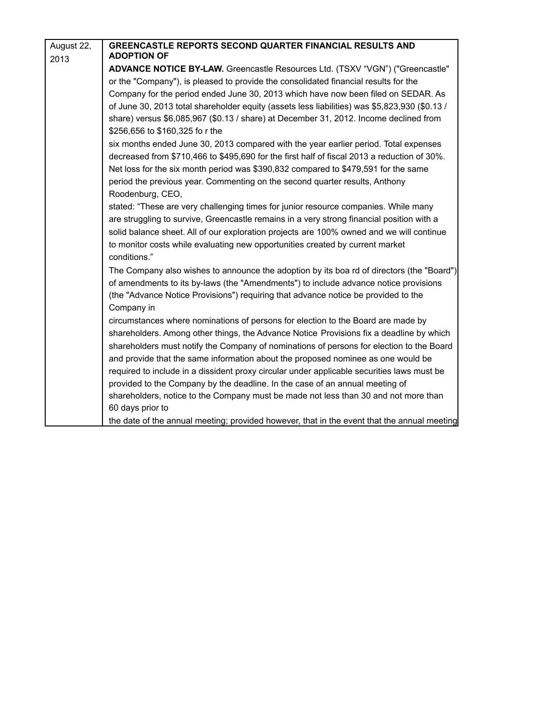| August 22, | <b>GREENCASTLE REPORTS SECOND QUARTER FINANCIAL RESULTS AND</b>                               |
|------------|-----------------------------------------------------------------------------------------------|
| 2013       | <b>ADOPTION OF</b>                                                                            |
|            | ADVANCE NOTICE BY-LAW. Greencastle Resources Ltd. (TSXV "VGN") ("Greencastle"                 |
|            | or the "Company"), is pleased to provide the consolidated financial results for the           |
|            | Company for the period ended June 30, 2013 which have now been filed on SEDAR. As             |
|            | of June 30, 2013 total shareholder equity (assets less liabilities) was \$5,823,930 (\$0.13 / |
|            | share) versus \$6,085,967 (\$0.13 / share) at December 31, 2012. Income declined from         |
|            | \$256,656 to \$160,325 fo r the                                                               |
|            | six months ended June 30, 2013 compared with the year earlier period. Total expenses          |
|            | decreased from \$710,466 to \$495,690 for the first half of fiscal 2013 a reduction of 30%.   |
|            | Net loss for the six month period was \$390,832 compared to \$479,591 for the same            |
|            | period the previous year. Commenting on the second quarter results, Anthony                   |
|            | Roodenburg, CEO,                                                                              |
|            | stated: "These are very challenging times for junior resource companies. While many           |
|            | are struggling to survive, Greencastle remains in a very strong financial position with a     |
|            | solid balance sheet. All of our exploration projects are 100% owned and we will continue      |
|            | to monitor costs while evaluating new opportunities created by current market                 |
|            | conditions."                                                                                  |
|            | The Company also wishes to announce the adoption by its boa rd of directors (the "Board")     |
|            | of amendments to its by-laws (the "Amendments") to include advance notice provisions          |
|            | (the "Advance Notice Provisions") requiring that advance notice be provided to the            |
|            | Company in                                                                                    |
|            | circumstances where nominations of persons for election to the Board are made by              |
|            | shareholders. Among other things, the Advance Notice Provisions fix a deadline by which       |
|            | shareholders must notify the Company of nominations of persons for election to the Board      |
|            | and provide that the same information about the proposed nominee as one would be              |
|            | required to include in a dissident proxy circular under applicable securities laws must be    |
|            | provided to the Company by the deadline. In the case of an annual meeting of                  |
|            | shareholders, notice to the Company must be made not less than 30 and not more than           |
|            | 60 days prior to                                                                              |
|            | the date of the annual meeting; provided however, that in the event that the annual meeting   |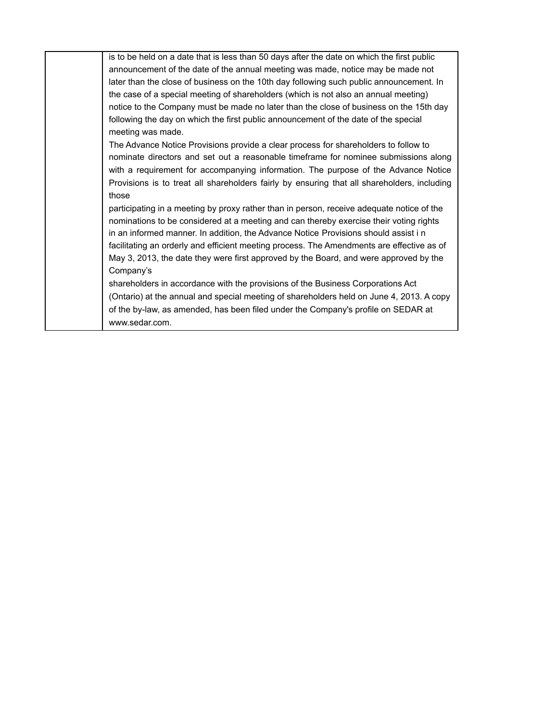| is to be held on a date that is less than 50 days after the date on which the first public  |
|---------------------------------------------------------------------------------------------|
| announcement of the date of the annual meeting was made, notice may be made not             |
| later than the close of business on the 10th day following such public announcement. In     |
| the case of a special meeting of shareholders (which is not also an annual meeting)         |
| notice to the Company must be made no later than the close of business on the 15th day      |
| following the day on which the first public announcement of the date of the special         |
| meeting was made.                                                                           |
| The Advance Notice Provisions provide a clear process for shareholders to follow to         |
| nominate directors and set out a reasonable timeframe for nominee submissions along         |
| with a requirement for accompanying information. The purpose of the Advance Notice          |
| Provisions is to treat all shareholders fairly by ensuring that all shareholders, including |
| those                                                                                       |
| participating in a meeting by proxy rather than in person, receive adequate notice of the   |
| nominations to be considered at a meeting and can thereby exercise their voting rights      |
| in an informed manner. In addition, the Advance Notice Provisions should assist in          |
| facilitating an orderly and efficient meeting process. The Amendments are effective as of   |
| May 3, 2013, the date they were first approved by the Board, and were approved by the       |
| Company's                                                                                   |
| shareholders in accordance with the provisions of the Business Corporations Act             |
| (Ontario) at the annual and special meeting of shareholders held on June 4, 2013. A copy    |
| of the by-law, as amended, has been filed under the Company's profile on SEDAR at           |
|                                                                                             |

[www.sedar.com.](http://www.sedar.com/)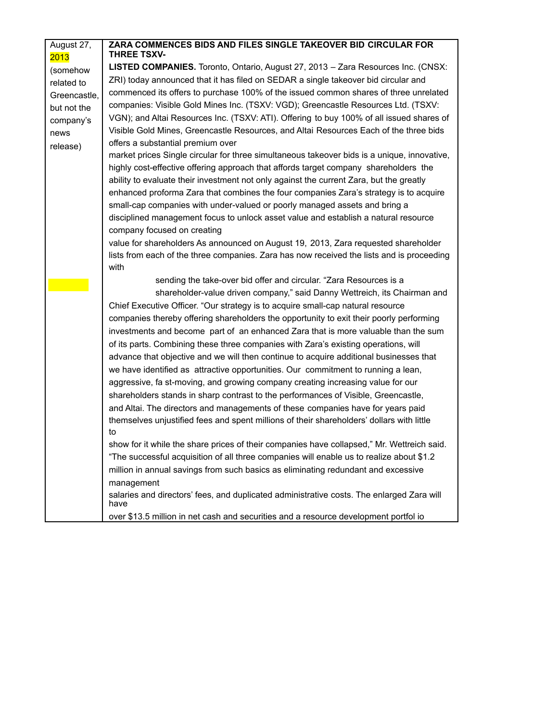| August 27,<br>2013 | ZARA COMMENCES BIDS AND FILES SINGLE TAKEOVER BID CIRCULAR FOR<br><b>THREE TSXV-</b>              |
|--------------------|---------------------------------------------------------------------------------------------------|
| (somehow           | LISTED COMPANIES. Toronto, Ontario, August 27, 2013 - Zara Resources Inc. (CNSX:                  |
| related to         | ZRI) today announced that it has filed on SEDAR a single takeover bid circular and                |
| Greencastle,       | commenced its offers to purchase 100% of the issued common shares of three unrelated              |
| but not the        | companies: Visible Gold Mines Inc. (TSXV: VGD); Greencastle Resources Ltd. (TSXV:                 |
| company's          | VGN); and Altai Resources Inc. (TSXV: ATI). Offering to buy 100% of all issued shares of          |
| news               | Visible Gold Mines, Greencastle Resources, and Altai Resources Each of the three bids             |
| release)           | offers a substantial premium over                                                                 |
|                    | market prices Single circular for three simultaneous takeover bids is a unique, innovative,       |
|                    | highly cost-effective offering approach that affords target company shareholders the              |
|                    | ability to evaluate their investment not only against the current Zara, but the greatly           |
|                    | enhanced proforma Zara that combines the four companies Zara's strategy is to acquire             |
|                    | small-cap companies with under-valued or poorly managed assets and bring a                        |
|                    | disciplined management focus to unlock asset value and establish a natural resource               |
|                    | company focused on creating                                                                       |
|                    | value for shareholders As announced on August 19, 2013, Zara requested shareholder                |
|                    | lists from each of the three companies. Zara has now received the lists and is proceeding         |
|                    | with                                                                                              |
|                    | sending the take-over bid offer and circular. "Zara Resources is a                                |
|                    | shareholder-value driven company," said Danny Wettreich, its Chairman and                         |
|                    | Chief Executive Officer. "Our strategy is to acquire small-cap natural resource                   |
|                    | companies thereby offering shareholders the opportunity to exit their poorly performing           |
|                    | investments and become part of an enhanced Zara that is more valuable than the sum                |
|                    | of its parts. Combining these three companies with Zara's existing operations, will               |
|                    | advance that objective and we will then continue to acquire additional businesses that            |
|                    | we have identified as attractive opportunities. Our commitment to running a lean,                 |
|                    | aggressive, fa st-moving, and growing company creating increasing value for our                   |
|                    | shareholders stands in sharp contrast to the performances of Visible, Greencastle,                |
|                    | and Altai. The directors and managements of these companies have for years paid                   |
|                    | themselves unjustified fees and spent millions of their shareholders' dollars with little         |
|                    | to                                                                                                |
|                    | show for it while the share prices of their companies have collapsed," Mr. Wettreich said.        |
|                    | "The successful acquisition of all three companies will enable us to realize about \$1.2          |
|                    | million in annual savings from such basics as eliminating redundant and excessive                 |
|                    | management                                                                                        |
|                    | salaries and directors' fees, and duplicated administrative costs. The enlarged Zara will<br>have |
|                    | over \$13.5 million in net cash and securities and a resource development portfol io              |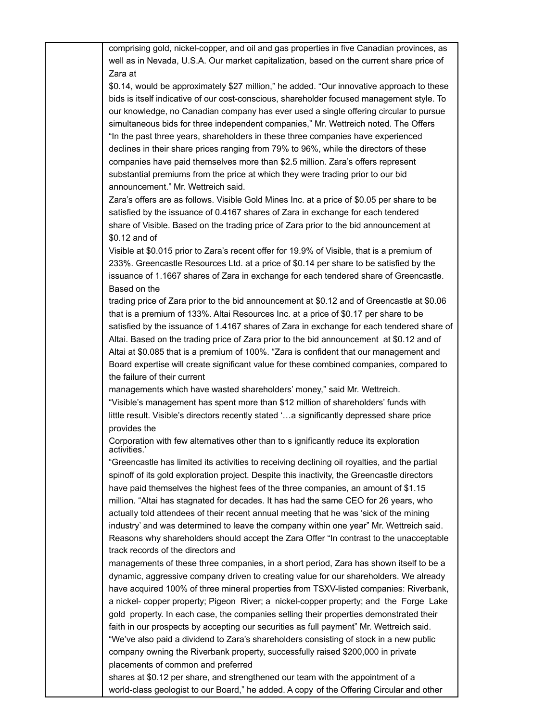comprising gold, nickel-copper, and oil and gas properties in five Canadian provinces, as well as in Nevada, U.S.A. Our market capitalization, based on the current share price of Zara at

\$0.14, would be approximately \$27 million," he added. "Our innovative approach to these bids is itself indicative of our cost-conscious, shareholder focused management style. To our knowledge, no Canadian company has ever used a single offering circular to pursue simultaneous bids for three independent companies," Mr. Wettreich noted. The Offers "In the past three years, shareholders in these three companies have experienced declines in their share prices ranging from 79% to 96%, while the directors of these companies have paid themselves more than \$2.5 million. Zara's offers represent substantial premiums from the price at which they were trading prior to our bid announcement." Mr. Wettreich said.

Zara's offers are as follows. Visible Gold Mines Inc. at a price of \$0.05 per share to be satisfied by the issuance of 0.4167 shares of Zara in exchange for each tendered share of Visible. Based on the trading price of Zara prior to the bid announcement at \$0.12 and of

Visible at \$0.015 prior to Zara's recent offer for 19.9% of Visible, that is a premium of 233%. Greencastle Resources Ltd. at a price of \$0.14 per share to be satisfied by the issuance of 1.1667 shares of Zara in exchange for each tendered share of Greencastle. Based on the

trading price of Zara prior to the bid announcement at \$0.12 and of Greencastle at \$0.06 that is a premium of 133%. Altai Resources Inc. at a price of \$0.17 per share to be satisfied by the issuance of 1.4167 shares of Zara in exchange for each tendered share of Altai. Based on the trading price of Zara prior to the bid announcement at \$0.12 and of Altai at \$0.085 that is a premium of 100%. "Zara is confident that our management and Board expertise will create significant value for these combined companies, compared to the failure of their current

managements which have wasted shareholders' money," said Mr. Wettreich. "Visible's management has spent more than \$12 million of shareholders' funds with little result. Visible's directors recently stated '…a significantly depressed share price provides the

Corporation with few alternatives other than to s ignificantly reduce its exploration activities.'

"Greencastle has limited its activities to receiving declining oil royalties, and the partial spinoff of its gold exploration project. Despite this inactivity, the Greencastle directors have paid themselves the highest fees of the three companies, an amount of \$1.15 million. "Altai has stagnated for decades. It has had the same CEO for 26 years, who actually told attendees of their recent annual meeting that he was 'sick of the mining industry' and was determined to leave the company within one year" Mr. Wettreich said. Reasons why shareholders should accept the Zara Offer "In contrast to the unacceptable track records of the directors and

managements of these three companies, in a short period, Zara has shown itself to be a dynamic, aggressive company driven to creating value for our shareholders. We already have acquired 100% of three mineral properties from TSXV-listed companies: Riverbank, a nickel- copper property; Pigeon River; a nickel-copper property; and the Forge Lake gold property. In each case, the companies selling their properties demonstrated their faith in our prospects by accepting our securities as full payment" Mr. Wettreich said. "We've also paid a dividend to Zara's shareholders consisting of stock in a new public company owning the Riverbank property, successfully raised \$200,000 in private placements of common and preferred

shares at \$0.12 per share, and strengthened our team with the appointment of a world-class geologist to our Board," he added. A copy of the Offering Circular and other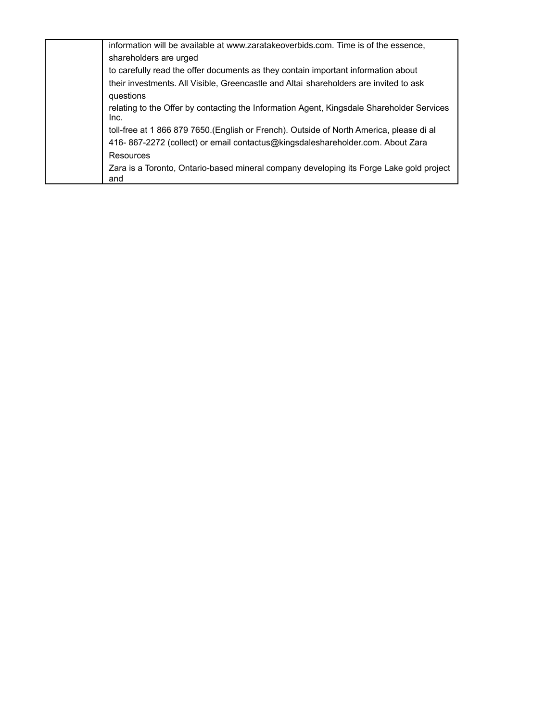| information will be available at www.zaratakeoverbids.com. Time is of the essence,                |
|---------------------------------------------------------------------------------------------------|
| shareholders are urged                                                                            |
| to carefully read the offer documents as they contain important information about                 |
| their investments. All Visible, Greencastle and Altai shareholders are invited to ask             |
| questions                                                                                         |
| relating to the Offer by contacting the Information Agent, Kingsdale Shareholder Services<br>Inc. |
| toll-free at 1 866 879 7650.(English or French). Outside of North America, please di al           |
| 416-867-2272 (collect) or email contactus@kingsdaleshareholder.com. About Zara                    |
| Resources                                                                                         |
| Zara is a Toronto, Ontario-based mineral company developing its Forge Lake gold project<br>and    |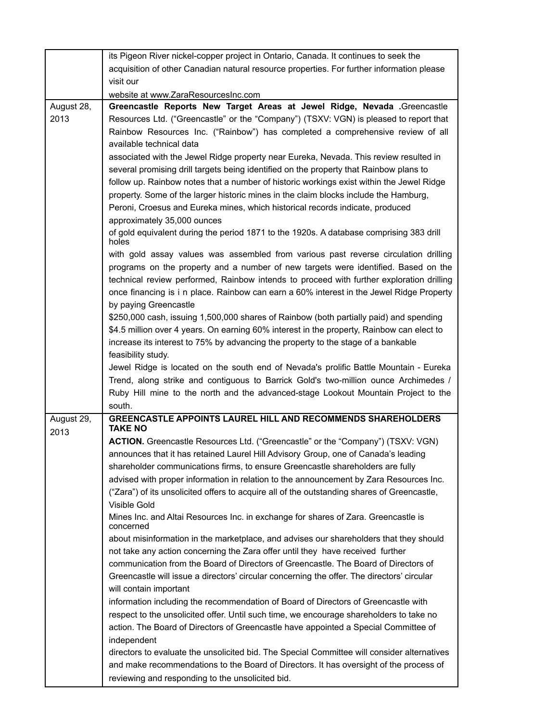|                    | its Pigeon River nickel-copper project in Ontario, Canada. It continues to seek the              |
|--------------------|--------------------------------------------------------------------------------------------------|
|                    | acquisition of other Canadian natural resource properties. For further information please        |
|                    | visit our                                                                                        |
|                    | website at www.ZaraResourcesInc.com                                                              |
| August 28,         | Greencastle Reports New Target Areas at Jewel Ridge, Nevada .Greencastle                         |
| 2013               | Resources Ltd. ("Greencastle" or the "Company") (TSXV: VGN) is pleased to report that            |
|                    | Rainbow Resources Inc. ("Rainbow") has completed a comprehensive review of all                   |
|                    | available technical data                                                                         |
|                    | associated with the Jewel Ridge property near Eureka, Nevada. This review resulted in            |
|                    | several promising drill targets being identified on the property that Rainbow plans to           |
|                    | follow up. Rainbow notes that a number of historic workings exist within the Jewel Ridge         |
|                    | property. Some of the larger historic mines in the claim blocks include the Hamburg,             |
|                    | Peroni, Croesus and Eureka mines, which historical records indicate, produced                    |
|                    | approximately 35,000 ounces                                                                      |
|                    | of gold equivalent during the period 1871 to the 1920s. A database comprising 383 drill<br>holes |
|                    | with gold assay values was assembled from various past reverse circulation drilling              |
|                    | programs on the property and a number of new targets were identified. Based on the               |
|                    | technical review performed, Rainbow intends to proceed with further exploration drilling         |
|                    | once financing is i n place. Rainbow can earn a 60% interest in the Jewel Ridge Property         |
|                    | by paying Greencastle                                                                            |
|                    | \$250,000 cash, issuing 1,500,000 shares of Rainbow (both partially paid) and spending           |
|                    | \$4.5 million over 4 years. On earning 60% interest in the property, Rainbow can elect to        |
|                    | increase its interest to 75% by advancing the property to the stage of a bankable                |
|                    | feasibility study.                                                                               |
|                    | Jewel Ridge is located on the south end of Nevada's prolific Battle Mountain - Eureka            |
|                    | Trend, along strike and contiguous to Barrick Gold's two-million ounce Archimedes /              |
|                    | Ruby Hill mine to the north and the advanced-stage Lookout Mountain Project to the               |
|                    | south.<br><b>GREENCASTLE APPOINTS LAUREL HILL AND RECOMMENDS SHAREHOLDERS</b>                    |
| August 29,<br>2013 | <b>TAKE NO</b>                                                                                   |
|                    | ACTION. Greencastle Resources Ltd. ("Greencastle" or the "Company") (TSXV: VGN)                  |
|                    | announces that it has retained Laurel Hill Advisory Group, one of Canada's leading               |
|                    | shareholder communications firms, to ensure Greencastle shareholders are fully                   |
|                    | advised with proper information in relation to the announcement by Zara Resources Inc.           |
|                    | ("Zara") of its unsolicited offers to acquire all of the outstanding shares of Greencastle,      |
|                    | Visible Gold                                                                                     |
|                    | Mines Inc. and Altai Resources Inc. in exchange for shares of Zara. Greencastle is<br>concerned  |
|                    | about misinformation in the marketplace, and advises our shareholders that they should           |
|                    | not take any action concerning the Zara offer until they have received further                   |
|                    | communication from the Board of Directors of Greencastle. The Board of Directors of              |
|                    | Greencastle will issue a directors' circular concerning the offer. The directors' circular       |
|                    | will contain important                                                                           |
|                    | information including the recommendation of Board of Directors of Greencastle with               |
|                    | respect to the unsolicited offer. Until such time, we encourage shareholders to take no          |
|                    | action. The Board of Directors of Greencastle have appointed a Special Committee of              |
|                    | independent                                                                                      |
|                    | directors to evaluate the unsolicited bid. The Special Committee will consider alternatives      |
|                    | and make recommendations to the Board of Directors. It has oversight of the process of           |
|                    | reviewing and responding to the unsolicited bid.                                                 |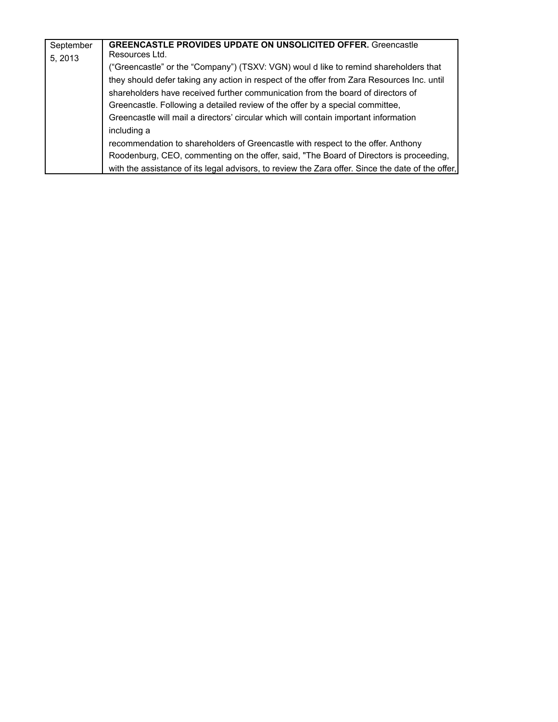| September | <b>GREENCASTLE PROVIDES UPDATE ON UNSOLICITED OFFER. Greencastle</b>                              |
|-----------|---------------------------------------------------------------------------------------------------|
| 5, 2013   | Resources Ltd.                                                                                    |
|           | ("Greencastle" or the "Company") (TSXV: VGN) woul d like to remind shareholders that              |
|           | they should defer taking any action in respect of the offer from Zara Resources Inc. until        |
|           | shareholders have received further communication from the board of directors of                   |
|           | Greencastle. Following a detailed review of the offer by a special committee,                     |
|           | Greencastle will mail a directors' circular which will contain important information              |
|           | including a                                                                                       |
|           | recommendation to shareholders of Greencastle with respect to the offer. Anthony                  |
|           | Roodenburg, CEO, commenting on the offer, said, "The Board of Directors is proceeding,            |
|           | with the assistance of its legal advisors, to review the Zara offer. Since the date of the offer, |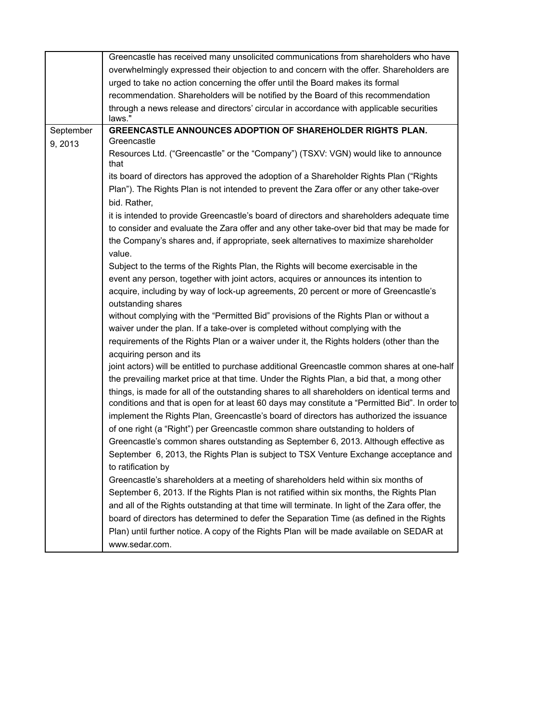|           | Greencastle has received many unsolicited communications from shareholders who have                                                                                                                                                                                                    |
|-----------|----------------------------------------------------------------------------------------------------------------------------------------------------------------------------------------------------------------------------------------------------------------------------------------|
|           | overwhelmingly expressed their objection to and concern with the offer. Shareholders are                                                                                                                                                                                               |
|           | urged to take no action concerning the offer until the Board makes its formal                                                                                                                                                                                                          |
|           | recommendation. Shareholders will be notified by the Board of this recommendation                                                                                                                                                                                                      |
|           | through a news release and directors' circular in accordance with applicable securities                                                                                                                                                                                                |
|           | laws."<br><b>GREENCASTLE ANNOUNCES ADOPTION OF SHAREHOLDER RIGHTS PLAN.</b>                                                                                                                                                                                                            |
| September | Greencastle                                                                                                                                                                                                                                                                            |
| 9, 2013   | Resources Ltd. ("Greencastle" or the "Company") (TSXV: VGN) would like to announce<br>that                                                                                                                                                                                             |
|           | its board of directors has approved the adoption of a Shareholder Rights Plan ("Rights<br>Plan"). The Rights Plan is not intended to prevent the Zara offer or any other take-over                                                                                                     |
|           | bid. Rather,                                                                                                                                                                                                                                                                           |
|           | it is intended to provide Greencastle's board of directors and shareholders adequate time<br>to consider and evaluate the Zara offer and any other take-over bid that may be made for<br>the Company's shares and, if appropriate, seek alternatives to maximize shareholder<br>value. |
|           | Subject to the terms of the Rights Plan, the Rights will become exercisable in the                                                                                                                                                                                                     |
|           | event any person, together with joint actors, acquires or announces its intention to                                                                                                                                                                                                   |
|           | acquire, including by way of lock-up agreements, 20 percent or more of Greencastle's<br>outstanding shares                                                                                                                                                                             |
|           | without complying with the "Permitted Bid" provisions of the Rights Plan or without a                                                                                                                                                                                                  |
|           | waiver under the plan. If a take-over is completed without complying with the                                                                                                                                                                                                          |
|           | requirements of the Rights Plan or a waiver under it, the Rights holders (other than the                                                                                                                                                                                               |
|           | acquiring person and its                                                                                                                                                                                                                                                               |
|           | joint actors) will be entitled to purchase additional Greencastle common shares at one-half<br>the prevailing market price at that time. Under the Rights Plan, a bid that, a mong other                                                                                               |
|           | things, is made for all of the outstanding shares to all shareholders on identical terms and<br>conditions and that is open for at least 60 days may constitute a "Permitted Bid". In order to                                                                                         |
|           | implement the Rights Plan, Greencastle's board of directors has authorized the issuance<br>of one right (a "Right") per Greencastle common share outstanding to holders of                                                                                                             |
|           | Greencastle's common shares outstanding as September 6, 2013. Although effective as                                                                                                                                                                                                    |
|           | September 6, 2013, the Rights Plan is subject to TSX Venture Exchange acceptance and                                                                                                                                                                                                   |
|           | to ratification by                                                                                                                                                                                                                                                                     |
|           | Greencastle's shareholders at a meeting of shareholders held within six months of                                                                                                                                                                                                      |
|           | September 6, 2013. If the Rights Plan is not ratified within six months, the Rights Plan                                                                                                                                                                                               |
|           | and all of the Rights outstanding at that time will terminate. In light of the Zara offer, the                                                                                                                                                                                         |
|           | board of directors has determined to defer the Separation Time (as defined in the Rights                                                                                                                                                                                               |
|           | Plan) until further notice. A copy of the Rights Plan will be made available on SEDAR at                                                                                                                                                                                               |
|           | www.sedar.com.                                                                                                                                                                                                                                                                         |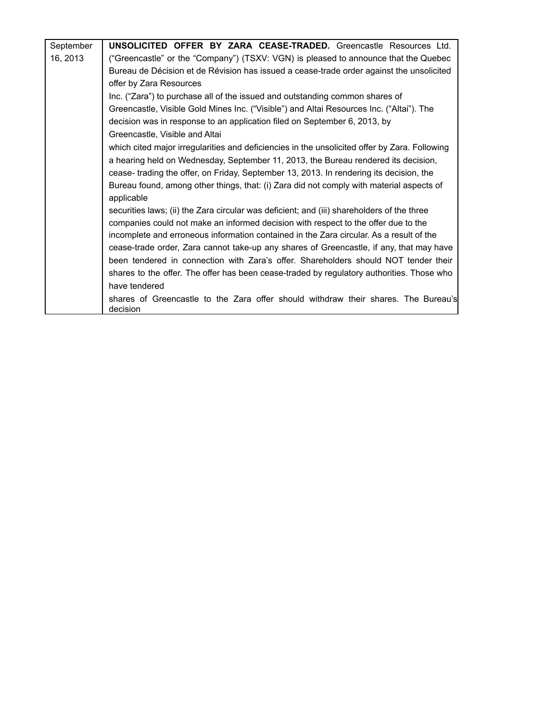| September | <b>UNSOLICITED OFFER BY ZARA CEASE-TRADED.</b> Greencastle Resources Ltd.                      |
|-----------|------------------------------------------------------------------------------------------------|
| 16, 2013  | ("Greencastle" or the "Company") (TSXV: VGN) is pleased to announce that the Quebec            |
|           | Bureau de Décision et de Révision has issued a cease-trade order against the unsolicited       |
|           | offer by Zara Resources                                                                        |
|           | Inc. ("Zara") to purchase all of the issued and outstanding common shares of                   |
|           | Greencastle, Visible Gold Mines Inc. ("Visible") and Altai Resources Inc. ("Altai"). The       |
|           | decision was in response to an application filed on September 6, 2013, by                      |
|           | Greencastle, Visible and Altai                                                                 |
|           | which cited major irregularities and deficiencies in the unsolicited offer by Zara. Following  |
|           | a hearing held on Wednesday, September 11, 2013, the Bureau rendered its decision,             |
|           | cease- trading the offer, on Friday, September 13, 2013. In rendering its decision, the        |
|           | Bureau found, among other things, that: (i) Zara did not comply with material aspects of       |
|           | applicable                                                                                     |
|           | securities laws; (ii) the Zara circular was deficient; and (iii) shareholders of the three     |
|           | companies could not make an informed decision with respect to the offer due to the             |
|           | incomplete and erroneous information contained in the Zara circular. As a result of the        |
|           | cease-trade order, Zara cannot take-up any shares of Greencastle, if any, that may have        |
|           | been tendered in connection with Zara's offer. Shareholders should NOT tender their            |
|           | shares to the offer. The offer has been cease-traded by regulatory authorities. Those who      |
|           | have tendered                                                                                  |
|           | shares of Greencastle to the Zara offer should withdraw their shares. The Bureau's<br>decision |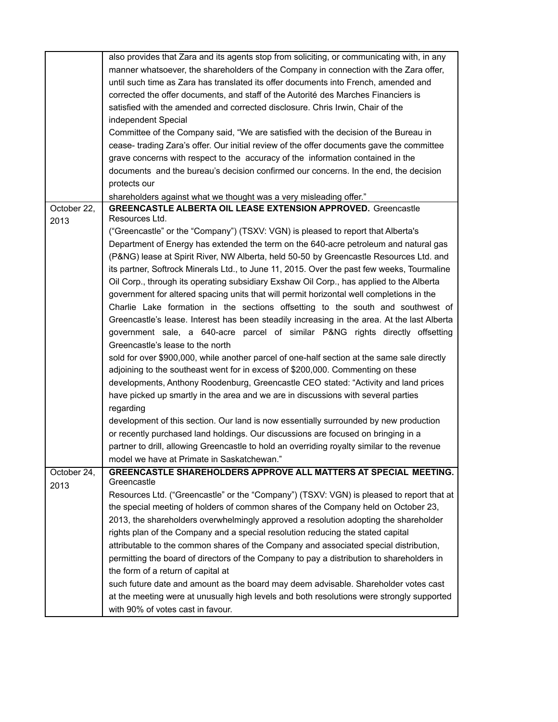|                     | also provides that Zara and its agents stop from soliciting, or communicating with, in any  |
|---------------------|---------------------------------------------------------------------------------------------|
|                     | manner whatsoever, the shareholders of the Company in connection with the Zara offer,       |
|                     | until such time as Zara has translated its offer documents into French, amended and         |
|                     | corrected the offer documents, and staff of the Autorité des Marches Financiers is          |
|                     | satisfied with the amended and corrected disclosure. Chris Irwin, Chair of the              |
|                     | independent Special                                                                         |
|                     | Committee of the Company said, "We are satisfied with the decision of the Bureau in         |
|                     | cease- trading Zara's offer. Our initial review of the offer documents gave the committee   |
|                     |                                                                                             |
|                     | grave concerns with respect to the accuracy of the information contained in the             |
|                     | documents and the bureau's decision confirmed our concerns. In the end, the decision        |
|                     | protects our                                                                                |
|                     | shareholders against what we thought was a very misleading offer."                          |
| October 22,<br>2013 | <b>GREENCASTLE ALBERTA OIL LEASE EXTENSION APPROVED.</b> Greencastle<br>Resources Ltd.      |
|                     | ("Greencastle" or the "Company") (TSXV: VGN) is pleased to report that Alberta's            |
|                     | Department of Energy has extended the term on the 640-acre petroleum and natural gas        |
|                     | (P&NG) lease at Spirit River, NW Alberta, held 50-50 by Greencastle Resources Ltd. and      |
|                     | its partner, Softrock Minerals Ltd., to June 11, 2015. Over the past few weeks, Tourmaline  |
|                     | Oil Corp., through its operating subsidiary Exshaw Oil Corp., has applied to the Alberta    |
|                     |                                                                                             |
|                     | government for altered spacing units that will permit horizontal well completions in the    |
|                     | Charlie Lake formation in the sections offsetting to the south and southwest of             |
|                     | Greencastle's lease. Interest has been steadily increasing in the area. At the last Alberta |
|                     | government sale, a 640-acre parcel of similar P&NG rights directly offsetting               |
|                     | Greencastle's lease to the north                                                            |
|                     | sold for over \$900,000, while another parcel of one-half section at the same sale directly |
|                     | adjoining to the southeast went for in excess of \$200,000. Commenting on these             |
|                     | developments, Anthony Roodenburg, Greencastle CEO stated: "Activity and land prices         |
|                     | have picked up smartly in the area and we are in discussions with several parties           |
|                     | regarding                                                                                   |
|                     | development of this section. Our land is now essentially surrounded by new production       |
|                     | or recently purchased land holdings. Our discussions are focused on bringing in a           |
|                     | partner to drill, allowing Greencastle to hold an overriding royalty similar to the revenue |
|                     | model we have at Primate in Saskatchewan."                                                  |
| October 24,         | GREENCASTLE SHAREHOLDERS APPROVE ALL MATTERS AT SPECIAL MEETING.                            |
| 2013                | Greencastle                                                                                 |
|                     | Resources Ltd. ("Greencastle" or the "Company") (TSXV: VGN) is pleased to report that at    |
|                     | the special meeting of holders of common shares of the Company held on October 23,          |
|                     | 2013, the shareholders overwhelmingly approved a resolution adopting the shareholder        |
|                     | rights plan of the Company and a special resolution reducing the stated capital             |
|                     | attributable to the common shares of the Company and associated special distribution,       |
|                     | permitting the board of directors of the Company to pay a distribution to shareholders in   |
|                     | the form of a return of capital at                                                          |
|                     | such future date and amount as the board may deem advisable. Shareholder votes cast         |
|                     | at the meeting were at unusually high levels and both resolutions were strongly supported   |
|                     | with 90% of votes cast in favour.                                                           |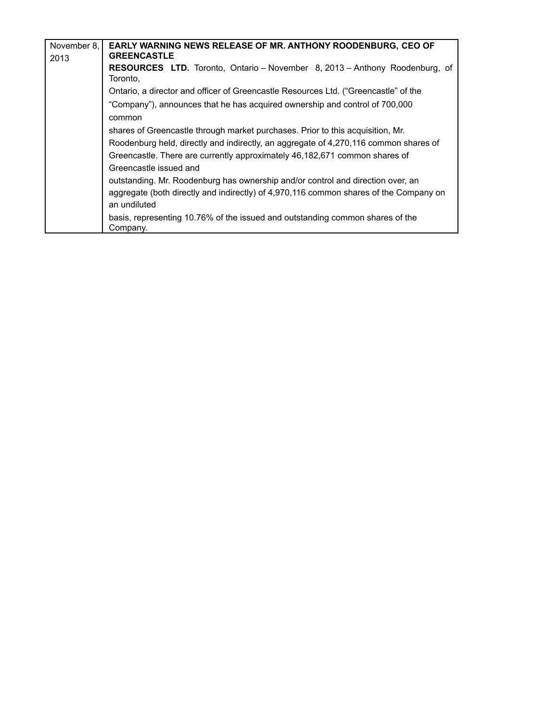| November 8, | EARLY WARNING NEWS RELEASE OF MR. ANTHONY ROODENBURG, CEO OF                                                                                                                             |
|-------------|------------------------------------------------------------------------------------------------------------------------------------------------------------------------------------------|
| 2013        | <b>GREENCASTLE</b>                                                                                                                                                                       |
|             | <b>RESOURCES LTD.</b> Toronto, Ontario – November 8, 2013 – Anthony Roodenburg, of<br>Toronto,                                                                                           |
|             | Ontario, a director and officer of Greencastle Resources Ltd. ("Greencastle" of the                                                                                                      |
|             | "Company"), announces that he has acquired ownership and control of 700,000<br>common                                                                                                    |
|             | shares of Greencastle through market purchases. Prior to this acquisition, Mr.                                                                                                           |
|             | Roodenburg held, directly and indirectly, an aggregate of 4,270,116 common shares of                                                                                                     |
|             | Greencastle. There are currently approximately 46,182,671 common shares of<br>Greencastle issued and                                                                                     |
|             | outstanding. Mr. Roodenburg has ownership and/or control and direction over, an<br>aggregate (both directly and indirectly) of 4,970,116 common shares of the Company on<br>an undiluted |
|             | basis, representing 10.76% of the issued and outstanding common shares of the<br>Company.                                                                                                |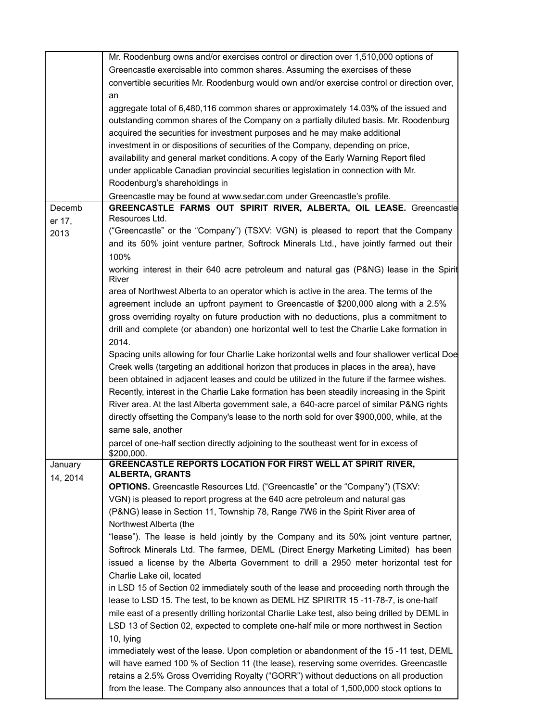|          | Mr. Roodenburg owns and/or exercises control or direction over 1,510,000 options of                |
|----------|----------------------------------------------------------------------------------------------------|
|          | Greencastle exercisable into common shares. Assuming the exercises of these                        |
|          | convertible securities Mr. Roodenburg would own and/or exercise control or direction over,         |
|          | an                                                                                                 |
|          | aggregate total of 6,480,116 common shares or approximately 14.03% of the issued and               |
|          | outstanding common shares of the Company on a partially diluted basis. Mr. Roodenburg              |
|          | acquired the securities for investment purposes and he may make additional                         |
|          | investment in or dispositions of securities of the Company, depending on price,                    |
|          | availability and general market conditions. A copy of the Early Warning Report filed               |
|          | under applicable Canadian provincial securities legislation in connection with Mr.                 |
|          |                                                                                                    |
|          | Roodenburg's shareholdings in                                                                      |
|          | Greencastle may be found at www.sedar.com under Greencastle's profile.                             |
| Decemb   | GREENCASTLE FARMS OUT SPIRIT RIVER, ALBERTA, OIL LEASE. Greencastle<br>Resources Ltd.              |
| er 17,   |                                                                                                    |
| 2013     | ("Greencastle" or the "Company") (TSXV: VGN) is pleased to report that the Company                 |
|          | and its 50% joint venture partner, Softrock Minerals Ltd., have jointly farmed out their           |
|          | 100%                                                                                               |
|          | working interest in their 640 acre petroleum and natural gas (P&NG) lease in the Spirit<br>River   |
|          | area of Northwest Alberta to an operator which is active in the area. The terms of the             |
|          | agreement include an upfront payment to Greencastle of \$200,000 along with a 2.5%                 |
|          | gross overriding royalty on future production with no deductions, plus a commitment to             |
|          | drill and complete (or abandon) one horizontal well to test the Charlie Lake formation in          |
|          | 2014.                                                                                              |
|          | Spacing units allowing for four Charlie Lake horizontal wells and four shallower vertical Doe      |
|          | Creek wells (targeting an additional horizon that produces in places in the area), have            |
|          | been obtained in adjacent leases and could be utilized in the future if the farmee wishes.         |
|          | Recently, interest in the Charlie Lake formation has been steadily increasing in the Spirit        |
|          | River area. At the last Alberta government sale, a 640-acre parcel of similar P&NG rights          |
|          | directly offsetting the Company's lease to the north sold for over \$900,000, while, at the        |
|          |                                                                                                    |
|          | same sale, another                                                                                 |
|          | parcel of one-half section directly adjoining to the southeast went for in excess of<br>\$200,000. |
| January  | GREENCASTLE REPORTS LOCATION FOR FIRST WELL AT SPIRIT RIVER,                                       |
| 14, 2014 | <b>ALBERTA, GRANTS</b>                                                                             |
|          | <b>OPTIONS.</b> Greencastle Resources Ltd. ("Greencastle" or the "Company") (TSXV:                 |
|          | VGN) is pleased to report progress at the 640 acre petroleum and natural gas                       |
|          | (P&NG) lease in Section 11, Township 78, Range 7W6 in the Spirit River area of                     |
|          | Northwest Alberta (the                                                                             |
|          | "lease"). The lease is held jointly by the Company and its 50% joint venture partner,              |
|          | Softrock Minerals Ltd. The farmee, DEML (Direct Energy Marketing Limited) has been                 |
|          | issued a license by the Alberta Government to drill a 2950 meter horizontal test for               |
|          | Charlie Lake oil, located                                                                          |
|          | in LSD 15 of Section 02 immediately south of the lease and proceeding north through the            |
|          | lease to LSD 15. The test, to be known as DEML HZ SPIRITR 15-11-78-7, is one-half                  |
|          | mile east of a presently drilling horizontal Charlie Lake test, also being drilled by DEML in      |
|          | LSD 13 of Section 02, expected to complete one-half mile or more northwest in Section              |
|          | 10, lying                                                                                          |
|          | immediately west of the lease. Upon completion or abandonment of the 15-11 test, DEML              |
|          |                                                                                                    |
|          | will have earned 100 % of Section 11 (the lease), reserving some overrides. Greencastle            |
|          | retains a 2.5% Gross Overriding Royalty ("GORR") without deductions on all production              |
|          | from the lease. The Company also announces that a total of 1,500,000 stock options to              |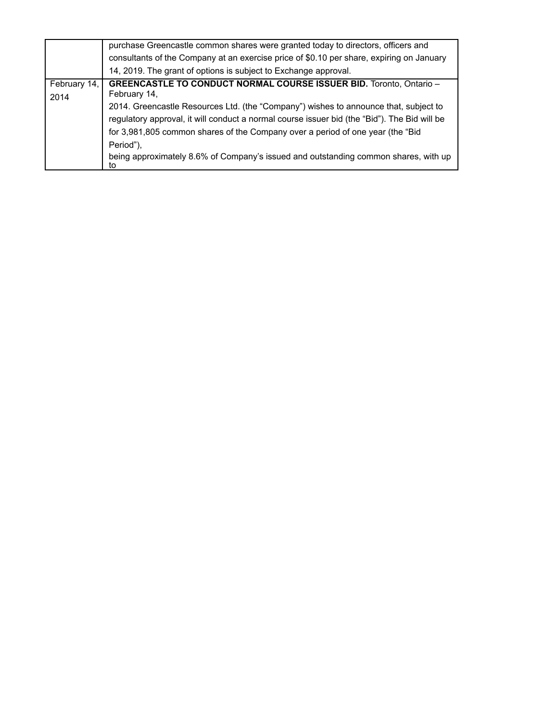|                      | purchase Greencastle common shares were granted today to directors, officers and<br>consultants of the Company at an exercise price of \$0.10 per share, expiring on January<br>14, 2019. The grant of options is subject to Exchange approval.                                                                                                                                                                                                                                |
|----------------------|--------------------------------------------------------------------------------------------------------------------------------------------------------------------------------------------------------------------------------------------------------------------------------------------------------------------------------------------------------------------------------------------------------------------------------------------------------------------------------|
| February 14,<br>2014 | <b>GREENCASTLE TO CONDUCT NORMAL COURSE ISSUER BID. Toronto, Ontario -</b><br>February 14,<br>2014. Greencastle Resources Ltd. (the "Company") wishes to announce that, subject to<br>regulatory approval, it will conduct a normal course issuer bid (the "Bid"). The Bid will be<br>for 3,981,805 common shares of the Company over a period of one year (the "Bid<br>Period").<br>being approximately 8.6% of Company's issued and outstanding common shares, with up<br>to |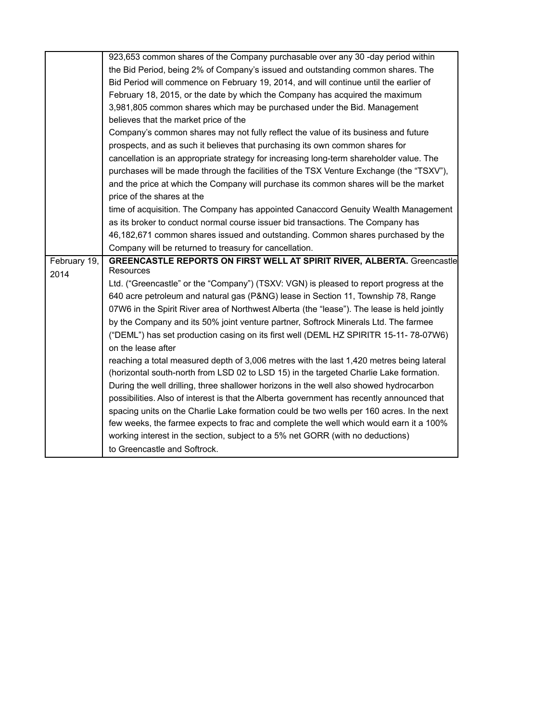|              | 923,653 common shares of the Company purchasable over any 30 -day period within             |
|--------------|---------------------------------------------------------------------------------------------|
|              | the Bid Period, being 2% of Company's issued and outstanding common shares. The             |
|              | Bid Period will commence on February 19, 2014, and will continue until the earlier of       |
|              | February 18, 2015, or the date by which the Company has acquired the maximum                |
|              | 3,981,805 common shares which may be purchased under the Bid. Management                    |
|              | believes that the market price of the                                                       |
|              | Company's common shares may not fully reflect the value of its business and future          |
|              | prospects, and as such it believes that purchasing its own common shares for                |
|              | cancellation is an appropriate strategy for increasing long-term shareholder value. The     |
|              | purchases will be made through the facilities of the TSX Venture Exchange (the "TSXV"),     |
|              | and the price at which the Company will purchase its common shares will be the market       |
|              | price of the shares at the                                                                  |
|              | time of acquisition. The Company has appointed Canaccord Genuity Wealth Management          |
|              | as its broker to conduct normal course issuer bid transactions. The Company has             |
|              | 46,182,671 common shares issued and outstanding. Common shares purchased by the             |
|              | Company will be returned to treasury for cancellation.                                      |
|              |                                                                                             |
| February 19, | <b>GREENCASTLE REPORTS ON FIRST WELL AT SPIRIT RIVER, ALBERTA.</b> Greencastle              |
| 2014         | Resources                                                                                   |
|              | Ltd. ("Greencastle" or the "Company") (TSXV: VGN) is pleased to report progress at the      |
|              | 640 acre petroleum and natural gas (P&NG) lease in Section 11, Township 78, Range           |
|              | 07W6 in the Spirit River area of Northwest Alberta (the "lease"). The lease is held jointly |
|              | by the Company and its 50% joint venture partner, Softrock Minerals Ltd. The farmee         |
|              | ("DEML") has set production casing on its first well (DEML HZ SPIRITR 15-11-78-07W6)        |
|              | on the lease after                                                                          |
|              | reaching a total measured depth of 3,006 metres with the last 1,420 metres being lateral    |
|              | (horizontal south-north from LSD 02 to LSD 15) in the targeted Charlie Lake formation.      |
|              | During the well drilling, three shallower horizons in the well also showed hydrocarbon      |
|              | possibilities. Also of interest is that the Alberta government has recently announced that  |
|              | spacing units on the Charlie Lake formation could be two wells per 160 acres. In the next   |
|              | few weeks, the farmee expects to frac and complete the well which would earn it a 100%      |
|              | working interest in the section, subject to a 5% net GORR (with no deductions)              |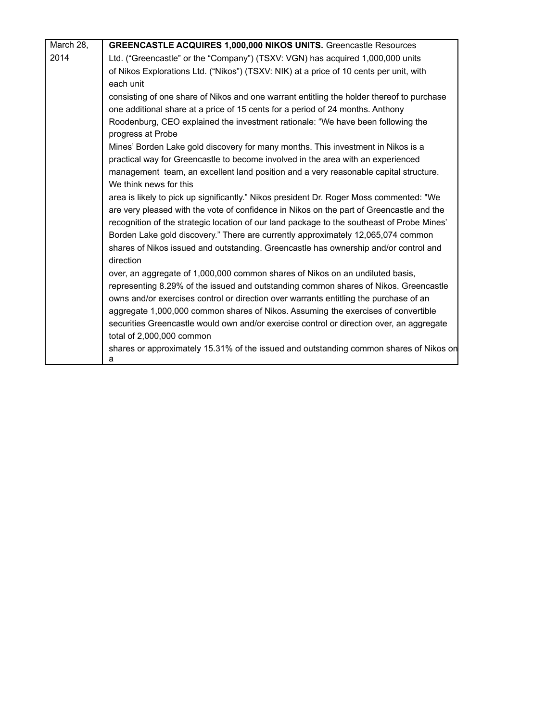| March 28, | <b>GREENCASTLE ACQUIRES 1,000,000 NIKOS UNITS.</b> Greencastle Resources                             |
|-----------|------------------------------------------------------------------------------------------------------|
| 2014      | Ltd. ("Greencastle" or the "Company") (TSXV: VGN) has acquired 1,000,000 units                       |
|           | of Nikos Explorations Ltd. ("Nikos") (TSXV: NIK) at a price of 10 cents per unit, with               |
|           | each unit                                                                                            |
|           | consisting of one share of Nikos and one warrant entitling the holder thereof to purchase            |
|           | one additional share at a price of 15 cents for a period of 24 months. Anthony                       |
|           | Roodenburg, CEO explained the investment rationale: "We have been following the<br>progress at Probe |
|           | Mines' Borden Lake gold discovery for many months. This investment in Nikos is a                     |
|           | practical way for Greencastle to become involved in the area with an experienced                     |
|           | management team, an excellent land position and a very reasonable capital structure.                 |
|           | We think news for this                                                                               |
|           | area is likely to pick up significantly." Nikos president Dr. Roger Moss commented: "We              |
|           | are very pleased with the vote of confidence in Nikos on the part of Greencastle and the             |
|           | recognition of the strategic location of our land package to the southeast of Probe Mines'           |
|           | Borden Lake gold discovery." There are currently approximately 12,065,074 common                     |
|           | shares of Nikos issued and outstanding. Greencastle has ownership and/or control and                 |
|           | direction                                                                                            |
|           | over, an aggregate of 1,000,000 common shares of Nikos on an undiluted basis,                        |
|           | representing 8.29% of the issued and outstanding common shares of Nikos. Greencastle                 |
|           | owns and/or exercises control or direction over warrants entitling the purchase of an                |
|           | aggregate 1,000,000 common shares of Nikos. Assuming the exercises of convertible                    |
|           | securities Greencastle would own and/or exercise control or direction over, an aggregate             |
|           | total of 2,000,000 common                                                                            |
|           | shares or approximately 15.31% of the issued and outstanding common shares of Nikos on               |
|           | a                                                                                                    |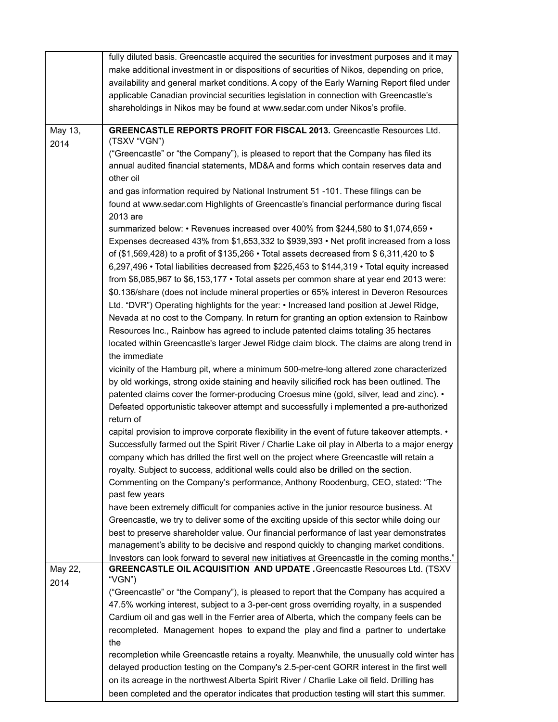|         | fully diluted basis. Greencastle acquired the securities for investment purposes and it may      |
|---------|--------------------------------------------------------------------------------------------------|
|         | make additional investment in or dispositions of securities of Nikos, depending on price,        |
|         | availability and general market conditions. A copy of the Early Warning Report filed under       |
|         | applicable Canadian provincial securities legislation in connection with Greencastle's           |
|         | shareholdings in Nikos may be found at www.sedar.com under Nikos's profile.                      |
|         |                                                                                                  |
| May 13, | <b>GREENCASTLE REPORTS PROFIT FOR FISCAL 2013.</b> Greencastle Resources Ltd.                    |
| 2014    | (TSXV "VGN")                                                                                     |
|         | ("Greencastle" or "the Company"), is pleased to report that the Company has filed its            |
|         | annual audited financial statements, MD&A and forms which contain reserves data and<br>other oil |
|         | and gas information required by National Instrument 51 -101. These filings can be                |
|         | found at www.sedar.com Highlights of Greencastle's financial performance during fiscal           |
|         | 2013 are                                                                                         |
|         | summarized below: • Revenues increased over 400% from \$244,580 to \$1,074,659 •                 |
|         | Expenses decreased 43% from \$1,653,332 to \$939,393 • Net profit increased from a loss          |
|         | of (\$1,569,428) to a profit of \$135,266 • Total assets decreased from \$6,311,420 to \$        |
|         | 6,297,496 • Total liabilities decreased from \$225,453 to \$144,319 • Total equity increased     |
|         | from \$6,085,967 to \$6,153,177 · Total assets per common share at year end 2013 were:           |
|         | \$0.136/share (does not include mineral properties or 65% interest in Deveron Resources          |
|         | Ltd. "DVR") Operating highlights for the year: • Increased land position at Jewel Ridge,         |
|         | Nevada at no cost to the Company. In return for granting an option extension to Rainbow          |
|         | Resources Inc., Rainbow has agreed to include patented claims totaling 35 hectares               |
|         | located within Greencastle's larger Jewel Ridge claim block. The claims are along trend in       |
|         | the immediate                                                                                    |
|         | vicinity of the Hamburg pit, where a minimum 500-metre-long altered zone characterized           |
|         | by old workings, strong oxide staining and heavily silicified rock has been outlined. The        |
|         | patented claims cover the former-producing Croesus mine (gold, silver, lead and zinc). •         |
|         | Defeated opportunistic takeover attempt and successfully i mplemented a pre-authorized           |
|         | return of                                                                                        |
|         | capital provision to improve corporate flexibility in the event of future takeover attempts. •   |
|         | Successfully farmed out the Spirit River / Charlie Lake oil play in Alberta to a major energy    |
|         | company which has drilled the first well on the project where Greencastle will retain a          |
|         | royalty. Subject to success, additional wells could also be drilled on the section.              |
|         | Commenting on the Company's performance, Anthony Roodenburg, CEO, stated: "The                   |
|         | past few years                                                                                   |
|         | have been extremely difficult for companies active in the junior resource business. At           |
|         | Greencastle, we try to deliver some of the exciting upside of this sector while doing our        |
|         | best to preserve shareholder value. Our financial performance of last year demonstrates          |
|         | management's ability to be decisive and respond quickly to changing market conditions.           |
|         | Investors can look forward to several new initiatives at Greencastle in the coming months."      |
| May 22, | GREENCASTLE OIL ACQUISITION AND UPDATE . Greencastle Resources Ltd. (TSXV<br>"VGN")              |
| 2014    | ("Greencastle" or "the Company"), is pleased to report that the Company has acquired a           |
|         | 47.5% working interest, subject to a 3-per-cent gross overriding royalty, in a suspended         |
|         | Cardium oil and gas well in the Ferrier area of Alberta, which the company feels can be          |
|         | recompleted. Management hopes to expand the play and find a partner to undertake                 |
|         | the                                                                                              |
|         | recompletion while Greencastle retains a royalty. Meanwhile, the unusually cold winter has       |
|         | delayed production testing on the Company's 2.5-per-cent GORR interest in the first well         |
|         | on its acreage in the northwest Alberta Spirit River / Charlie Lake oil field. Drilling has      |
|         | been completed and the operator indicates that production testing will start this summer.        |
|         |                                                                                                  |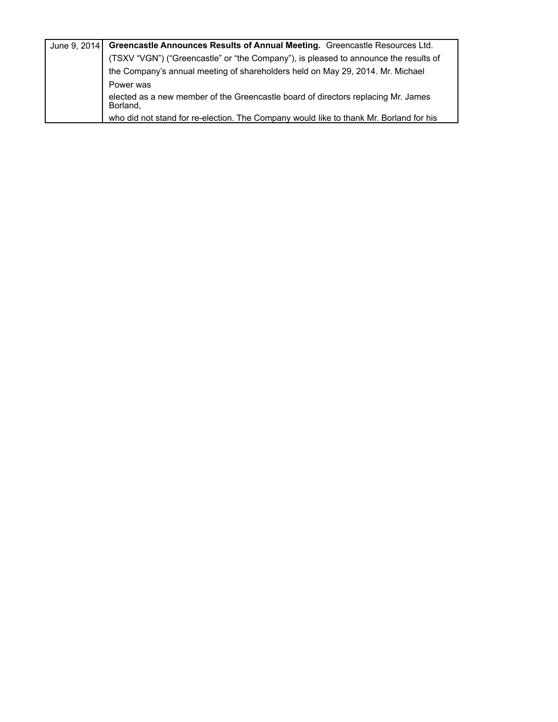| June 9, 2014   Greencastle Announces Results of Annual Meeting. Greencastle Resources Ltd.    |
|-----------------------------------------------------------------------------------------------|
| (TSXV "VGN") ("Greencastle" or "the Company"), is pleased to announce the results of          |
| the Company's annual meeting of shareholders held on May 29, 2014. Mr. Michael                |
| Power was                                                                                     |
| elected as a new member of the Greencastle board of directors replacing Mr. James<br>Borland, |
| who did not stand for re-election. The Company would like to thank Mr. Borland for his        |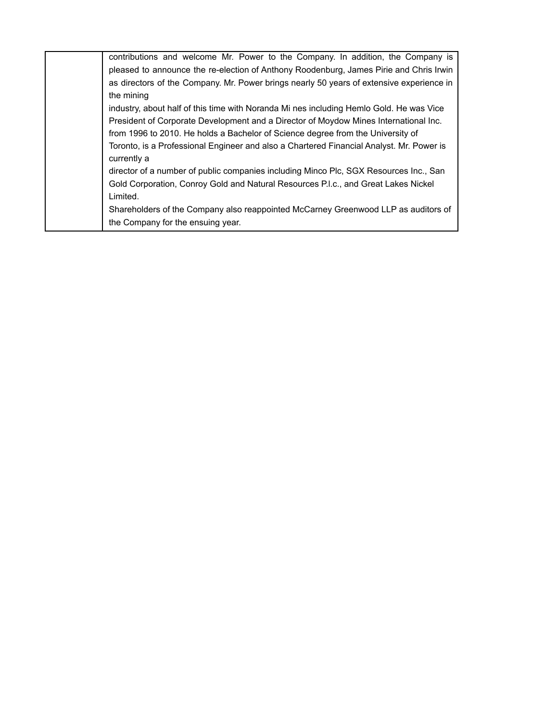| contributions and welcome Mr. Power to the Company. In addition, the Company is          |
|------------------------------------------------------------------------------------------|
| pleased to announce the re-election of Anthony Roodenburg, James Pirie and Chris Irwin   |
| as directors of the Company. Mr. Power brings nearly 50 years of extensive experience in |
| the mining                                                                               |
| industry, about half of this time with Noranda Mi nes including Hemlo Gold. He was Vice  |
| President of Corporate Development and a Director of Moydow Mines International Inc.     |
| from 1996 to 2010. He holds a Bachelor of Science degree from the University of          |
| Toronto, is a Professional Engineer and also a Chartered Financial Analyst. Mr. Power is |
| currently a                                                                              |
| director of a number of public companies including Minco Plc, SGX Resources Inc., San    |
| Gold Corporation, Conroy Gold and Natural Resources P.I.c., and Great Lakes Nickel       |
| Limited.                                                                                 |
| Shareholders of the Company also reappointed McCarney Greenwood LLP as auditors of       |
| the Company for the ensuing year.                                                        |
|                                                                                          |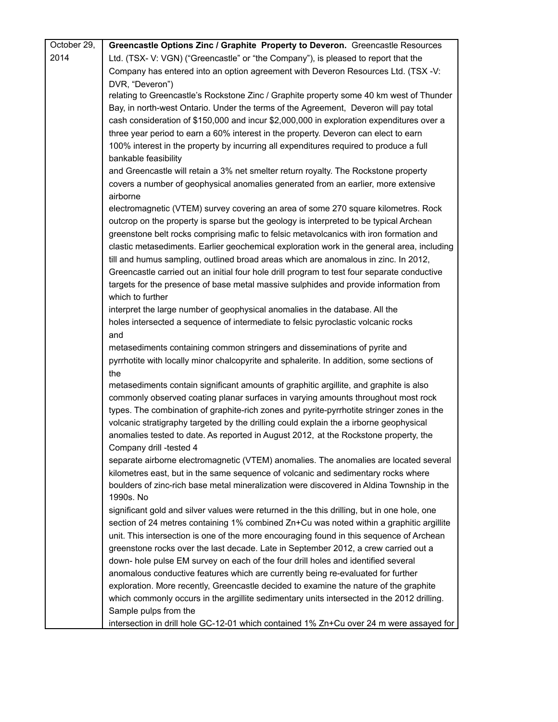| October 29, | Greencastle Options Zinc / Graphite Property to Deveron. Greencastle Resources              |
|-------------|---------------------------------------------------------------------------------------------|
| 2014        | Ltd. (TSX- V: VGN) ("Greencastle" or "the Company"), is pleased to report that the          |
|             | Company has entered into an option agreement with Deveron Resources Ltd. (TSX -V:           |
|             | DVR, "Deveron")                                                                             |
|             | relating to Greencastle's Rockstone Zinc / Graphite property some 40 km west of Thunder     |
|             | Bay, in north-west Ontario. Under the terms of the Agreement, Deveron will pay total        |
|             | cash consideration of \$150,000 and incur \$2,000,000 in exploration expenditures over a    |
|             | three year period to earn a 60% interest in the property. Deveron can elect to earn         |
|             | 100% interest in the property by incurring all expenditures required to produce a full      |
|             | bankable feasibility                                                                        |
|             | and Greencastle will retain a 3% net smelter return royalty. The Rockstone property         |
|             | covers a number of geophysical anomalies generated from an earlier, more extensive          |
|             | airborne                                                                                    |
|             | electromagnetic (VTEM) survey covering an area of some 270 square kilometres. Rock          |
|             | outcrop on the property is sparse but the geology is interpreted to be typical Archean      |
|             | greenstone belt rocks comprising mafic to felsic metavolcanics with iron formation and      |
|             | clastic metasediments. Earlier geochemical exploration work in the general area, including  |
|             | till and humus sampling, outlined broad areas which are anomalous in zinc. In 2012,         |
|             | Greencastle carried out an initial four hole drill program to test four separate conductive |
|             | targets for the presence of base metal massive sulphides and provide information from       |
|             | which to further                                                                            |
|             | interpret the large number of geophysical anomalies in the database. All the                |
|             | holes intersected a sequence of intermediate to felsic pyroclastic volcanic rocks           |
|             | and                                                                                         |
|             | metasediments containing common stringers and disseminations of pyrite and                  |
|             | pyrrhotite with locally minor chalcopyrite and sphalerite. In addition, some sections of    |
|             | the                                                                                         |
|             | metasediments contain significant amounts of graphitic argillite, and graphite is also      |
|             | commonly observed coating planar surfaces in varying amounts throughout most rock           |
|             | types. The combination of graphite-rich zones and pyrite-pyrrhotite stringer zones in the   |
|             | volcanic stratigraphy targeted by the drilling could explain the a irborne geophysical      |
|             | anomalies tested to date. As reported in August 2012, at the Rockstone property, the        |
|             | Company drill -tested 4                                                                     |
|             | separate airborne electromagnetic (VTEM) anomalies. The anomalies are located several       |
|             | kilometres east, but in the same sequence of volcanic and sedimentary rocks where           |
|             | boulders of zinc-rich base metal mineralization were discovered in Aldina Township in the   |
|             | 1990s. No                                                                                   |
|             | significant gold and silver values were returned in the this drilling, but in one hole, one |
|             | section of 24 metres containing 1% combined Zn+Cu was noted within a graphitic argillite    |
|             | unit. This intersection is one of the more encouraging found in this sequence of Archean    |
|             | greenstone rocks over the last decade. Late in September 2012, a crew carried out a         |
|             | down- hole pulse EM survey on each of the four drill holes and identified several           |
|             | anomalous conductive features which are currently being re-evaluated for further            |
|             | exploration. More recently, Greencastle decided to examine the nature of the graphite       |
|             | which commonly occurs in the argillite sedimentary units intersected in the 2012 drilling.  |
|             | Sample pulps from the                                                                       |
|             | intersection in drill hole GC-12-01 which contained 1% Zn+Cu over 24 m were assayed for     |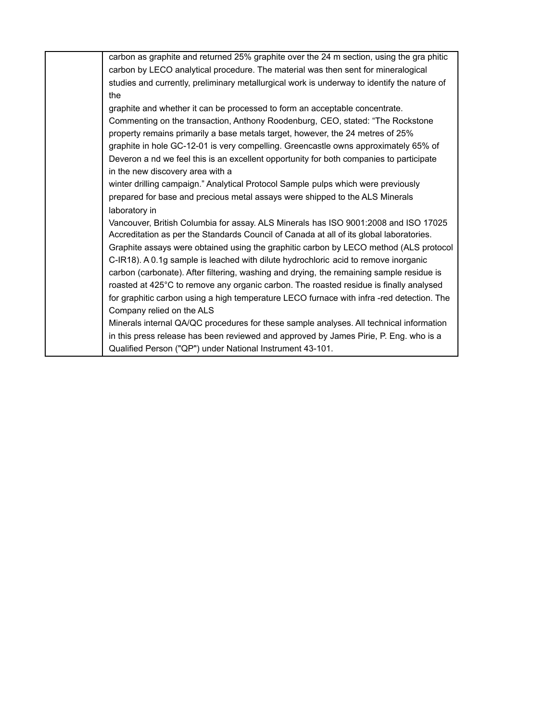| carbon as graphite and returned 25% graphite over the 24 m section, using the graphitic     |
|---------------------------------------------------------------------------------------------|
| carbon by LECO analytical procedure. The material was then sent for mineralogical           |
| studies and currently, preliminary metallurgical work is underway to identify the nature of |
| the                                                                                         |
| graphite and whether it can be processed to form an acceptable concentrate.                 |
| Commenting on the transaction, Anthony Roodenburg, CEO, stated: "The Rockstone"             |
| property remains primarily a base metals target, however, the 24 metres of 25%              |
| graphite in hole GC-12-01 is very compelling. Greencastle owns approximately 65% of         |
| Deveron a nd we feel this is an excellent opportunity for both companies to participate     |
| in the new discovery area with a                                                            |
| winter drilling campaign." Analytical Protocol Sample pulps which were previously           |
| prepared for base and precious metal assays were shipped to the ALS Minerals                |
| laboratory in                                                                               |
| Vancouver, British Columbia for assay. ALS Minerals has ISO 9001:2008 and ISO 17025         |
| Accreditation as per the Standards Council of Canada at all of its global laboratories.     |
| Graphite assays were obtained using the graphitic carbon by LECO method (ALS protocol       |
| C-IR18). A 0.1g sample is leached with dilute hydrochloric acid to remove inorganic         |
| carbon (carbonate). After filtering, washing and drying, the remaining sample residue is    |
| roasted at 425°C to remove any organic carbon. The roasted residue is finally analysed      |
| for graphitic carbon using a high temperature LECO furnace with infra-red detection. The    |
| Company relied on the ALS                                                                   |
| Minerals internal QA/QC procedures for these sample analyses. All technical information     |
| in this press release has been reviewed and approved by James Pirie, P. Eng. who is a       |
| Qualified Person ("QP") under National Instrument 43-101.                                   |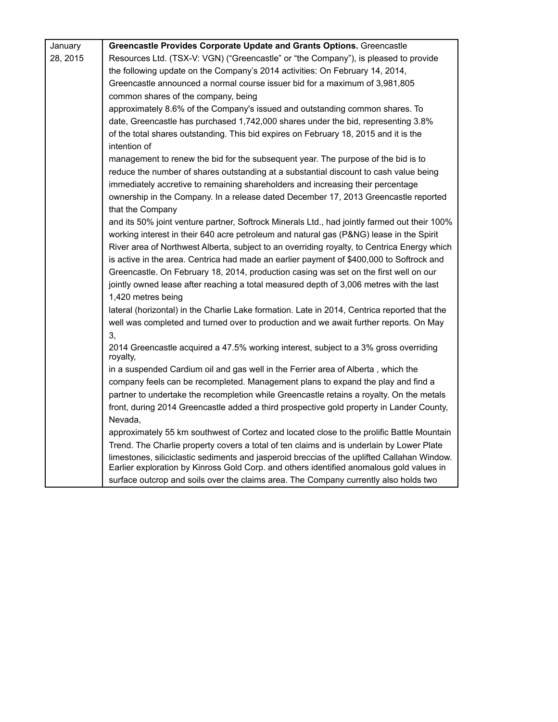| January  | Greencastle Provides Corporate Update and Grants Options. Greencastle                            |
|----------|--------------------------------------------------------------------------------------------------|
| 28, 2015 | Resources Ltd. (TSX-V: VGN) ("Greencastle" or "the Company"), is pleased to provide              |
|          | the following update on the Company's 2014 activities: On February 14, 2014,                     |
|          | Greencastle announced a normal course issuer bid for a maximum of 3,981,805                      |
|          | common shares of the company, being                                                              |
|          | approximately 8.6% of the Company's issued and outstanding common shares. To                     |
|          | date, Greencastle has purchased 1,742,000 shares under the bid, representing 3.8%                |
|          | of the total shares outstanding. This bid expires on February 18, 2015 and it is the             |
|          | intention of                                                                                     |
|          | management to renew the bid for the subsequent year. The purpose of the bid is to                |
|          | reduce the number of shares outstanding at a substantial discount to cash value being            |
|          | immediately accretive to remaining shareholders and increasing their percentage                  |
|          | ownership in the Company. In a release dated December 17, 2013 Greencastle reported              |
|          | that the Company                                                                                 |
|          | and its 50% joint venture partner, Softrock Minerals Ltd., had jointly farmed out their 100%     |
|          | working interest in their 640 acre petroleum and natural gas (P&NG) lease in the Spirit          |
|          | River area of Northwest Alberta, subject to an overriding royalty, to Centrica Energy which      |
|          | is active in the area. Centrica had made an earlier payment of \$400,000 to Softrock and         |
|          | Greencastle. On February 18, 2014, production casing was set on the first well on our            |
|          | jointly owned lease after reaching a total measured depth of 3,006 metres with the last          |
|          | 1,420 metres being                                                                               |
|          | lateral (horizontal) in the Charlie Lake formation. Late in 2014, Centrica reported that the     |
|          | well was completed and turned over to production and we await further reports. On May            |
|          | 3,                                                                                               |
|          | 2014 Greencastle acquired a 47.5% working interest, subject to a 3% gross overriding<br>royalty, |
|          | in a suspended Cardium oil and gas well in the Ferrier area of Alberta, which the                |
|          | company feels can be recompleted. Management plans to expand the play and find a                 |
|          | partner to undertake the recompletion while Greencastle retains a royalty. On the metals         |
|          | front, during 2014 Greencastle added a third prospective gold property in Lander County,         |
|          | Nevada,                                                                                          |
|          | approximately 55 km southwest of Cortez and located close to the prolific Battle Mountain        |
|          | Trend. The Charlie property covers a total of ten claims and is underlain by Lower Plate         |
|          | limestones, siliciclastic sediments and jasperoid breccias of the uplifted Callahan Window.      |
|          | Earlier exploration by Kinross Gold Corp. and others identified anomalous gold values in         |
|          | surface outcrop and soils over the claims area. The Company currently also holds two             |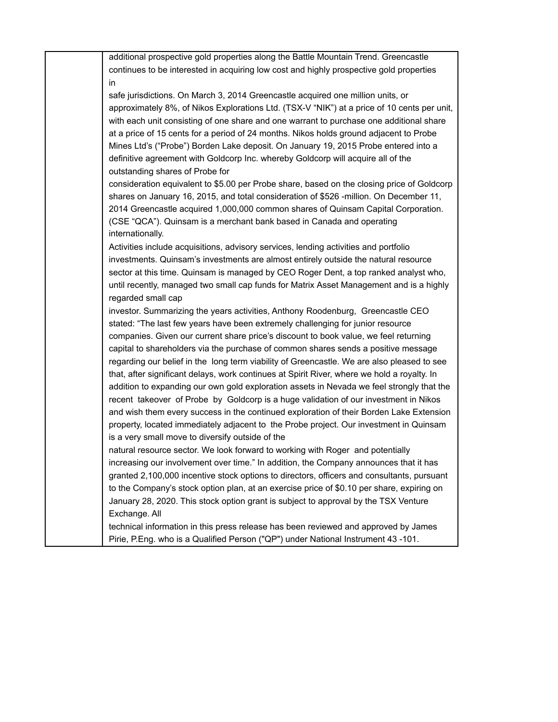additional prospective gold properties along the Battle Mountain Trend. Greencastle continues to be interested in acquiring low cost and highly prospective gold properties in

safe jurisdictions. On March 3, 2014 Greencastle acquired one million units, or approximately 8%, of Nikos Explorations Ltd. (TSX-V "NIK") at a price of 10 cents per unit, with each unit consisting of one share and one warrant to purchase one additional share at a price of 15 cents for a period of 24 months. Nikos holds ground adjacent to Probe Mines Ltd's ("Probe") Borden Lake deposit. On January 19, 2015 Probe entered into a definitive agreement with Goldcorp Inc. whereby Goldcorp will acquire all of the outstanding shares of Probe for

consideration equivalent to \$5.00 per Probe share, based on the closing price of Goldcorp shares on January 16, 2015, and total consideration of \$526 -million. On December 11, 2014 Greencastle acquired 1,000,000 common shares of Quinsam Capital Corporation. (CSE "QCA"). Quinsam is a merchant bank based in Canada and operating internationally.

Activities include acquisitions, advisory services, lending activities and portfolio investments. Quinsam's investments are almost entirely outside the natural resource sector at this time. Quinsam is managed by CEO Roger Dent, a top ranked analyst who, until recently, managed two small cap funds for Matrix Asset Management and is a highly regarded small cap

investor. Summarizing the years activities, Anthony Roodenburg, Greencastle CEO stated: "The last few years have been extremely challenging for junior resource companies. Given our current share price's discount to book value, we feel returning capital to shareholders via the purchase of common shares sends a positive message regarding our belief in the long term viability of Greencastle. We are also pleased to see that, after significant delays, work continues at Spirit River, where we hold a royalty. In addition to expanding our own gold exploration assets in Nevada we feel strongly that the recent takeover of Probe by Goldcorp is a huge validation of our investment in Nikos and wish them every success in the continued exploration of their Borden Lake Extension property, located immediately adjacent to the Probe project. Our investment in Quinsam is a very small move to diversify outside of the

natural resource sector. We look forward to working with Roger and potentially increasing our involvement over time." In addition, the Company announces that it has granted 2,100,000 incentive stock options to directors, officers and consultants, pursuant to the Company's stock option plan, at an exercise price of \$0.10 per share, expiring on January 28, 2020. This stock option grant is subject to approval by the TSX Venture Exchange. All

technical information in this press release has been reviewed and approved by James Pirie, P.Eng. who is a Qualified Person ("QP") under National Instrument 43 -101.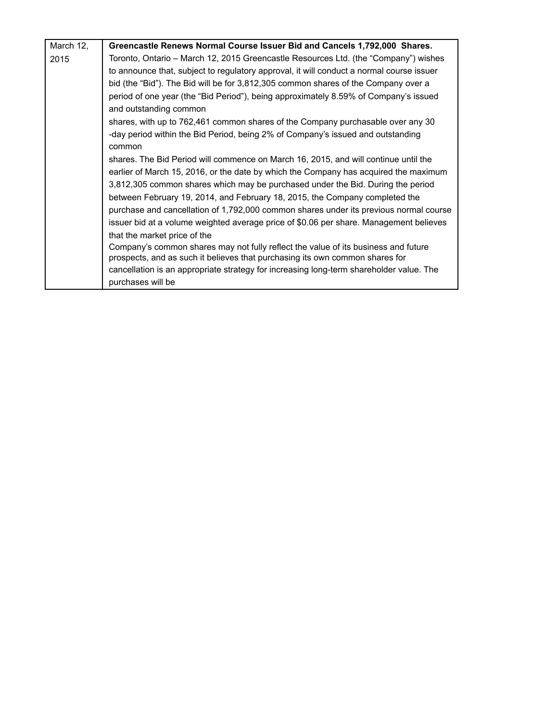| March 12, | Greencastle Renews Normal Course Issuer Bid and Cancels 1,792,000 Shares.                                                                                          |
|-----------|--------------------------------------------------------------------------------------------------------------------------------------------------------------------|
| 2015      | Toronto, Ontario - March 12, 2015 Greencastle Resources Ltd. (the "Company") wishes                                                                                |
|           | to announce that, subject to regulatory approval, it will conduct a normal course issuer                                                                           |
|           | bid (the "Bid"). The Bid will be for 3,812,305 common shares of the Company over a                                                                                 |
|           | period of one year (the "Bid Period"), being approximately 8.59% of Company's issued                                                                               |
|           | and outstanding common                                                                                                                                             |
|           | shares, with up to 762,461 common shares of the Company purchasable over any 30                                                                                    |
|           | -day period within the Bid Period, being 2% of Company's issued and outstanding                                                                                    |
|           | common                                                                                                                                                             |
|           | shares. The Bid Period will commence on March 16, 2015, and will continue until the                                                                                |
|           | earlier of March 15, 2016, or the date by which the Company has acquired the maximum                                                                               |
|           | 3,812,305 common shares which may be purchased under the Bid. During the period                                                                                    |
|           | between February 19, 2014, and February 18, 2015, the Company completed the                                                                                        |
|           | purchase and cancellation of 1,792,000 common shares under its previous normal course                                                                              |
|           | issuer bid at a volume weighted average price of \$0.06 per share. Management believes                                                                             |
|           | that the market price of the                                                                                                                                       |
|           | Company's common shares may not fully reflect the value of its business and future<br>prospects, and as such it believes that purchasing its own common shares for |
|           | cancellation is an appropriate strategy for increasing long-term shareholder value. The                                                                            |
|           | purchases will be                                                                                                                                                  |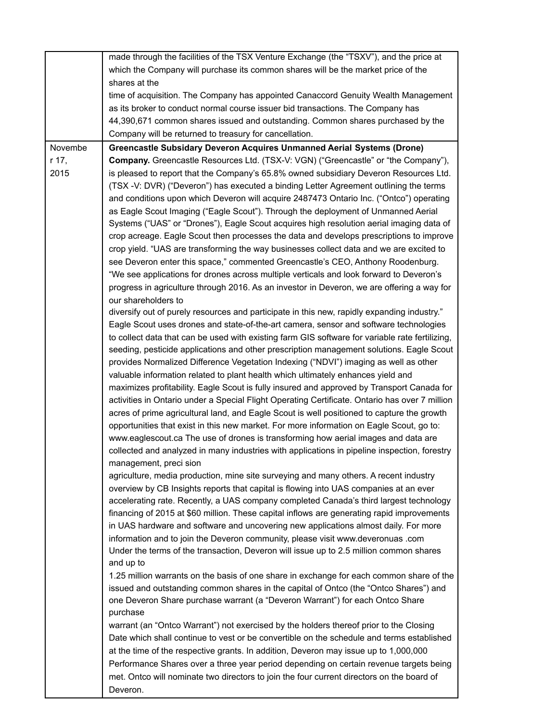|         | made through the facilities of the TSX Venture Exchange (the "TSXV"), and the price at              |
|---------|-----------------------------------------------------------------------------------------------------|
|         | which the Company will purchase its common shares will be the market price of the                   |
|         | shares at the                                                                                       |
|         | time of acquisition. The Company has appointed Canaccord Genuity Wealth Management                  |
|         | as its broker to conduct normal course issuer bid transactions. The Company has                     |
|         | 44,390,671 common shares issued and outstanding. Common shares purchased by the                     |
|         | Company will be returned to treasury for cancellation.                                              |
| Novembe | Greencastle Subsidary Deveron Acquires Unmanned Aerial Systems (Drone)                              |
| r 17,   | Company. Greencastle Resources Ltd. (TSX-V: VGN) ("Greencastle" or "the Company"),                  |
| 2015    | is pleased to report that the Company's 65.8% owned subsidiary Deveron Resources Ltd.               |
|         | (TSX -V: DVR) ("Deveron") has executed a binding Letter Agreement outlining the terms               |
|         | and conditions upon which Deveron will acquire 2487473 Ontario Inc. ("Ontco") operating             |
|         | as Eagle Scout Imaging ("Eagle Scout"). Through the deployment of Unmanned Aerial                   |
|         | Systems ("UAS" or "Drones"), Eagle Scout acquires high resolution aerial imaging data of            |
|         | crop acreage. Eagle Scout then processes the data and develops prescriptions to improve             |
|         | crop yield. "UAS are transforming the way businesses collect data and we are excited to             |
|         | see Deveron enter this space," commented Greencastle's CEO, Anthony Roodenburg.                     |
|         | "We see applications for drones across multiple verticals and look forward to Deveron's             |
|         | progress in agriculture through 2016. As an investor in Deveron, we are offering a way for          |
|         | our shareholders to                                                                                 |
|         | diversify out of purely resources and participate in this new, rapidly expanding industry."         |
|         | Eagle Scout uses drones and state-of-the-art camera, sensor and software technologies               |
|         | to collect data that can be used with existing farm GIS software for variable rate fertilizing,     |
|         | seeding, pesticide applications and other prescription management solutions. Eagle Scout            |
|         | provides Normalized Difference Vegetation Indexing ("NDVI") imaging as well as other                |
|         | valuable information related to plant health which ultimately enhances yield and                    |
|         | maximizes profitability. Eagle Scout is fully insured and approved by Transport Canada for          |
|         | activities in Ontario under a Special Flight Operating Certificate. Ontario has over 7 million      |
|         | acres of prime agricultural land, and Eagle Scout is well positioned to capture the growth          |
|         | opportunities that exist in this new market. For more information on Eagle Scout, go to:            |
|         | www.eaglescout.ca The use of drones is transforming how aerial images and data are                  |
|         | collected and analyzed in many industries with applications in pipeline inspection, forestry        |
|         | management, preci sion                                                                              |
|         | agriculture, media production, mine site surveying and many others. A recent industry               |
|         |                                                                                                     |
|         | overview by CB Insights reports that capital is flowing into UAS companies at an ever               |
|         | accelerating rate. Recently, a UAS company completed Canada's third largest technology              |
|         | financing of 2015 at \$60 million. These capital inflows are generating rapid improvements          |
|         | in UAS hardware and software and uncovering new applications almost daily. For more                 |
|         | information and to join the Deveron community, please visit www.deveronuas .com                     |
|         | Under the terms of the transaction, Deveron will issue up to 2.5 million common shares<br>and up to |
|         |                                                                                                     |
|         | 1.25 million warrants on the basis of one share in exchange for each common share of the            |
|         | issued and outstanding common shares in the capital of Ontco (the "Ontco Shares") and               |
|         | one Deveron Share purchase warrant (a "Deveron Warrant") for each Ontco Share                       |
|         | purchase                                                                                            |
|         | warrant (an "Ontco Warrant") not exercised by the holders thereof prior to the Closing              |
|         | Date which shall continue to vest or be convertible on the schedule and terms established           |
|         | at the time of the respective grants. In addition, Deveron may issue up to 1,000,000                |
|         | Performance Shares over a three year period depending on certain revenue targets being              |
|         | met. Ontco will nominate two directors to join the four current directors on the board of           |
|         | Deveron.                                                                                            |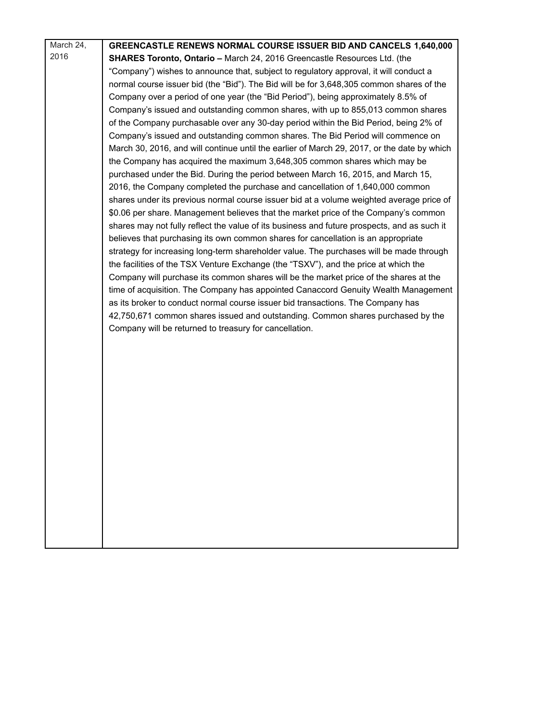| March 24, | <b>GREENCASTLE RENEWS NORMAL COURSE ISSUER BID AND CANCELS 1,640,000</b>                    |
|-----------|---------------------------------------------------------------------------------------------|
| 2016      | SHARES Toronto, Ontario - March 24, 2016 Greencastle Resources Ltd. (the                    |
|           | "Company") wishes to announce that, subject to regulatory approval, it will conduct a       |
|           | normal course issuer bid (the "Bid"). The Bid will be for 3,648,305 common shares of the    |
|           | Company over a period of one year (the "Bid Period"), being approximately 8.5% of           |
|           | Company's issued and outstanding common shares, with up to 855,013 common shares            |
|           | of the Company purchasable over any 30-day period within the Bid Period, being 2% of        |
|           | Company's issued and outstanding common shares. The Bid Period will commence on             |
|           | March 30, 2016, and will continue until the earlier of March 29, 2017, or the date by which |
|           | the Company has acquired the maximum 3,648,305 common shares which may be                   |
|           | purchased under the Bid. During the period between March 16, 2015, and March 15,            |
|           | 2016, the Company completed the purchase and cancellation of 1,640,000 common               |
|           | shares under its previous normal course issuer bid at a volume weighted average price of    |
|           | \$0.06 per share. Management believes that the market price of the Company's common         |
|           | shares may not fully reflect the value of its business and future prospects, and as such it |
|           | believes that purchasing its own common shares for cancellation is an appropriate           |
|           | strategy for increasing long-term shareholder value. The purchases will be made through     |
|           | the facilities of the TSX Venture Exchange (the "TSXV"), and the price at which the         |
|           | Company will purchase its common shares will be the market price of the shares at the       |
|           | time of acquisition. The Company has appointed Canaccord Genuity Wealth Management          |
|           | as its broker to conduct normal course issuer bid transactions. The Company has             |
|           | 42,750,671 common shares issued and outstanding. Common shares purchased by the             |
|           | Company will be returned to treasury for cancellation.                                      |
|           |                                                                                             |
|           |                                                                                             |
|           |                                                                                             |
|           |                                                                                             |
|           |                                                                                             |
|           |                                                                                             |
|           |                                                                                             |
|           |                                                                                             |
|           |                                                                                             |
|           |                                                                                             |
|           |                                                                                             |
|           |                                                                                             |
|           |                                                                                             |
|           |                                                                                             |
|           |                                                                                             |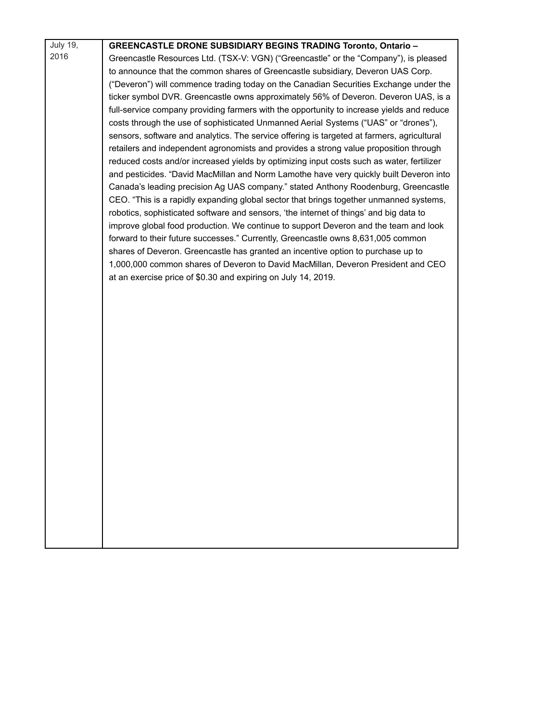| July 19, | <b>GREENCASTLE DRONE SUBSIDIARY BEGINS TRADING Toronto, Ontario -</b>                                                                                                        |
|----------|------------------------------------------------------------------------------------------------------------------------------------------------------------------------------|
| 2016     | Greencastle Resources Ltd. (TSX-V: VGN) ("Greencastle" or the "Company"), is pleased                                                                                         |
|          | to announce that the common shares of Greencastle subsidiary, Deveron UAS Corp.                                                                                              |
|          | ("Deveron") will commence trading today on the Canadian Securities Exchange under the                                                                                        |
|          | ticker symbol DVR. Greencastle owns approximately 56% of Deveron. Deveron UAS, is a                                                                                          |
|          | full-service company providing farmers with the opportunity to increase yields and reduce                                                                                    |
|          | costs through the use of sophisticated Unmanned Aerial Systems ("UAS" or "drones"),                                                                                          |
|          | sensors, software and analytics. The service offering is targeted at farmers, agricultural                                                                                   |
|          | retailers and independent agronomists and provides a strong value proposition through                                                                                        |
|          | reduced costs and/or increased yields by optimizing input costs such as water, fertilizer                                                                                    |
|          | and pesticides. "David MacMillan and Norm Lamothe have very quickly built Deveron into<br>Canada's leading precision Ag UAS company." stated Anthony Roodenburg, Greencastle |
|          | CEO. "This is a rapidly expanding global sector that brings together unmanned systems,                                                                                       |
|          | robotics, sophisticated software and sensors, 'the internet of things' and big data to                                                                                       |
|          | improve global food production. We continue to support Deveron and the team and look                                                                                         |
|          | forward to their future successes." Currently, Greencastle owns 8,631,005 common                                                                                             |
|          | shares of Deveron. Greencastle has granted an incentive option to purchase up to                                                                                             |
|          | 1,000,000 common shares of Deveron to David MacMillan, Deveron President and CEO                                                                                             |
|          | at an exercise price of \$0.30 and expiring on July 14, 2019.                                                                                                                |
|          |                                                                                                                                                                              |
|          |                                                                                                                                                                              |
|          |                                                                                                                                                                              |
|          |                                                                                                                                                                              |
|          |                                                                                                                                                                              |
|          |                                                                                                                                                                              |
|          |                                                                                                                                                                              |
|          |                                                                                                                                                                              |
|          |                                                                                                                                                                              |
|          |                                                                                                                                                                              |
|          |                                                                                                                                                                              |
|          |                                                                                                                                                                              |
|          |                                                                                                                                                                              |
|          |                                                                                                                                                                              |
|          |                                                                                                                                                                              |
|          |                                                                                                                                                                              |
|          |                                                                                                                                                                              |
|          |                                                                                                                                                                              |
|          |                                                                                                                                                                              |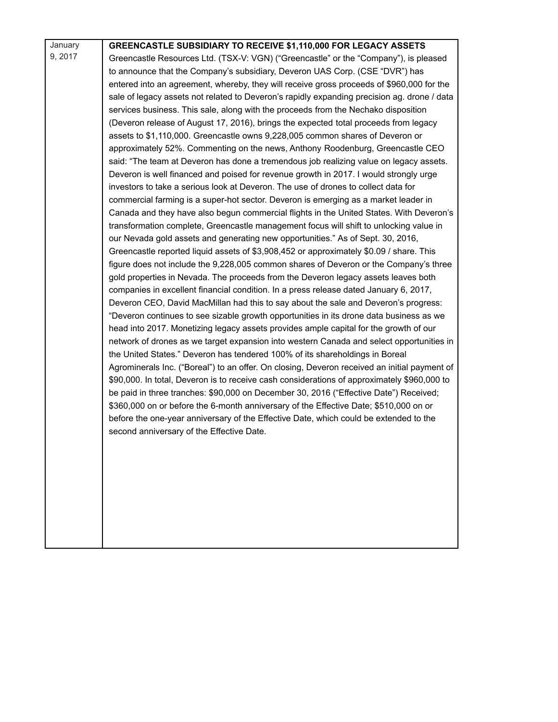| January | GREENCASTLE SUBSIDIARY TO RECEIVE \$1,110,000 FOR LEGACY ASSETS                              |
|---------|----------------------------------------------------------------------------------------------|
| 9, 2017 | Greencastle Resources Ltd. (TSX-V: VGN) ("Greencastle" or the "Company"), is pleased         |
|         | to announce that the Company's subsidiary, Deveron UAS Corp. (CSE "DVR") has                 |
|         | entered into an agreement, whereby, they will receive gross proceeds of \$960,000 for the    |
|         | sale of legacy assets not related to Deveron's rapidly expanding precision ag. drone / data  |
|         | services business. This sale, along with the proceeds from the Nechako disposition           |
|         | (Deveron release of August 17, 2016), brings the expected total proceeds from legacy         |
|         | assets to \$1,110,000. Greencastle owns 9,228,005 common shares of Deveron or                |
|         | approximately 52%. Commenting on the news, Anthony Roodenburg, Greencastle CEO               |
|         | said: "The team at Deveron has done a tremendous job realizing value on legacy assets.       |
|         | Deveron is well financed and poised for revenue growth in 2017. I would strongly urge        |
|         | investors to take a serious look at Deveron. The use of drones to collect data for           |
|         | commercial farming is a super-hot sector. Deveron is emerging as a market leader in          |
|         | Canada and they have also begun commercial flights in the United States. With Deveron's      |
|         | transformation complete, Greencastle management focus will shift to unlocking value in       |
|         | our Nevada gold assets and generating new opportunities." As of Sept. 30, 2016,              |
|         | Greencastle reported liquid assets of \$3,908,452 or approximately \$0.09 / share. This      |
|         | figure does not include the 9,228,005 common shares of Deveron or the Company's three        |
|         | gold properties in Nevada. The proceeds from the Deveron legacy assets leaves both           |
|         | companies in excellent financial condition. In a press release dated January 6, 2017,        |
|         | Deveron CEO, David MacMillan had this to say about the sale and Deveron's progress:          |
|         | "Deveron continues to see sizable growth opportunities in its drone data business as we      |
|         | head into 2017. Monetizing legacy assets provides ample capital for the growth of our        |
|         | network of drones as we target expansion into western Canada and select opportunities in     |
|         | the United States." Deveron has tendered 100% of its shareholdings in Boreal                 |
|         | Agrominerals Inc. ("Boreal") to an offer. On closing, Deveron received an initial payment of |
|         | \$90,000. In total, Deveron is to receive cash considerations of approximately \$960,000 to  |
|         | be paid in three tranches: \$90,000 on December 30, 2016 ("Effective Date") Received;        |
|         | \$360,000 on or before the 6-month anniversary of the Effective Date; \$510,000 on or        |
|         | before the one-year anniversary of the Effective Date, which could be extended to the        |
|         | second anniversary of the Effective Date.                                                    |
|         |                                                                                              |
|         |                                                                                              |
|         |                                                                                              |
|         |                                                                                              |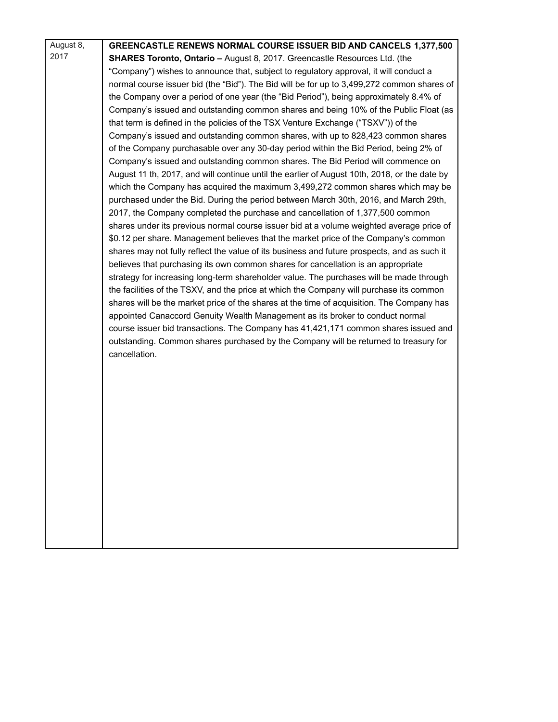| August 8, | <b>GREENCASTLE RENEWS NORMAL COURSE ISSUER BID AND CANCELS 1,377,500</b>                     |
|-----------|----------------------------------------------------------------------------------------------|
| 2017      | <b>SHARES Toronto, Ontario - August 8, 2017. Greencastle Resources Ltd. (the</b>             |
|           | "Company") wishes to announce that, subject to regulatory approval, it will conduct a        |
|           | normal course issuer bid (the "Bid"). The Bid will be for up to 3,499,272 common shares of   |
|           | the Company over a period of one year (the "Bid Period"), being approximately 8.4% of        |
|           | Company's issued and outstanding common shares and being 10% of the Public Float (as         |
|           | that term is defined in the policies of the TSX Venture Exchange ("TSXV")) of the            |
|           | Company's issued and outstanding common shares, with up to 828,423 common shares             |
|           | of the Company purchasable over any 30-day period within the Bid Period, being 2% of         |
|           | Company's issued and outstanding common shares. The Bid Period will commence on              |
|           | August 11 th, 2017, and will continue until the earlier of August 10th, 2018, or the date by |
|           | which the Company has acquired the maximum 3,499,272 common shares which may be              |
|           | purchased under the Bid. During the period between March 30th, 2016, and March 29th,         |
|           | 2017, the Company completed the purchase and cancellation of 1,377,500 common                |
|           | shares under its previous normal course issuer bid at a volume weighted average price of     |
|           | \$0.12 per share. Management believes that the market price of the Company's common          |
|           | shares may not fully reflect the value of its business and future prospects, and as such it  |
|           | believes that purchasing its own common shares for cancellation is an appropriate            |
|           | strategy for increasing long-term shareholder value. The purchases will be made through      |
|           | the facilities of the TSXV, and the price at which the Company will purchase its common      |
|           | shares will be the market price of the shares at the time of acquisition. The Company has    |
|           | appointed Canaccord Genuity Wealth Management as its broker to conduct normal                |
|           | course issuer bid transactions. The Company has 41,421,171 common shares issued and          |
|           | outstanding. Common shares purchased by the Company will be returned to treasury for         |
|           | cancellation.                                                                                |
|           |                                                                                              |
|           |                                                                                              |
|           |                                                                                              |
|           |                                                                                              |
|           |                                                                                              |
|           |                                                                                              |
|           |                                                                                              |
|           |                                                                                              |
|           |                                                                                              |
|           |                                                                                              |
|           |                                                                                              |
|           |                                                                                              |
|           |                                                                                              |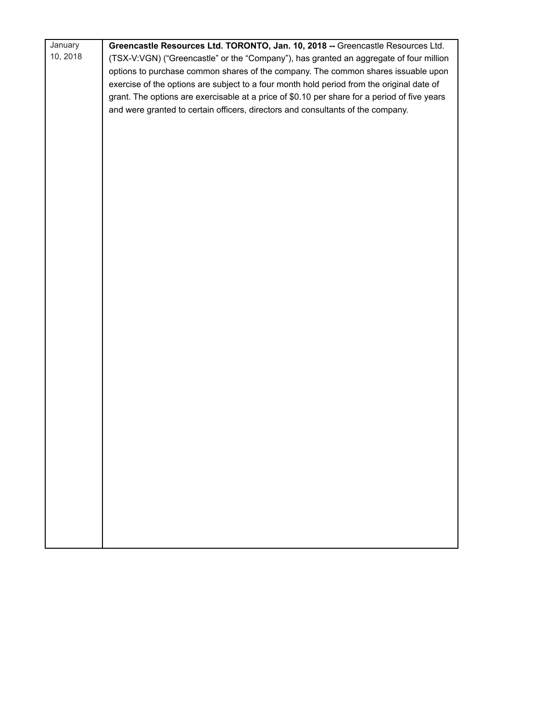| January  | Greencastle Resources Ltd. TORONTO, Jan. 10, 2018 -- Greencastle Resources Ltd.              |
|----------|----------------------------------------------------------------------------------------------|
| 10, 2018 | (TSX-V:VGN) ("Greencastle" or the "Company"), has granted an aggregate of four million       |
|          | options to purchase common shares of the company. The common shares issuable upon            |
|          | exercise of the options are subject to a four month hold period from the original date of    |
|          | grant. The options are exercisable at a price of \$0.10 per share for a period of five years |
|          | and were granted to certain officers, directors and consultants of the company.              |
|          |                                                                                              |
|          |                                                                                              |
|          |                                                                                              |
|          |                                                                                              |
|          |                                                                                              |
|          |                                                                                              |
|          |                                                                                              |
|          |                                                                                              |
|          |                                                                                              |
|          |                                                                                              |
|          |                                                                                              |
|          |                                                                                              |
|          |                                                                                              |
|          |                                                                                              |
|          |                                                                                              |
|          |                                                                                              |
|          |                                                                                              |
|          |                                                                                              |
|          |                                                                                              |
|          |                                                                                              |
|          |                                                                                              |
|          |                                                                                              |
|          |                                                                                              |
|          |                                                                                              |
|          |                                                                                              |
|          |                                                                                              |
|          |                                                                                              |
|          |                                                                                              |
|          |                                                                                              |
|          |                                                                                              |
|          |                                                                                              |
|          |                                                                                              |
|          |                                                                                              |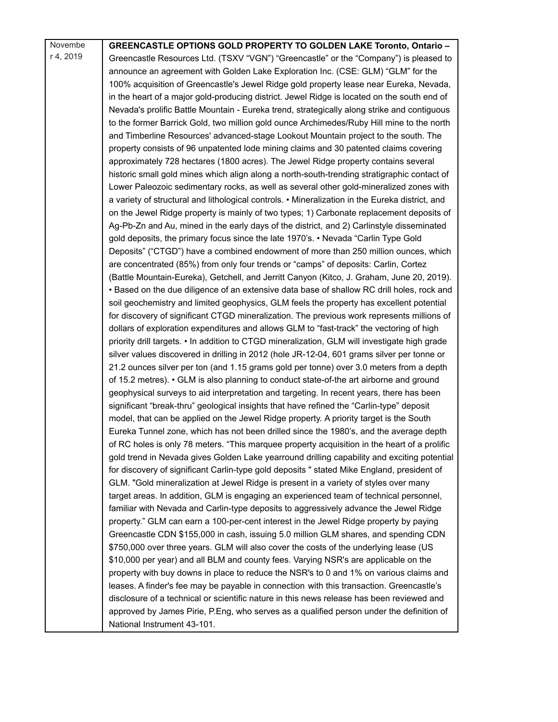| Novembe   | <b>GREENCASTLE OPTIONS GOLD PROPERTY TO GOLDEN LAKE Toronto, Ontario -</b>                      |
|-----------|-------------------------------------------------------------------------------------------------|
| r 4, 2019 | Greencastle Resources Ltd. (TSXV "VGN") "Greencastle" or the "Company") is pleased to           |
|           | announce an agreement with Golden Lake Exploration Inc. (CSE: GLM) "GLM" for the                |
|           | 100% acquisition of Greencastle's Jewel Ridge gold property lease near Eureka, Nevada,          |
|           | in the heart of a major gold-producing district. Jewel Ridge is located on the south end of     |
|           | Nevada's prolific Battle Mountain - Eureka trend, strategically along strike and contiguous     |
|           | to the former Barrick Gold, two million gold ounce Archimedes/Ruby Hill mine to the north       |
|           | and Timberline Resources' advanced-stage Lookout Mountain project to the south. The             |
|           | property consists of 96 unpatented lode mining claims and 30 patented claims covering           |
|           | approximately 728 hectares (1800 acres). The Jewel Ridge property contains several              |
|           | historic small gold mines which align along a north-south-trending stratigraphic contact of     |
|           | Lower Paleozoic sedimentary rocks, as well as several other gold-mineralized zones with         |
|           | a variety of structural and lithological controls. • Mineralization in the Eureka district, and |
|           | on the Jewel Ridge property is mainly of two types; 1) Carbonate replacement deposits of        |
|           | Ag-Pb-Zn and Au, mined in the early days of the district, and 2) Carlinstyle disseminated       |
|           | gold deposits, the primary focus since the late 1970's. • Nevada "Carlin Type Gold              |
|           | Deposits" ("CTGD") have a combined endowment of more than 250 million ounces, which             |
|           | are concentrated (85%) from only four trends or "camps" of deposits: Carlin, Cortez             |
|           | (Battle Mountain-Eureka), Getchell, and Jerritt Canyon (Kitco, J. Graham, June 20, 2019).       |
|           | • Based on the due diligence of an extensive data base of shallow RC drill holes, rock and      |
|           | soil geochemistry and limited geophysics, GLM feels the property has excellent potential        |
|           | for discovery of significant CTGD mineralization. The previous work represents millions of      |
|           | dollars of exploration expenditures and allows GLM to "fast-track" the vectoring of high        |
|           | priority drill targets. • In addition to CTGD mineralization, GLM will investigate high grade   |
|           | silver values discovered in drilling in 2012 (hole JR-12-04, 601 grams silver per tonne or      |
|           | 21.2 ounces silver per ton (and 1.15 grams gold per tonne) over 3.0 meters from a depth         |
|           | of 15.2 metres). • GLM is also planning to conduct state-of-the art airborne and ground         |
|           | geophysical surveys to aid interpretation and targeting. In recent years, there has been        |
|           | significant "break-thru" geological insights that have refined the "Carlin-type" deposit        |
|           | model, that can be applied on the Jewel Ridge property. A priority target is the South          |
|           | Eureka Tunnel zone, which has not been drilled since the 1980's, and the average depth          |
|           | of RC holes is only 78 meters. "This marquee property acquisition in the heart of a prolific    |
|           | gold trend in Nevada gives Golden Lake yearround drilling capability and exciting potential     |
|           |                                                                                                 |
|           | for discovery of significant Carlin-type gold deposits " stated Mike England, president of      |
|           | GLM. "Gold mineralization at Jewel Ridge is present in a variety of styles over many            |
|           | target areas. In addition, GLM is engaging an experienced team of technical personnel,          |
|           | familiar with Nevada and Carlin-type deposits to aggressively advance the Jewel Ridge           |
|           | property." GLM can earn a 100-per-cent interest in the Jewel Ridge property by paying           |
|           | Greencastle CDN \$155,000 in cash, issuing 5.0 million GLM shares, and spending CDN             |
|           | \$750,000 over three years. GLM will also cover the costs of the underlying lease (US           |
|           | \$10,000 per year) and all BLM and county fees. Varying NSR's are applicable on the             |
|           | property with buy downs in place to reduce the NSR's to 0 and 1% on various claims and          |
|           | leases. A finder's fee may be payable in connection with this transaction. Greencastle's        |
|           | disclosure of a technical or scientific nature in this news release has been reviewed and       |
|           | approved by James Pirie, P.Eng, who serves as a qualified person under the definition of        |
|           | National Instrument 43-101.                                                                     |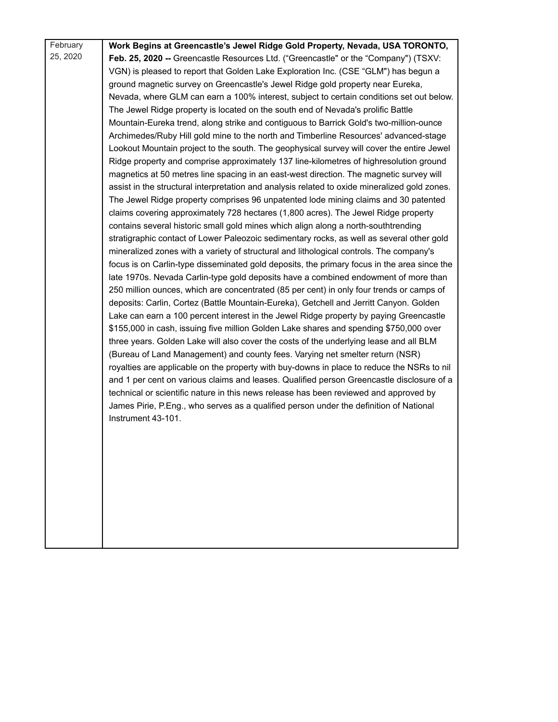February 25, 2020 **Work Begins at Greencastle's Jewel Ridge Gold Property, Nevada, USA TORONTO, Feb. 25, 2020 --** Greencastle Resources Ltd. ("Greencastle" or the "Company") (TSXV: VGN) is pleased to report that Golden Lake Exploration Inc. (CSE "GLM") has begun a ground magnetic survey on Greencastle's Jewel Ridge gold property near Eureka, Nevada, where GLM can earn a 100% interest, subject to certain conditions set out below. The Jewel Ridge property is located on the south end of Nevada's prolific Battle Mountain-Eureka trend, along strike and contiguous to Barrick Gold's two-million-ounce Archimedes/Ruby Hill gold mine to the north and Timberline Resources' advanced-stage Lookout Mountain project to the south. The geophysical survey will cover the entire Jewel Ridge property and comprise approximately 137 line-kilometres of highresolution ground magnetics at 50 metres line spacing in an east-west direction. The magnetic survey will assist in the structural interpretation and analysis related to oxide mineralized gold zones. The Jewel Ridge property comprises 96 unpatented lode mining claims and 30 patented claims covering approximately 728 hectares (1,800 acres). The Jewel Ridge property contains several historic small gold mines which align along a north-southtrending stratigraphic contact of Lower Paleozoic sedimentary rocks, as well as several other gold mineralized zones with a variety of structural and lithological controls. The company's focus is on Carlin-type disseminated gold deposits, the primary focus in the area since the late 1970s. Nevada Carlin-type gold deposits have a combined endowment of more than 250 million ounces, which are concentrated (85 per cent) in only four trends or camps of deposits: Carlin, Cortez (Battle Mountain-Eureka), Getchell and Jerritt Canyon. Golden Lake can earn a 100 percent interest in the Jewel Ridge property by paying Greencastle \$155,000 in cash, issuing five million Golden Lake shares and spending \$750,000 over three years. Golden Lake will also cover the costs of the underlying lease and all BLM (Bureau of Land Management) and county fees. Varying net smelter return (NSR) royalties are applicable on the property with buy-downs in place to reduce the NSRs to nil and 1 per cent on various claims and leases. Qualified person Greencastle disclosure of a technical or scientific nature in this news release has been reviewed and approved by James Pirie, P.Eng., who serves as a qualified person under the definition of National Instrument 43-101.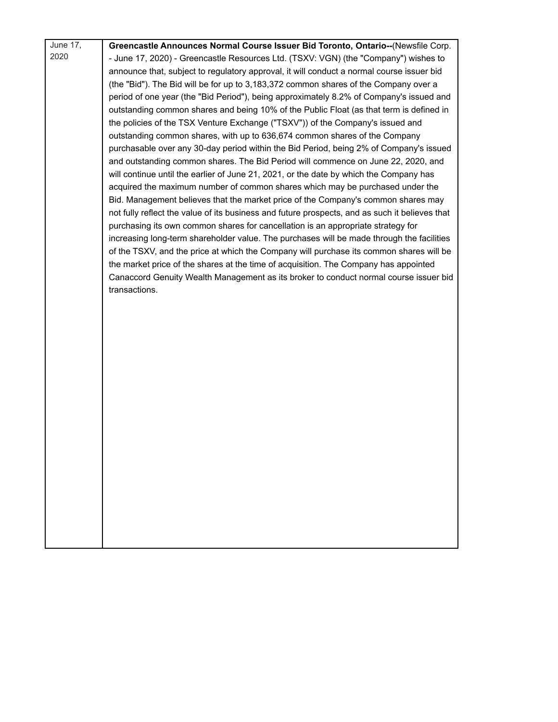| June 17, | Greencastle Announces Normal Course Issuer Bid Toronto, Ontario--(Newsfile Corp.                                                                                                    |
|----------|-------------------------------------------------------------------------------------------------------------------------------------------------------------------------------------|
| 2020     | - June 17, 2020) - Greencastle Resources Ltd. (TSXV: VGN) (the "Company") wishes to                                                                                                 |
|          | announce that, subject to regulatory approval, it will conduct a normal course issuer bid                                                                                           |
|          | (the "Bid"). The Bid will be for up to 3,183,372 common shares of the Company over a                                                                                                |
|          | period of one year (the "Bid Period"), being approximately 8.2% of Company's issued and                                                                                             |
|          | outstanding common shares and being 10% of the Public Float (as that term is defined in                                                                                             |
|          | the policies of the TSX Venture Exchange ("TSXV")) of the Company's issued and                                                                                                      |
|          | outstanding common shares, with up to 636,674 common shares of the Company                                                                                                          |
|          | purchasable over any 30-day period within the Bid Period, being 2% of Company's issued                                                                                              |
|          | and outstanding common shares. The Bid Period will commence on June 22, 2020, and                                                                                                   |
|          | will continue until the earlier of June 21, 2021, or the date by which the Company has                                                                                              |
|          | acquired the maximum number of common shares which may be purchased under the                                                                                                       |
|          | Bid. Management believes that the market price of the Company's common shares may<br>not fully reflect the value of its business and future prospects, and as such it believes that |
|          | purchasing its own common shares for cancellation is an appropriate strategy for                                                                                                    |
|          | increasing long-term shareholder value. The purchases will be made through the facilities                                                                                           |
|          | of the TSXV, and the price at which the Company will purchase its common shares will be                                                                                             |
|          | the market price of the shares at the time of acquisition. The Company has appointed                                                                                                |
|          | Canaccord Genuity Wealth Management as its broker to conduct normal course issuer bid                                                                                               |
|          | transactions.                                                                                                                                                                       |
|          |                                                                                                                                                                                     |
|          |                                                                                                                                                                                     |
|          |                                                                                                                                                                                     |
|          |                                                                                                                                                                                     |
|          |                                                                                                                                                                                     |
|          |                                                                                                                                                                                     |
|          |                                                                                                                                                                                     |
|          |                                                                                                                                                                                     |
|          |                                                                                                                                                                                     |
|          |                                                                                                                                                                                     |
|          |                                                                                                                                                                                     |
|          |                                                                                                                                                                                     |
|          |                                                                                                                                                                                     |
|          |                                                                                                                                                                                     |
|          |                                                                                                                                                                                     |
|          |                                                                                                                                                                                     |
|          |                                                                                                                                                                                     |
|          |                                                                                                                                                                                     |
|          |                                                                                                                                                                                     |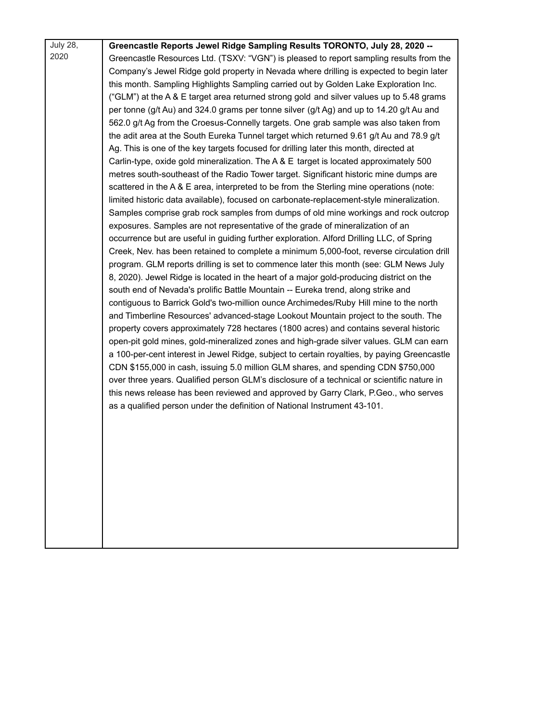| <b>July 28,</b> | Greencastle Reports Jewel Ridge Sampling Results TORONTO, July 28, 2020 --                  |
|-----------------|---------------------------------------------------------------------------------------------|
| 2020            | Greencastle Resources Ltd. (TSXV: "VGN") is pleased to report sampling results from the     |
|                 | Company's Jewel Ridge gold property in Nevada where drilling is expected to begin later     |
|                 | this month. Sampling Highlights Sampling carried out by Golden Lake Exploration Inc.        |
|                 | ("GLM") at the A & E target area returned strong gold and silver values up to 5.48 grams    |
|                 | per tonne (g/t Au) and 324.0 grams per tonne silver (g/t Ag) and up to 14.20 g/t Au and     |
|                 | 562.0 g/t Ag from the Croesus-Connelly targets. One grab sample was also taken from         |
|                 | the adit area at the South Eureka Tunnel target which returned 9.61 g/t Au and 78.9 g/t     |
|                 | Ag. This is one of the key targets focused for drilling later this month, directed at       |
|                 | Carlin-type, oxide gold mineralization. The A & E target is located approximately 500       |
|                 | metres south-southeast of the Radio Tower target. Significant historic mine dumps are       |
|                 | scattered in the A & E area, interpreted to be from the Sterling mine operations (note:     |
|                 | limited historic data available), focused on carbonate-replacement-style mineralization.    |
|                 | Samples comprise grab rock samples from dumps of old mine workings and rock outcrop         |
|                 | exposures. Samples are not representative of the grade of mineralization of an              |
|                 | occurrence but are useful in guiding further exploration. Alford Drilling LLC, of Spring    |
|                 | Creek, Nev. has been retained to complete a minimum 5,000-foot, reverse circulation drill   |
|                 | program. GLM reports drilling is set to commence later this month (see: GLM News July       |
|                 | 8, 2020). Jewel Ridge is located in the heart of a major gold-producing district on the     |
|                 | south end of Nevada's prolific Battle Mountain -- Eureka trend, along strike and            |
|                 | contiguous to Barrick Gold's two-million ounce Archimedes/Ruby Hill mine to the north       |
|                 | and Timberline Resources' advanced-stage Lookout Mountain project to the south. The         |
|                 | property covers approximately 728 hectares (1800 acres) and contains several historic       |
|                 | open-pit gold mines, gold-mineralized zones and high-grade silver values. GLM can earn      |
|                 | a 100-per-cent interest in Jewel Ridge, subject to certain royalties, by paying Greencastle |
|                 | CDN \$155,000 in cash, issuing 5.0 million GLM shares, and spending CDN \$750,000           |
|                 | over three years. Qualified person GLM's disclosure of a technical or scientific nature in  |
|                 | this news release has been reviewed and approved by Garry Clark, P.Geo., who serves         |
|                 | as a qualified person under the definition of National Instrument 43-101.                   |
|                 |                                                                                             |
|                 |                                                                                             |
|                 |                                                                                             |
|                 |                                                                                             |
|                 |                                                                                             |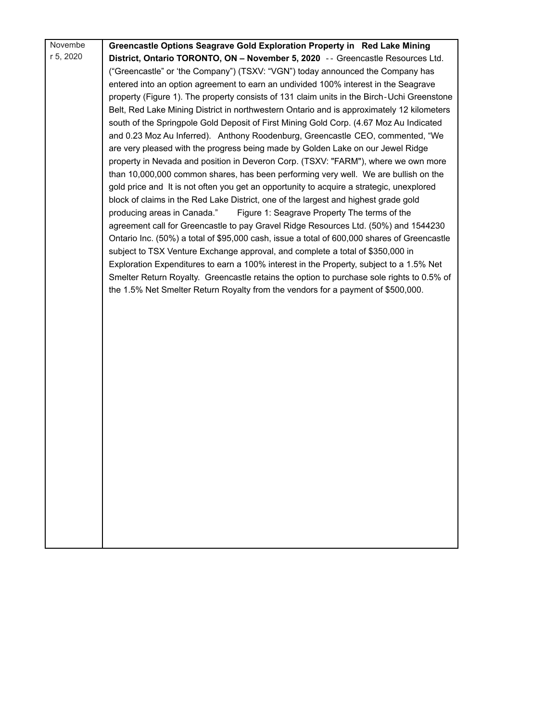| Novembe   | Greencastle Options Seagrave Gold Exploration Property in Red Lake Mining                   |
|-----------|---------------------------------------------------------------------------------------------|
| r 5, 2020 | District, Ontario TORONTO, ON - November 5, 2020 -- Greencastle Resources Ltd.              |
|           | ("Greencastle" or 'the Company") (TSXV: "VGN") today announced the Company has              |
|           | entered into an option agreement to earn an undivided 100% interest in the Seagrave         |
|           | property (Figure 1). The property consists of 131 claim units in the Birch-Uchi Greenstone  |
|           | Belt, Red Lake Mining District in northwestern Ontario and is approximately 12 kilometers   |
|           | south of the Springpole Gold Deposit of First Mining Gold Corp. (4.67 Moz Au Indicated      |
|           | and 0.23 Moz Au Inferred). Anthony Roodenburg, Greencastle CEO, commented, "We              |
|           | are very pleased with the progress being made by Golden Lake on our Jewel Ridge             |
|           | property in Nevada and position in Deveron Corp. (TSXV: "FARM"), where we own more          |
|           | than 10,000,000 common shares, has been performing very well. We are bullish on the         |
|           | gold price and It is not often you get an opportunity to acquire a strategic, unexplored    |
|           | block of claims in the Red Lake District, one of the largest and highest grade gold         |
|           | producing areas in Canada."<br>Figure 1: Seagrave Property The terms of the                 |
|           | agreement call for Greencastle to pay Gravel Ridge Resources Ltd. (50%) and 1544230         |
|           | Ontario Inc. (50%) a total of \$95,000 cash, issue a total of 600,000 shares of Greencastle |
|           | subject to TSX Venture Exchange approval, and complete a total of \$350,000 in              |
|           | Exploration Expenditures to earn a 100% interest in the Property, subject to a 1.5% Net     |
|           | Smelter Return Royalty. Greencastle retains the option to purchase sole rights to 0.5% of   |
|           | the 1.5% Net Smelter Return Royalty from the vendors for a payment of \$500,000.            |
|           |                                                                                             |
|           |                                                                                             |
|           |                                                                                             |
|           |                                                                                             |
|           |                                                                                             |
|           |                                                                                             |
|           |                                                                                             |
|           |                                                                                             |
|           |                                                                                             |
|           |                                                                                             |
|           |                                                                                             |
|           |                                                                                             |
|           |                                                                                             |
|           |                                                                                             |
|           |                                                                                             |
|           |                                                                                             |
|           |                                                                                             |
|           |                                                                                             |
|           |                                                                                             |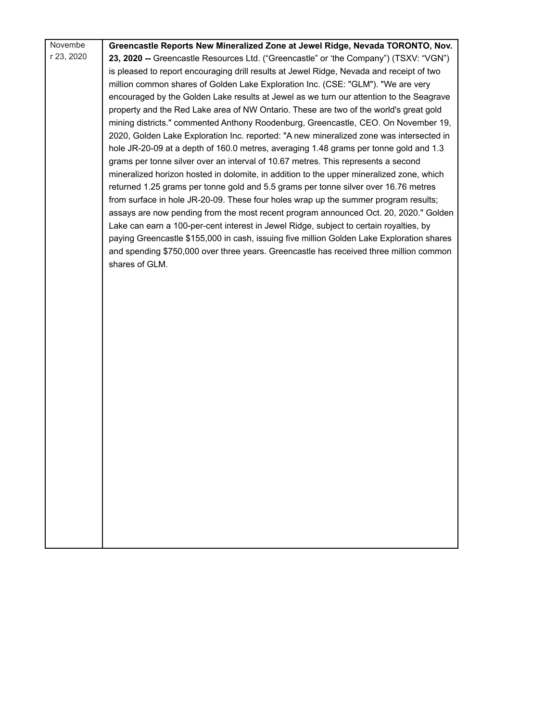| Novembe    | Greencastle Reports New Mineralized Zone at Jewel Ridge, Nevada TORONTO, Nov.                                                                                               |
|------------|-----------------------------------------------------------------------------------------------------------------------------------------------------------------------------|
| r 23, 2020 | 23, 2020 -- Greencastle Resources Ltd. ("Greencastle" or 'the Company") (TSXV: "VGN")                                                                                       |
|            | is pleased to report encouraging drill results at Jewel Ridge, Nevada and receipt of two                                                                                    |
|            | million common shares of Golden Lake Exploration Inc. (CSE: "GLM"). "We are very                                                                                            |
|            | encouraged by the Golden Lake results at Jewel as we turn our attention to the Seagrave                                                                                     |
|            | property and the Red Lake area of NW Ontario. These are two of the world's great gold                                                                                       |
|            | mining districts." commented Anthony Roodenburg, Greencastle, CEO. On November 19,                                                                                          |
|            | 2020, Golden Lake Exploration Inc. reported: "A new mineralized zone was intersected in                                                                                     |
|            | hole JR-20-09 at a depth of 160.0 metres, averaging 1.48 grams per tonne gold and 1.3                                                                                       |
|            | grams per tonne silver over an interval of 10.67 metres. This represents a second                                                                                           |
|            | mineralized horizon hosted in dolomite, in addition to the upper mineralized zone, which                                                                                    |
|            | returned 1.25 grams per tonne gold and 5.5 grams per tonne silver over 16.76 metres                                                                                         |
|            | from surface in hole JR-20-09. These four holes wrap up the summer program results;<br>assays are now pending from the most recent program announced Oct. 20, 2020." Golden |
|            | Lake can earn a 100-per-cent interest in Jewel Ridge, subject to certain royalties, by                                                                                      |
|            | paying Greencastle \$155,000 in cash, issuing five million Golden Lake Exploration shares                                                                                   |
|            | and spending \$750,000 over three years. Greencastle has received three million common                                                                                      |
|            | shares of GLM.                                                                                                                                                              |
|            |                                                                                                                                                                             |
|            |                                                                                                                                                                             |
|            |                                                                                                                                                                             |
|            |                                                                                                                                                                             |
|            |                                                                                                                                                                             |
|            |                                                                                                                                                                             |
|            |                                                                                                                                                                             |
|            |                                                                                                                                                                             |
|            |                                                                                                                                                                             |
|            |                                                                                                                                                                             |
|            |                                                                                                                                                                             |
|            |                                                                                                                                                                             |
|            |                                                                                                                                                                             |
|            |                                                                                                                                                                             |
|            |                                                                                                                                                                             |
|            |                                                                                                                                                                             |
|            |                                                                                                                                                                             |
|            |                                                                                                                                                                             |
|            |                                                                                                                                                                             |
|            |                                                                                                                                                                             |
|            |                                                                                                                                                                             |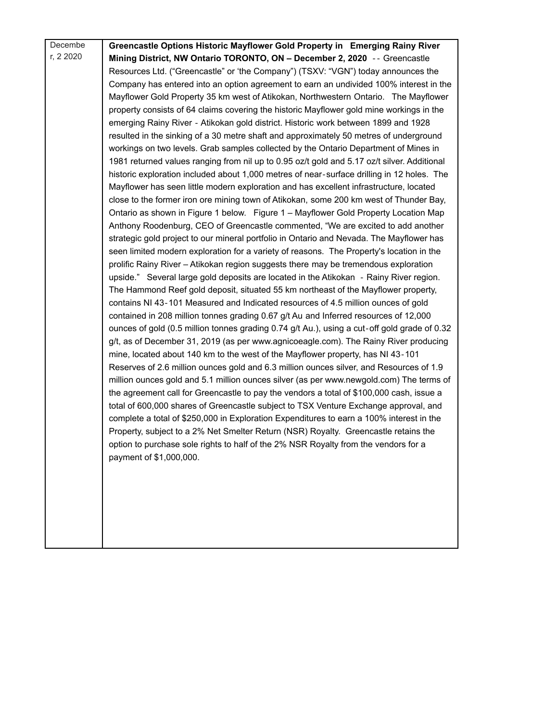| Decembe   | Greencastle Options Historic Mayflower Gold Property in Emerging Rainy River                 |
|-----------|----------------------------------------------------------------------------------------------|
| r, 2 2020 | Mining District, NW Ontario TORONTO, ON - December 2, 2020 -- Greencastle                    |
|           | Resources Ltd. ("Greencastle" or 'the Company") (TSXV: "VGN") today announces the            |
|           | Company has entered into an option agreement to earn an undivided 100% interest in the       |
|           | Mayflower Gold Property 35 km west of Atikokan, Northwestern Ontario. The Mayflower          |
|           | property consists of 64 claims covering the historic Mayflower gold mine workings in the     |
|           | emerging Rainy River - Atikokan gold district. Historic work between 1899 and 1928           |
|           | resulted in the sinking of a 30 metre shaft and approximately 50 metres of underground       |
|           | workings on two levels. Grab samples collected by the Ontario Department of Mines in         |
|           | 1981 returned values ranging from nil up to 0.95 oz/t gold and 5.17 oz/t silver. Additional  |
|           | historic exploration included about 1,000 metres of near-surface drilling in 12 holes. The   |
|           | Mayflower has seen little modern exploration and has excellent infrastructure, located       |
|           | close to the former iron ore mining town of Atikokan, some 200 km west of Thunder Bay,       |
|           | Ontario as shown in Figure 1 below. Figure 1 - Mayflower Gold Property Location Map          |
|           | Anthony Roodenburg, CEO of Greencastle commented, "We are excited to add another             |
|           | strategic gold project to our mineral portfolio in Ontario and Nevada. The Mayflower has     |
|           | seen limited modern exploration for a variety of reasons. The Property's location in the     |
|           | prolific Rainy River - Atikokan region suggests there may be tremendous exploration          |
|           | upside." Several large gold deposits are located in the Atikokan - Rainy River region.       |
|           | The Hammond Reef gold deposit, situated 55 km northeast of the Mayflower property,           |
|           | contains NI 43-101 Measured and Indicated resources of 4.5 million ounces of gold            |
|           | contained in 208 million tonnes grading 0.67 g/t Au and Inferred resources of 12,000         |
|           | ounces of gold (0.5 million tonnes grading 0.74 g/t Au.), using a cut-off gold grade of 0.32 |
|           | g/t, as of December 31, 2019 (as per www.agnicoeagle.com). The Rainy River producing         |
|           | mine, located about 140 km to the west of the Mayflower property, has NI 43-101              |
|           | Reserves of 2.6 million ounces gold and 6.3 million ounces silver, and Resources of 1.9      |
|           | million ounces gold and 5.1 million ounces silver (as per www.newgold.com) The terms of      |
|           | the agreement call for Greencastle to pay the vendors a total of \$100,000 cash, issue a     |
|           | total of 600,000 shares of Greencastle subject to TSX Venture Exchange approval, and         |
|           | complete a total of \$250,000 in Exploration Expenditures to earn a 100% interest in the     |
|           | Property, subject to a 2% Net Smelter Return (NSR) Royalty. Greencastle retains the          |
|           | option to purchase sole rights to half of the 2% NSR Royalty from the vendors for a          |
|           | payment of \$1,000,000.                                                                      |
|           |                                                                                              |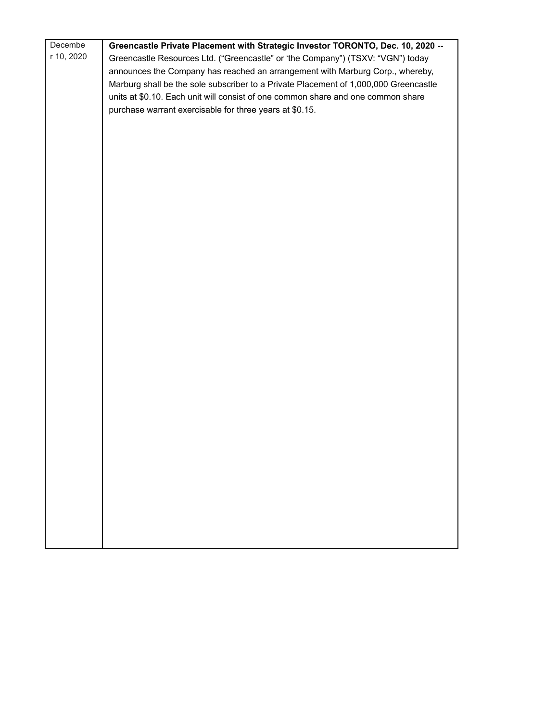| Decembe    | Greencastle Private Placement with Strategic Investor TORONTO, Dec. 10, 2020 --      |
|------------|--------------------------------------------------------------------------------------|
| r 10, 2020 | Greencastle Resources Ltd. ("Greencastle" or 'the Company") (TSXV: "VGN") today      |
|            | announces the Company has reached an arrangement with Marburg Corp., whereby,        |
|            | Marburg shall be the sole subscriber to a Private Placement of 1,000,000 Greencastle |
|            | units at \$0.10. Each unit will consist of one common share and one common share     |
|            | purchase warrant exercisable for three years at \$0.15.                              |
|            |                                                                                      |
|            |                                                                                      |
|            |                                                                                      |
|            |                                                                                      |
|            |                                                                                      |
|            |                                                                                      |
|            |                                                                                      |
|            |                                                                                      |
|            |                                                                                      |
|            |                                                                                      |
|            |                                                                                      |
|            |                                                                                      |
|            |                                                                                      |
|            |                                                                                      |
|            |                                                                                      |
|            |                                                                                      |
|            |                                                                                      |
|            |                                                                                      |
|            |                                                                                      |
|            |                                                                                      |
|            |                                                                                      |
|            |                                                                                      |
|            |                                                                                      |
|            |                                                                                      |
|            |                                                                                      |
|            |                                                                                      |
|            |                                                                                      |
|            |                                                                                      |
|            |                                                                                      |
|            |                                                                                      |
|            |                                                                                      |
|            |                                                                                      |
|            |                                                                                      |
|            |                                                                                      |
|            |                                                                                      |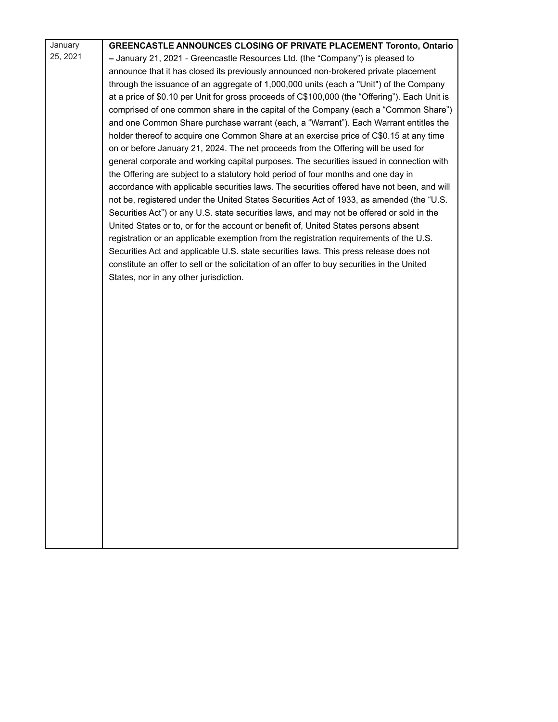| January  | GREENCASTLE ANNOUNCES CLOSING OF PRIVATE PLACEMENT Toronto, Ontario                           |
|----------|-----------------------------------------------------------------------------------------------|
| 25, 2021 | - January 21, 2021 - Greencastle Resources Ltd. (the "Company") is pleased to                 |
|          | announce that it has closed its previously announced non-brokered private placement           |
|          | through the issuance of an aggregate of 1,000,000 units (each a "Unit") of the Company        |
|          | at a price of \$0.10 per Unit for gross proceeds of C\$100,000 (the "Offering"). Each Unit is |
|          | comprised of one common share in the capital of the Company (each a "Common Share")           |
|          | and one Common Share purchase warrant (each, a "Warrant"). Each Warrant entitles the          |
|          | holder thereof to acquire one Common Share at an exercise price of C\$0.15 at any time        |
|          | on or before January 21, 2024. The net proceeds from the Offering will be used for            |
|          | general corporate and working capital purposes. The securities issued in connection with      |
|          | the Offering are subject to a statutory hold period of four months and one day in             |
|          | accordance with applicable securities laws. The securities offered have not been, and will    |
|          | not be, registered under the United States Securities Act of 1933, as amended (the "U.S.      |
|          | Securities Act") or any U.S. state securities laws, and may not be offered or sold in the     |
|          | United States or to, or for the account or benefit of, United States persons absent           |
|          | registration or an applicable exemption from the registration requirements of the U.S.        |
|          | Securities Act and applicable U.S. state securities laws. This press release does not         |
|          | constitute an offer to sell or the solicitation of an offer to buy securities in the United   |
|          | States, nor in any other jurisdiction.                                                        |
|          |                                                                                               |
|          |                                                                                               |
|          |                                                                                               |
|          |                                                                                               |
|          |                                                                                               |
|          |                                                                                               |
|          |                                                                                               |
|          |                                                                                               |
|          |                                                                                               |
|          |                                                                                               |
|          |                                                                                               |
|          |                                                                                               |
|          |                                                                                               |
|          |                                                                                               |
|          |                                                                                               |
|          |                                                                                               |
|          |                                                                                               |
|          |                                                                                               |
|          |                                                                                               |
|          |                                                                                               |